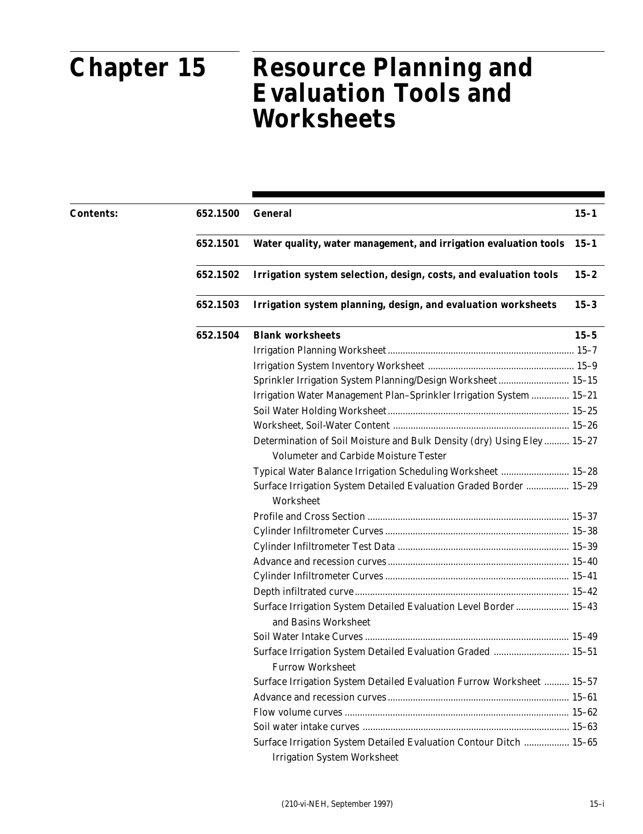# **Chapter 15**

### $\bullet$ Irrigation Guide **Resource Planning and Evaluation Chapter 15 Resource Planning and Evaluation Tools and Worksheets**

| <b>Contents:</b> | 652.1500 | <b>General</b>                                                                                                          | $15 - 1$ |
|------------------|----------|-------------------------------------------------------------------------------------------------------------------------|----------|
|                  | 652.1501 | Water quality, water management, and irrigation evaluation tools 15-1                                                   |          |
|                  | 652.1502 | Irrigation system selection, design, costs, and evaluation tools                                                        | $15 - 2$ |
|                  | 652.1503 | Irrigation system planning, design, and evaluation worksheets                                                           | $15 - 3$ |
|                  | 652.1504 | <b>Blank worksheets</b>                                                                                                 | $15 - 5$ |
|                  |          |                                                                                                                         |          |
|                  |          |                                                                                                                         |          |
|                  |          | Sprinkler Irrigation System Planning/Design Worksheet 15-15                                                             |          |
|                  |          | Irrigation Water Management Plan-Sprinkler Irrigation System  15-21                                                     |          |
|                  |          |                                                                                                                         |          |
|                  |          |                                                                                                                         |          |
|                  |          | Determination of Soil Moisture and Bulk Density (dry) Using Eley  15-27<br><b>Volumeter and Carbide Moisture Tester</b> |          |
|                  |          | Typical Water Balance Irrigation Scheduling Worksheet  15-28                                                            |          |
|                  |          | Surface Irrigation System Detailed Evaluation Graded Border  15-29<br>Worksheet                                         |          |
|                  |          |                                                                                                                         |          |
|                  |          |                                                                                                                         |          |
|                  |          |                                                                                                                         |          |
|                  |          |                                                                                                                         |          |
|                  |          |                                                                                                                         |          |
|                  |          |                                                                                                                         |          |
|                  |          | Surface Irrigation System Detailed Evaluation Level Border  15-43<br>and Basins Worksheet                               |          |
|                  |          |                                                                                                                         |          |
|                  |          | Surface Irrigation System Detailed Evaluation Graded  15-51<br><b>Furrow Worksheet</b>                                  |          |
|                  |          | Surface Irrigation System Detailed Evaluation Furrow Worksheet  15-57                                                   |          |
|                  |          |                                                                                                                         |          |
|                  |          |                                                                                                                         |          |
|                  |          |                                                                                                                         |          |
|                  |          | Surface Irrigation System Detailed Evaluation Contour Ditch  15-65                                                      |          |
|                  |          | <b>Irrigation System Worksheet</b>                                                                                      |          |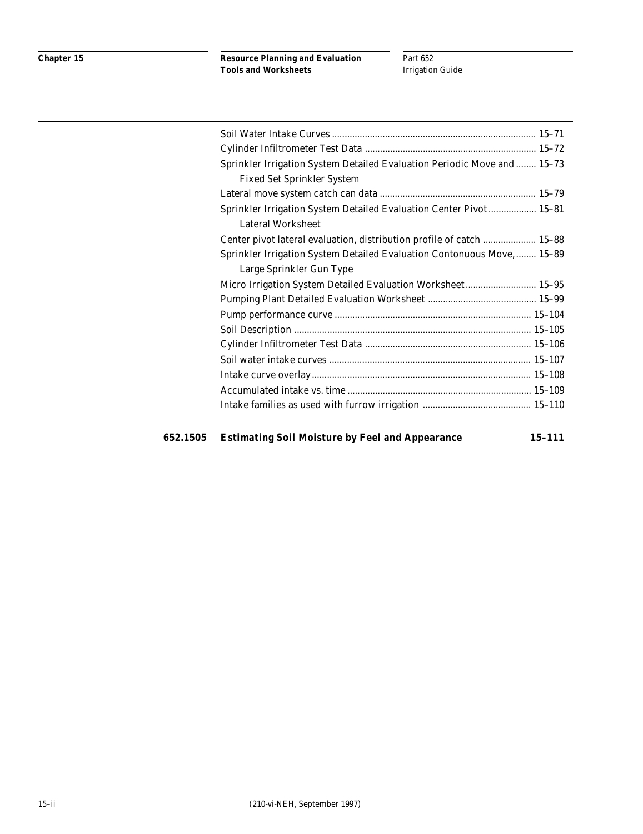Part 652 Irrigation Guide

| Sprinkler Irrigation System Detailed Evaluation Periodic Move and  15-73 |
|--------------------------------------------------------------------------|
| <b>Fixed Set Sprinkler System</b>                                        |
|                                                                          |
| Sprinkler Irrigation System Detailed Evaluation Center Pivot 15-81       |
| <b>Lateral Worksheet</b>                                                 |
| Center pivot lateral evaluation, distribution profile of catch  15-88    |
| Sprinkler Irrigation System Detailed Evaluation Contonuous Move,  15-89  |
| Large Sprinkler Gun Type                                                 |
| Micro Irrigation System Detailed Evaluation Worksheet 15-95              |
|                                                                          |
|                                                                          |
|                                                                          |
|                                                                          |
|                                                                          |
|                                                                          |
|                                                                          |
|                                                                          |
|                                                                          |

|  | 652.1505 Estimating Soil Moisture by Feel and Appearance | $15 - 111$ |
|--|----------------------------------------------------------|------------|
|--|----------------------------------------------------------|------------|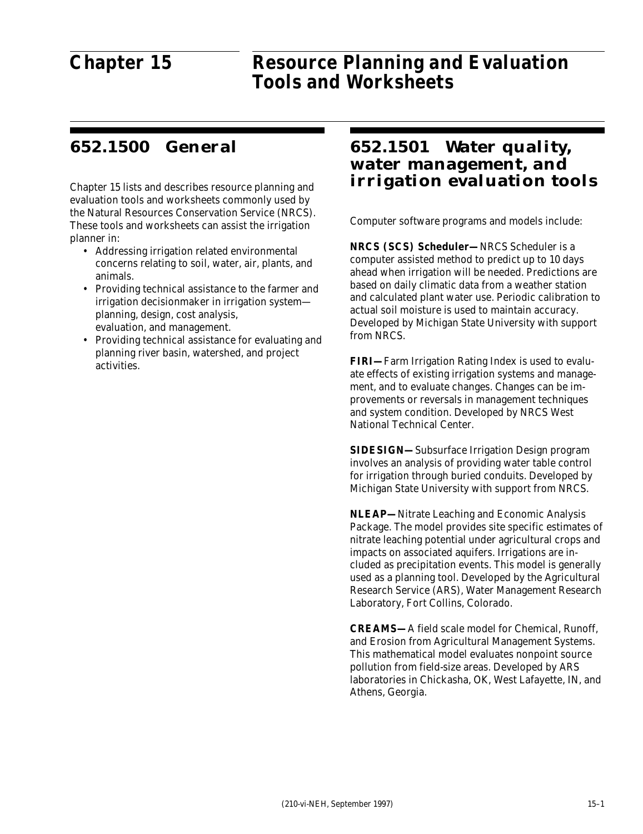# **Chapter 15**

### hmd  $\mathbf{u}$ **Regiurce Plann Tools and Worksheets Chapter 15 Resource Planning and Evaluation Tools and Worksheets**

# **652.1500 General**

Chapter 15 lists and describes resource planning and evaluation tools and worksheets commonly used by the Natural Resources Conservation Service (NRCS). These tools and worksheets can assist the irrigation planner in:

- Addressing irrigation related environmental concerns relating to soil, water, air, plants, and animals.
- Providing technical assistance to the farmer and irrigation decisionmaker in irrigation system planning, design, cost analysis, evaluation, and management.
- Providing technical assistance for evaluating and planning river basin, watershed, and project activities.

# **652.1501 Water quality, water management, and irrigation evaluation tools**

Computer software programs and models include:

**NRCS (SCS) Scheduler—**NRCS Scheduler is a computer assisted method to predict up to 10 days ahead when irrigation will be needed. Predictions are based on daily climatic data from a weather station and calculated plant water use. Periodic calibration to actual soil moisture is used to maintain accuracy. Developed by Michigan State University with support from NRCS.

**FIRI—**Farm Irrigation Rating Index is used to evaluate effects of existing irrigation systems and management, and to evaluate changes. Changes can be improvements or reversals in management techniques and system condition. Developed by NRCS West National Technical Center.

**SIDESIGN—**Subsurface Irrigation Design program involves an analysis of providing water table control for irrigation through buried conduits. Developed by Michigan State University with support from NRCS.

**NLEAP—**Nitrate Leaching and Economic Analysis Package. The model provides site specific estimates of nitrate leaching potential under agricultural crops and impacts on associated aquifers. Irrigations are included as precipitation events. This model is generally used as a planning tool. Developed by the Agricultural Research Service (ARS), Water Management Research Laboratory, Fort Collins, Colorado.

**CREAMS—**A field scale model for Chemical, Runoff, and Erosion from Agricultural Management Systems. This mathematical model evaluates nonpoint source pollution from field-size areas. Developed by ARS laboratories in Chickasha, OK, West Lafayette, IN, and Athens, Georgia.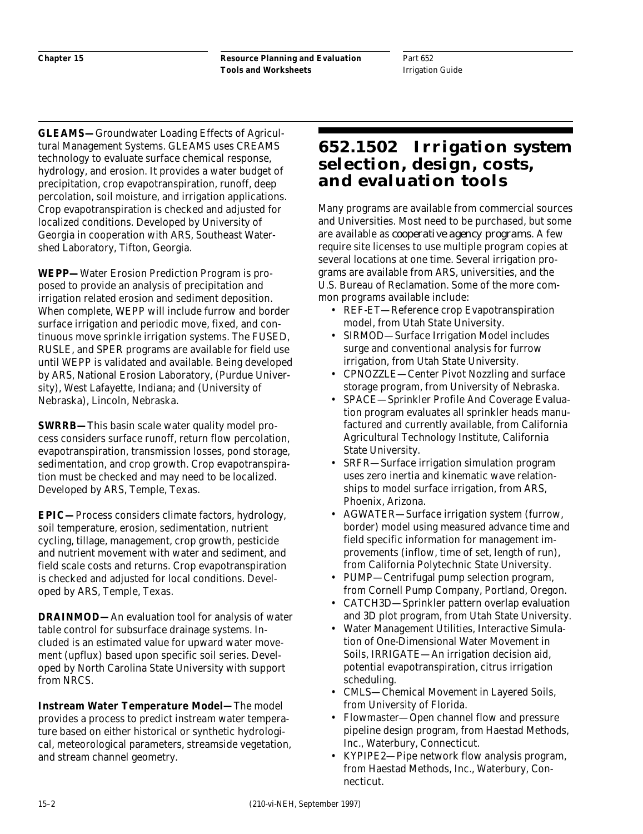**Resource Planning and Evaluation Tools and Worksheets**

Part 652 Irrigation Guide

**GLEAMS—**Groundwater Loading Effects of Agricultural Management Systems. GLEAMS uses CREAMS technology to evaluate surface chemical response, hydrology, and erosion. It provides a water budget of precipitation, crop evapotranspiration, runoff, deep percolation, soil moisture, and irrigation applications. Crop evapotranspiration is checked and adjusted for localized conditions. Developed by University of Georgia in cooperation with ARS, Southeast Watershed Laboratory, Tifton, Georgia.

**WEPP—**Water Erosion Prediction Program is proposed to provide an analysis of precipitation and irrigation related erosion and sediment deposition. When complete, WEPP will include furrow and border surface irrigation and periodic move, fixed, and continuous move sprinkle irrigation systems. The FUSED, RUSLE, and SPER programs are available for field use until WEPP is validated and available. Being developed by ARS, National Erosion Laboratory, (Purdue University), West Lafayette, Indiana; and (University of Nebraska), Lincoln, Nebraska.

**SWRRB—**This basin scale water quality model process considers surface runoff, return flow percolation, evapotranspiration, transmission losses, pond storage, sedimentation, and crop growth. Crop evapotranspiration must be checked and may need to be localized. Developed by ARS, Temple, Texas.

**EPIC—**Process considers climate factors, hydrology, soil temperature, erosion, sedimentation, nutrient cycling, tillage, management, crop growth, pesticide and nutrient movement with water and sediment, and field scale costs and returns. Crop evapotranspiration is checked and adjusted for local conditions. Developed by ARS, Temple, Texas.

**DRAINMOD—**An evaluation tool for analysis of water table control for subsurface drainage systems. Included is an estimated value for upward water movement (upflux) based upon specific soil series. Developed by North Carolina State University with support from NRCS.

**Instream Water Temperature Model—**The model provides a process to predict instream water temperature based on either historical or synthetic hydrological, meteorological parameters, streamside vegetation, and stream channel geometry.

# **652.1502 Irrigation system selection, design, costs, and evaluation tools**

Many programs are available from commercial sources and Universities. Most need to be purchased, but some are available as *cooperative agency programs*. A few require site licenses to use multiple program copies at several locations at one time. Several irrigation programs are available from ARS, universities, and the U.S. Bureau of Reclamation. Some of the more common programs available include:

- REF-ET—Reference crop Evapotranspiration model, from Utah State University.
- SIRMOD—Surface Irrigation Model includes surge and conventional analysis for furrow irrigation, from Utah State University.
- CPNOZZLE—Center Pivot Nozzling and surface storage program, from University of Nebraska.
- SPACE—Sprinkler Profile And Coverage Evaluation program evaluates all sprinkler heads manufactured and currently available, from California Agricultural Technology Institute, California State University.
- SRFR—Surface irrigation simulation program uses zero inertia and kinematic wave relationships to model surface irrigation, from ARS, Phoenix, Arizona.
- AGWATER—Surface irrigation system (furrow, border) model using measured advance time and field specific information for management improvements (inflow, time of set, length of run), from California Polytechnic State University.
- PUMP—Centrifugal pump selection program, from Cornell Pump Company, Portland, Oregon.
- CATCH3D—Sprinkler pattern overlap evaluation and 3D plot program, from Utah State University.
- Water Management Utilities, Interactive Simulation of One-Dimensional Water Movement in Soils, IRRIGATE—An irrigation decision aid, potential evapotranspiration, citrus irrigation scheduling.
- CMLS—Chemical Movement in Layered Soils, from University of Florida.
- Flowmaster—Open channel flow and pressure pipeline design program, from Haestad Methods, Inc., Waterbury, Connecticut.
- KYPIPE2—Pipe network flow analysis program, from Haestad Methods, Inc., Waterbury, Connecticut.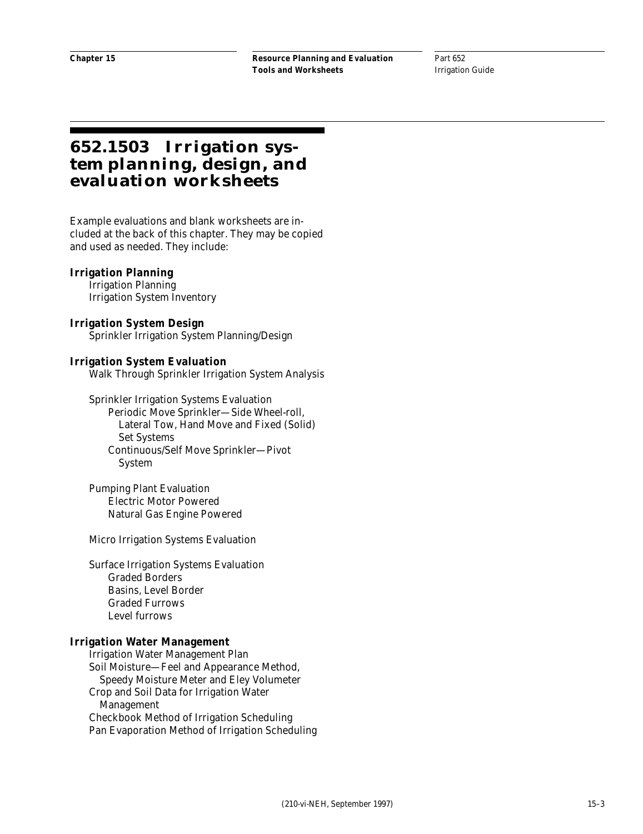Part 652 Irrigation Guide

# **652.1503 Irrigation system planning, design, and evaluation worksheets**

Example evaluations and blank worksheets are included at the back of this chapter. They may be copied and used as needed. They include:

### **Irrigation Planning**

Irrigation Planning Irrigation System Inventory

### **Irrigation System Design**

Sprinkler Irrigation System Planning/Design

### **Irrigation System Evaluation**

Walk Through Sprinkler Irrigation System Analysis

Sprinkler Irrigation Systems Evaluation Periodic Move Sprinkler—Side Wheel-roll, Lateral Tow, Hand Move and Fixed (Solid) Set Systems Continuous/Self Move Sprinkler—Pivot System

Pumping Plant Evaluation Electric Motor Powered Natural Gas Engine Powered

Micro Irrigation Systems Evaluation

Surface Irrigation Systems Evaluation Graded Borders Basins, Level Border Graded Furrows Level furrows

### **Irrigation Water Management**

Irrigation Water Management Plan Soil Moisture—Feel and Appearance Method, Speedy Moisture Meter and Eley Volumeter Crop and Soil Data for Irrigation Water Management Checkbook Method of Irrigation Scheduling Pan Evaporation Method of Irrigation Scheduling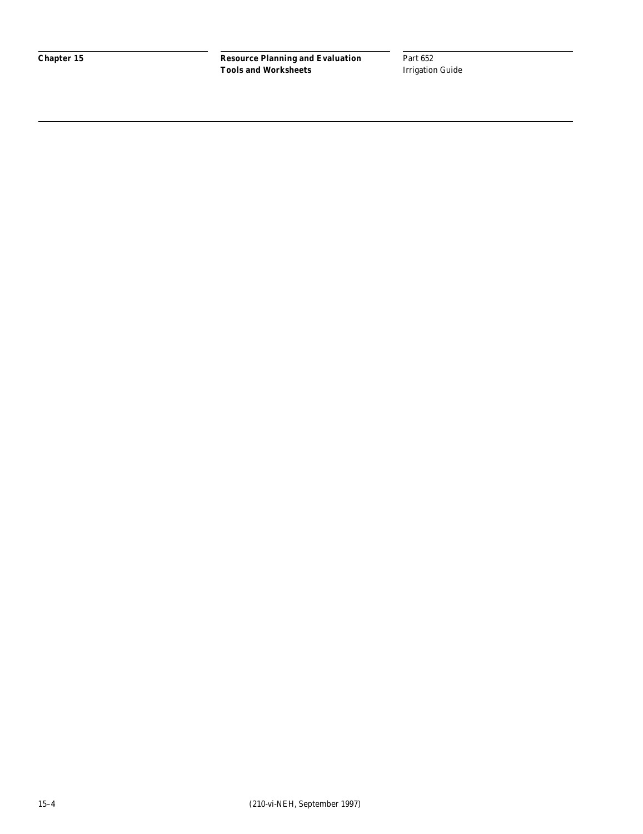Part 652 Irrigation Guide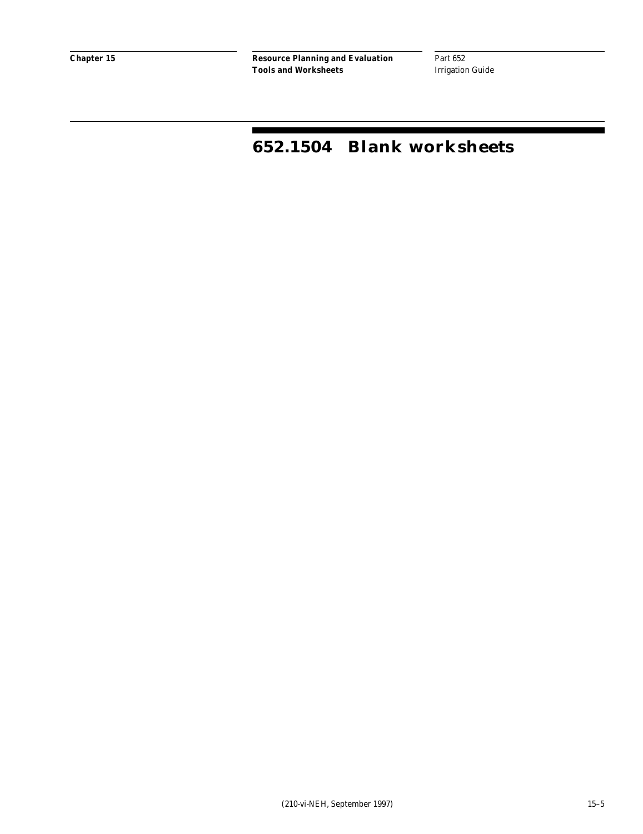**Resource Planning and Evaluation Tools and Worksheets**

Part 652 Irrigation Guide

# **652.1504 Blank worksheets**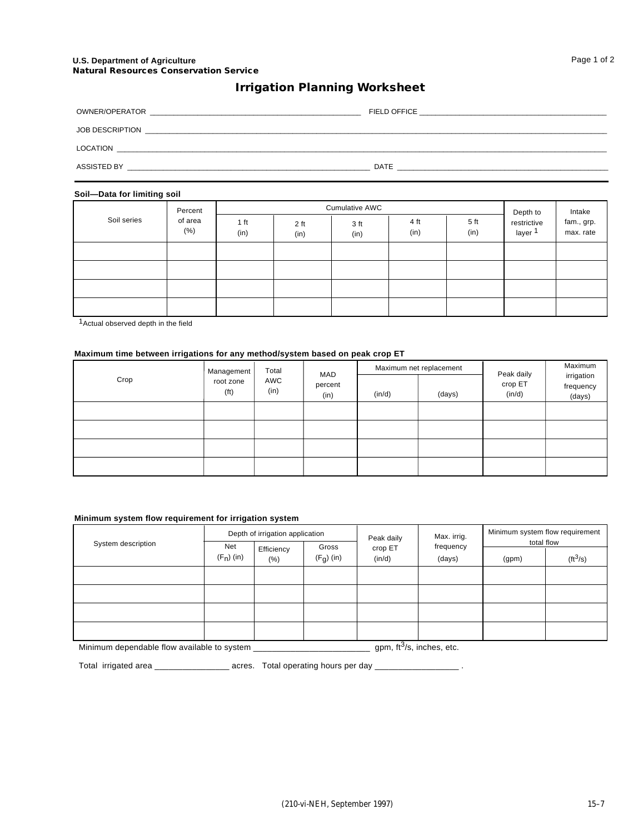#### **Tools and Worksheets U.S. Department of Agriculture Natural Resources Conservation Service**

## **Irrigation Planning Worksheet**

| <b>FIELD OFFICE</b><br><u> 1989 - John Stein, Amerikaansk politiker († 1908)</u> |
|----------------------------------------------------------------------------------|
|                                                                                  |
|                                                                                  |
| DATE                                                                             |
|                                                                                  |

### **Soil—Data for limiting soil**

|             | Percent<br>of area<br>(%) |              | Depth to                | Intake       |              |              |                                   |                         |
|-------------|---------------------------|--------------|-------------------------|--------------|--------------|--------------|-----------------------------------|-------------------------|
| Soil series |                           | 1 ft<br>(in) | 2 <sub>ft</sub><br>(in) | 3 ft<br>(in) | 4 ft<br>(in) | 5 ft<br>(in) | restrictive<br>layer <sup>1</sup> | fam., grp.<br>max. rate |
|             |                           |              |                         |              |              |              |                                   |                         |
|             |                           |              |                         |              |              |              |                                   |                         |
|             |                           |              |                         |              |              |              |                                   |                         |
|             |                           |              |                         |              |              |              |                                   |                         |

1Actual observed depth in the field

### **Maximum time between irrigations for any method/system based on peak crop ET**

| Crop | Management<br>root zone<br>(f <sup>t</sup> ) | Total<br>AWC<br>(in) | MAD<br>percent<br>(in) |        | Maximum net replacement | Peak daily<br>crop ET<br>(in/d) | Maximum<br>irrigation<br>frequency<br>(days) |
|------|----------------------------------------------|----------------------|------------------------|--------|-------------------------|---------------------------------|----------------------------------------------|
|      |                                              |                      |                        | (in/d) | (days)                  |                                 |                                              |
|      |                                              |                      |                        |        |                         |                                 |                                              |
|      |                                              |                      |                        |        |                         |                                 |                                              |
|      |                                              |                      |                        |        |                         |                                 |                                              |
|      |                                              |                      |                        |        |                         |                                 |                                              |

### **Minimum system flow requirement for irrigation system**

| System description |                     | Depth of irrigation application |                       | Peak daily<br>crop ET<br>(in/d) | Max. irrig.         | Minimum system flow requirement<br>total flow |                      |
|--------------------|---------------------|---------------------------------|-----------------------|---------------------------------|---------------------|-----------------------------------------------|----------------------|
|                    | Net<br>$(F_n)$ (in) | Efficiency<br>(% )              | Gross<br>$(F_q)$ (in) |                                 | frequency<br>(days) | (gpm)                                         | (tf <sup>3</sup> /s) |
|                    |                     |                                 |                       |                                 |                     |                                               |                      |
|                    |                     |                                 |                       |                                 |                     |                                               |                      |
|                    |                     |                                 |                       |                                 |                     |                                               |                      |
|                    |                     |                                 |                       |                                 |                     |                                               |                      |

Minimum dependable flow available to system \_\_\_\_\_\_\_\_\_\_\_\_\_\_\_\_\_\_\_\_\_\_\_\_\_ gpm, ft3/s, inches, etc.

Total irrigated area \_\_\_\_\_\_\_\_\_\_\_\_\_\_\_\_\_\_\_ acres. Total operating hours per day \_\_\_\_\_\_\_\_\_\_\_\_\_\_\_\_\_\_\_\_\_\_\_\_\_\_.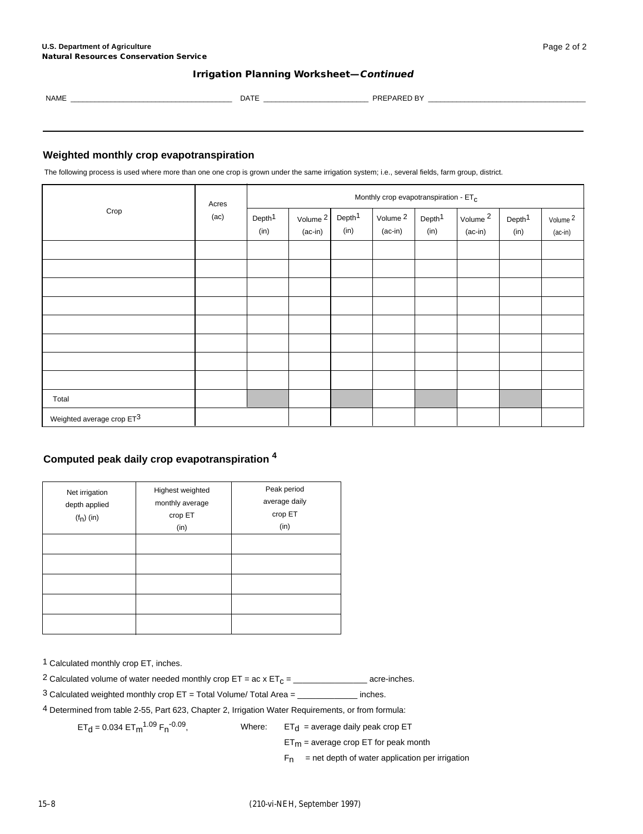### **Irrigation Planning Worksheet—Continued**

NAME \_\_\_\_\_\_\_\_\_\_\_\_\_\_\_\_\_\_\_\_\_\_\_\_\_\_\_\_\_\_\_\_\_\_\_\_\_\_\_\_ DATE \_\_\_\_\_\_\_\_\_\_\_\_\_\_\_\_\_\_\_\_\_\_\_\_\_\_ PREPARED BY \_\_\_\_\_\_\_\_\_\_\_\_\_\_\_\_\_\_\_\_\_\_\_\_\_\_\_\_\_\_\_\_\_\_\_\_\_\_\_

### **Weighted monthly crop evapotranspiration**

The following process is used where more than one one crop is grown under the same irrigation system; i.e., several fields, farm group, district.

| Crop                      | Acres<br>(ac) | Monthly crop evapotranspiration - ET <sub>C</sub> |                         |                            |                       |                            |                                  |                            |                       |  |
|---------------------------|---------------|---------------------------------------------------|-------------------------|----------------------------|-----------------------|----------------------------|----------------------------------|----------------------------|-----------------------|--|
|                           |               | Depth <sup>1</sup><br>(in)                        | Volume $2$<br>$(ac-in)$ | Depth <sup>1</sup><br>(in) | Volume 2<br>$(ac-in)$ | Depth <sup>1</sup><br>(in) | Volume <sup>2</sup><br>$(ac-in)$ | Depth <sup>1</sup><br>(in) | Volume 2<br>$(ac-in)$ |  |
|                           |               |                                                   |                         |                            |                       |                            |                                  |                            |                       |  |
|                           |               |                                                   |                         |                            |                       |                            |                                  |                            |                       |  |
|                           |               |                                                   |                         |                            |                       |                            |                                  |                            |                       |  |
|                           |               |                                                   |                         |                            |                       |                            |                                  |                            |                       |  |
|                           |               |                                                   |                         |                            |                       |                            |                                  |                            |                       |  |
|                           |               |                                                   |                         |                            |                       |                            |                                  |                            |                       |  |
|                           |               |                                                   |                         |                            |                       |                            |                                  |                            |                       |  |
|                           |               |                                                   |                         |                            |                       |                            |                                  |                            |                       |  |
| Total                     |               |                                                   |                         |                            |                       |                            |                                  |                            |                       |  |
| Weighted average crop ET3 |               |                                                   |                         |                            |                       |                            |                                  |                            |                       |  |

## **Computed peak daily crop evapotranspiration <sup>4</sup>**

| Net irrigation<br>depth applied<br>$(f_n)$ (in) | Highest weighted<br>monthly average<br>crop ET<br>(in) | Peak period<br>average daily<br>crop ET<br>(in) |
|-------------------------------------------------|--------------------------------------------------------|-------------------------------------------------|
|                                                 |                                                        |                                                 |
|                                                 |                                                        |                                                 |
|                                                 |                                                        |                                                 |
|                                                 |                                                        |                                                 |
|                                                 |                                                        |                                                 |

1 Calculated monthly crop ET, inches.

2 Calculated volume of water needed monthly crop ET = ac x ETc = \_\_\_\_\_\_\_\_\_\_\_\_\_\_\_\_ acre-inches.

3 Calculated weighted monthly crop ET = Total Volume/ Total Area = \_\_\_\_\_\_\_\_\_\_\_\_\_ inches.

4 Determined from table 2-55, Part 623, Chapter 2, Irrigation Water Requirements, or from formula:

 $ET_d = 0.034 ET_m^{1.09} F_n^{-0.09}$ 

Where:  $ET_d$  = average daily peak crop ET

 $ET_m$  = average crop ET for peak month

 $F_n$  = net depth of water application per irrigation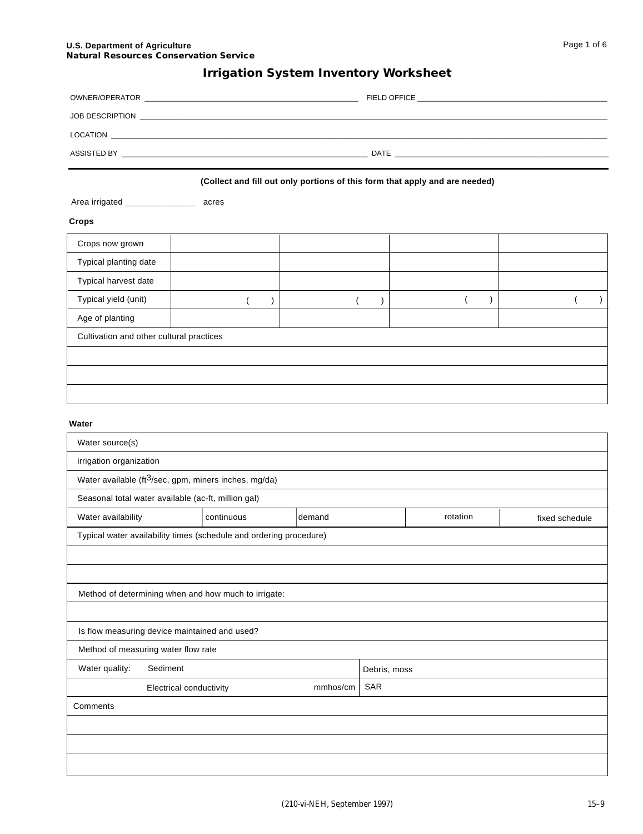### **Resource Planning and Evaluation Chapter 15 Natural Resources Conservation Service U.S. Department of Agriculture**

## **Irrigation System Inventory Worksheet**

| OWNER/OPERATOR<br><u> 1989 - John Stone, Amerikaansk politiker (* 1918)</u> | <b>FIELD OFFICE</b><br><u> 1980 - Johann Barn, fransk politik amerikansk politik (d. 1980)</u> |
|-----------------------------------------------------------------------------|------------------------------------------------------------------------------------------------|
| JOB DESCRIPTION<br><u> 1980 - Jan James James Sandarík (f. 1980)</u>        |                                                                                                |
| LOCATION                                                                    |                                                                                                |
| ASSISTED BY                                                                 | <b>DATE</b>                                                                                    |

### **(Collect and fill out only portions of this form that apply and are needed)**

Area irrigated \_\_\_\_\_\_\_\_\_\_\_\_\_\_\_\_\_\_ acres

### **Crops**

| Crops now grown                          |  |  |  |  |
|------------------------------------------|--|--|--|--|
| Typical planting date                    |  |  |  |  |
| Typical harvest date                     |  |  |  |  |
| Typical yield (unit)                     |  |  |  |  |
| Age of planting                          |  |  |  |  |
| Cultivation and other cultural practices |  |  |  |  |
|                                          |  |  |  |  |
|                                          |  |  |  |  |
|                                          |  |  |  |  |

### **Water**

| Water source(s)                                     |                                                          |                                                                    |        |              |          |                |  |  |
|-----------------------------------------------------|----------------------------------------------------------|--------------------------------------------------------------------|--------|--------------|----------|----------------|--|--|
| irrigation organization                             |                                                          |                                                                    |        |              |          |                |  |  |
|                                                     |                                                          | Water available (ft <sup>3</sup> /sec, gpm, miners inches, mg/da)  |        |              |          |                |  |  |
| Seasonal total water available (ac-ft, million gal) |                                                          |                                                                    |        |              |          |                |  |  |
| Water availability                                  |                                                          | continuous                                                         | demand |              | rotation | fixed schedule |  |  |
|                                                     |                                                          | Typical water availability times (schedule and ordering procedure) |        |              |          |                |  |  |
|                                                     |                                                          |                                                                    |        |              |          |                |  |  |
|                                                     |                                                          |                                                                    |        |              |          |                |  |  |
|                                                     |                                                          | Method of determining when and how much to irrigate:               |        |              |          |                |  |  |
|                                                     |                                                          |                                                                    |        |              |          |                |  |  |
| Is flow measuring device maintained and used?       |                                                          |                                                                    |        |              |          |                |  |  |
| Method of measuring water flow rate                 |                                                          |                                                                    |        |              |          |                |  |  |
| Water quality:                                      | Sediment                                                 |                                                                    |        | Debris, moss |          |                |  |  |
|                                                     | <b>SAR</b><br>mmhos/cm<br><b>Electrical conductivity</b> |                                                                    |        |              |          |                |  |  |
| Comments                                            |                                                          |                                                                    |        |              |          |                |  |  |
|                                                     |                                                          |                                                                    |        |              |          |                |  |  |
|                                                     |                                                          |                                                                    |        |              |          |                |  |  |
|                                                     |                                                          |                                                                    |        |              |          |                |  |  |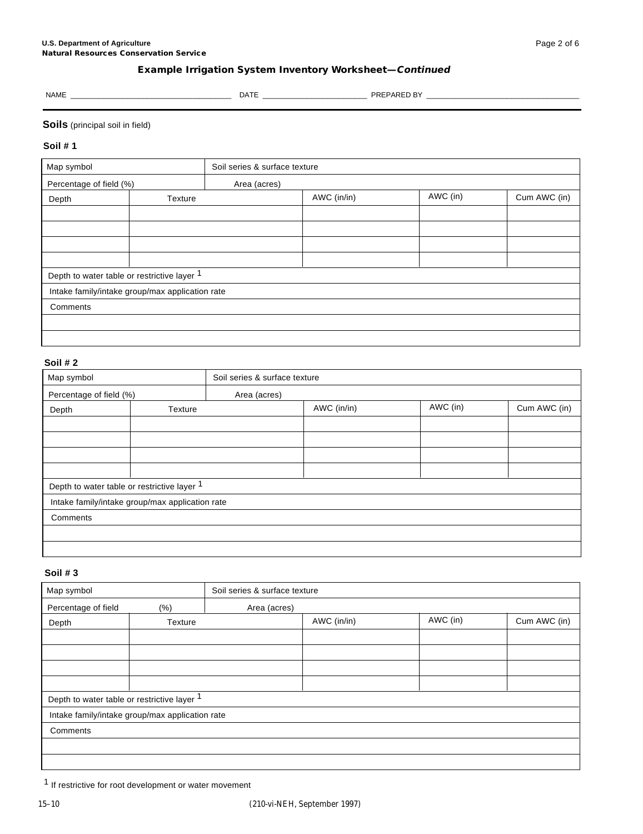NAME \_\_\_\_\_\_\_\_\_\_\_\_\_\_\_\_\_\_\_\_\_\_\_\_\_\_\_\_\_\_\_\_\_\_\_\_\_\_\_\_ DATE \_\_\_\_\_\_\_\_\_\_\_\_\_\_\_\_\_\_\_\_\_\_\_\_\_\_ PREPARED BY \_\_\_\_\_\_\_\_\_\_\_\_\_\_\_\_\_\_\_\_\_\_\_\_\_\_\_\_\_\_\_\_\_\_\_\_\_\_

**Soils** (principal soil in field)

### **Soil # 1**

| Map symbol                                      |         | Soil series & surface texture |             |          |              |  |  |  |
|-------------------------------------------------|---------|-------------------------------|-------------|----------|--------------|--|--|--|
| Percentage of field (%)                         |         | Area (acres)                  |             |          |              |  |  |  |
| Depth                                           | Texture |                               | AWC (in/in) | AWC (in) | Cum AWC (in) |  |  |  |
|                                                 |         |                               |             |          |              |  |  |  |
|                                                 |         |                               |             |          |              |  |  |  |
|                                                 |         |                               |             |          |              |  |  |  |
|                                                 |         |                               |             |          |              |  |  |  |
| Depth to water table or restrictive layer 1     |         |                               |             |          |              |  |  |  |
| Intake family/intake group/max application rate |         |                               |             |          |              |  |  |  |
| Comments                                        |         |                               |             |          |              |  |  |  |
|                                                 |         |                               |             |          |              |  |  |  |
|                                                 |         |                               |             |          |              |  |  |  |

## **Soil # 2**

| Map symbol                                      |                | Soil series & surface texture |             |          |              |  |  |  |
|-------------------------------------------------|----------------|-------------------------------|-------------|----------|--------------|--|--|--|
| Percentage of field (%)                         |                | Area (acres)                  |             |          |              |  |  |  |
| Depth                                           | <b>Texture</b> |                               | AWC (in/in) | AWC (in) | Cum AWC (in) |  |  |  |
|                                                 |                |                               |             |          |              |  |  |  |
|                                                 |                |                               |             |          |              |  |  |  |
|                                                 |                |                               |             |          |              |  |  |  |
|                                                 |                |                               |             |          |              |  |  |  |
| Depth to water table or restrictive layer 1     |                |                               |             |          |              |  |  |  |
| Intake family/intake group/max application rate |                |                               |             |          |              |  |  |  |
| Comments                                        |                |                               |             |          |              |  |  |  |
|                                                 |                |                               |             |          |              |  |  |  |
|                                                 |                |                               |             |          |              |  |  |  |

### **Soil # 3**

| Map symbol<br>Soil series & surface texture |                                                 |              |             |          |              |  |
|---------------------------------------------|-------------------------------------------------|--------------|-------------|----------|--------------|--|
| Percentage of field                         | (% )                                            | Area (acres) |             |          |              |  |
| Depth                                       | Texture                                         |              | AWC (in/in) | AWC (in) | Cum AWC (in) |  |
|                                             |                                                 |              |             |          |              |  |
|                                             |                                                 |              |             |          |              |  |
|                                             |                                                 |              |             |          |              |  |
|                                             |                                                 |              |             |          |              |  |
| Depth to water table or restrictive layer 1 |                                                 |              |             |          |              |  |
|                                             | Intake family/intake group/max application rate |              |             |          |              |  |
| Comments                                    |                                                 |              |             |          |              |  |
|                                             |                                                 |              |             |          |              |  |
|                                             |                                                 |              |             |          |              |  |

Page 2 of 6

<sup>1</sup> If restrictive for root development or water movement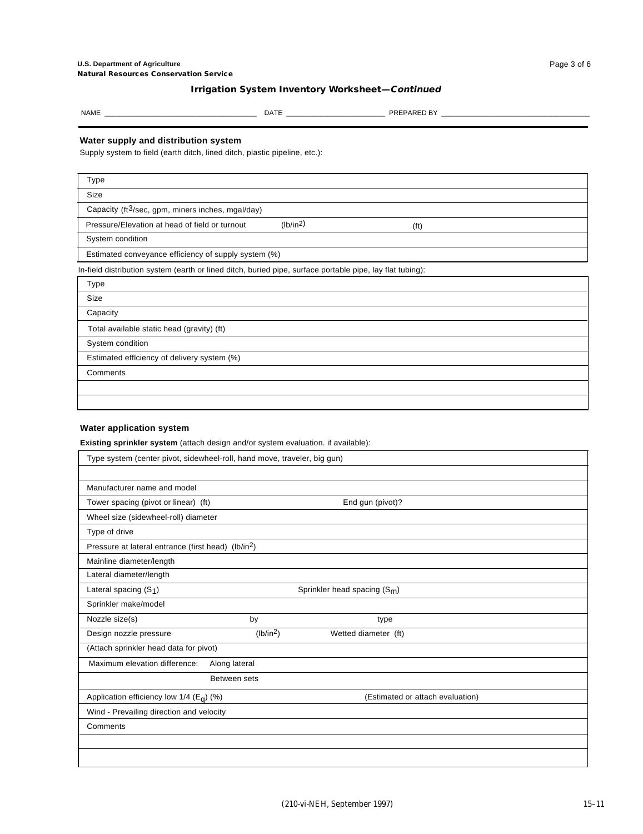### Page 3 of 6

### **Irrigation System Inventory Worksheet—Continued**

NAME \_\_\_\_\_\_\_\_\_\_\_\_\_\_\_\_\_\_\_\_\_\_\_\_\_\_\_\_\_\_\_\_\_\_\_\_\_\_\_\_ DATE \_\_\_\_\_\_\_\_\_\_\_\_\_\_\_\_\_\_\_\_\_\_\_\_\_\_ PREPARED BY \_\_\_\_\_\_\_\_\_\_\_\_\_\_\_\_\_\_\_\_\_\_\_\_\_\_\_\_\_\_\_\_\_\_\_\_\_\_\_

### **Water supply and distribution system**

Supply system to field (earth ditch, lined ditch, plastic pipeline, etc.):

| Type                                                                                                      |                       |                   |  |
|-----------------------------------------------------------------------------------------------------------|-----------------------|-------------------|--|
| Size                                                                                                      |                       |                   |  |
| Capacity (ft <sup>3</sup> /sec, gpm, miners inches, mgal/day)                                             |                       |                   |  |
| Pressure/Elevation at head of field or turnout                                                            | (lb/in <sup>2</sup> ) | (f <sup>t</sup> ) |  |
| System condition                                                                                          |                       |                   |  |
| Estimated conveyance efficiency of supply system (%)                                                      |                       |                   |  |
| In-field distribution system (earth or lined ditch, buried pipe, surface portable pipe, lay flat tubing): |                       |                   |  |
| Type                                                                                                      |                       |                   |  |
| Size                                                                                                      |                       |                   |  |
| Capacity                                                                                                  |                       |                   |  |
| Total available static head (gravity) (ft)                                                                |                       |                   |  |
| System condition                                                                                          |                       |                   |  |
| Estimated efficiency of delivery system (%)                                                               |                       |                   |  |
| Comments                                                                                                  |                       |                   |  |
|                                                                                                           |                       |                   |  |
|                                                                                                           |                       |                   |  |

### **Water application system**

**Existing sprinkler system** (attach design and/or system evaluation. if available):

| Type system (center pivot, sidewheel-roll, hand move, traveler, big gun) |                       |                                  |  |  |  |
|--------------------------------------------------------------------------|-----------------------|----------------------------------|--|--|--|
|                                                                          |                       |                                  |  |  |  |
| Manufacturer name and model                                              |                       |                                  |  |  |  |
| End gun (pivot)?<br>Tower spacing (pivot or linear) (ft)                 |                       |                                  |  |  |  |
| Wheel size (sidewheel-roll) diameter                                     |                       |                                  |  |  |  |
| Type of drive                                                            |                       |                                  |  |  |  |
| Pressure at lateral entrance (first head) (lb/in <sup>2</sup> )          |                       |                                  |  |  |  |
| Mainline diameter/length                                                 |                       |                                  |  |  |  |
| Lateral diameter/length                                                  |                       |                                  |  |  |  |
| Lateral spacing $(S_1)$                                                  |                       | Sprinkler head spacing $(S_m)$   |  |  |  |
| Sprinkler make/model                                                     |                       |                                  |  |  |  |
| Nozzle size(s)                                                           | by                    | type                             |  |  |  |
| Design nozzle pressure                                                   | (lb/in <sup>2</sup> ) | Wetted diameter (ft)             |  |  |  |
| (Attach sprinkler head data for pivot)                                   |                       |                                  |  |  |  |
| Maximum elevation difference:                                            | Along lateral         |                                  |  |  |  |
|                                                                          | Between sets          |                                  |  |  |  |
| Application efficiency low $1/4$ (Eq) (%)                                |                       | (Estimated or attach evaluation) |  |  |  |
| Wind - Prevailing direction and velocity                                 |                       |                                  |  |  |  |
| Comments                                                                 |                       |                                  |  |  |  |
|                                                                          |                       |                                  |  |  |  |
|                                                                          |                       |                                  |  |  |  |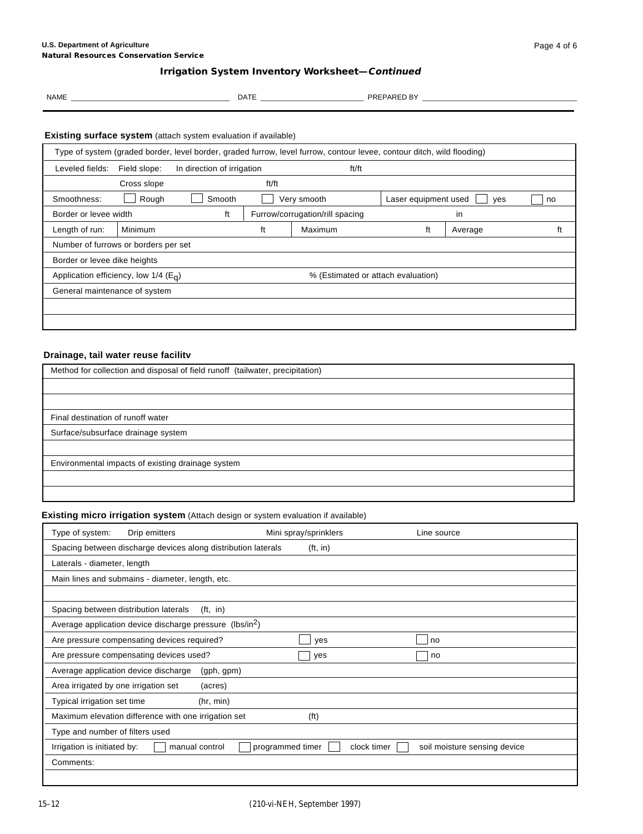### **Irrigation System Inventory Worksheet—Continued**

| <b>NAME</b> | $\sim$ $ -$<br>DAIL | 'NE<br>້ |
|-------------|---------------------|----------|
|             |                     |          |

### **Existing surface system** (attach system evaluation if available)

| Type of system (graded border, level border, graded furrow, level furrow, contour levee, contour ditch, wild flooding) |                                                                                           |                            |       |                                 |                      |         |    |
|------------------------------------------------------------------------------------------------------------------------|-------------------------------------------------------------------------------------------|----------------------------|-------|---------------------------------|----------------------|---------|----|
| Leveled fields:                                                                                                        | Field slope:                                                                              | In direction of irrigation |       | ft/ft                           |                      |         |    |
|                                                                                                                        | Cross slope                                                                               |                            | ft/ft |                                 |                      |         |    |
| Smoothness:                                                                                                            | Rough                                                                                     | Smooth                     |       | Very smooth                     | Laser equipment used | yes     | no |
| Border or levee width                                                                                                  |                                                                                           | ft                         |       | Furrow/corrugation/rill spacing |                      | in      |    |
| Length of run:                                                                                                         | Minimum                                                                                   |                            | ft    | Maximum                         | ft                   | Average | ft |
| Number of furrows or borders per set                                                                                   |                                                                                           |                            |       |                                 |                      |         |    |
| Border or levee dike heights                                                                                           |                                                                                           |                            |       |                                 |                      |         |    |
|                                                                                                                        | Application efficiency, low $1/4$ (E <sub>0</sub> )<br>% (Estimated or attach evaluation) |                            |       |                                 |                      |         |    |
| General maintenance of system                                                                                          |                                                                                           |                            |       |                                 |                      |         |    |
|                                                                                                                        |                                                                                           |                            |       |                                 |                      |         |    |
|                                                                                                                        |                                                                                           |                            |       |                                 |                      |         |    |

### **Drainage, tail water reuse facilitv**

| Method for collection and disposal of field runoff (tailwater, precipitation) |
|-------------------------------------------------------------------------------|
|                                                                               |
|                                                                               |
| Final destination of runoff water                                             |
| Surface/subsurface drainage system                                            |
|                                                                               |
| Environmental impacts of existing drainage system                             |
|                                                                               |
|                                                                               |

### **Existing micro irrigation system** (Attach design or system evaluation if available)

| Type of system:                      | Drip emitters                                                        | Mini spray/sprinklers           | Line source                  |  |  |  |
|--------------------------------------|----------------------------------------------------------------------|---------------------------------|------------------------------|--|--|--|
|                                      | Spacing between discharge devices along distribution laterals        | (ft, in)                        |                              |  |  |  |
| Laterals - diameter, length          |                                                                      |                                 |                              |  |  |  |
|                                      | Main lines and submains - diameter, length, etc.                     |                                 |                              |  |  |  |
|                                      |                                                                      |                                 |                              |  |  |  |
|                                      | Spacing between distribution laterals<br>(tt, in)                    |                                 |                              |  |  |  |
|                                      | Average application device discharge pressure (lbs/in <sup>2</sup> ) |                                 |                              |  |  |  |
|                                      | Are pressure compensating devices required?                          | yes                             | l no                         |  |  |  |
|                                      | Are pressure compensating devices used?                              | yes                             | no                           |  |  |  |
|                                      | Average application device discharge<br>(gph, gpm)                   |                                 |                              |  |  |  |
| Area irrigated by one irrigation set | (acres)                                                              |                                 |                              |  |  |  |
| Typical irrigation set time          | (hr, min)                                                            |                                 |                              |  |  |  |
|                                      | Maximum elevation difference with one irrigation set                 | (f <sup>t</sup> )               |                              |  |  |  |
| Type and number of filters used      |                                                                      |                                 |                              |  |  |  |
| Irrigation is initiated by:          | manual control                                                       | programmed timer<br>clock timer | soil moisture sensing device |  |  |  |
| Comments:                            |                                                                      |                                 |                              |  |  |  |
|                                      |                                                                      |                                 |                              |  |  |  |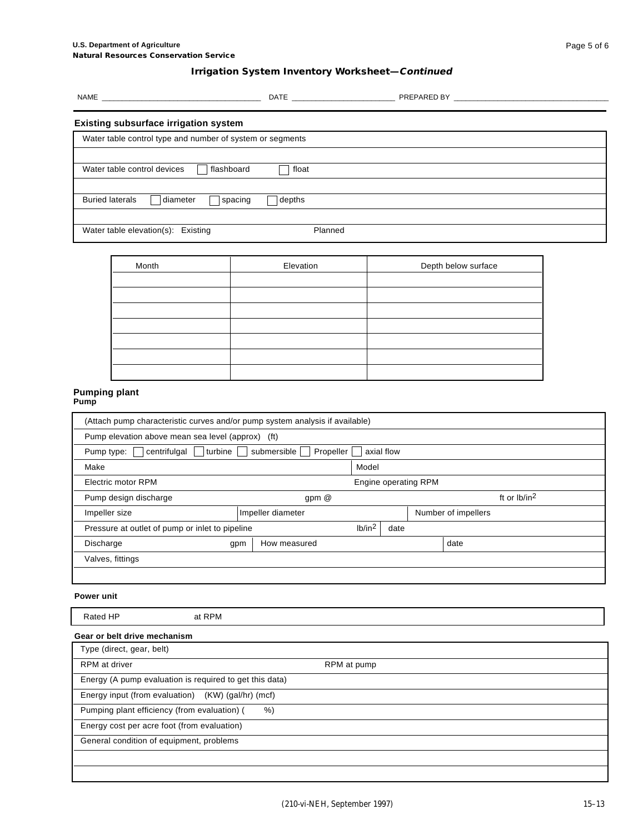### **Irrigation System Inventory Worksheet—Continued**

|                                                           |        | DATE <b>DATE</b> | <b>PREPARED BY Example 20</b> |
|-----------------------------------------------------------|--------|------------------|-------------------------------|
| <b>Existing subsurface irrigation system</b>              |        |                  |                               |
| Water table control type and number of system or segments |        |                  |                               |
|                                                           |        |                  |                               |
| flashboard<br>Water table control devices                 | float  |                  |                               |
| <b>Buried laterals</b><br>diameter<br>spacing             | depths |                  |                               |
| Water table elevation(s): Existing                        |        | Planned          |                               |
|                                                           |        |                  |                               |

| Month | Elevation | Depth below surface |
|-------|-----------|---------------------|
|       |           |                     |
|       |           |                     |
|       |           |                     |
|       |           |                     |
|       |           |                     |
|       |           |                     |
|       |           |                     |

### **Pumping plant Pump**

| (Attach pump characteristic curves and/or pump system analysis if available) |                                                   |                          |                    |                      |  |      |  |
|------------------------------------------------------------------------------|---------------------------------------------------|--------------------------|--------------------|----------------------|--|------|--|
|                                                                              | Pump elevation above mean sea level (approx) (ft) |                          |                    |                      |  |      |  |
| turbine  <br>centrifulgal<br>Pump type:                                      |                                                   | submersible<br>Propeller |                    | axial flow           |  |      |  |
| Make                                                                         |                                                   |                          | Model              |                      |  |      |  |
| Electric motor RPM                                                           |                                                   |                          |                    | Engine operating RPM |  |      |  |
| Pump design discharge                                                        |                                                   | gpm $@$                  | ft or $lb/in^2$    |                      |  |      |  |
| Impeller size                                                                |                                                   | Impeller diameter        |                    | Number of impellers  |  |      |  |
| Pressure at outlet of pump or inlet to pipeline                              |                                                   |                          | lb/in <sup>2</sup> | date                 |  |      |  |
| Discharge                                                                    | How measured<br>gpm                               |                          |                    |                      |  | date |  |
| Valves, fittings                                                             |                                                   |                          |                    |                      |  |      |  |
|                                                                              |                                                   |                          |                    |                      |  |      |  |

### **Power unit**

| Rated HP                     | at RPM                                                  |             |  |
|------------------------------|---------------------------------------------------------|-------------|--|
| Gear or belt drive mechanism |                                                         |             |  |
| Type (direct, gear, belt)    |                                                         |             |  |
| RPM at driver                |                                                         | RPM at pump |  |
|                              | Energy (A pump evaluation is required to get this data) |             |  |
|                              | Energy input (from evaluation) (KW) (gal/hr) (mcf)      |             |  |
|                              | Pumping plant efficiency (from evaluation) (<br>$%$ )   |             |  |
|                              | Energy cost per acre foot (from evaluation)             |             |  |
|                              | General condition of equipment, problems                |             |  |
|                              |                                                         |             |  |
|                              |                                                         |             |  |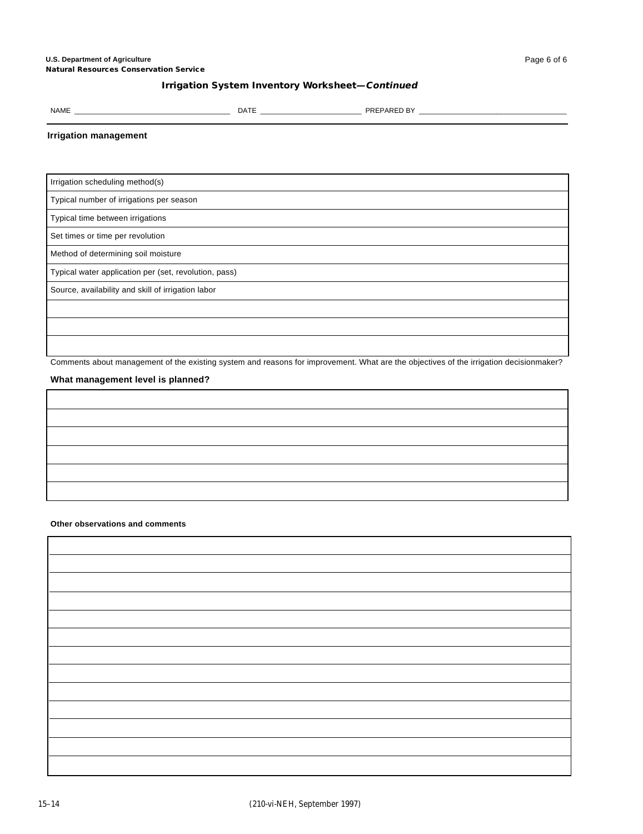### **Irrigation System Inventory Worksheet—Continued**

| <b>NAME</b> | <b>DATE</b> | $  -$<br>ורח<br>∽เร⊾<br>71 V I |
|-------------|-------------|--------------------------------|
|             |             |                                |

### **Irrigation management**

Irrigation scheduling method(s)

Typical number of irrigations per season

Typical time between irrigations

Set times or time per revolution

Method of determining soil moisture

Typical water application per (set, revolution, pass)

Source, availability and skill of irrigation labor

Comments about management of the existing system and reasons for improvement. What are the objectives of the irrigation decisionmaker?

### **What management level is planned?**

### **Other observations and comments**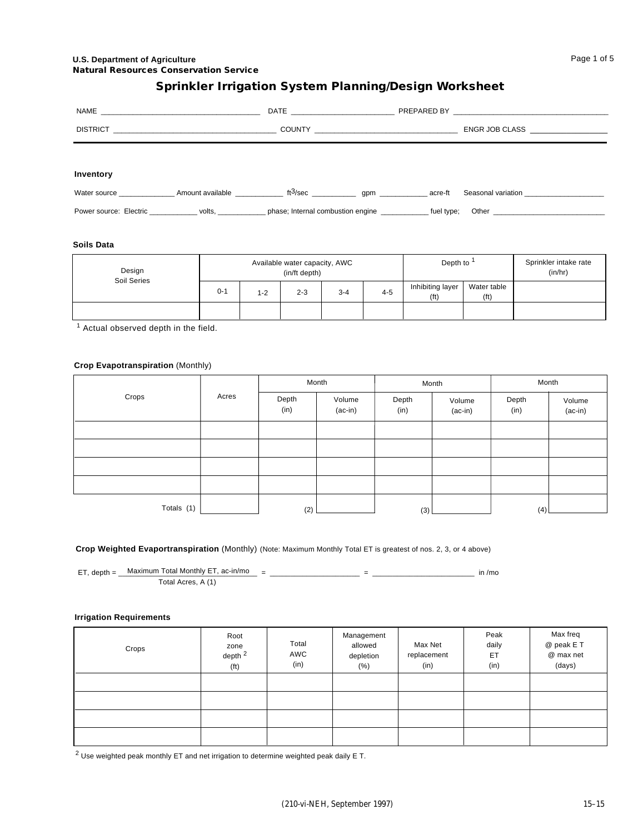|           |                                                          |                                                 |  | ENGR JOB CLASS __________________         |  |
|-----------|----------------------------------------------------------|-------------------------------------------------|--|-------------------------------------------|--|
|           |                                                          |                                                 |  |                                           |  |
| Inventory |                                                          |                                                 |  |                                           |  |
|           |                                                          |                                                 |  | Seasonal variation <b>Seasonal Victor</b> |  |
|           | Power source: Electric ______________ volts, ___________ | phase; Internal combustion engine _____________ |  |                                           |  |

### **Soils Data**

| Design<br>Soil Series | Available water capacity, AWC<br>(in/ft depth) |         |         |         |         | Depth to                              |                                  | Sprinkler intake rate<br>(in/hr) |
|-----------------------|------------------------------------------------|---------|---------|---------|---------|---------------------------------------|----------------------------------|----------------------------------|
|                       | $0 - 1$                                        | $1 - 2$ | $2 - 3$ | $3 - 4$ | $4 - 5$ | Inhibiting layer<br>(f <sup>t</sup> ) | Water table<br>(f <sub>t</sub> ) |                                  |
|                       |                                                |         |         |         |         |                                       |                                  |                                  |

1 Actual observed depth in the field.

### **Crop Evapotranspiration** (Monthly)

|            | Acres | Month         |                     | Month         |                     | Month         |                     |
|------------|-------|---------------|---------------------|---------------|---------------------|---------------|---------------------|
| Crops      |       | Depth<br>(in) | Volume<br>$(ac-in)$ | Depth<br>(in) | Volume<br>$(ac-in)$ | Depth<br>(in) | Volume<br>$(ac-in)$ |
|            |       |               |                     |               |                     |               |                     |
|            |       |               |                     |               |                     |               |                     |
|            |       |               |                     |               |                     |               |                     |
|            |       |               |                     |               |                     |               |                     |
| Totals (1) |       | (2)           |                     | (3)           |                     | (4)           |                     |

### **Crop Weighted Evaportranspiration** (Monthly) (Note: Maximum Monthly Total ET is greatest of nos. 2, 3, or 4 above)

 $\textsf{ET}, \textsf{depth} = \_\_\_\_\_\_\_\_\_\_\_$  Maximum Total Monthly ET, ac-in/mo  $\_\_\_\_\_\_\_\_\_\_\_\_\_\_\_\_\_$ Total Acres, A (1)

### **Irrigation Requirements**

| Crops | Root<br>zone<br>depth <sup>2</sup><br>(f <sup>t</sup> ) | Total<br>AWC<br>(in) | Management<br>allowed<br>depletion<br>(% ) | Max Net<br>replacement<br>(in) | Peak<br>daily<br>ET<br>(in) | Max freq<br>@ peak E T<br>@ max net<br>(days) |
|-------|---------------------------------------------------------|----------------------|--------------------------------------------|--------------------------------|-----------------------------|-----------------------------------------------|
|       |                                                         |                      |                                            |                                |                             |                                               |
|       |                                                         |                      |                                            |                                |                             |                                               |
|       |                                                         |                      |                                            |                                |                             |                                               |
|       |                                                         |                      |                                            |                                |                             |                                               |

2 Use weighted peak monthly ET and net irrigation to determine weighted peak daily E T.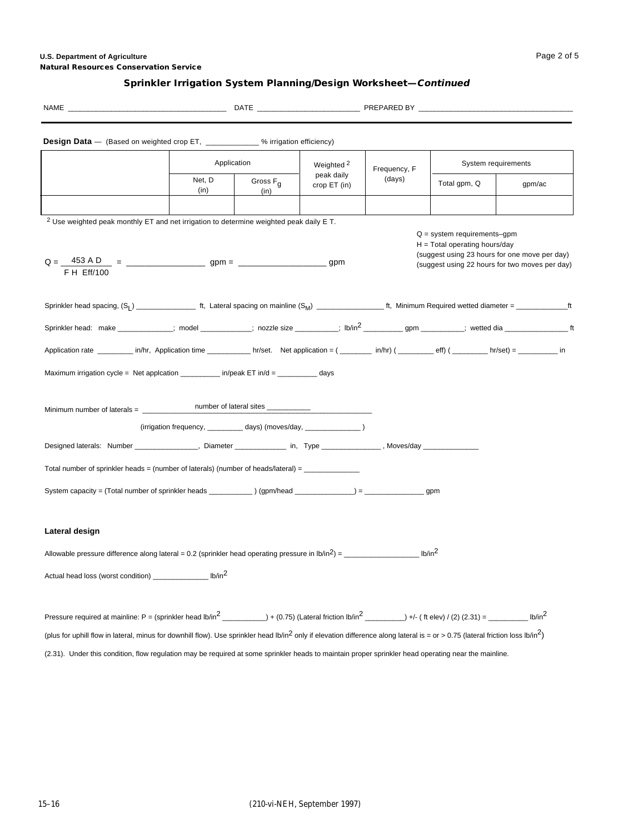| <b>Design Data</b> — (Based on weighted crop ET, _____________% irrigation efficiency)                                                                                                                        |                                                                         |                     |                            |              |                                                                  |                                                                                                 |
|---------------------------------------------------------------------------------------------------------------------------------------------------------------------------------------------------------------|-------------------------------------------------------------------------|---------------------|----------------------------|--------------|------------------------------------------------------------------|-------------------------------------------------------------------------------------------------|
|                                                                                                                                                                                                               | Application                                                             |                     | Weighted <sup>2</sup>      | Frequency, F |                                                                  | System requirements                                                                             |
|                                                                                                                                                                                                               | Net, D<br>(in)                                                          | Gross $F_q$<br>(in) | peak daily<br>crop ET (in) | (days)       | Total gpm, Q                                                     | gpm/ac                                                                                          |
| <sup>2</sup> Use weighted peak monthly ET and net irrigation to determine weighted peak daily ET.                                                                                                             |                                                                         |                     |                            |              | $Q =$ system requirements-gpm<br>$H = Total operating hours/day$ | (suggest using 23 hours for one move per day)<br>(suggest using 22 hours for two moves per day) |
| F H Eff/100<br>Sprinkler head spacing, (S <sub>I</sub> ) ____________________tt, Lateral spacing on mainline (S <sub>M</sub> ) ____________________tt, Minimum Required wetted diameter = _________________tt |                                                                         |                     |                            |              |                                                                  |                                                                                                 |
| Sprinkler head: make ____________; model __________; nozzle size _________; lb/in <sup>2</sup> __________gpm ________; wetted dia _____________t                                                              |                                                                         |                     |                            |              |                                                                  |                                                                                                 |
| Application rate ___________ in/hr, Application time ____________ hr/set. Net application = ( ________ in/hr) ( ________ eff) ( ________ hr/set) = _________ in                                               |                                                                         |                     |                            |              |                                                                  |                                                                                                 |
| Maximum irrigation cycle = Net application $\frac{in}{peak ET} \cdot \frac{1}{10}$ ays                                                                                                                        |                                                                         |                     |                            |              |                                                                  |                                                                                                 |
|                                                                                                                                                                                                               | (irrigation frequency, ___________ days) (moves/day, _________________) |                     |                            |              |                                                                  |                                                                                                 |
| Designed laterals: Number ________________, Diameter _____________ in, Type ______________, Moves/day ______________                                                                                          |                                                                         |                     |                            |              |                                                                  |                                                                                                 |
| Total number of sprinkler heads = (number of laterals) (number of heads/lateral) = ______________                                                                                                             |                                                                         |                     |                            |              |                                                                  |                                                                                                 |
|                                                                                                                                                                                                               |                                                                         |                     |                            |              |                                                                  |                                                                                                 |
| Lateral design                                                                                                                                                                                                |                                                                         |                     |                            |              |                                                                  |                                                                                                 |
|                                                                                                                                                                                                               |                                                                         |                     |                            |              |                                                                  |                                                                                                 |
|                                                                                                                                                                                                               | lb/in <sup>2</sup>                                                      |                     |                            |              |                                                                  |                                                                                                 |
|                                                                                                                                                                                                               |                                                                         |                     |                            |              |                                                                  |                                                                                                 |
| (plus for uphill flow in lateral, minus for downhill flow). Use sprinkler head lb/in <sup>2</sup> only if elevation difference along lateral is = or > 0.75 (lateral friction loss lb/in <sup>2</sup> )       |                                                                         |                     |                            |              |                                                                  |                                                                                                 |
| (2.31). Under this condition, flow regulation may be required at some sprinkler heads to maintain proper sprinkler head operating near the mainline.                                                          |                                                                         |                     |                            |              |                                                                  |                                                                                                 |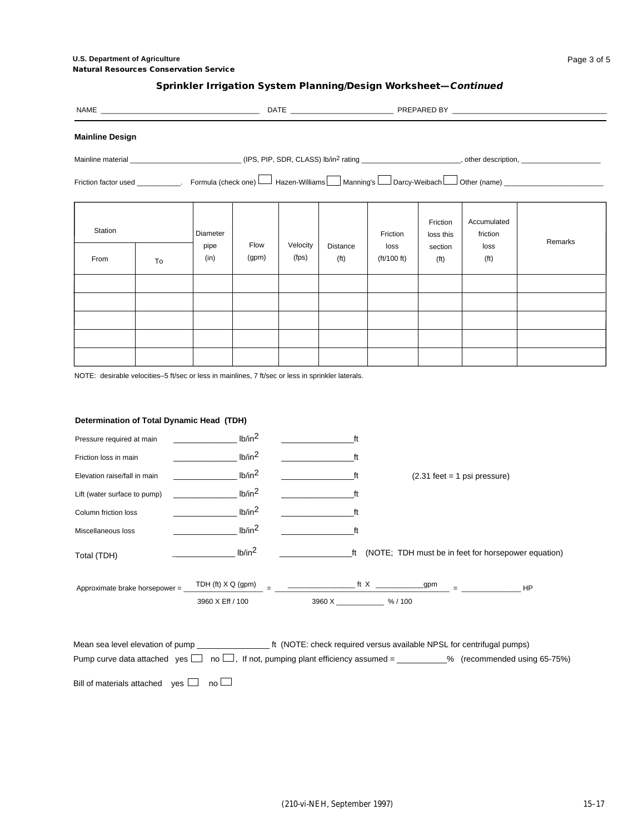| <b>Mainline Design</b> |  |                          |               |                   |                                      |                                   |                                                       |                                                      |         |
|------------------------|--|--------------------------|---------------|-------------------|--------------------------------------|-----------------------------------|-------------------------------------------------------|------------------------------------------------------|---------|
|                        |  |                          |               |                   |                                      |                                   |                                                       |                                                      |         |
|                        |  |                          |               |                   |                                      |                                   |                                                       |                                                      |         |
| Station<br>From<br>To  |  | Diameter<br>pipe<br>(in) | Flow<br>(gpm) | Velocity<br>(fps) | <b>Distance</b><br>(f <sup>t</sup> ) | Friction<br>loss<br>$(tt/100$ ft) | Friction<br>loss this<br>section<br>(f <sup>t</sup> ) | Accumulated<br>friction<br>loss<br>(f <sup>t</sup> ) | Remarks |
|                        |  |                          |               |                   |                                      |                                   |                                                       |                                                      |         |
|                        |  |                          |               |                   |                                      |                                   |                                                       |                                                      |         |

NOTE: desirable velocities–5 ft/sec or less in mainlines, 7 ft/sec or less in sprinkler laterals.

### **Determination of Total Dynamic Head (TDH)**

| Pressure required at main      | lb/in <sup>2</sup>   |                                                           |  |
|--------------------------------|----------------------|-----------------------------------------------------------|--|
| Friction loss in main          | lb/in <sup>2</sup>   |                                                           |  |
| Elevation raise/fall in main   | lb/in <sup>2</sup>   | $(2.31 \text{ feet} = 1 \text{ psi} \text{ pressure})$    |  |
| Lift (water surface to pump)   | lb/in <sup>2</sup>   |                                                           |  |
| Column friction loss           | lb/in <sup>2</sup>   |                                                           |  |
| Miscellaneous loss             | lb/in <sup>2</sup>   |                                                           |  |
| Total (TDH)                    | lb/in <sup>2</sup>   | ft<br>(NOTE; TDH must be in feet for horsepower equation) |  |
| Approximate brake horsepower = | TDH (ft) $X Q (gpm)$ | <b>HP</b>                                                 |  |
|                                | 3960 X Eff / 100     | 3960 X<br>% / 100                                         |  |

| Mean sea level elevation of pump                      |  |  | ft (NOTE: check required versus available NPSL for centrifugal pumps)                      |  |                              |  |  |
|-------------------------------------------------------|--|--|--------------------------------------------------------------------------------------------|--|------------------------------|--|--|
|                                                       |  |  | Pump curve data attached yes $\Box$ no $\Box$ , If not, pumping plant efficiency assumed = |  | % (recommended using 65-75%) |  |  |
| Bill of materials attached $\vee$ es $\Box$ no $\Box$ |  |  |                                                                                            |  |                              |  |  |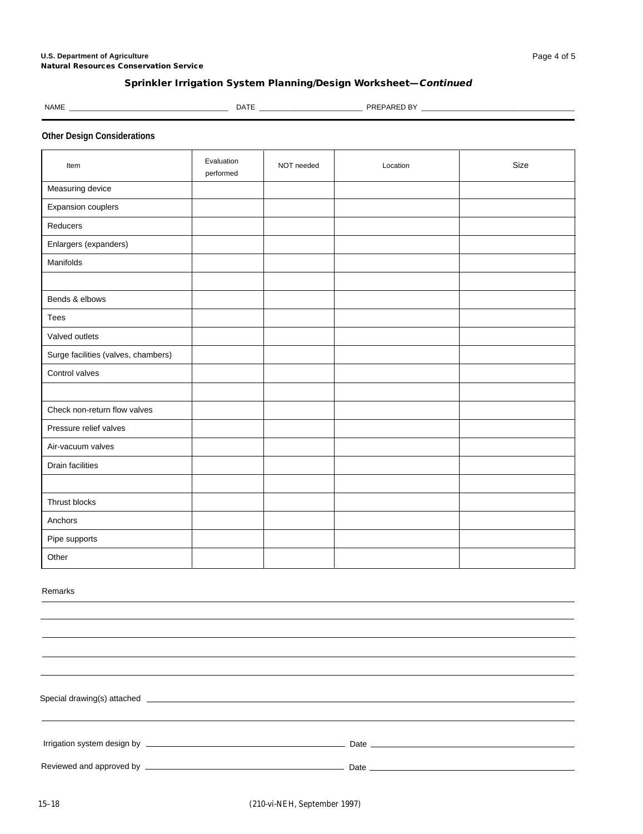NAME \_\_\_\_\_\_\_\_\_\_\_\_\_\_\_\_\_\_\_\_\_\_\_\_\_\_\_\_\_\_\_\_\_\_\_\_\_\_\_\_ DATE \_\_\_\_\_\_\_\_\_\_\_\_\_\_\_\_\_\_\_\_\_\_\_\_\_\_ PREPARED BY \_\_\_\_\_\_\_\_\_\_\_\_\_\_\_\_\_\_\_\_\_\_\_\_\_\_\_\_\_\_\_\_\_\_\_\_\_\_\_

### **Other Design Considerations**

| Item                                | Evaluation<br>performed | NOT needed | Location | Size |
|-------------------------------------|-------------------------|------------|----------|------|
| Measuring device                    |                         |            |          |      |
| Expansion couplers                  |                         |            |          |      |
| Reducers                            |                         |            |          |      |
| Enlargers (expanders)               |                         |            |          |      |
| Manifolds                           |                         |            |          |      |
|                                     |                         |            |          |      |
| Bends & elbows                      |                         |            |          |      |
| <b>Tees</b>                         |                         |            |          |      |
| Valved outlets                      |                         |            |          |      |
| Surge facilities (valves, chambers) |                         |            |          |      |
| Control valves                      |                         |            |          |      |
|                                     |                         |            |          |      |
| Check non-return flow valves        |                         |            |          |      |
| Pressure relief valves              |                         |            |          |      |
| Air-vacuum valves                   |                         |            |          |      |
| <b>Drain facilities</b>             |                         |            |          |      |
|                                     |                         |            |          |      |
| Thrust blocks                       |                         |            |          |      |
| Anchors                             |                         |            |          |      |
| Pipe supports                       |                         |            |          |      |
| Other                               |                         |            |          |      |

Remarks

Special drawing(s) attached Irrigation system design by Date Reviewed and approved by Date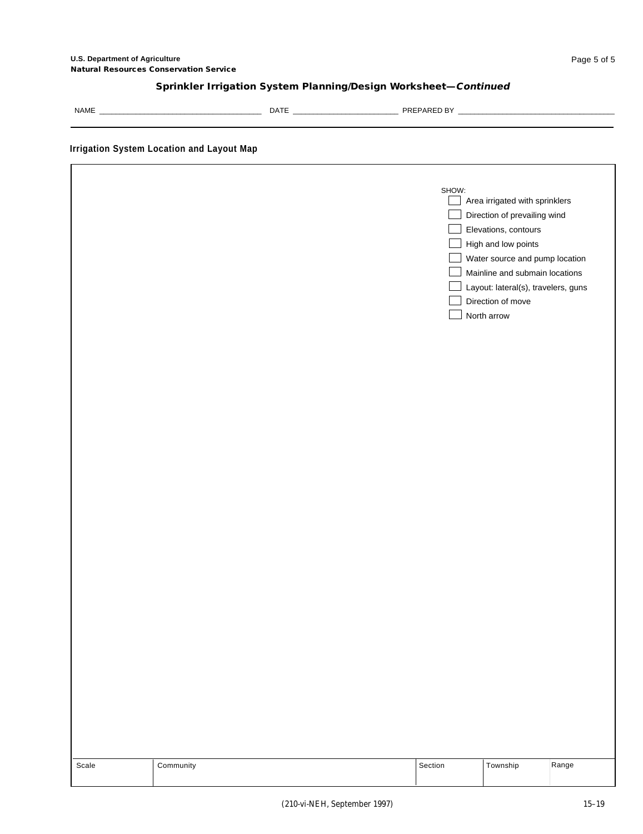NAME \_\_\_\_\_\_\_\_\_\_\_\_\_\_\_\_\_\_\_\_\_\_\_\_\_\_\_\_\_\_\_\_\_\_\_\_\_\_\_\_ DATE \_\_\_\_\_\_\_\_\_\_\_\_\_\_\_\_\_\_\_\_\_\_\_\_\_\_ PREPARED BY \_\_\_\_\_\_\_\_\_\_\_\_\_\_\_\_\_\_\_\_\_\_\_\_\_\_\_\_\_\_\_\_\_\_\_\_\_\_\_

### **Irrigation System Location and Layout Map**

|       |           | SHOW:   | Area irrigated with sprinklers<br>Direction of prevailing wind<br>Elevations, contours<br>High and low points<br>Water source and pump location<br>Mainline and submain locations<br>Layout: lateral(s), travelers, guns<br>Direction of move<br>North arrow |       |
|-------|-----------|---------|--------------------------------------------------------------------------------------------------------------------------------------------------------------------------------------------------------------------------------------------------------------|-------|
| Scale | Community | Section | Township                                                                                                                                                                                                                                                     | Range |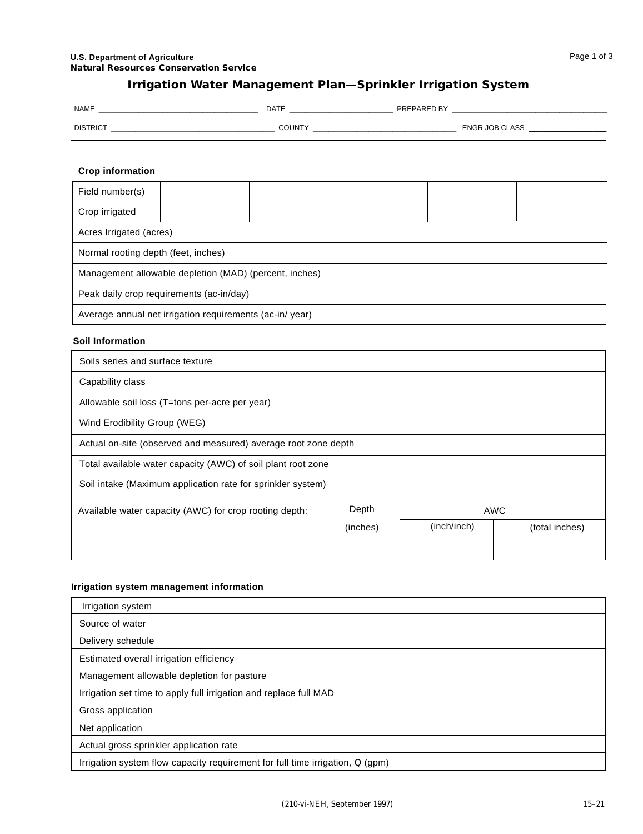# **Irrigation Water Management Plan—Sprinkler Irrigation System**

| NAME                    | DATE          | PREPARED BY           |
|-------------------------|---------------|-----------------------|
| <b>DISTRICT</b>         | <b>COUNTY</b> | <b>ENGR JOB CLASS</b> |
|                         |               |                       |
| <b>Crop information</b> |               |                       |

| Field number(s)                                         |                                                        |  |  |  |  |  |
|---------------------------------------------------------|--------------------------------------------------------|--|--|--|--|--|
| Crop irrigated                                          |                                                        |  |  |  |  |  |
| Acres Irrigated (acres)                                 |                                                        |  |  |  |  |  |
| Normal rooting depth (feet, inches)                     |                                                        |  |  |  |  |  |
|                                                         | Management allowable depletion (MAD) (percent, inches) |  |  |  |  |  |
|                                                         | Peak daily crop requirements (ac-in/day)               |  |  |  |  |  |
| Average annual net irrigation requirements (ac-in/year) |                                                        |  |  |  |  |  |
| <b>Soil Information</b>                                 |                                                        |  |  |  |  |  |
| Soils series and surface texture                        |                                                        |  |  |  |  |  |
| Capability class                                        |                                                        |  |  |  |  |  |

Allowable soil loss (T=tons per-acre per year)

Wind Erodibility Group (WEG)

Actual on-site (observed and measured) average root zone depth

Total available water capacity (AWC) of soil plant root zone

Soil intake (Maximum application rate for sprinkler system)

| Depth    | <b>AWC</b>  |                |  |
|----------|-------------|----------------|--|
| (inches) | (inch/inch) | (total inches) |  |
|          |             |                |  |
|          |             |                |  |

### **Irrigation system management information**

| Irrigation system                                                             |
|-------------------------------------------------------------------------------|
| Source of water                                                               |
| Delivery schedule                                                             |
| Estimated overall irrigation efficiency                                       |
| Management allowable depletion for pasture                                    |
| Irrigation set time to apply full irrigation and replace full MAD             |
| Gross application                                                             |
| Net application                                                               |
| Actual gross sprinkler application rate                                       |
| Irrigation system flow capacity requirement for full time irrigation, Q (gpm) |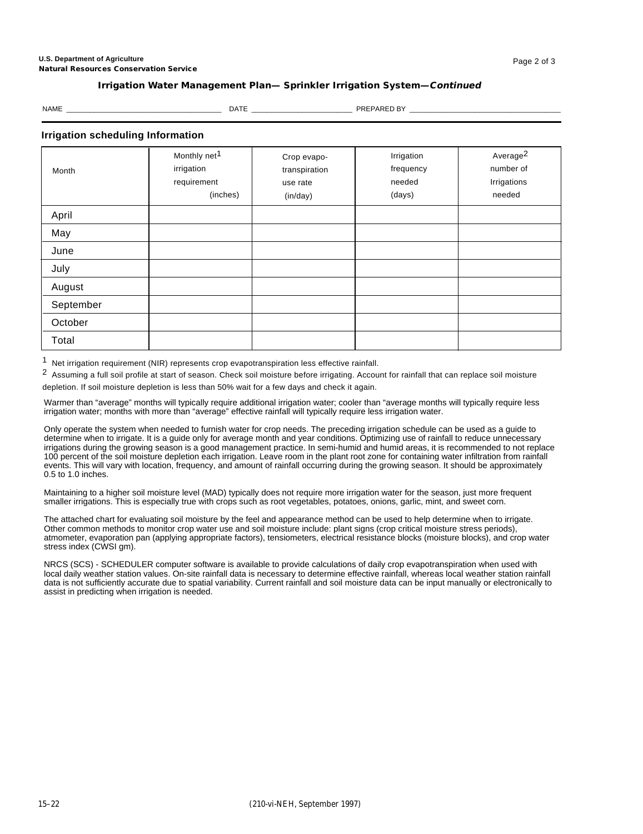### **Irrigation Water Management Plan— Sprinkler Irrigation System—Continued**

NAME \_\_\_\_\_\_\_\_\_\_\_\_\_\_\_\_\_\_\_\_\_\_\_\_\_\_\_\_\_\_\_\_\_\_\_\_\_\_\_\_ DATE \_\_\_\_\_\_\_\_\_\_\_\_\_\_\_\_\_\_\_\_\_\_\_\_\_\_ PREPARED BY \_\_\_\_\_\_\_\_\_\_\_\_\_\_\_\_\_\_\_\_\_\_\_\_\_\_\_\_\_\_\_\_\_\_\_\_\_\_\_

### **Irrigation scheduling Information**

| Month     | Monthly net <sup>1</sup><br>irrigation<br>requirement<br>(inches) | Crop evapo-<br>transpiration<br>use rate<br>(in/day) | Irrigation<br>frequency<br>needed<br>(days) | Average <sup>2</sup><br>number of<br>Irrigations<br>needed |
|-----------|-------------------------------------------------------------------|------------------------------------------------------|---------------------------------------------|------------------------------------------------------------|
| April     |                                                                   |                                                      |                                             |                                                            |
| May       |                                                                   |                                                      |                                             |                                                            |
| June      |                                                                   |                                                      |                                             |                                                            |
| July      |                                                                   |                                                      |                                             |                                                            |
| August    |                                                                   |                                                      |                                             |                                                            |
| September |                                                                   |                                                      |                                             |                                                            |
| October   |                                                                   |                                                      |                                             |                                                            |
| Total     |                                                                   |                                                      |                                             |                                                            |

 $1$  Net irrigation requirement (NIR) represents crop evapotranspiration less effective rainfall.

<sup>2</sup> Assuming a full soil profile at start of season. Check soil moisture before irrigating. Account for rainfall that can replace soil moisture depletion. If soil moisture depletion is less than 50% wait for a few days and check it again.

Warmer than "average" months will typically require additional irrigation water; cooler than "average months will typically require less irrigation water; months with more than "average" effective rainfall will typically require less irrigation water.

Only operate the system when needed to furnish water for crop needs. The preceding irrigation schedule can be used as a guide to determine when to irrigate. It is a guide only for average month and year conditions. Optimizing use of rainfall to reduce unnecessary irrigations during the growing season is a good management practice. In semi-humid and humid areas, it is recommended to not replace 100 percent of the soil moisture depletion each irrigation. Leave room in the plant root zone for containing water infiltration from rainfall events. This will vary with location, frequency, and amount of rainfall occurring during the growing season. It should be approximately 0.5 to 1.0 inches.

Maintaining to a higher soil moisture level (MAD) typically does not require more irrigation water for the season, just more frequent smaller irrigations. This is especially true with crops such as root vegetables, potatoes, onions, garlic, mint, and sweet corn.

The attached chart for evaluating soil moisture by the feel and appearance method can be used to help determine when to irrigate. Other common methods to monitor crop water use and soil moisture include: plant signs (crop critical moisture stress periods), atmometer, evaporation pan (applying appropriate factors), tensiometers, electrical resistance blocks (moisture blocks), and crop water stress index (CWSI gm).

NRCS (SCS) - SCHEDULER computer software is available to provide calculations of daily crop evapotranspiration when used with local daily weather station values. On-site rainfall data is necessary to determine effective rainfall, whereas local weather station rainfall data is not sufficiently accurate due to spatial variability. Current rainfall and soil moisture data can be input manually or electronically to assist in predicting when irrigation is needed.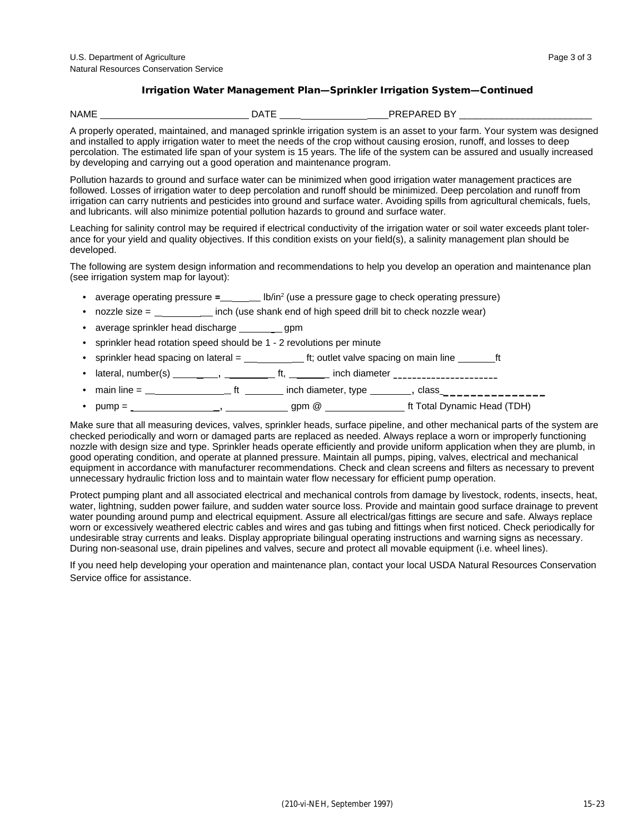### **Irrigation Water Management Plan—Sprinkler Irrigation System—Continued**

NAME DATE PREPARED BY \_\_\_\_\_\_\_\_\_\_\_\_\_\_\_\_\_\_\_\_\_\_\_\_\_

A properly operated, maintained, and managed sprinkle irrigation system is an asset to your farm. Your system was designed and installed to apply irrigation water to meet the needs of the crop without causing erosion, runoff, and losses to deep percolation. The estimated life span of your system is 15 years. The life of the system can be assured and usually increased by developing and carrying out a good operation and maintenance program.

Pollution hazards to ground and surface water can be minimized when good irrigation water management practices are followed. Losses of irrigation water to deep percolation and runoff should be minimized. Deep percolation and runoff from irrigation can carry nutrients and pesticides into ground and surface water. Avoiding spills from agricultural chemicals, fuels, and lubricants. will also minimize potential pollution hazards to ground and surface water.

Leaching for salinity control may be required if electrical conductivity of the irrigation water or soil water exceeds plant tolerance for your yield and quality objectives. If this condition exists on your field(s), a salinity management plan should be developed.

The following are system design information and recommendations to help you develop an operation and maintenance plan (see irrigation system map for layout):

- average operating pressure **=** lb/in2 (use a pressure gage to check operating pressure)
- nozzle size = inch (use shank end of high speed drill bit to check nozzle wear)
- average sprinkler head discharge gpm
- sprinkler head rotation speed should be 1 2 revolutions per minute
- sprinkler head spacing on lateral = ft; outlet valve spacing on main line ft
- lateral, number(s) , ft, inch diameter **\_\_\_\_\_\_\_\_\_\_\_\_\_\_\_\_\_\_\_\_\_\_**
- main line =ftinch diameter, type, class **\_\_\_\_\_\_\_\_\_\_\_\_\_\_\_**
- pump =, gpm @ft Total Dynamic Head (TDH)

Make sure that all measuring devices, valves, sprinkler heads, surface pipeline, and other mechanical parts of the system are checked periodically and worn or damaged parts are replaced as needed. Always replace a worn or improperly functioning nozzle with design size and type. Sprinkler heads operate efficiently and provide uniform application when they are plumb, in good operating condition, and operate at planned pressure. Maintain all pumps, piping, valves, electrical and mechanical equipment in accordance with manufacturer recommendations. Check and clean screens and filters as necessary to prevent unnecessary hydraulic friction loss and to maintain water flow necessary for efficient pump operation.

Protect pumping plant and all associated electrical and mechanical controls from damage by livestock, rodents, insects, heat, water, lightning, sudden power failure, and sudden water source loss. Provide and maintain good surface drainage to prevent water pounding around pump and electrical equipment. Assure all electrical/gas fittings are secure and safe. Always replace worn or excessively weathered electric cables and wires and gas tubing and fittings when first noticed. Check periodically for undesirable stray currents and leaks. Display appropriate bilingual operating instructions and warning signs as necessary. During non-seasonal use, drain pipelines and valves, secure and protect all movable equipment (i.e. wheel lines).

If you need help developing your operation and maintenance plan, contact your local USDA Natural Resources Conservation Service office for assistance.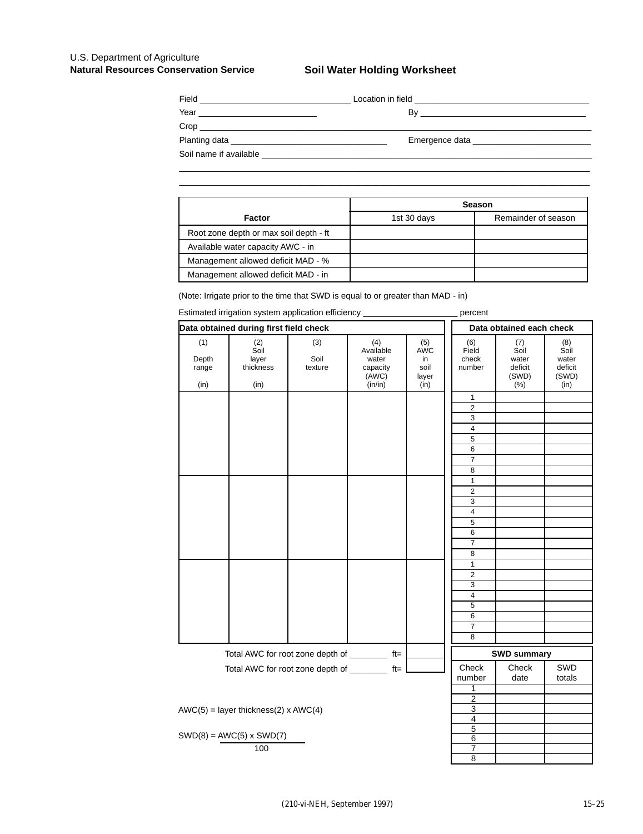### U.S. Department of Agriculture **Natural Resources Conservation Service**

### **Phonosoph Guide Worksheet** Soil Water Holding Worksheet

| Field |                                                                                                                                                                                                                                     |  |  |  |  |  |
|-------|-------------------------------------------------------------------------------------------------------------------------------------------------------------------------------------------------------------------------------------|--|--|--|--|--|
|       | Bv<br>the control of the control of the control of the control of the control of the control of the control of the control of the control of the control of the control of the control of the control of the control of the control |  |  |  |  |  |
|       |                                                                                                                                                                                                                                     |  |  |  |  |  |
|       |                                                                                                                                                                                                                                     |  |  |  |  |  |
|       |                                                                                                                                                                                                                                     |  |  |  |  |  |
|       |                                                                                                                                                                                                                                     |  |  |  |  |  |

\_\_\_\_\_\_\_\_\_\_\_\_\_\_\_\_\_\_\_\_\_\_\_\_\_\_\_\_\_\_\_\_\_\_\_\_\_\_\_\_\_\_\_\_\_\_\_\_\_\_\_\_\_\_\_\_\_\_\_\_\_\_\_\_\_\_\_\_\_\_\_\_\_\_\_\_\_\_\_\_\_\_\_\_\_\_\_

|                                        | Season      |                     |  |  |
|----------------------------------------|-------------|---------------------|--|--|
| Factor                                 | 1st 30 days | Remainder of season |  |  |
| Root zone depth or max soil depth - ft |             |                     |  |  |
| Available water capacity AWC - in      |             |                     |  |  |
| Management allowed deficit MAD - %     |             |                     |  |  |
| Management allowed deficit MAD - in    |             |                     |  |  |

(Note: Irrigate prior to the time that SWD is equal to or greater than MAD - in)

|                                        | Estimated irrigation system application efficiency _ |                        |                                                           |                                           | percent                          |                                                 |                                                  |  |
|----------------------------------------|------------------------------------------------------|------------------------|-----------------------------------------------------------|-------------------------------------------|----------------------------------|-------------------------------------------------|--------------------------------------------------|--|
|                                        | Data obtained during first field check               |                        |                                                           |                                           |                                  | Data obtained each check                        |                                                  |  |
| (1)<br>Depth<br>range<br>(in)          | (2)<br>Soil<br>layer<br>thickness<br>(in)            | (3)<br>Soil<br>texture | (4)<br>Available<br>water<br>capacity<br>(AWC)<br>(in/in) | (5)<br>AWC<br>in<br>soil<br>layer<br>(in) | (6)<br>Field<br>check<br>number  | (7)<br>Soil<br>water<br>deficit<br>(SWD)<br>(%) | (8)<br>Soil<br>water<br>deficit<br>(SWD)<br>(in) |  |
|                                        |                                                      |                        |                                                           |                                           | $\mathbf{1}$                     |                                                 |                                                  |  |
|                                        |                                                      |                        |                                                           |                                           | $\overline{2}$                   |                                                 |                                                  |  |
|                                        |                                                      |                        |                                                           |                                           | 3                                |                                                 |                                                  |  |
|                                        |                                                      |                        |                                                           |                                           | $\overline{\mathbf{4}}$          |                                                 |                                                  |  |
|                                        |                                                      |                        |                                                           |                                           | $\overline{5}$<br>6              |                                                 |                                                  |  |
|                                        |                                                      |                        |                                                           |                                           | $\overline{7}$                   |                                                 |                                                  |  |
|                                        |                                                      |                        |                                                           |                                           | 8                                |                                                 |                                                  |  |
|                                        |                                                      |                        |                                                           |                                           | $\mathbf{1}$                     |                                                 |                                                  |  |
|                                        |                                                      |                        |                                                           |                                           | $\mathbf 2$                      |                                                 |                                                  |  |
|                                        |                                                      |                        |                                                           |                                           | $\overline{3}$                   |                                                 |                                                  |  |
|                                        |                                                      |                        |                                                           |                                           | $\overline{\mathbf{4}}$          |                                                 |                                                  |  |
|                                        |                                                      |                        |                                                           |                                           | $\sqrt{5}$                       |                                                 |                                                  |  |
|                                        |                                                      |                        |                                                           |                                           | $6\overline{6}$                  |                                                 |                                                  |  |
|                                        |                                                      |                        |                                                           |                                           | $\overline{7}$                   |                                                 |                                                  |  |
|                                        |                                                      |                        |                                                           |                                           | 8                                |                                                 |                                                  |  |
|                                        |                                                      |                        |                                                           |                                           | $\mathbf{1}$                     |                                                 |                                                  |  |
|                                        |                                                      |                        |                                                           |                                           | $\overline{2}$<br>$\overline{3}$ |                                                 |                                                  |  |
|                                        |                                                      |                        |                                                           |                                           | $\overline{\mathbf{4}}$          |                                                 |                                                  |  |
|                                        |                                                      |                        |                                                           |                                           | $\overline{5}$                   |                                                 |                                                  |  |
|                                        |                                                      |                        |                                                           |                                           | 6                                |                                                 |                                                  |  |
|                                        |                                                      |                        |                                                           |                                           | 7                                |                                                 |                                                  |  |
|                                        |                                                      |                        |                                                           |                                           | $\overline{8}$                   |                                                 |                                                  |  |
|                                        | Total AWC for root zone depth of __________ ft=      |                        |                                                           |                                           | <b>SWD summary</b>               |                                                 |                                                  |  |
|                                        | Total AWC for root zone depth of _______             |                        | $ft =$                                                    |                                           | Check                            | Check                                           | SWD                                              |  |
|                                        |                                                      |                        |                                                           |                                           | number                           | date                                            | totals                                           |  |
|                                        |                                                      |                        |                                                           |                                           | 1                                |                                                 |                                                  |  |
|                                        | $\overline{c}$<br>$\overline{3}$                     |                        |                                                           |                                           |                                  |                                                 |                                                  |  |
| $AWC(5) = layer$ thickness(2) x AWC(4) |                                                      |                        |                                                           |                                           |                                  |                                                 |                                                  |  |
|                                        |                                                      |                        |                                                           |                                           | 4<br>$\overline{5}$              |                                                 |                                                  |  |
| $SWD(8) = AWC(5) \times SWD(7)$        |                                                      |                        |                                                           |                                           |                                  |                                                 |                                                  |  |
|                                        | 100                                                  |                        |                                                           |                                           | 6<br>7                           |                                                 |                                                  |  |
|                                        |                                                      |                        |                                                           |                                           | $\overline{8}$                   |                                                 |                                                  |  |
|                                        |                                                      |                        |                                                           |                                           |                                  |                                                 |                                                  |  |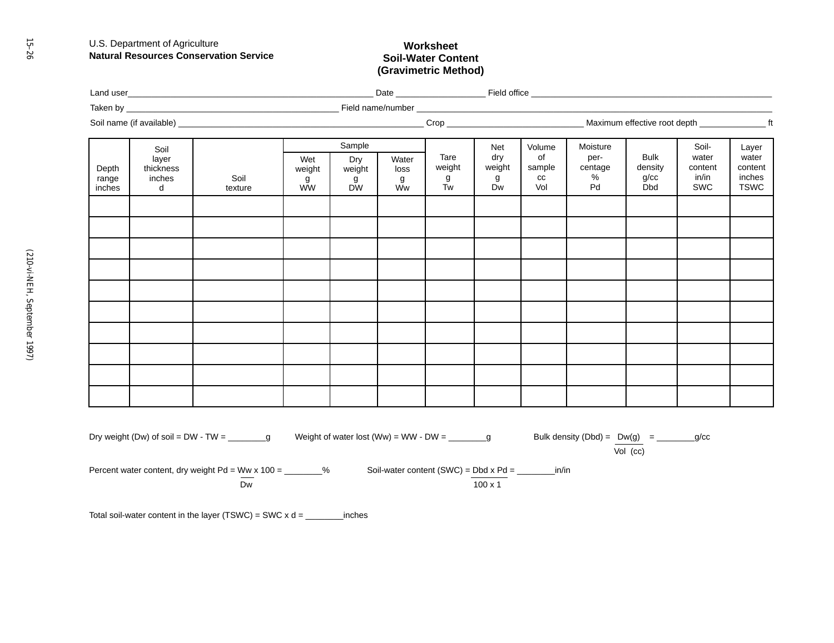### U.S. Department of Agriculture

**Natural Resources Conservation Service**

### **Worksheet Soil-Water Content (Gravimetric Method)**

| Depth<br>range<br>inches | Soil<br>layer<br>thickness<br>inches<br>d | Soil<br>texture                                        | Wet<br>weight<br>g<br><b>WW</b> | Sample<br>Dry<br>weight<br>g<br><b>DW</b> | Water<br>loss<br>g<br>Ww | Tare<br>weight<br>g<br>Tw                              | Net<br>dry<br>weight<br>g<br>Dw | Volume<br>of<br>sample<br>cc<br>Vol | Moisture<br>per-<br>centage<br>$\%$<br>Pd | <b>Bulk</b><br>density<br>$g$ / $cc$<br><b>Dbd</b> | Soil-<br>water<br>content<br>in/in<br><b>SWC</b> | Layer<br>water<br>content<br>inches<br><b>TSWC</b> |
|--------------------------|-------------------------------------------|--------------------------------------------------------|---------------------------------|-------------------------------------------|--------------------------|--------------------------------------------------------|---------------------------------|-------------------------------------|-------------------------------------------|----------------------------------------------------|--------------------------------------------------|----------------------------------------------------|
|                          |                                           |                                                        |                                 |                                           |                          |                                                        |                                 |                                     |                                           |                                                    |                                                  |                                                    |
|                          |                                           |                                                        |                                 |                                           |                          |                                                        |                                 |                                     |                                           |                                                    |                                                  |                                                    |
|                          |                                           |                                                        |                                 |                                           |                          |                                                        |                                 |                                     |                                           |                                                    |                                                  |                                                    |
|                          |                                           |                                                        |                                 |                                           |                          |                                                        |                                 |                                     |                                           |                                                    |                                                  |                                                    |
|                          |                                           |                                                        |                                 |                                           |                          |                                                        |                                 |                                     |                                           |                                                    |                                                  |                                                    |
|                          |                                           |                                                        |                                 |                                           |                          |                                                        |                                 |                                     |                                           |                                                    |                                                  |                                                    |
|                          |                                           |                                                        |                                 |                                           |                          |                                                        |                                 |                                     |                                           |                                                    |                                                  |                                                    |
|                          |                                           |                                                        |                                 |                                           |                          |                                                        |                                 |                                     |                                           |                                                    |                                                  |                                                    |
|                          |                                           | Dry weight (Dw) of soil = DW - TW = $\_\_\_\_\_\_\_$ g |                                 |                                           |                          | Weight of water lost (Ww) = WW - DW = $\_\_\_\_\_\_$ g |                                 |                                     |                                           | Vol (cc)                                           |                                                  |                                                    |

Percent water content, dry weight Pd = Ww x 100 = \_\_\_\_\_\_\_% Soil-water content (SWC) = Dbd x Pd = \_\_\_\_\_\_\_\_in/in

 $\mathsf{Dw}$  100 x 1

Total soil-water content in the layer (TSWC) = SWC x  $d =$  \_\_\_\_\_\_\_\_\_\_inches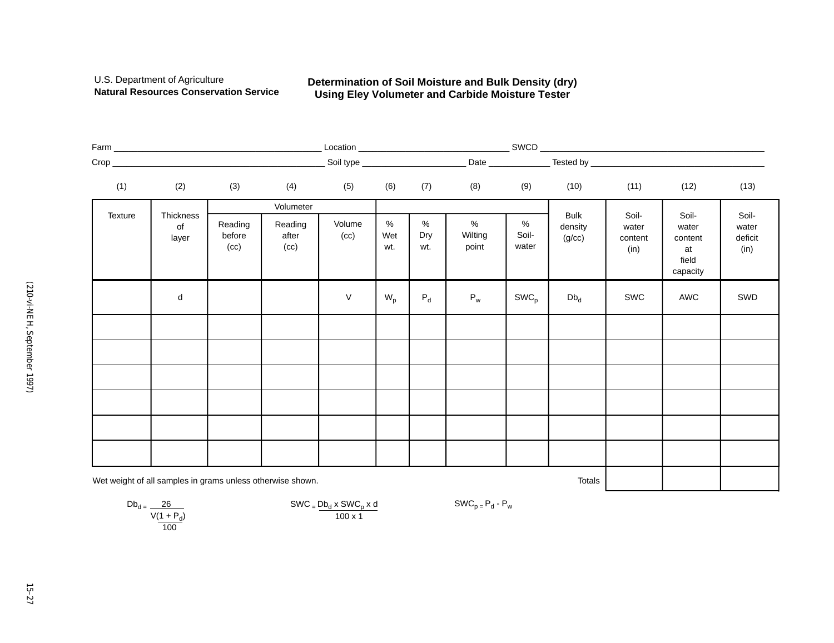### U.S. Department of Agriculture **Natural Resources Conservation Service**

### **Determination of Soil Moisture and Bulk Density (dry) Using Eley Volumeter and Carbide Moisture Tester**

|         | U.S. Department of Agriculture<br><b>Natural Resources Conservation Service</b> |                           |                                       |                |                    |                 | Determination of Soil Moisture and Bulk Density (dry)<br><b>Using Eley Volumeter and Carbide Moisture Tester</b> |                     |                                  |                                   |                                                      |                                   |
|---------|---------------------------------------------------------------------------------|---------------------------|---------------------------------------|----------------|--------------------|-----------------|------------------------------------------------------------------------------------------------------------------|---------------------|----------------------------------|-----------------------------------|------------------------------------------------------|-----------------------------------|
|         |                                                                                 |                           |                                       |                |                    |                 |                                                                                                                  |                     |                                  |                                   |                                                      |                                   |
|         |                                                                                 |                           |                                       |                |                    |                 |                                                                                                                  |                     |                                  |                                   |                                                      |                                   |
| (1)     | (2)                                                                             | (3)                       | (4)                                   | (5)            | (6)                | (7)             | (8)                                                                                                              | (9)                 | (10)                             | (11)                              | (12)                                                 | (13)                              |
| Texture | <b>Thickness</b><br>of<br>layer                                                 | Reading<br>before<br>(cc) | Volumeter<br>Reading<br>after<br>(cc) | Volume<br>(cc) | $\%$<br>Wet<br>wt. | %<br>Dry<br>wt. | %<br>Wilting<br>point                                                                                            | %<br>Soil-<br>water | <b>Bulk</b><br>density<br>(g/cc) | Soil-<br>water<br>content<br>(in) | Soil-<br>water<br>content<br>at<br>field<br>capacity | Soil-<br>water<br>deficit<br>(in) |
|         | d                                                                               |                           |                                       | $\vee$         | $W_{p}$            | $P_d$           | $P_w$                                                                                                            | $SWC_p$             | $Db_d$                           | <b>SWC</b>                        | <b>AWC</b>                                           | SWD                               |
|         |                                                                                 |                           |                                       |                |                    |                 |                                                                                                                  |                     |                                  |                                   |                                                      |                                   |
|         |                                                                                 |                           |                                       |                |                    |                 |                                                                                                                  |                     |                                  |                                   |                                                      |                                   |
|         |                                                                                 |                           |                                       |                |                    |                 |                                                                                                                  |                     |                                  |                                   |                                                      |                                   |
|         |                                                                                 |                           |                                       |                |                    |                 |                                                                                                                  |                     |                                  |                                   |                                                      |                                   |
|         |                                                                                 |                           |                                       |                |                    |                 |                                                                                                                  |                     |                                  |                                   |                                                      |                                   |
|         |                                                                                 |                           |                                       |                |                    |                 |                                                                                                                  |                     |                                  |                                   |                                                      |                                   |
|         | Wet weight of all samples in grams unless otherwise shown.                      |                           |                                       |                |                    |                 |                                                                                                                  |                     | <b>Totals</b>                    |                                   |                                                      |                                   |

Db $_{\sf d}$   $\equiv$   $\frac{\text{--}26}{}$  $V(1 + P_d)$ 100

$$
SWC = \frac{Db_d \times SWC_p \times d}{100 \times 1}
$$

$$
SWC_{p} = P_d - P_w
$$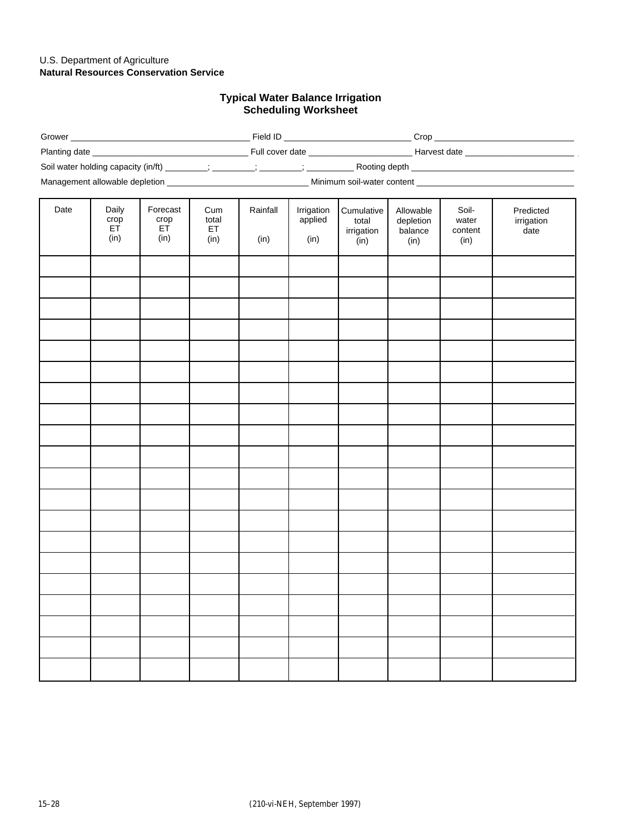#### **Tools and Worksheets** U.S. Department of Agriculture **Natural Resources Conservation Service**

### **Typical Water Balance Irrigation Scheduling Worksheet**

| Grower                              | Field ID                   | Crop         |
|-------------------------------------|----------------------------|--------------|
| Planting date                       | Full cover date            | Harvest date |
| Soil water holding capacity (in/ft) | Rooting depth              |              |
| Management allowable depletion      | Minimum soil-water content |              |

| Date | Daily<br>crop<br>ET<br>(in) | Forecast<br>crop<br>ET<br>(in) | Cum<br>total<br>ET<br>(in) | Rainfall<br>(in) | Irrigation<br>applied<br>(in) | Cumulative<br>total<br>irrigation<br>(in) | Allowable<br>depletion<br>balance<br>(in) | Soil-<br>water<br>content<br>(in) | Predicted<br>irrigation<br>date |
|------|-----------------------------|--------------------------------|----------------------------|------------------|-------------------------------|-------------------------------------------|-------------------------------------------|-----------------------------------|---------------------------------|
|      |                             |                                |                            |                  |                               |                                           |                                           |                                   |                                 |
|      |                             |                                |                            |                  |                               |                                           |                                           |                                   |                                 |
|      |                             |                                |                            |                  |                               |                                           |                                           |                                   |                                 |
|      |                             |                                |                            |                  |                               |                                           |                                           |                                   |                                 |
|      |                             |                                |                            |                  |                               |                                           |                                           |                                   |                                 |
|      |                             |                                |                            |                  |                               |                                           |                                           |                                   |                                 |
|      |                             |                                |                            |                  |                               |                                           |                                           |                                   |                                 |
|      |                             |                                |                            |                  |                               |                                           |                                           |                                   |                                 |
|      |                             |                                |                            |                  |                               |                                           |                                           |                                   |                                 |
|      |                             |                                |                            |                  |                               |                                           |                                           |                                   |                                 |
|      |                             |                                |                            |                  |                               |                                           |                                           |                                   |                                 |
|      |                             |                                |                            |                  |                               |                                           |                                           |                                   |                                 |
|      |                             |                                |                            |                  |                               |                                           |                                           |                                   |                                 |
|      |                             |                                |                            |                  |                               |                                           |                                           |                                   |                                 |
|      |                             |                                |                            |                  |                               |                                           |                                           |                                   |                                 |
|      |                             |                                |                            |                  |                               |                                           |                                           |                                   |                                 |
|      |                             |                                |                            |                  |                               |                                           |                                           |                                   |                                 |
|      |                             |                                |                            |                  |                               |                                           |                                           |                                   |                                 |
|      |                             |                                |                            |                  |                               |                                           |                                           |                                   |                                 |
|      |                             |                                |                            |                  |                               |                                           |                                           |                                   |                                 |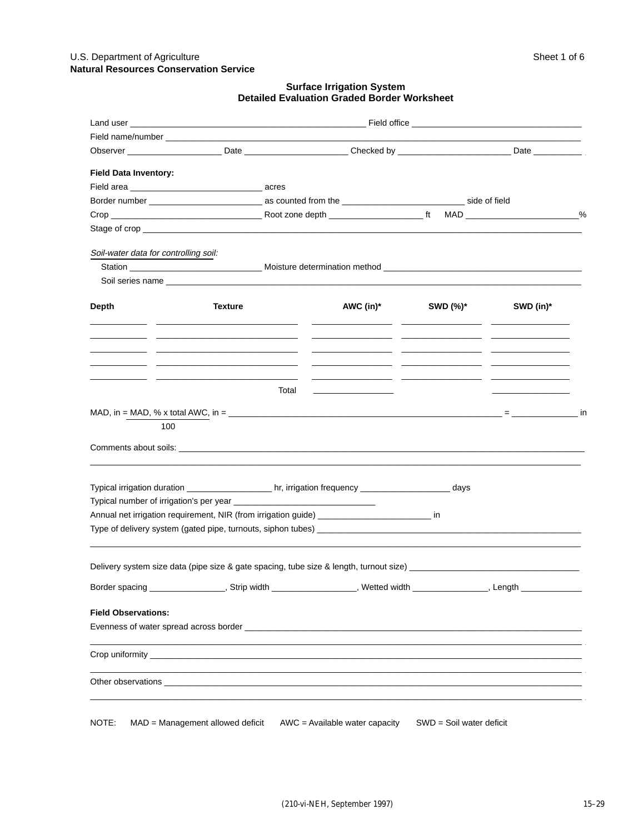### U.S. Department of Agriculture Natural Resources Conservation Service

### **Surface Irrigation System Detailed Evaluation Graded Border Worksheet**

| Land user <b>Example 2018</b> 2019 12:30 Tield office <b>Contract 2019</b> 2019 12:30 Tield office <b>Contract 2019</b>                                                                                                                                      |                                  |       |                                                                                                                                                                                                                                      |                                                                                                                                                                                                                                |               |  |
|--------------------------------------------------------------------------------------------------------------------------------------------------------------------------------------------------------------------------------------------------------------|----------------------------------|-------|--------------------------------------------------------------------------------------------------------------------------------------------------------------------------------------------------------------------------------------|--------------------------------------------------------------------------------------------------------------------------------------------------------------------------------------------------------------------------------|---------------|--|
|                                                                                                                                                                                                                                                              |                                  |       |                                                                                                                                                                                                                                      |                                                                                                                                                                                                                                |               |  |
|                                                                                                                                                                                                                                                              |                                  |       |                                                                                                                                                                                                                                      |                                                                                                                                                                                                                                |               |  |
| <b>Field Data Inventory:</b>                                                                                                                                                                                                                                 |                                  |       |                                                                                                                                                                                                                                      |                                                                                                                                                                                                                                |               |  |
|                                                                                                                                                                                                                                                              |                                  |       |                                                                                                                                                                                                                                      |                                                                                                                                                                                                                                |               |  |
|                                                                                                                                                                                                                                                              |                                  |       |                                                                                                                                                                                                                                      |                                                                                                                                                                                                                                |               |  |
|                                                                                                                                                                                                                                                              |                                  |       |                                                                                                                                                                                                                                      |                                                                                                                                                                                                                                |               |  |
|                                                                                                                                                                                                                                                              |                                  |       |                                                                                                                                                                                                                                      |                                                                                                                                                                                                                                |               |  |
| Soil-water data for controlling soil:                                                                                                                                                                                                                        |                                  |       |                                                                                                                                                                                                                                      |                                                                                                                                                                                                                                |               |  |
|                                                                                                                                                                                                                                                              |                                  |       |                                                                                                                                                                                                                                      | Station Communication Communication Communication Communication Communication Communication Communication Communication Communication Communication Communication Communication Communication Communication Communication Comm |               |  |
|                                                                                                                                                                                                                                                              |                                  |       |                                                                                                                                                                                                                                      |                                                                                                                                                                                                                                |               |  |
| <b>Depth</b>                                                                                                                                                                                                                                                 | <b>Texture</b>                   |       | AWC (in)*                                                                                                                                                                                                                            | SWD (%)*                                                                                                                                                                                                                       | SWD (in)*     |  |
|                                                                                                                                                                                                                                                              |                                  |       |                                                                                                                                                                                                                                      |                                                                                                                                                                                                                                |               |  |
|                                                                                                                                                                                                                                                              |                                  |       |                                                                                                                                                                                                                                      |                                                                                                                                                                                                                                |               |  |
|                                                                                                                                                                                                                                                              |                                  | Total | <u> The Communication of the Communication of the Communication of the Communication of the Communication of the Communication of the Communication of the Communication of the Communication of the Communication of the Commun</u> |                                                                                                                                                                                                                                |               |  |
|                                                                                                                                                                                                                                                              |                                  |       |                                                                                                                                                                                                                                      |                                                                                                                                                                                                                                |               |  |
| 100                                                                                                                                                                                                                                                          |                                  |       |                                                                                                                                                                                                                                      |                                                                                                                                                                                                                                |               |  |
|                                                                                                                                                                                                                                                              |                                  |       |                                                                                                                                                                                                                                      |                                                                                                                                                                                                                                |               |  |
|                                                                                                                                                                                                                                                              |                                  |       |                                                                                                                                                                                                                                      |                                                                                                                                                                                                                                |               |  |
| Typical irrigation duration _______________________hr, irrigation frequency ________________________ days                                                                                                                                                    |                                  |       |                                                                                                                                                                                                                                      |                                                                                                                                                                                                                                |               |  |
|                                                                                                                                                                                                                                                              |                                  |       |                                                                                                                                                                                                                                      |                                                                                                                                                                                                                                |               |  |
| Annual net irrigation requirement, NIR (from irrigation guide) _____________________________ in                                                                                                                                                              |                                  |       |                                                                                                                                                                                                                                      |                                                                                                                                                                                                                                |               |  |
|                                                                                                                                                                                                                                                              |                                  |       |                                                                                                                                                                                                                                      |                                                                                                                                                                                                                                |               |  |
|                                                                                                                                                                                                                                                              |                                  |       |                                                                                                                                                                                                                                      |                                                                                                                                                                                                                                |               |  |
| Border spacing ____________________, Strip width ____________________, Wetted width _                                                                                                                                                                        |                                  |       |                                                                                                                                                                                                                                      |                                                                                                                                                                                                                                | __, Length __ |  |
|                                                                                                                                                                                                                                                              |                                  |       |                                                                                                                                                                                                                                      |                                                                                                                                                                                                                                |               |  |
| <b>Field Observations:</b><br>Evenness of water spread across border example and the state of the state of the state of the state of the state of the state of the state of the state of the state of the state of the state of the state of the state of th |                                  |       |                                                                                                                                                                                                                                      |                                                                                                                                                                                                                                |               |  |
|                                                                                                                                                                                                                                                              |                                  |       |                                                                                                                                                                                                                                      |                                                                                                                                                                                                                                |               |  |
|                                                                                                                                                                                                                                                              |                                  |       |                                                                                                                                                                                                                                      |                                                                                                                                                                                                                                |               |  |
| Other observations experience and the contract of the contract of the contract of the contract of the contract of the contract of the contract of the contract of the contract of the contract of the contract of the contract                               |                                  |       |                                                                                                                                                                                                                                      |                                                                                                                                                                                                                                |               |  |
|                                                                                                                                                                                                                                                              |                                  |       |                                                                                                                                                                                                                                      |                                                                                                                                                                                                                                |               |  |
| NOTE:                                                                                                                                                                                                                                                        | MAD = Management allowed deficit |       | $AWC = Available water capacity$                                                                                                                                                                                                     | $SWD =$ Soil water deficit                                                                                                                                                                                                     |               |  |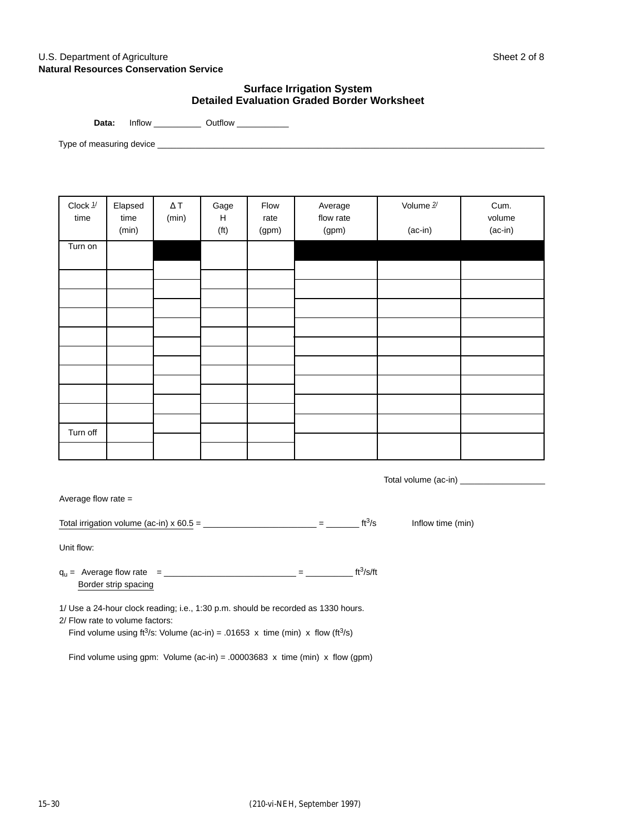### **Surface Irrigation System Detailed Evaluation Graded Border Worksheet**

**Data:** Inflow \_\_\_\_\_\_\_\_\_\_\_\_\_ Outflow \_\_\_\_\_\_\_\_\_\_\_\_

Type of measuring device \_\_\_\_\_\_\_\_\_\_\_\_\_\_\_\_\_\_\_\_\_\_\_\_\_\_\_\_\_\_\_\_\_\_\_\_\_\_\_\_\_\_\_\_\_\_\_\_\_\_\_\_\_\_\_\_\_\_\_\_\_\_\_\_\_\_\_\_\_\_\_\_\_\_\_\_\_\_\_\_\_\_

| Clock 1/<br>time | Elapsed<br>time<br>(min) | $\Delta$ T<br>(min) | Gage<br>н<br>(f <sup>t</sup> ) | Flow<br>rate<br>(gpm) | Average<br>flow rate<br>(gpm) | Volume $2/$<br>$(ac-in)$ | Cum.<br>volume<br>$(ac-in)$ |
|------------------|--------------------------|---------------------|--------------------------------|-----------------------|-------------------------------|--------------------------|-----------------------------|
| Turn on          |                          |                     |                                |                       |                               |                          |                             |
|                  |                          |                     |                                |                       |                               |                          |                             |
|                  |                          |                     |                                |                       |                               |                          |                             |
|                  |                          |                     |                                |                       |                               |                          |                             |
|                  |                          |                     |                                |                       |                               |                          |                             |
|                  |                          |                     |                                |                       |                               |                          |                             |
|                  |                          |                     |                                |                       |                               |                          |                             |
|                  |                          |                     |                                |                       |                               |                          |                             |
| Turn off         |                          |                     |                                |                       |                               |                          |                             |
|                  |                          |                     |                                |                       |                               |                          |                             |

Total volume (ac-in) \_\_\_\_\_\_\_\_\_\_\_\_\_\_\_\_\_\_

Average flow rate =

Total irrigation volume (ac-in) x 60.5 = \_\_\_\_\_\_\_\_\_\_\_\_\_\_\_\_\_\_\_\_\_\_\_\_ = \_\_\_\_\_\_\_ ft3/s Inflow time (min)

Unit flow:

qu = Average flow rate = \_\_\_\_\_\_\_\_\_\_\_\_\_\_\_\_\_\_\_\_\_\_\_\_\_\_\_\_ = \_\_\_\_\_\_\_\_\_\_ ft3/s/ft Border strip spacing

1/ Use a 24-hour clock reading; i.e., 1:30 p.m. should be recorded as 1330 hours.

2/ Flow rate to volume factors:

Find volume using ft<sup>3</sup>/s: Volume (ac-in) = .01653 x time (min) x flow (ft<sup>3</sup>/s)

Find volume using gpm: Volume (ac-in) = .00003683  $\times$  time (min)  $\times$  flow (gpm)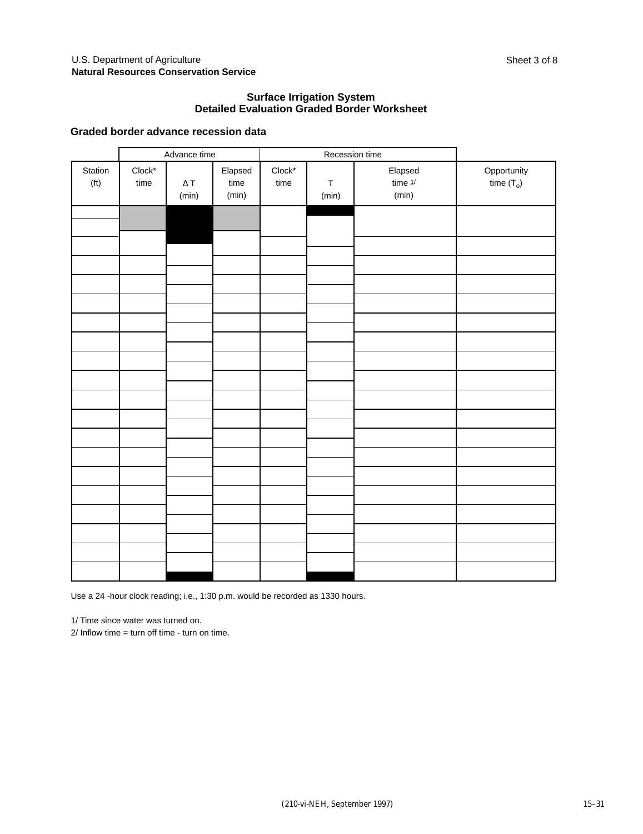### **Surface Irrigation System Detailed Evaluation Graded Border Worksheet**

### **Graded border advance recession data**

|                              | Advance time      |                     |                          |                                             | Recession time  |                                       |                            |
|------------------------------|-------------------|---------------------|--------------------------|---------------------------------------------|-----------------|---------------------------------------|----------------------------|
| Station<br>(f <sup>t</sup> ) | $Clock^*$<br>time | $\Delta$ T<br>(min) | Elapsed<br>time<br>(min) | $\ensuremath{\mathsf{Clock}}^\star$<br>time | $\top$<br>(min) | Elapsed<br>time $\mathcal V$<br>(min) | Opportunity<br>time $(To)$ |
|                              |                   |                     |                          |                                             |                 |                                       |                            |
|                              |                   |                     |                          |                                             |                 |                                       |                            |
|                              |                   |                     |                          |                                             |                 |                                       |                            |
|                              |                   |                     |                          |                                             |                 |                                       |                            |
|                              |                   |                     |                          |                                             |                 |                                       |                            |
|                              |                   |                     |                          |                                             |                 |                                       |                            |
|                              |                   |                     |                          |                                             |                 |                                       |                            |
|                              |                   |                     |                          |                                             |                 |                                       |                            |
|                              |                   |                     |                          |                                             |                 |                                       |                            |
|                              |                   |                     |                          |                                             |                 |                                       |                            |
|                              |                   |                     |                          |                                             |                 |                                       |                            |
|                              |                   |                     |                          |                                             |                 |                                       |                            |
|                              |                   |                     |                          |                                             |                 |                                       |                            |
|                              |                   |                     |                          |                                             |                 |                                       |                            |
|                              |                   |                     |                          |                                             |                 |                                       |                            |
|                              |                   |                     |                          |                                             |                 |                                       |                            |
|                              |                   |                     |                          |                                             |                 |                                       |                            |
|                              |                   |                     |                          |                                             |                 |                                       |                            |

Use a 24 -hour clock reading; i.e., 1:30 p.m. would be recorded as 1330 hours.

1/ Time since water was turned on.

2/ Inflow time = turn off time - turn on time.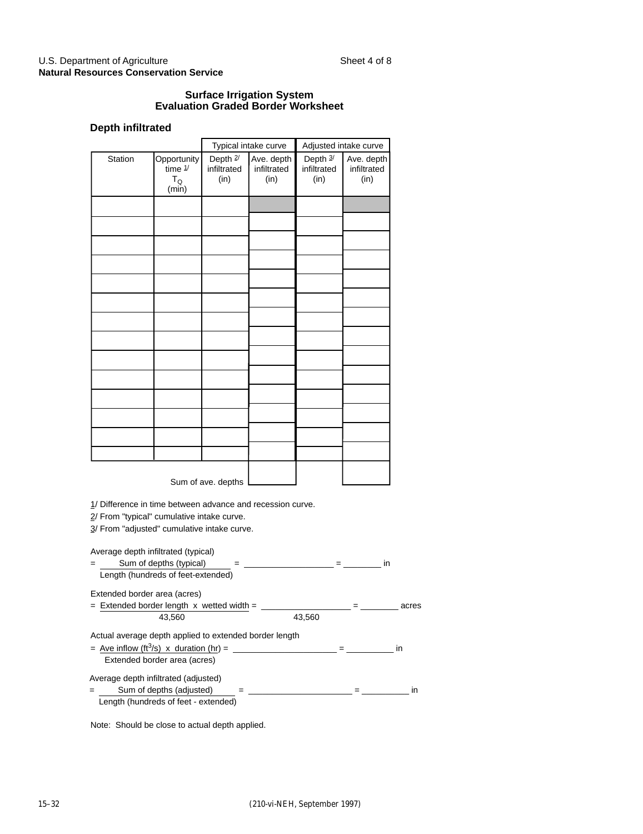### **Tools and Worksheets** U.S. Department of Agriculture **Natural Resources Conservation Service**

### **Surface Irrigation System Evaluation Graded Border Worksheet**

### **Depth infiltrated**

|                    |                                                   |                                 | Typical intake curve              | Adjusted intake curve           |                                   |  |  |
|--------------------|---------------------------------------------------|---------------------------------|-----------------------------------|---------------------------------|-----------------------------------|--|--|
| Station            | Opportunity<br>time $1/$<br>$T_Q$<br>$(m\bar{m})$ | Depth 2/<br>infiltrated<br>(in) | Ave. depth<br>infiltrated<br>(in) | Depth 3/<br>infiltrated<br>(in) | Ave. depth<br>infiltrated<br>(in) |  |  |
|                    |                                                   |                                 |                                   |                                 |                                   |  |  |
|                    |                                                   |                                 |                                   |                                 |                                   |  |  |
|                    |                                                   |                                 |                                   |                                 |                                   |  |  |
|                    |                                                   |                                 |                                   |                                 |                                   |  |  |
|                    |                                                   |                                 |                                   |                                 |                                   |  |  |
|                    |                                                   |                                 |                                   |                                 |                                   |  |  |
|                    |                                                   |                                 |                                   |                                 |                                   |  |  |
|                    |                                                   |                                 |                                   |                                 |                                   |  |  |
|                    |                                                   |                                 |                                   |                                 |                                   |  |  |
|                    |                                                   |                                 |                                   |                                 |                                   |  |  |
|                    |                                                   |                                 |                                   |                                 |                                   |  |  |
|                    |                                                   |                                 |                                   |                                 |                                   |  |  |
|                    |                                                   |                                 |                                   |                                 |                                   |  |  |
|                    |                                                   |                                 |                                   |                                 |                                   |  |  |
| Sum of ave. depths |                                                   |                                 |                                   |                                 |                                   |  |  |

1/ Difference in time between advance and recession curve.

2/ From "typical" cumulative intake curve.

3/ From "adjusted" cumulative intake curve.

| Average depth infiltrated (typical)                    |        |
|--------------------------------------------------------|--------|
| Sum of depths (typical)                                | in     |
| Length (hundreds of feet-extended)                     |        |
| Extended border area (acres)                           |        |
| $=$ Extended border length x wetted width $=$          | acres  |
| 43.560                                                 | 43.560 |
| Actual average depth applied to extended border length |        |
| = Ave inflow (ft <sup>3</sup> /s) x duration (hr) =    | in     |
| Extended border area (acres)                           |        |
| Average depth infiltrated (adjusted)                   |        |
| Sum of depths (adjusted)<br>$=$                        | in     |
| Length (hundreds of feet - extended)                   |        |

Note: Should be close to actual depth applied.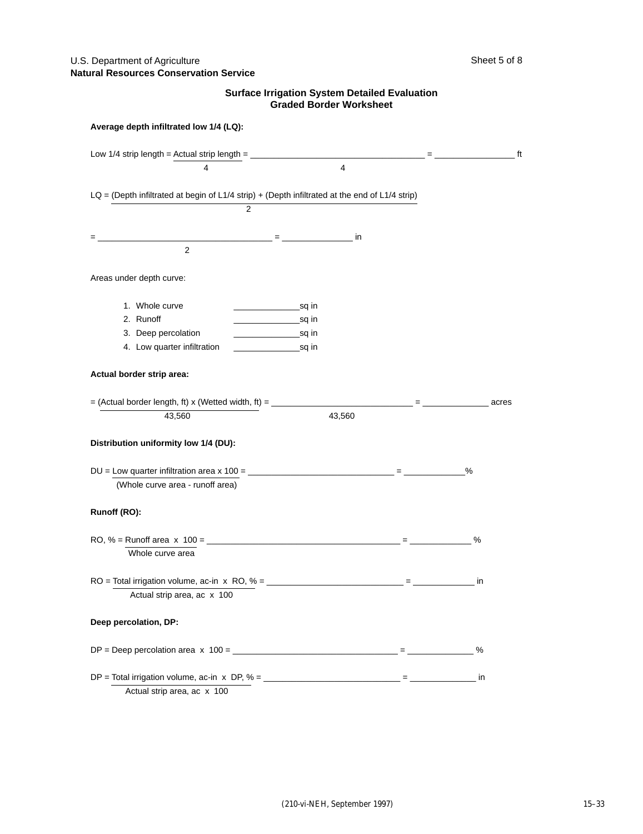### U.S. Department of Agriculture

#### **Tools and Worksheets Natural Resources Conservation Service**

### **Surface Irrigation System Detailed Evaluation Graded Border Worksheet**

| Average depth infiltrated low 1/4 (LQ):                                                                            |        |           |
|--------------------------------------------------------------------------------------------------------------------|--------|-----------|
|                                                                                                                    |        | ft<br>$=$ |
| 4                                                                                                                  | 4      |           |
|                                                                                                                    |        |           |
| $LQ = (Depth\ infinite\ ad\ begin\ of\ L1/4\ strip) + (Depth\ infinite\ ad\ the\ end\ of\ L1/4\ strip)$            |        |           |
| $\overline{2}$                                                                                                     |        |           |
| $\frac{1}{2}$ = $\frac{1}{2}$ in $\frac{1}{2}$ in $\frac{1}{2}$ in $\frac{1}{2}$ in $\frac{1}{2}$ in $\frac{1}{2}$ |        |           |
| 2                                                                                                                  |        |           |
| Areas under depth curve:                                                                                           |        |           |
|                                                                                                                    |        |           |
| 1. Whole curve<br>$\overline{\phantom{a}}$ sq in                                                                   |        |           |
| 2. Runoff                                                                                                          |        |           |
| 3. Deep percolation                                                                                                |        |           |
| 4. Low quarter infiltration<br>$\overline{\phantom{a}}$ sq in                                                      |        |           |
| Actual border strip area:                                                                                          |        |           |
|                                                                                                                    |        | acres     |
| 43,560                                                                                                             | 43,560 |           |
| Distribution uniformity low 1/4 (DU):                                                                              |        |           |
|                                                                                                                    |        |           |
| (Whole curve area - runoff area)                                                                                   |        |           |
|                                                                                                                    |        |           |
| Runoff (RO):                                                                                                       |        |           |
|                                                                                                                    |        | %         |
| Whole curve area                                                                                                   |        |           |
|                                                                                                                    |        |           |
| Actual strip area, ac x 100                                                                                        |        | in        |
|                                                                                                                    |        |           |
| Deep percolation, DP:                                                                                              |        |           |
|                                                                                                                    |        |           |
|                                                                                                                    |        |           |
| Actual strip area, ac x 100                                                                                        |        |           |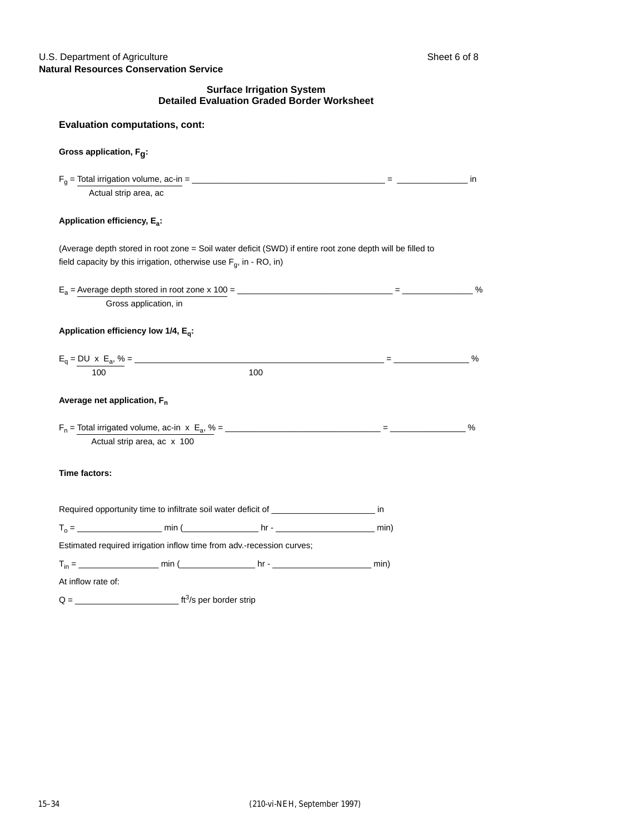| <b>Surface Irrigation System</b><br><b>Detailed Evaluation Graded Border Worksheet</b>                    |                                                                                                                                                                                                                                   |               |
|-----------------------------------------------------------------------------------------------------------|-----------------------------------------------------------------------------------------------------------------------------------------------------------------------------------------------------------------------------------|---------------|
| Evaluation computations, cont:                                                                            |                                                                                                                                                                                                                                   |               |
| Gross application, Fq:                                                                                    |                                                                                                                                                                                                                                   |               |
|                                                                                                           |                                                                                                                                                                                                                                   | in            |
| Actual strip area, ac                                                                                     |                                                                                                                                                                                                                                   |               |
| Application efficiency, E <sub>a</sub> :                                                                  |                                                                                                                                                                                                                                   |               |
| (Average depth stored in root zone = Soil water deficit (SWD) if entire root zone depth will be filled to |                                                                                                                                                                                                                                   |               |
| field capacity by this irrigation, otherwise use $F_q$ , in - RO, in)                                     |                                                                                                                                                                                                                                   |               |
|                                                                                                           |                                                                                                                                                                                                                                   | $\frac{0}{0}$ |
| Gross application, in                                                                                     |                                                                                                                                                                                                                                   |               |
| Application efficiency low 1/4, E <sub>q</sub> :                                                          |                                                                                                                                                                                                                                   |               |
|                                                                                                           | $\equiv$ and the set of the set of the set of the set of the set of the set of the set of the set of the set of the set of the set of the set of the set of the set of the set of the set of the set of the set of the set of the | %             |

**Average net application, Fn**

Fn = Total irrigated volume, ac-in x Ea, % = \_\_\_\_\_\_\_\_\_\_\_\_\_\_\_\_\_\_\_\_\_\_\_\_\_\_\_\_\_\_\_\_\_ = \_\_\_\_\_\_\_\_\_\_\_\_\_\_\_\_ % Actual strip area, ac x 100

**Time factors:**

| Required opportunity time to infiltrate soil water deficit of |  |
|---------------------------------------------------------------|--|
|---------------------------------------------------------------|--|

To = \_\_\_\_\_\_\_\_\_\_\_\_\_\_\_\_\_\_ min (\_\_\_\_\_\_\_\_\_\_\_\_\_\_\_\_ hr - \_\_\_\_\_\_\_\_\_\_\_\_\_\_\_\_\_\_\_\_\_ min)

Estimated required irrigation inflow time from adv.-recession curves;

Tin = \_\_\_\_\_\_\_\_\_\_\_\_\_\_\_\_\_ min (\_\_\_\_\_\_\_\_\_\_\_\_\_\_\_\_ hr - \_\_\_\_\_\_\_\_\_\_\_\_\_\_\_\_\_\_\_\_\_ min)

At inflow rate of:

Q = \_\_\_\_\_\_\_\_\_\_\_\_\_\_\_\_\_\_\_\_\_\_ ft3/s per border strip

100 100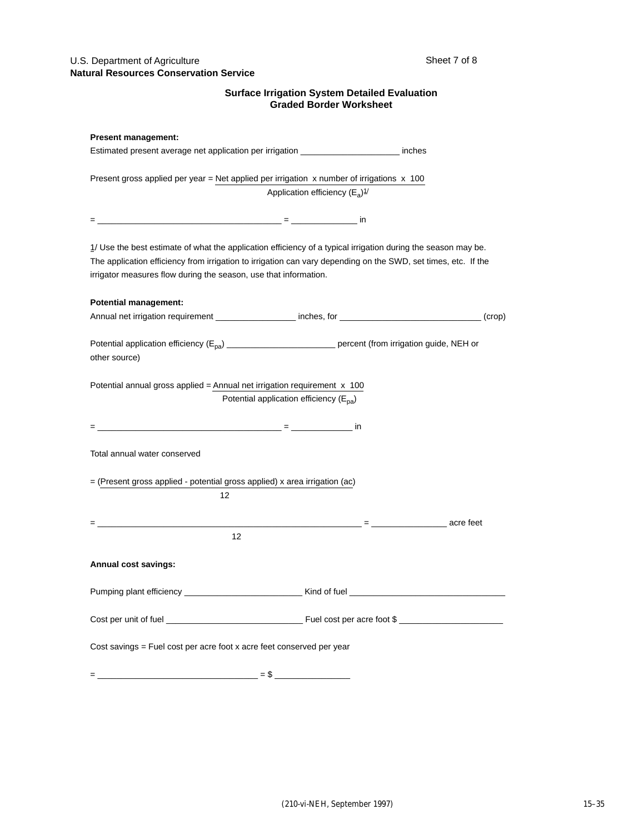### **Surface Irrigation System Detailed Evaluation Graded Border Worksheet**

| <b>Present management:</b>                                                                                                                                                                                                                                                                          |                                                |
|-----------------------------------------------------------------------------------------------------------------------------------------------------------------------------------------------------------------------------------------------------------------------------------------------------|------------------------------------------------|
| Estimated present average net application per irrigation _______________________ inches                                                                                                                                                                                                             |                                                |
| Present gross applied per year = Net applied per irrigation x number of irrigations x 100                                                                                                                                                                                                           | Application efficiency $(E_a)^{\underline{1}}$ |
|                                                                                                                                                                                                                                                                                                     |                                                |
| 1/ Use the best estimate of what the application efficiency of a typical irrigation during the season may be.<br>The application efficiency from irrigation to irrigation can vary depending on the SWD, set times, etc. If the<br>irrigator measures flow during the season, use that information. |                                                |
| <b>Potential management:</b><br>Annual net irrigation requirement ________________ inches, for _________________________(crop)                                                                                                                                                                      |                                                |
| Potential application efficiency (E <sub>pa</sub> ) ___________________________ percent (from irrigation guide, NEH or<br>other source)                                                                                                                                                             |                                                |
| Potential annual gross applied = Annual net irrigation requirement $x$ 100<br>Potential application efficiency (E <sub>pa</sub> )                                                                                                                                                                   |                                                |
|                                                                                                                                                                                                                                                                                                     |                                                |
| Total annual water conserved                                                                                                                                                                                                                                                                        |                                                |
| = (Present gross applied - potential gross applied) x area irrigation (ac)<br>12                                                                                                                                                                                                                    |                                                |
|                                                                                                                                                                                                                                                                                                     |                                                |
| 12                                                                                                                                                                                                                                                                                                  |                                                |
| Annual cost savings:                                                                                                                                                                                                                                                                                |                                                |
|                                                                                                                                                                                                                                                                                                     |                                                |
|                                                                                                                                                                                                                                                                                                     |                                                |
| Cost savings = Fuel cost per acre foot x acre feet conserved per year                                                                                                                                                                                                                               |                                                |
|                                                                                                                                                                                                                                                                                                     |                                                |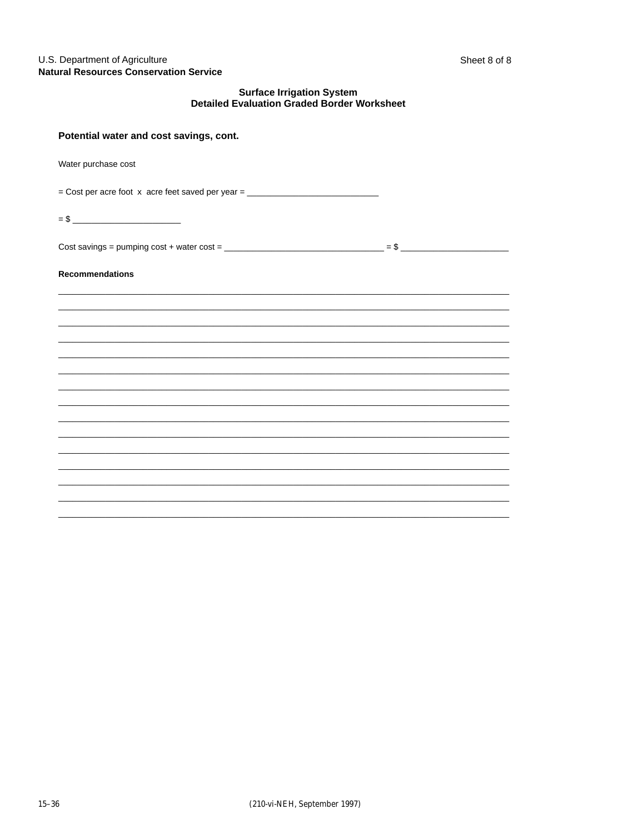## Surface Irrigation System<br>Detailed Evaluation Graded Border Worksheet

| Potential water and cost savings, cont.                                                                                                                                                                                                                                                  |
|------------------------------------------------------------------------------------------------------------------------------------------------------------------------------------------------------------------------------------------------------------------------------------------|
| Water purchase cost                                                                                                                                                                                                                                                                      |
|                                                                                                                                                                                                                                                                                          |
|                                                                                                                                                                                                                                                                                          |
| Cost savings = pumping cost + water cost = $\frac{1}{2}$ = $\frac{1}{2}$ = $\frac{1}{2}$ = $\frac{1}{2}$ = $\frac{1}{2}$ = $\frac{1}{2}$ = $\frac{1}{2}$ = $\frac{1}{2}$ = $\frac{1}{2}$ = $\frac{1}{2}$ = $\frac{1}{2}$ = $\frac{1}{2}$ = $\frac{1}{2}$ = $\frac{1}{2}$ = $\frac{1}{2}$ |
| <b>Recommendations</b>                                                                                                                                                                                                                                                                   |
|                                                                                                                                                                                                                                                                                          |
|                                                                                                                                                                                                                                                                                          |
|                                                                                                                                                                                                                                                                                          |
|                                                                                                                                                                                                                                                                                          |
|                                                                                                                                                                                                                                                                                          |
|                                                                                                                                                                                                                                                                                          |
|                                                                                                                                                                                                                                                                                          |
|                                                                                                                                                                                                                                                                                          |
|                                                                                                                                                                                                                                                                                          |
|                                                                                                                                                                                                                                                                                          |
|                                                                                                                                                                                                                                                                                          |
|                                                                                                                                                                                                                                                                                          |
|                                                                                                                                                                                                                                                                                          |
|                                                                                                                                                                                                                                                                                          |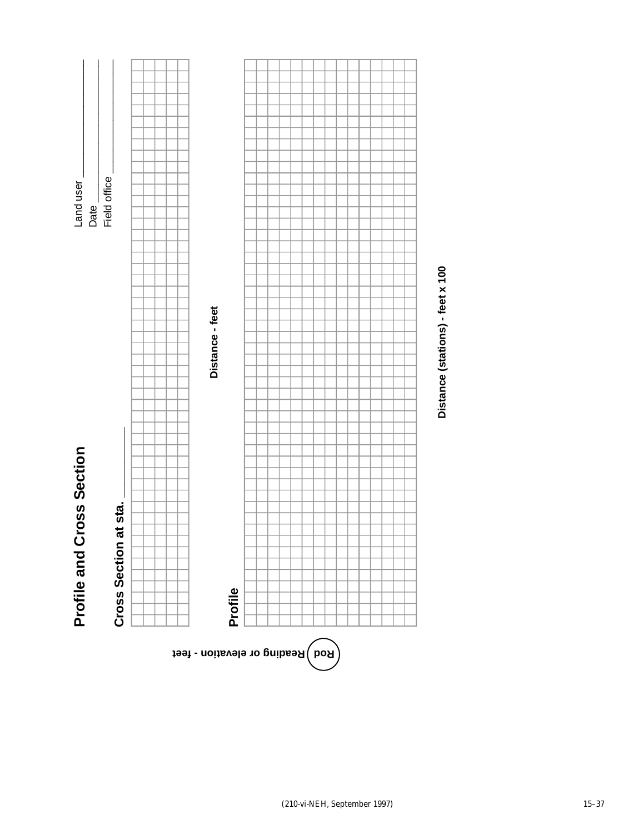

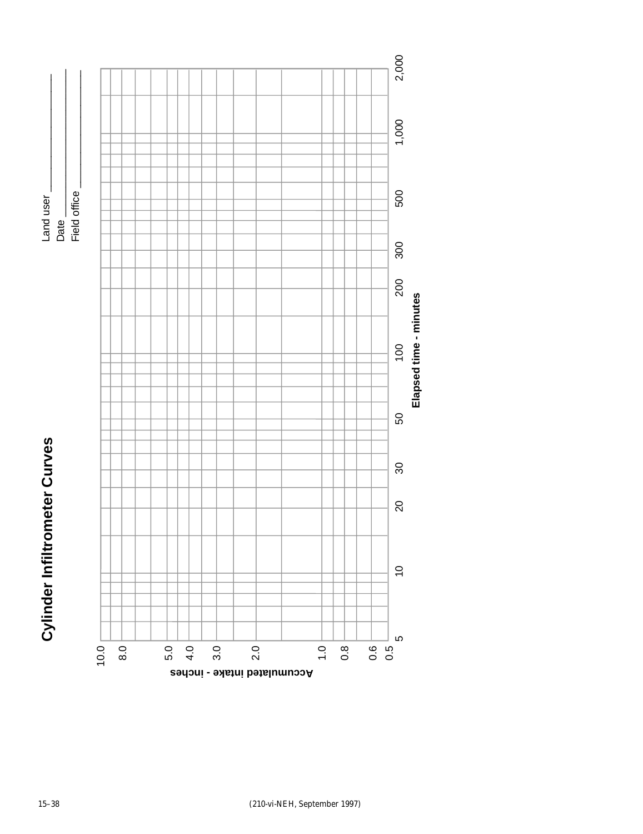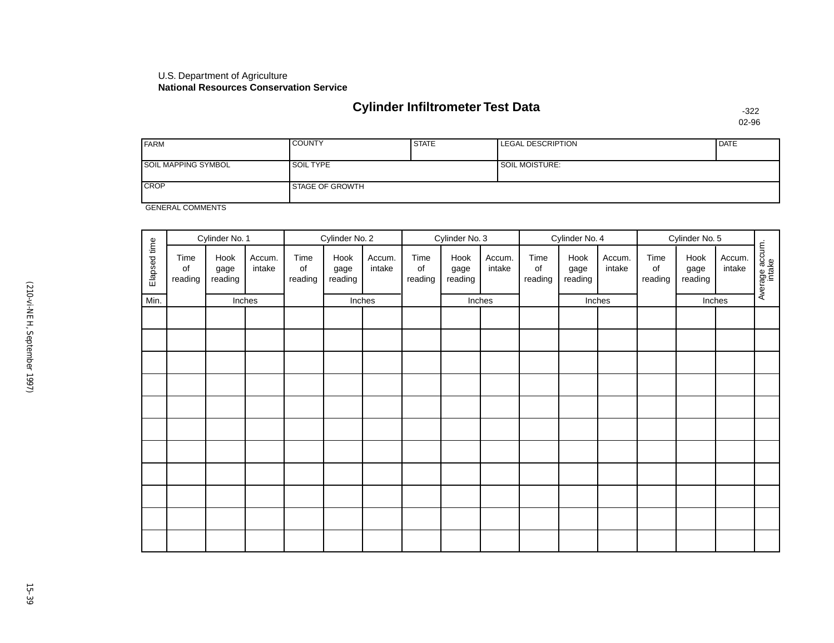## U.S. Department of Agriculture **National Resources Conservation Service**

## **Cylinder Infiltrometer Test Data**

| <b>FARM</b>         | <b>COUNTY</b>           | <b>STATE</b> | <b>LEGAL DESCRIPTION</b> | <b>I</b> DATE |  |  |
|---------------------|-------------------------|--------------|--------------------------|---------------|--|--|
|                     |                         |              |                          |               |  |  |
| SOIL MAPPING SYMBOL | <b>SOIL TYPE</b>        |              | <b>SOIL MOISTURE:</b>    |               |  |  |
|                     |                         |              |                          |               |  |  |
| <b>CROP</b>         | <b>ISTAGE OF GROWTH</b> |              |                          |               |  |  |
|                     |                         |              |                          |               |  |  |

|              |                            |                         | U.S. Department of Agriculture<br><b>National Resources Conservation Service</b> |                       |                            |                  |                                  | <b>Cylinder Infiltrometer Test Data</b> |                  |                          |                         |                  |                                  |                         | $-322$<br>02-96  |                          |
|--------------|----------------------------|-------------------------|----------------------------------------------------------------------------------|-----------------------|----------------------------|------------------|----------------------------------|-----------------------------------------|------------------|--------------------------|-------------------------|------------------|----------------------------------|-------------------------|------------------|--------------------------|
| <b>FARM</b>  |                            |                         |                                                                                  | <b>COUNTY</b>         |                            |                  | <b>STATE</b>                     |                                         |                  | <b>LEGAL DESCRIPTION</b> |                         |                  |                                  |                         | <b>DATE</b>      |                          |
|              | <b>SOIL MAPPING SYMBOL</b> |                         |                                                                                  | <b>SOIL TYPE</b>      |                            |                  |                                  |                                         |                  | <b>SOIL MOISTURE:</b>    |                         |                  |                                  |                         |                  |                          |
| CROP         |                            |                         |                                                                                  |                       | STAGE OF GROWTH            |                  |                                  |                                         |                  |                          |                         |                  |                                  |                         |                  |                          |
|              | <b>GENERAL COMMENTS</b>    |                         |                                                                                  |                       |                            |                  |                                  |                                         |                  |                          |                         |                  |                                  |                         |                  |                          |
|              |                            | Cylinder No. 1          |                                                                                  |                       | Cylinder No. 2             |                  |                                  | Cylinder No. 3                          |                  |                          | Cylinder No. 4          |                  |                                  | Cylinder No. 5          |                  |                          |
| Elapsed time | Time<br>of<br>reading      | Hook<br>gage<br>reading | Accum.<br>intake                                                                 | Time<br>of<br>reading | Hook<br>gage<br>reading    | Accum.<br>intake | Time<br>$\mathsf{of}$<br>reading | Hook<br>gage<br>reading                 | Accum.<br>intake | Time<br>of<br>reading    | Hook<br>gage<br>reading | Accum.<br>intake | Time<br>$\mathsf{of}$<br>reading | Hook<br>gage<br>reading | Accum.<br>intake | Average accum.<br>intake |
| Min.         |                            |                         | Inches                                                                           |                       | Inches<br>Inches<br>Inches |                  |                                  |                                         |                  |                          | Inches                  |                  |                                  |                         |                  |                          |
|              |                            |                         |                                                                                  |                       |                            |                  |                                  |                                         |                  |                          |                         |                  |                                  |                         |                  |                          |
|              |                            |                         |                                                                                  |                       |                            |                  |                                  |                                         |                  |                          |                         |                  |                                  |                         |                  |                          |
|              |                            |                         |                                                                                  |                       |                            |                  |                                  |                                         |                  |                          |                         |                  |                                  |                         |                  |                          |
|              |                            |                         |                                                                                  |                       |                            |                  |                                  |                                         |                  |                          |                         |                  |                                  |                         |                  |                          |
|              |                            |                         |                                                                                  |                       |                            |                  |                                  |                                         |                  |                          |                         |                  |                                  |                         |                  |                          |
|              |                            |                         |                                                                                  |                       |                            |                  |                                  |                                         |                  |                          |                         |                  |                                  |                         |                  |                          |
|              |                            |                         |                                                                                  |                       |                            |                  |                                  |                                         |                  |                          |                         |                  |                                  |                         |                  |                          |
|              |                            |                         |                                                                                  |                       |                            |                  |                                  |                                         |                  |                          |                         |                  |                                  |                         |                  |                          |
|              |                            |                         |                                                                                  |                       |                            |                  |                                  |                                         |                  |                          |                         |                  |                                  |                         |                  |                          |
|              |                            |                         |                                                                                  |                       |                            |                  |                                  |                                         |                  |                          |                         |                  |                                  |                         |                  |                          |
|              |                            |                         |                                                                                  |                       |                            |                  |                                  |                                         |                  |                          |                         |                  |                                  |                         |                  |                          |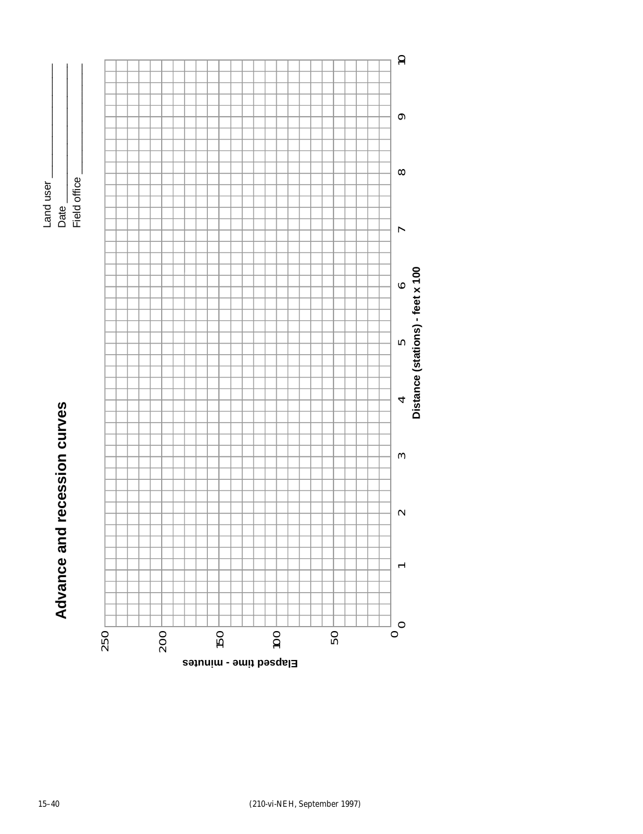

**Elapsed time - minutes**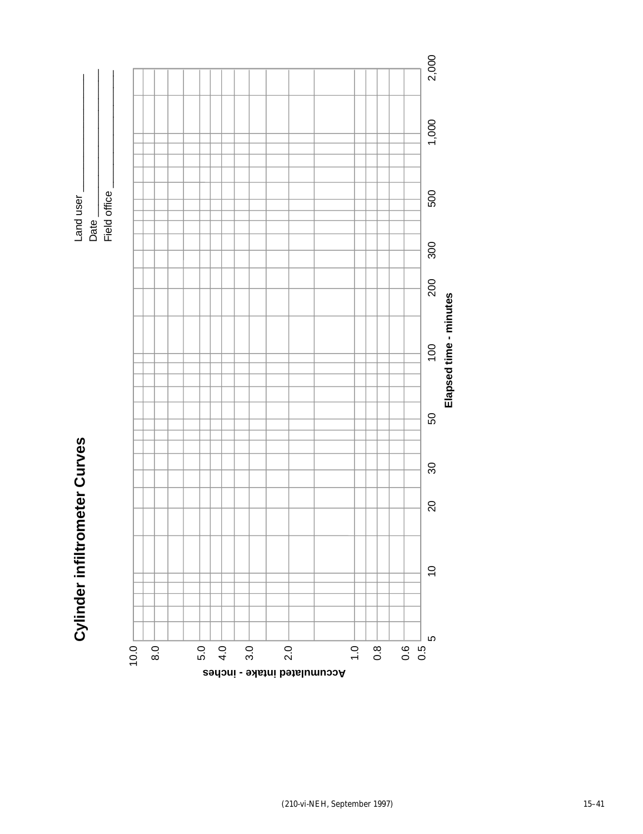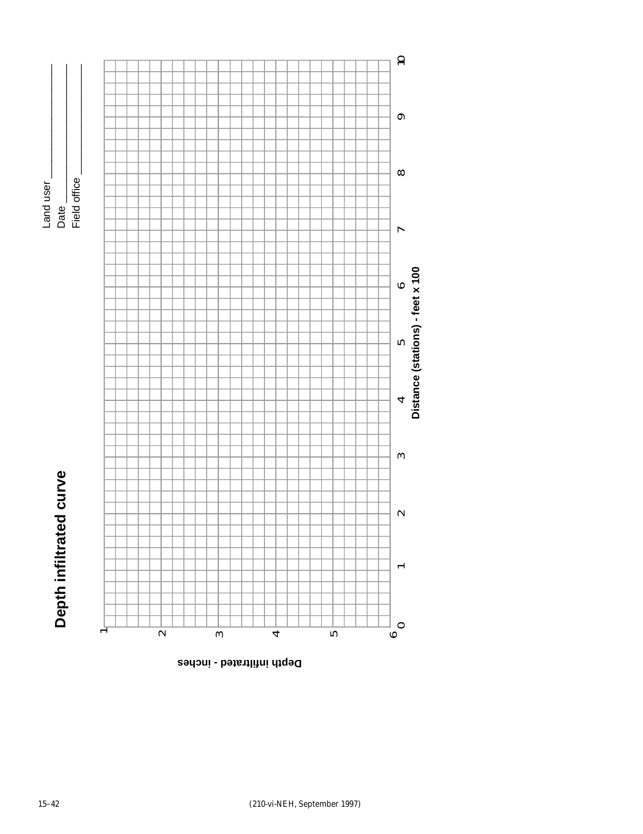

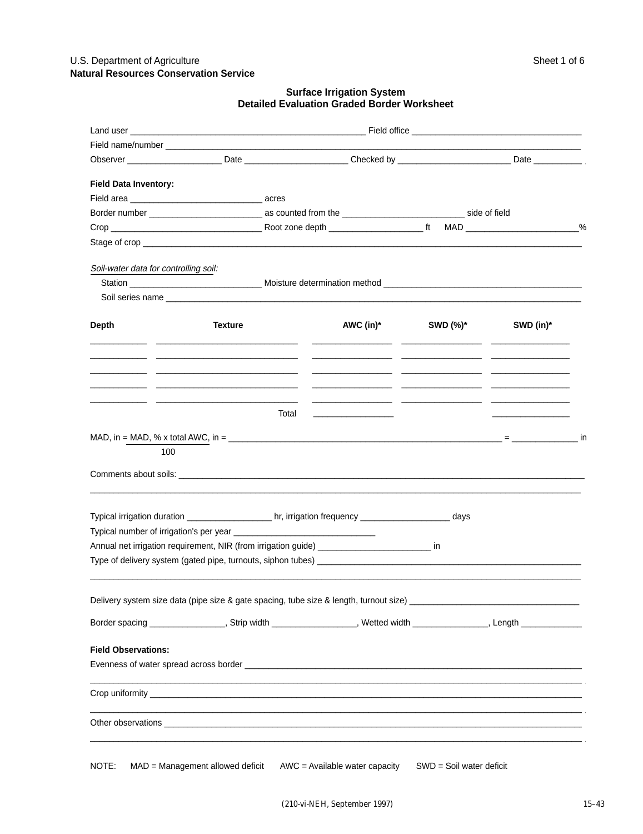# Surface Irrigation System<br>Detailed Evaluation Graded Border Worksheet

| <b>Field Data Inventory:</b>                                                                                                                                                                                                  |                                  |       |                                |                          |                                                                                                                                                                                                                                                                                                          |               |
|-------------------------------------------------------------------------------------------------------------------------------------------------------------------------------------------------------------------------------|----------------------------------|-------|--------------------------------|--------------------------|----------------------------------------------------------------------------------------------------------------------------------------------------------------------------------------------------------------------------------------------------------------------------------------------------------|---------------|
|                                                                                                                                                                                                                               |                                  |       |                                |                          |                                                                                                                                                                                                                                                                                                          |               |
|                                                                                                                                                                                                                               |                                  |       |                                |                          |                                                                                                                                                                                                                                                                                                          |               |
|                                                                                                                                                                                                                               |                                  |       |                                |                          | $\mathsf{MAD}$ and $\mathsf{MAD}$ are all $\mathsf{MAD}$ and $\mathsf{MAD}$ are all $\mathsf{MAD}$ and $\mathsf{MAD}$ are all $\mathsf{MAD}$ and $\mathsf{MAD}$ are all $\mathsf{MAD}$ and $\mathsf{MAD}$ and $\mathsf{MAD}$ are all $\mathsf{MAD}$ and $\mathsf{MAD}$ and $\mathsf{MAD}$ and $\mathsf{$ | $\frac{0}{0}$ |
|                                                                                                                                                                                                                               |                                  |       |                                |                          |                                                                                                                                                                                                                                                                                                          |               |
| Soil-water data for controlling soil:                                                                                                                                                                                         |                                  |       |                                |                          |                                                                                                                                                                                                                                                                                                          |               |
|                                                                                                                                                                                                                               |                                  |       |                                |                          |                                                                                                                                                                                                                                                                                                          |               |
|                                                                                                                                                                                                                               | Soil series name                 |       |                                |                          |                                                                                                                                                                                                                                                                                                          |               |
| <b>Depth</b>                                                                                                                                                                                                                  | <b>Texture</b>                   |       | AWC (in)*                      | SWD (%)*                 | SWD (in)*                                                                                                                                                                                                                                                                                                |               |
|                                                                                                                                                                                                                               |                                  |       |                                |                          |                                                                                                                                                                                                                                                                                                          |               |
|                                                                                                                                                                                                                               |                                  |       |                                |                          |                                                                                                                                                                                                                                                                                                          |               |
|                                                                                                                                                                                                                               |                                  |       |                                |                          |                                                                                                                                                                                                                                                                                                          |               |
|                                                                                                                                                                                                                               |                                  |       |                                |                          |                                                                                                                                                                                                                                                                                                          |               |
|                                                                                                                                                                                                                               |                                  | Total |                                |                          |                                                                                                                                                                                                                                                                                                          |               |
|                                                                                                                                                                                                                               |                                  |       |                                |                          |                                                                                                                                                                                                                                                                                                          |               |
| 100                                                                                                                                                                                                                           |                                  |       |                                |                          |                                                                                                                                                                                                                                                                                                          |               |
|                                                                                                                                                                                                                               |                                  |       |                                |                          |                                                                                                                                                                                                                                                                                                          |               |
|                                                                                                                                                                                                                               |                                  |       |                                |                          |                                                                                                                                                                                                                                                                                                          |               |
|                                                                                                                                                                                                                               |                                  |       |                                |                          |                                                                                                                                                                                                                                                                                                          |               |
| Typical irrigation duration ____________________ hr, irrigation frequency ____________________ days                                                                                                                           |                                  |       |                                |                          |                                                                                                                                                                                                                                                                                                          |               |
| Annual net irrigation requirement, NIR (from irrigation guide) _________________________ in                                                                                                                                   |                                  |       |                                |                          |                                                                                                                                                                                                                                                                                                          |               |
|                                                                                                                                                                                                                               |                                  |       |                                |                          |                                                                                                                                                                                                                                                                                                          |               |
|                                                                                                                                                                                                                               |                                  |       |                                |                          |                                                                                                                                                                                                                                                                                                          |               |
| Delivery system size data (pipe size & gate spacing, tube size & length, turnout size) _                                                                                                                                      |                                  |       |                                |                          |                                                                                                                                                                                                                                                                                                          |               |
|                                                                                                                                                                                                                               |                                  |       |                                |                          |                                                                                                                                                                                                                                                                                                          |               |
| Border spacing _________________, Strip width _________________, Wetted width _______________, Length _____________                                                                                                           |                                  |       |                                |                          |                                                                                                                                                                                                                                                                                                          |               |
| <b>Field Observations:</b>                                                                                                                                                                                                    |                                  |       |                                |                          |                                                                                                                                                                                                                                                                                                          |               |
| Evenness of water spread across border expression of the state of the state of the state of the state of the state of the state of the state of the state of the state of the state of the state of the state of the state of |                                  |       |                                |                          |                                                                                                                                                                                                                                                                                                          |               |
|                                                                                                                                                                                                                               |                                  |       |                                |                          |                                                                                                                                                                                                                                                                                                          |               |
|                                                                                                                                                                                                                               |                                  |       |                                |                          |                                                                                                                                                                                                                                                                                                          |               |
|                                                                                                                                                                                                                               |                                  |       |                                |                          |                                                                                                                                                                                                                                                                                                          |               |
|                                                                                                                                                                                                                               |                                  |       |                                |                          |                                                                                                                                                                                                                                                                                                          |               |
| NOTE:                                                                                                                                                                                                                         | MAD = Management allowed deficit |       | AWC = Available water capacity | SWD = Soil water deficit |                                                                                                                                                                                                                                                                                                          |               |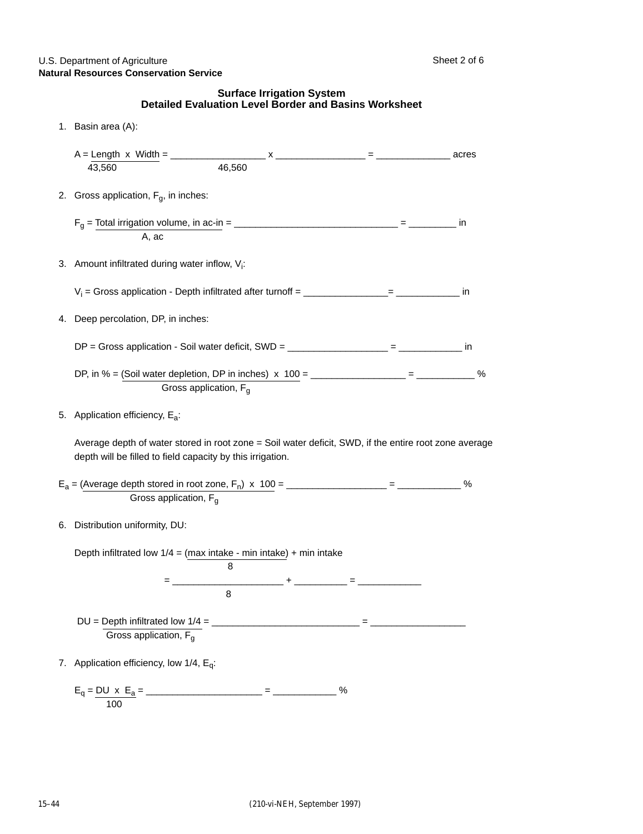### **Surface Irrigation System Detailed Evaluation Level Border and Basins Worksheet**

1. Basin area (A):

| 46,560<br>43,560                                                                                                                                                    |  |
|---------------------------------------------------------------------------------------------------------------------------------------------------------------------|--|
| 2. Gross application, $F_g$ , in inches:                                                                                                                            |  |
| A, ac                                                                                                                                                               |  |
| 3. Amount infiltrated during water inflow, $V_i$ :                                                                                                                  |  |
| $V_i$ = Gross application - Depth infiltrated after turnoff = ______________= _________________ in                                                                  |  |
| 4. Deep percolation, DP, in inches:                                                                                                                                 |  |
| DP = Gross application - Soil water deficit, SWD = $\frac{1}{2}$ = $\frac{1}{2}$ = $\frac{1}{2}$ = $\frac{1}{2}$ = $\frac{1}{2}$ in                                 |  |
| DP, in % = (Soil water depletion, DP in inches) $x 100 =$ _____________________ = ___________ %<br>Gross application, $F_g$                                         |  |
| 5. Application efficiency, E <sub>a</sub> :                                                                                                                         |  |
| Average depth of water stored in root zone = Soil water deficit, SWD, if the entire root zone average<br>depth will be filled to field capacity by this irrigation. |  |
| Gross application, F <sub>q</sub>                                                                                                                                   |  |
| 6. Distribution uniformity, DU:                                                                                                                                     |  |
| Depth infiltrated low $1/4 = (max)$ intake - min intake) + min intake<br>8<br>8                                                                                     |  |
|                                                                                                                                                                     |  |
| Gross application, F <sub>g</sub>                                                                                                                                   |  |
| 7. Application efficiency, low 1/4, $E_q$ :                                                                                                                         |  |
| 100                                                                                                                                                                 |  |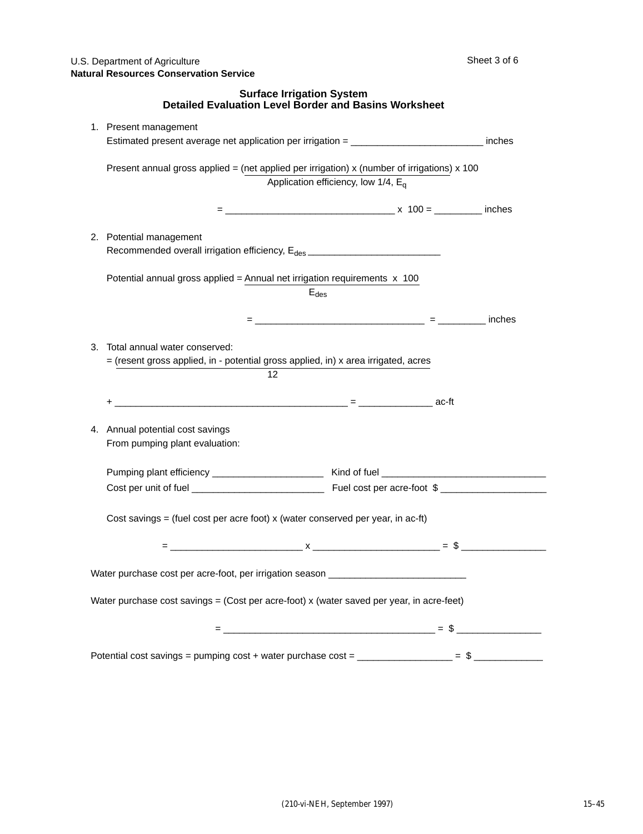### U.S. Department of Agriculture **Natural Resources Conservation Service**

| <b>Detailed Evaluation Level Border and Basins Worksheet</b>                                                                 |                                        |        |
|------------------------------------------------------------------------------------------------------------------------------|----------------------------------------|--------|
| 1. Present management<br>Estimated present average net application per irrigation = _____________________                    |                                        | inches |
| Present annual gross applied = (net applied per irrigation) x (number of irrigations) x 100                                  |                                        |        |
|                                                                                                                              | Application efficiency, low 1/4, $E_a$ |        |
|                                                                                                                              |                                        |        |
| 2. Potential management                                                                                                      |                                        |        |
| Recommended overall irrigation efficiency, E <sub>des</sub> _______________________________                                  |                                        |        |
| Potential annual gross applied = Annual net irrigation requirements $x$ 100<br>$E_{des}$                                     |                                        |        |
|                                                                                                                              |                                        |        |
| 3. Total annual water conserved:<br>= (resent gross applied, in - potential gross applied, in) x area irrigated, acres<br>12 |                                        |        |
|                                                                                                                              |                                        |        |
| 4. Annual potential cost savings                                                                                             |                                        |        |
| From pumping plant evaluation:                                                                                               |                                        |        |
|                                                                                                                              |                                        |        |
|                                                                                                                              |                                        |        |
| Cost savings = (fuel cost per acre foot) $x$ (water conserved per year, in ac-ft)                                            |                                        |        |
|                                                                                                                              |                                        |        |
| Water purchase cost per acre-foot, per irrigation season                                                                     |                                        |        |
| Water purchase cost savings = (Cost per acre-foot) x (water saved per year, in acre-feet)                                    |                                        |        |
|                                                                                                                              |                                        |        |
| Potential cost savings = pumping cost + water purchase $cost =$ ________________ = \$ ___________                            |                                        |        |

**Tools and Worksheets**

**Surface Irrigation System**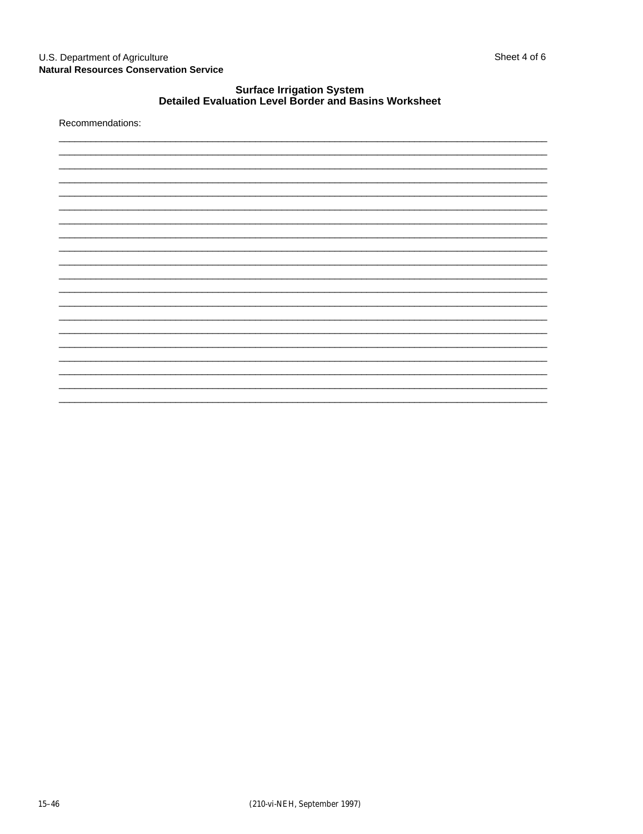# Surface Irrigation System<br>Detailed Evaluation Level Border and Basins Worksheet

Recommendations: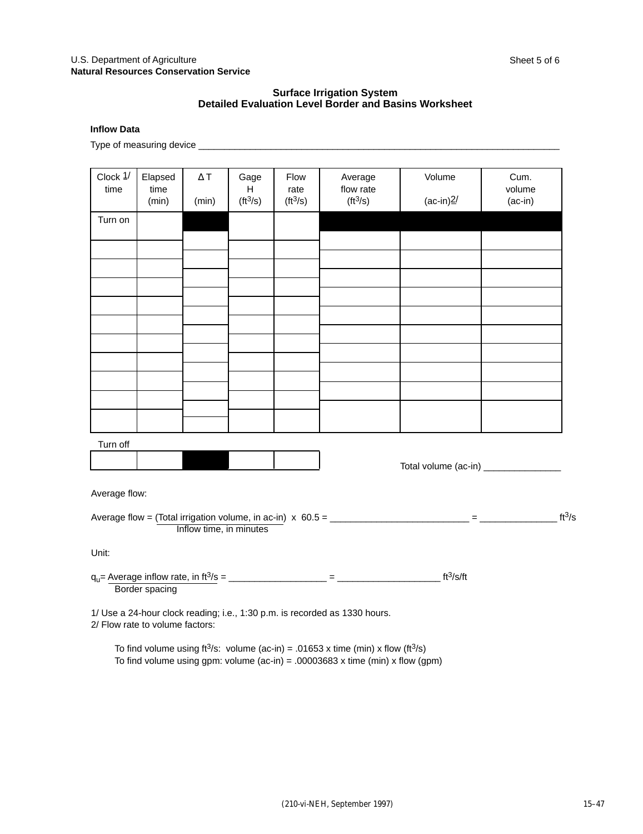### U.S. Department of Agriculture **Natural Resources Conservation Service**

### **Surface Irrigation System Detailed Evaluation Level Border and Basins Worksheet**

### **Inflow Data**

Type of measuring device \_\_\_\_\_\_\_\_\_\_\_\_\_\_\_\_\_\_\_\_\_\_\_\_\_\_\_\_\_\_\_\_\_\_\_\_\_\_\_\_\_\_\_\_\_\_\_\_\_\_\_\_\_\_\_\_\_\_\_\_\_\_\_\_\_\_\_\_\_\_

| Clock $1/$<br>time | Elapsed<br>time<br>(min)        | $\Delta$ T<br>(min)     | Gage<br>H.<br>$(\text{ft}^3/\text{s})$ | Flow<br>rate<br>(tf <sup>3</sup> /s) | Average<br>flow rate<br>$(tt^3/s)$                                                                                                                                                                     | Volume<br>$(ac-in)2/$                 | Cum.<br>volume<br>$(ac-in)$ |
|--------------------|---------------------------------|-------------------------|----------------------------------------|--------------------------------------|--------------------------------------------------------------------------------------------------------------------------------------------------------------------------------------------------------|---------------------------------------|-----------------------------|
| Turn on            |                                 |                         |                                        |                                      |                                                                                                                                                                                                        |                                       |                             |
|                    |                                 |                         |                                        |                                      |                                                                                                                                                                                                        |                                       |                             |
|                    |                                 |                         |                                        |                                      |                                                                                                                                                                                                        |                                       |                             |
|                    |                                 |                         |                                        |                                      |                                                                                                                                                                                                        |                                       |                             |
|                    |                                 |                         |                                        |                                      |                                                                                                                                                                                                        |                                       |                             |
|                    |                                 |                         |                                        |                                      |                                                                                                                                                                                                        |                                       |                             |
|                    |                                 |                         |                                        |                                      |                                                                                                                                                                                                        |                                       |                             |
|                    |                                 |                         |                                        |                                      |                                                                                                                                                                                                        |                                       |                             |
|                    |                                 |                         |                                        |                                      |                                                                                                                                                                                                        |                                       |                             |
|                    |                                 |                         |                                        |                                      |                                                                                                                                                                                                        |                                       |                             |
|                    |                                 |                         |                                        |                                      |                                                                                                                                                                                                        |                                       |                             |
| Turn off           |                                 |                         |                                        |                                      |                                                                                                                                                                                                        |                                       |                             |
|                    |                                 |                         |                                        |                                      |                                                                                                                                                                                                        | Total volume (ac-in) ________________ |                             |
| Average flow:      |                                 |                         |                                        |                                      |                                                                                                                                                                                                        |                                       |                             |
|                    |                                 | Inflow time, in minutes |                                        |                                      |                                                                                                                                                                                                        |                                       | $ft^3/s$                    |
| Unit:              |                                 |                         |                                        |                                      |                                                                                                                                                                                                        |                                       |                             |
|                    | <b>Border spacing</b>           |                         |                                        |                                      |                                                                                                                                                                                                        |                                       |                             |
|                    | 2/ Flow rate to volume factors: |                         |                                        |                                      | 1/ Use a 24-hour clock reading; i.e., 1:30 p.m. is recorded as 1330 hours.                                                                                                                             |                                       |                             |
|                    |                                 |                         |                                        |                                      | To find volume using $\text{ft}^3/\text{s}$ : volume (ac-in) = .01653 x time (min) x flow ( $\text{ft}^3/\text{s}$ )<br>To find volume using gpm: volume (ac-in) = .00003683 x time (min) x flow (gpm) |                                       |                             |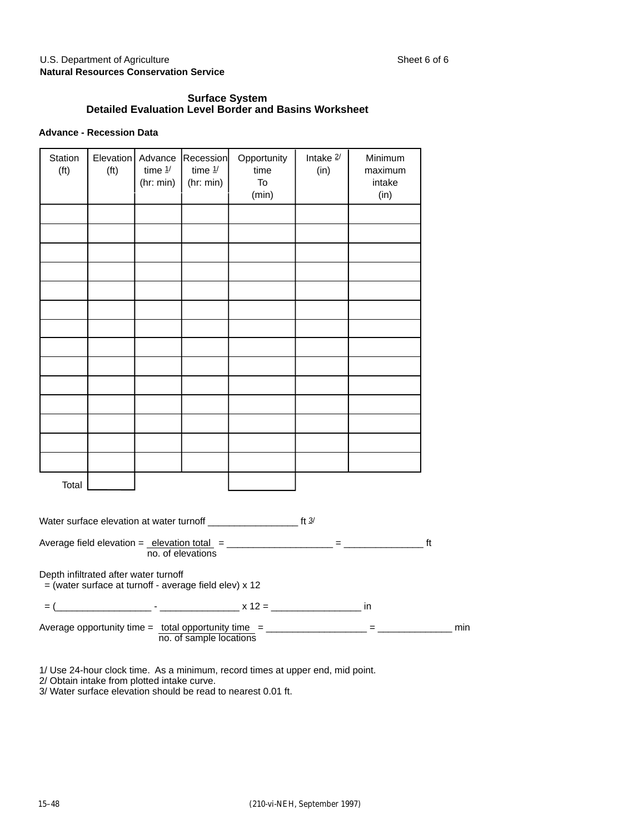### **Surface System Detailed Evaluation Level Border and Basins Worksheet**

### **Advance - Recession Data**

| Station<br>(f <sup>t</sup> )          | Elevation<br>(f <sup>t</sup> ) | Advance<br>time $1/$<br>(hr: min) | Recession<br>time $1/$<br>(hr: min)                    | Opportunity<br>time<br>To<br>(min)                                       | Intake $2/$<br>(in) | Minimum<br>maximum<br>intake<br>(in)                                                                                          |  |
|---------------------------------------|--------------------------------|-----------------------------------|--------------------------------------------------------|--------------------------------------------------------------------------|---------------------|-------------------------------------------------------------------------------------------------------------------------------|--|
|                                       |                                |                                   |                                                        |                                                                          |                     |                                                                                                                               |  |
|                                       |                                |                                   |                                                        |                                                                          |                     |                                                                                                                               |  |
|                                       |                                |                                   |                                                        |                                                                          |                     |                                                                                                                               |  |
|                                       |                                |                                   |                                                        |                                                                          |                     |                                                                                                                               |  |
|                                       |                                |                                   |                                                        |                                                                          |                     |                                                                                                                               |  |
|                                       |                                |                                   |                                                        |                                                                          |                     |                                                                                                                               |  |
|                                       |                                |                                   |                                                        |                                                                          |                     |                                                                                                                               |  |
|                                       |                                |                                   |                                                        |                                                                          |                     |                                                                                                                               |  |
|                                       |                                |                                   |                                                        |                                                                          |                     |                                                                                                                               |  |
|                                       |                                |                                   |                                                        |                                                                          |                     |                                                                                                                               |  |
|                                       |                                |                                   |                                                        |                                                                          |                     |                                                                                                                               |  |
|                                       |                                |                                   |                                                        |                                                                          |                     |                                                                                                                               |  |
|                                       |                                |                                   |                                                        |                                                                          |                     |                                                                                                                               |  |
|                                       |                                |                                   |                                                        |                                                                          |                     |                                                                                                                               |  |
| Total                                 |                                |                                   |                                                        |                                                                          |                     |                                                                                                                               |  |
|                                       |                                |                                   |                                                        |                                                                          |                     |                                                                                                                               |  |
|                                       |                                |                                   |                                                        | Water surface elevation at water turnoff _________________________ ft 3/ |                     |                                                                                                                               |  |
|                                       |                                |                                   | no. of elevations                                      |                                                                          |                     | Average field elevation = _elevation total = $\frac{1}{2}$ = $\frac{1}{2}$ = $\frac{1}{2}$ = $\frac{1}{2}$ = $\frac{1}{2}$ ft |  |
| Depth infiltrated after water turnoff |                                |                                   | = (water surface at turnoff - average field elev) x 12 |                                                                          |                     |                                                                                                                               |  |
|                                       |                                |                                   |                                                        |                                                                          |                     |                                                                                                                               |  |
|                                       |                                |                                   | no. of sample locations                                |                                                                          |                     | Average opportunity time = total opportunity time = $\frac{1}{2}$ = $\frac{1}{2}$ = $\frac{1}{2}$ min                         |  |

1/ Use 24-hour clock time. As a minimum, record times at upper end, mid point.

2/ Obtain intake from plotted intake curve.

3/ Water surface elevation should be read to nearest 0.01 ft.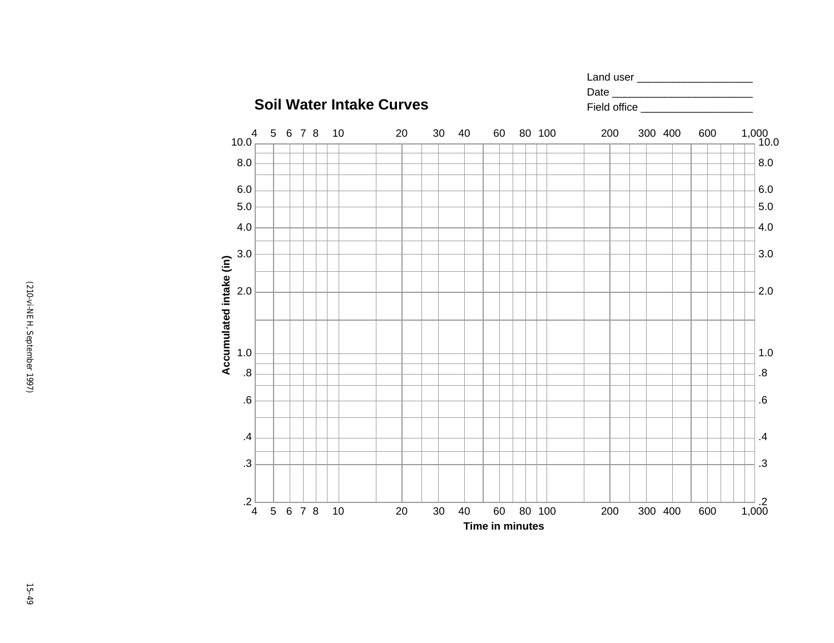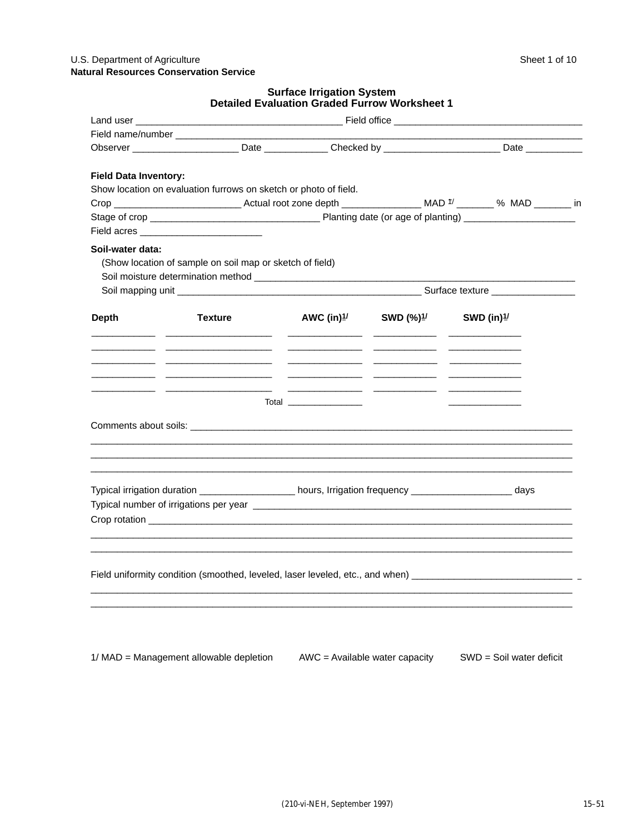|                              |                                                                                                                                                                                                                               | <b>Surface Irrigation System</b><br><b>Detailed Evaluation Graded Furrow Worksheet 1</b> |                                                                                                                       |                          |  |  |  |  |
|------------------------------|-------------------------------------------------------------------------------------------------------------------------------------------------------------------------------------------------------------------------------|------------------------------------------------------------------------------------------|-----------------------------------------------------------------------------------------------------------------------|--------------------------|--|--|--|--|
|                              |                                                                                                                                                                                                                               |                                                                                          |                                                                                                                       |                          |  |  |  |  |
|                              |                                                                                                                                                                                                                               |                                                                                          |                                                                                                                       |                          |  |  |  |  |
|                              |                                                                                                                                                                                                                               |                                                                                          |                                                                                                                       |                          |  |  |  |  |
| <b>Field Data Inventory:</b> |                                                                                                                                                                                                                               |                                                                                          |                                                                                                                       |                          |  |  |  |  |
|                              | Show location on evaluation furrows on sketch or photo of field.                                                                                                                                                              |                                                                                          |                                                                                                                       |                          |  |  |  |  |
|                              |                                                                                                                                                                                                                               |                                                                                          |                                                                                                                       |                          |  |  |  |  |
|                              |                                                                                                                                                                                                                               |                                                                                          |                                                                                                                       |                          |  |  |  |  |
|                              | Field acres and the state of the state of the state of the state of the state of the state of the state of the                                                                                                                |                                                                                          |                                                                                                                       |                          |  |  |  |  |
| Soil-water data:             |                                                                                                                                                                                                                               |                                                                                          |                                                                                                                       |                          |  |  |  |  |
|                              | (Show location of sample on soil map or sketch of field)                                                                                                                                                                      |                                                                                          |                                                                                                                       |                          |  |  |  |  |
|                              |                                                                                                                                                                                                                               |                                                                                          |                                                                                                                       |                          |  |  |  |  |
|                              |                                                                                                                                                                                                                               |                                                                                          |                                                                                                                       |                          |  |  |  |  |
| <b>Depth</b>                 | <b>Texture</b>                                                                                                                                                                                                                | AWC (in) $1/$                                                                            | SWD (%)1/                                                                                                             | $SWD (in)$ <sup>1/</sup> |  |  |  |  |
|                              |                                                                                                                                                                                                                               |                                                                                          |                                                                                                                       |                          |  |  |  |  |
|                              |                                                                                                                                                                                                                               |                                                                                          |                                                                                                                       |                          |  |  |  |  |
|                              |                                                                                                                                                                                                                               |                                                                                          |                                                                                                                       |                          |  |  |  |  |
|                              |                                                                                                                                                                                                                               | Total _________________                                                                  | <u> 2000 - Antonio Alemania, profesora establecido en la contrada de la contrada de la contrada de la contrada de</u> |                          |  |  |  |  |
|                              |                                                                                                                                                                                                                               |                                                                                          |                                                                                                                       |                          |  |  |  |  |
|                              |                                                                                                                                                                                                                               |                                                                                          |                                                                                                                       |                          |  |  |  |  |
|                              |                                                                                                                                                                                                                               |                                                                                          |                                                                                                                       |                          |  |  |  |  |
|                              |                                                                                                                                                                                                                               |                                                                                          |                                                                                                                       |                          |  |  |  |  |
|                              | Typical irrigation duration ____________________ hours, Irrigation frequency ______________________ days                                                                                                                      |                                                                                          |                                                                                                                       |                          |  |  |  |  |
|                              |                                                                                                                                                                                                                               |                                                                                          |                                                                                                                       |                          |  |  |  |  |
|                              | Crop rotation with a state of the control of the control of the control of the control of the control of the control of the control of the control of the control of the control of the control of the control of the control |                                                                                          |                                                                                                                       |                          |  |  |  |  |
|                              |                                                                                                                                                                                                                               |                                                                                          |                                                                                                                       |                          |  |  |  |  |
|                              |                                                                                                                                                                                                                               |                                                                                          |                                                                                                                       |                          |  |  |  |  |
|                              | Field uniformity condition (smoothed, leveled, laser leveled, etc., and when) ________________________________                                                                                                                |                                                                                          |                                                                                                                       |                          |  |  |  |  |
|                              |                                                                                                                                                                                                                               |                                                                                          |                                                                                                                       |                          |  |  |  |  |
|                              |                                                                                                                                                                                                                               |                                                                                          |                                                                                                                       |                          |  |  |  |  |
|                              |                                                                                                                                                                                                                               |                                                                                          |                                                                                                                       |                          |  |  |  |  |
|                              |                                                                                                                                                                                                                               |                                                                                          |                                                                                                                       |                          |  |  |  |  |

1/ MAD = Management allowable depletion AWC = Available water capacity SWD = Soil water deficit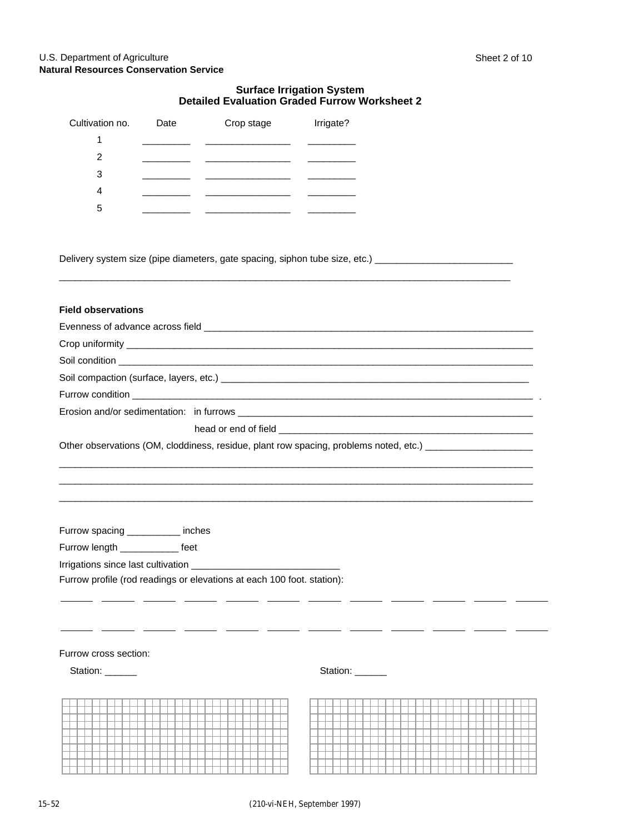Cultivation no.

| <b>Surface Irrigation System</b><br><b>Detailed Evaluation Graded Furrow Worksheet 2</b> |            |           |  |  |  |  |  |  |  |
|------------------------------------------------------------------------------------------|------------|-----------|--|--|--|--|--|--|--|
| Date                                                                                     | Crop stage | Irrigate? |  |  |  |  |  |  |  |
|                                                                                          |            |           |  |  |  |  |  |  |  |

# **Surface Irrigation System**

| 1                                                                                                   |  |                                                                       |  |                |  |  |
|-----------------------------------------------------------------------------------------------------|--|-----------------------------------------------------------------------|--|----------------|--|--|
| $\overline{2}$                                                                                      |  |                                                                       |  |                |  |  |
| 3                                                                                                   |  |                                                                       |  |                |  |  |
| 4                                                                                                   |  |                                                                       |  |                |  |  |
| 5                                                                                                   |  |                                                                       |  |                |  |  |
|                                                                                                     |  |                                                                       |  |                |  |  |
|                                                                                                     |  |                                                                       |  |                |  |  |
| Delivery system size (pipe diameters, gate spacing, siphon tube size, etc.) _______________________ |  |                                                                       |  |                |  |  |
|                                                                                                     |  |                                                                       |  |                |  |  |
| <b>Field observations</b>                                                                           |  |                                                                       |  |                |  |  |
|                                                                                                     |  |                                                                       |  |                |  |  |
|                                                                                                     |  |                                                                       |  |                |  |  |
|                                                                                                     |  |                                                                       |  |                |  |  |
|                                                                                                     |  |                                                                       |  |                |  |  |
|                                                                                                     |  |                                                                       |  |                |  |  |
|                                                                                                     |  |                                                                       |  |                |  |  |
|                                                                                                     |  | head or end of field <b>contained</b> and <b>head</b> or end of field |  |                |  |  |
|                                                                                                     |  |                                                                       |  |                |  |  |
| Furrow spacing __________ inches                                                                    |  |                                                                       |  |                |  |  |
| Furrow length ______________ feet                                                                   |  |                                                                       |  |                |  |  |
|                                                                                                     |  |                                                                       |  |                |  |  |
| Furrow profile (rod readings or elevations at each 100 foot. station):                              |  |                                                                       |  |                |  |  |
|                                                                                                     |  |                                                                       |  |                |  |  |
|                                                                                                     |  |                                                                       |  |                |  |  |
|                                                                                                     |  |                                                                       |  |                |  |  |
|                                                                                                     |  |                                                                       |  |                |  |  |
| Furrow cross section:                                                                               |  |                                                                       |  |                |  |  |
| Station: _____                                                                                      |  |                                                                       |  | Station: _____ |  |  |
|                                                                                                     |  |                                                                       |  |                |  |  |
|                                                                                                     |  |                                                                       |  |                |  |  |
|                                                                                                     |  |                                                                       |  |                |  |  |
|                                                                                                     |  |                                                                       |  |                |  |  |
|                                                                                                     |  |                                                                       |  |                |  |  |
|                                                                                                     |  |                                                                       |  |                |  |  |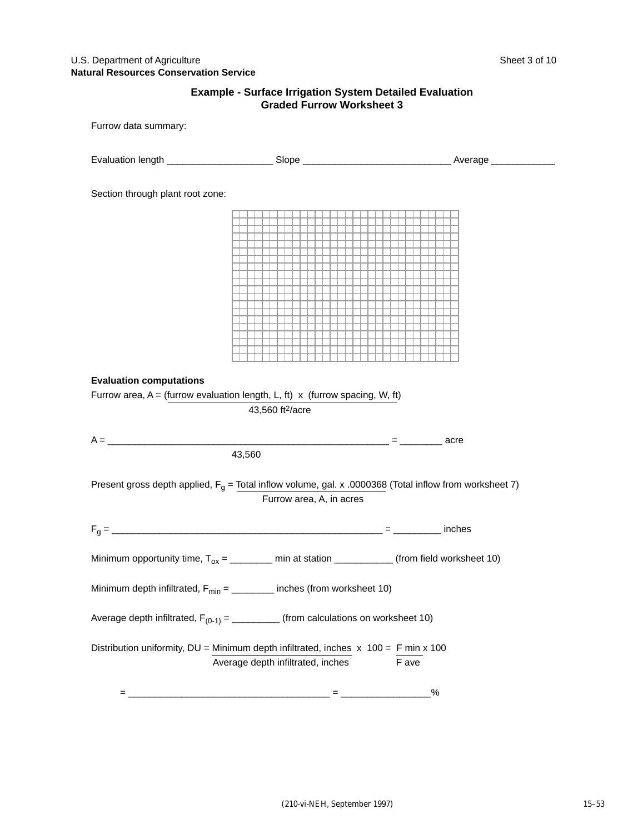### **Example - Surface Irrigation System Detailed Evaluation Graded Furrow Worksheet 3**

| Furrow data summary:             |                                                                                                                                       |       |
|----------------------------------|---------------------------------------------------------------------------------------------------------------------------------------|-------|
|                                  | Evaluation length __________________________Slope _______________________________Average ___________                                  |       |
| Section through plant root zone: |                                                                                                                                       |       |
|                                  |                                                                                                                                       |       |
|                                  |                                                                                                                                       |       |
|                                  |                                                                                                                                       |       |
|                                  |                                                                                                                                       |       |
| <b>Evaluation computations</b>   |                                                                                                                                       |       |
|                                  | Furrow area, $A =$ (furrow evaluation length, L, ft) $x$ (furrow spacing, W, ft)<br>43,560 ft <sup>2</sup> /acre                      |       |
|                                  | 43,560                                                                                                                                |       |
|                                  | Present gross depth applied, $F_g$ = Total inflow volume, gal. x .0000368 (Total inflow from worksheet 7)<br>Furrow area, A, in acres |       |
|                                  |                                                                                                                                       |       |
|                                  | Minimum opportunity time, $T_{ox} =$ _________ min at station ___________ (from field worksheet 10)                                   |       |
|                                  | Minimum depth infiltrated, $F_{min} =$ _________ inches (from worksheet 10)                                                           |       |
|                                  | Average depth infiltrated, $F_{(0-1)} =$ ________________ (from calculations on worksheet 10)                                         |       |
|                                  | Distribution uniformity, $DU = Minimum$ depth infiltrated, inches $x 100 = F$ min x 100<br>Average depth infiltrated, inches          | F ave |
|                                  |                                                                                                                                       | %     |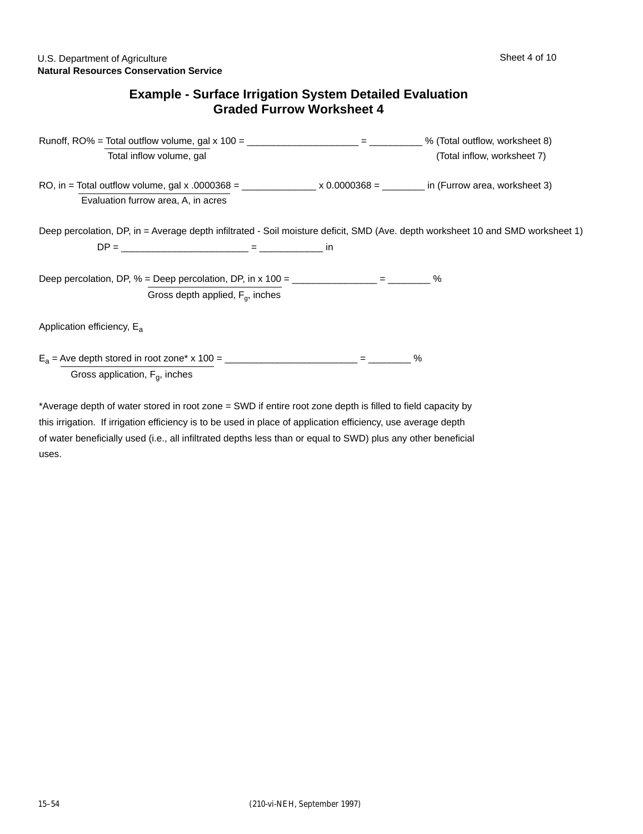## **Example - Surface Irrigation System Detailed Evaluation Graded Furrow Worksheet 4**

| Runoff, RO% = Total outflow volume, gal x 100 = $\frac{1}{2}$ = $\frac{1}{2}$ = $\frac{1}{2}$ % (Total outflow, worksheet 8)<br>Total inflow volume, gal                                                                                                                                                              | (Total inflow, worksheet 7) |
|-----------------------------------------------------------------------------------------------------------------------------------------------------------------------------------------------------------------------------------------------------------------------------------------------------------------------|-----------------------------|
| RO, in = Total outflow volume, gal x .0000368 = ______________ x 0.0000368 = _______ in (Furrow area, worksheet 3)<br>Evaluation furrow area, A, in acres                                                                                                                                                             |                             |
| Deep percolation, DP, in = Average depth infiltrated - Soil moisture deficit, SMD (Ave. depth worksheet 10 and SMD worksheet 1)                                                                                                                                                                                       |                             |
|                                                                                                                                                                                                                                                                                                                       |                             |
| Deep percolation, DP, % = Deep percolation, DP, in x 100 = $\frac{1}{100}$ = $\frac{1}{100}$ = $\frac{1}{100}$ = $\frac{1}{100}$ = $\frac{1}{100}$ = $\frac{1}{100}$ = $\frac{1}{100}$ = $\frac{1}{100}$ = $\frac{1}{100}$ = $\frac{1}{100}$ = $\frac{1}{100}$ = $\frac{1}{10$<br>Gross depth applied, $F_q$ , inches |                             |
| Application efficiency, E <sub>a</sub>                                                                                                                                                                                                                                                                                |                             |
|                                                                                                                                                                                                                                                                                                                       |                             |
| Gross application, $F_q$ , inches                                                                                                                                                                                                                                                                                     |                             |
| $*$                                                                                                                                                                                                                                                                                                                   |                             |

\*Average depth of water stored in root zone = SWD if entire root zone depth is filled to field capacity by this irrigation. If irrigation efficiency is to be used in place of application efficiency, use average depth of water beneficially used (i.e., all infiltrated depths less than or equal to SWD) plus any other beneficial uses.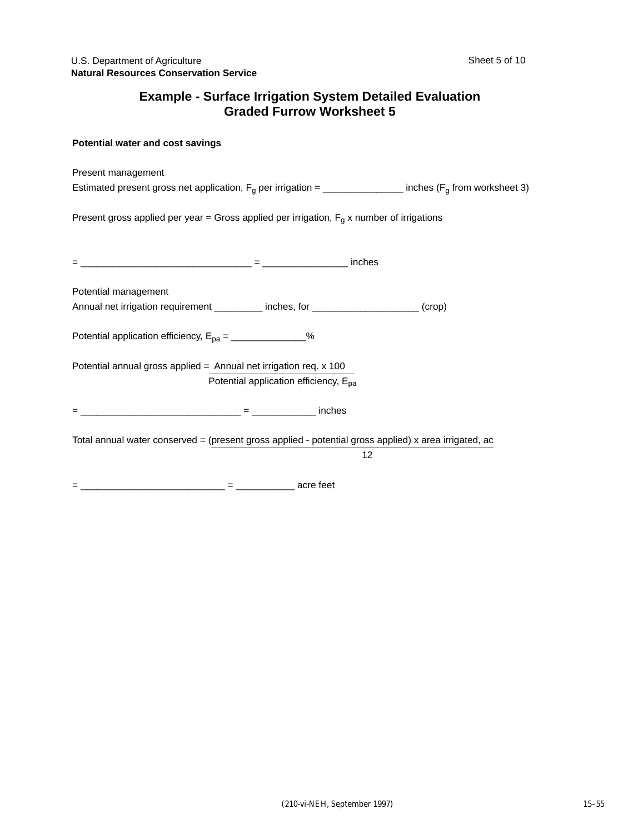## **Example - Surface Irrigation System Detailed Evaluation Graded Furrow Worksheet 5**

### **Potential water and cost savings**

Present management

| Estimated present gross net application, $F_{\alpha}$ per irrigation = |  | inches ( $F_a$ from worksheet 3) |  |
|------------------------------------------------------------------------|--|----------------------------------|--|
|                                                                        |  |                                  |  |

Present gross applied per year = Gross applied per irrigation,  $F_g x$  number of irrigations

| -<br>- |  | _____ |
|--------|--|-------|
|        |  |       |

Potential management Annual net irrigation requirement \_\_\_\_\_\_\_\_ inches, for \_\_\_\_\_\_\_\_\_\_\_\_\_\_\_\_\_\_\_\_ (crop)

Potential application efficiency,  $E_{pa} =$  \_\_\_\_\_\_\_\_\_\_\_\_\_\_\_%

Potential annual gross applied = Annual net irrigation req. x 100 Potential application efficiency,  $E_{pa}$ 

= \_\_\_\_\_\_\_\_\_\_\_\_\_\_\_\_\_\_\_\_\_\_\_\_\_\_\_\_\_\_ = \_\_\_\_\_\_\_\_\_\_\_\_ inches

Total annual water conserved = (present gross applied - potential gross applied) x area irrigated, ac

12

= \_\_\_\_\_\_\_\_\_\_\_\_\_\_\_\_\_\_\_\_\_\_\_\_\_\_\_ = \_\_\_\_\_\_\_\_\_\_\_ acre feet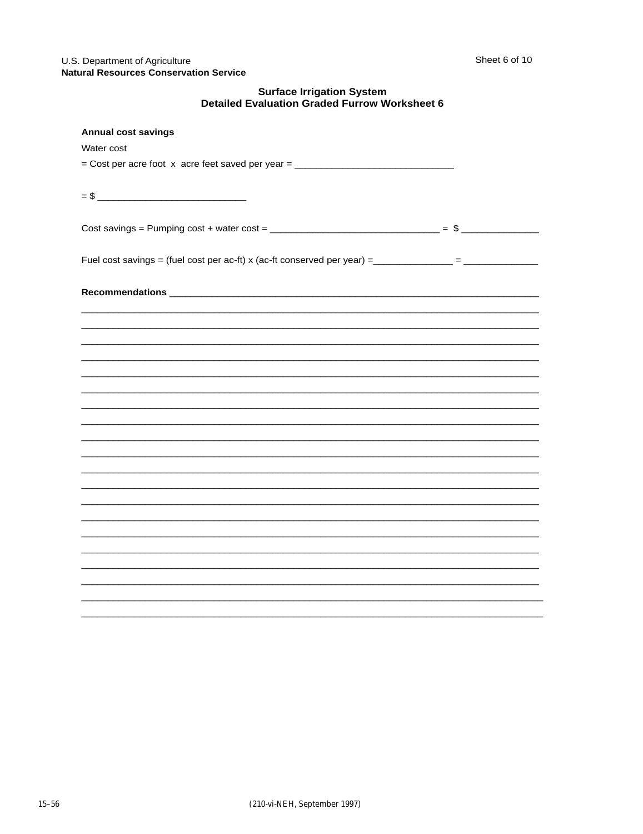# Surface Irrigation System<br>Detailed Evaluation Graded Furrow Worksheet 6

| <b>Annual cost savings</b>                                                                                                                                                                                                                                                               |  |
|------------------------------------------------------------------------------------------------------------------------------------------------------------------------------------------------------------------------------------------------------------------------------------------|--|
| Water cost                                                                                                                                                                                                                                                                               |  |
| = Cost per acre foot x acre feet saved per year = ______________________________                                                                                                                                                                                                         |  |
|                                                                                                                                                                                                                                                                                          |  |
|                                                                                                                                                                                                                                                                                          |  |
|                                                                                                                                                                                                                                                                                          |  |
| Cost savings = Pumping cost + water cost = $\frac{1}{2}$ = $\frac{1}{2}$ = $\frac{1}{2}$ = $\frac{1}{2}$ = $\frac{1}{2}$ = $\frac{1}{2}$ = $\frac{1}{2}$ = $\frac{1}{2}$ = $\frac{1}{2}$ = $\frac{1}{2}$ = $\frac{1}{2}$ = $\frac{1}{2}$ = $\frac{1}{2}$ = $\frac{1}{2}$ = $\frac{1}{2}$ |  |
|                                                                                                                                                                                                                                                                                          |  |
|                                                                                                                                                                                                                                                                                          |  |
|                                                                                                                                                                                                                                                                                          |  |
|                                                                                                                                                                                                                                                                                          |  |
|                                                                                                                                                                                                                                                                                          |  |
|                                                                                                                                                                                                                                                                                          |  |
|                                                                                                                                                                                                                                                                                          |  |
|                                                                                                                                                                                                                                                                                          |  |
|                                                                                                                                                                                                                                                                                          |  |
|                                                                                                                                                                                                                                                                                          |  |
|                                                                                                                                                                                                                                                                                          |  |
|                                                                                                                                                                                                                                                                                          |  |
|                                                                                                                                                                                                                                                                                          |  |
|                                                                                                                                                                                                                                                                                          |  |
|                                                                                                                                                                                                                                                                                          |  |
|                                                                                                                                                                                                                                                                                          |  |
|                                                                                                                                                                                                                                                                                          |  |
|                                                                                                                                                                                                                                                                                          |  |
|                                                                                                                                                                                                                                                                                          |  |
|                                                                                                                                                                                                                                                                                          |  |
|                                                                                                                                                                                                                                                                                          |  |
|                                                                                                                                                                                                                                                                                          |  |
|                                                                                                                                                                                                                                                                                          |  |
|                                                                                                                                                                                                                                                                                          |  |
|                                                                                                                                                                                                                                                                                          |  |
|                                                                                                                                                                                                                                                                                          |  |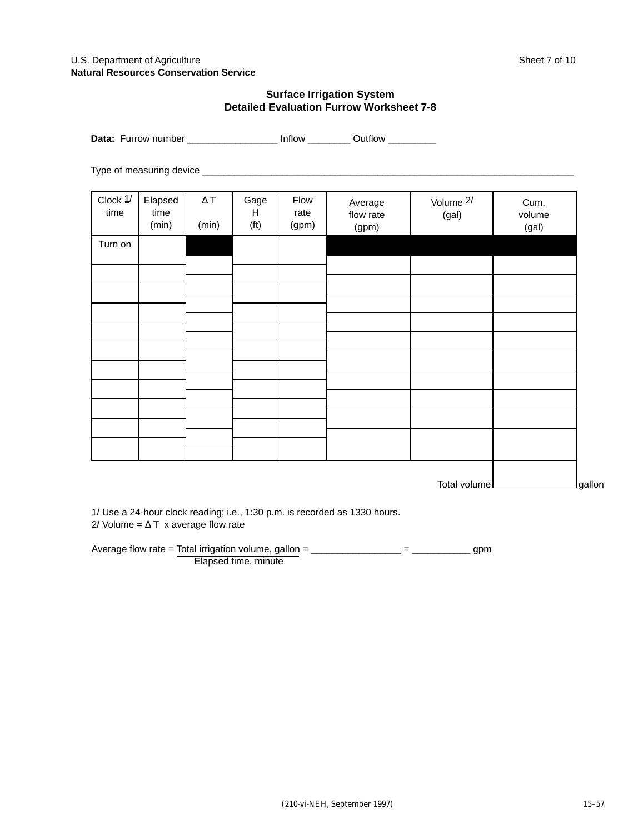## **Surface Irrigation System Detailed Evaluation Furrow Worksheet 7-8**

Data: Furrow number \_\_\_\_\_\_\_\_\_\_\_\_\_\_\_\_\_\_\_\_ Inflow \_\_\_\_\_\_\_\_\_ Outflow \_\_\_\_\_\_\_\_\_\_

Type of measuring device \_\_\_\_\_\_\_\_\_\_\_\_\_\_\_\_\_\_\_\_\_\_\_\_\_\_\_\_\_\_\_\_\_\_\_\_\_\_\_\_\_\_\_\_\_\_\_\_\_\_\_\_\_\_\_\_\_\_\_\_\_\_\_\_\_\_\_\_\_\_

| Clock $1/$<br>time | Elapsed<br>time<br>(min) | $\Delta$ T<br>(min) | Gage<br>$\boldsymbol{\mathsf{H}}$<br>(f <sup>t</sup> ) | Flow<br>rate<br>(gpm) | Average<br>flow rate<br>(gpm) | Volume 2/<br>(gal) | Cum.<br>volume<br>(gal) |
|--------------------|--------------------------|---------------------|--------------------------------------------------------|-----------------------|-------------------------------|--------------------|-------------------------|
| Turn on            |                          |                     |                                                        |                       |                               |                    |                         |
|                    |                          |                     |                                                        |                       |                               |                    |                         |
|                    |                          |                     |                                                        |                       |                               |                    |                         |
|                    |                          |                     |                                                        |                       |                               |                    |                         |
|                    |                          |                     |                                                        |                       |                               |                    |                         |
|                    |                          |                     |                                                        |                       |                               |                    |                         |
|                    |                          |                     |                                                        |                       |                               |                    |                         |
|                    |                          |                     |                                                        |                       |                               |                    |                         |

Total volume substantial gallon

1/ Use a 24-hour clock reading; i.e., 1:30 p.m. is recorded as 1330 hours. 2/ Volume =  $\Delta T$  x average flow rate

Average flow rate = Total irrigation volume, gallon =  $\frac{1}{2}$  \_\_\_\_\_\_\_\_\_\_\_\_\_\_\_\_\_ =  $\frac{1}{2}$  gpm Elapsed time, minute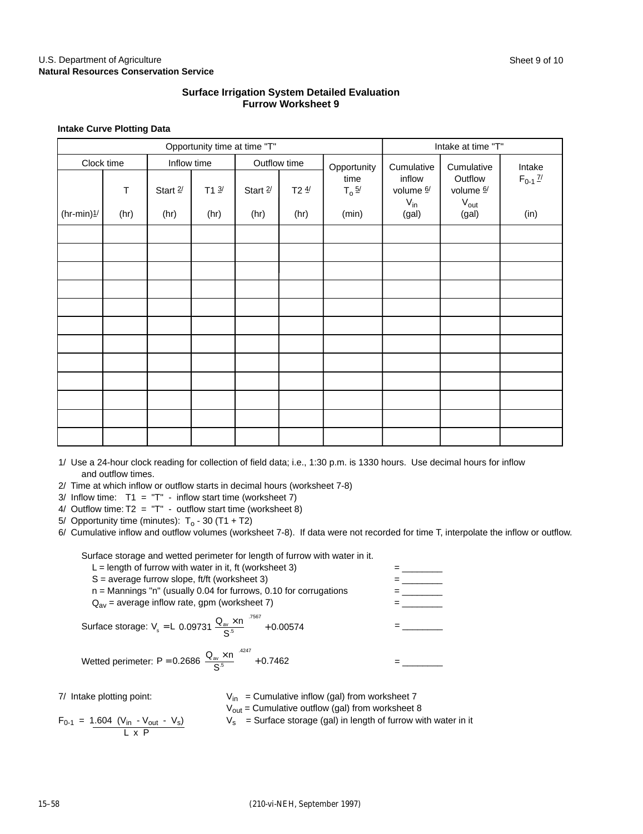## **Surface Irrigation System Detailed Evaluation Furrow Worksheet 9**

### **Intake Curve Plotting Data**

| Opportunity time at time "T" |            |             |         |              | Intake at time "T" |                  |                                            |                                                  |                         |
|------------------------------|------------|-------------|---------|--------------|--------------------|------------------|--------------------------------------------|--------------------------------------------------|-------------------------|
|                              | Clock time | Inflow time |         | Outflow time |                    | Opportunity      | Cumulative                                 | Cumulative                                       | Intake                  |
|                              | Τ          | Start $2/$  | T1 $3/$ | Start $2/$   | T2 $4/$            | time<br>$T_0$ 5/ | inflow<br>volume <sup>6/</sup><br>$V_{in}$ | Outflow<br>volume <sup>6/</sup><br>$\rm V_{out}$ | $F_{0-1}$ $\mathbb{Z}/$ |
| $(hr-min)$ <sup>1/</sup>     | (hr)       | (hr)        | (hr)    | (hr)         | (hr)               | (min)            | (gal)                                      | (gal)                                            | (in)                    |
|                              |            |             |         |              |                    |                  |                                            |                                                  |                         |
|                              |            |             |         |              |                    |                  |                                            |                                                  |                         |
|                              |            |             |         |              |                    |                  |                                            |                                                  |                         |
|                              |            |             |         |              |                    |                  |                                            |                                                  |                         |
|                              |            |             |         |              |                    |                  |                                            |                                                  |                         |
|                              |            |             |         |              |                    |                  |                                            |                                                  |                         |
|                              |            |             |         |              |                    |                  |                                            |                                                  |                         |
|                              |            |             |         |              |                    |                  |                                            |                                                  |                         |
|                              |            |             |         |              |                    |                  |                                            |                                                  |                         |
|                              |            |             |         |              |                    |                  |                                            |                                                  |                         |
|                              |            |             |         |              |                    |                  |                                            |                                                  |                         |
|                              |            |             |         |              |                    |                  |                                            |                                                  |                         |

1/ Use a 24-hour clock reading for collection of field data; i.e., 1:30 p.m. is 1330 hours. Use decimal hours for inflow and outflow times.

2/ Time at which inflow or outflow starts in decimal hours (worksheet 7-8)

3/ Inflow time:  $T1 = "T" - inflow start time (worksheet 7)$ 

4/ Outflow time:  $T2 = "T" - outflow start time (worksheet 8)$ 

5/ Opportunity time (minutes):  $T_0$  - 30 (T1 + T2)

6/ Cumulative inflow and outflow volumes (worksheet 7-8). If data were not recorded for time T, interpolate the inflow or outflow.

Surface storage and wetted perimeter for length of furrow with water in it.

| <b>Canado diding and motiod pointfolior for idirger or ration matter in the</b>                              |  |
|--------------------------------------------------------------------------------------------------------------|--|
| $L =$ length of furrow with water in it, ft (worksheet 3)                                                    |  |
| $S = average$ furrow slope, ft/ft (worksheet 3)                                                              |  |
| $n =$ Mannings "n" (usually 0.04 for furrows, 0.10 for corrugations                                          |  |
| $Q_{av}$ = average inflow rate, gpm (worksheet 7)                                                            |  |
| Surface storage: $V_s = L \left[ 0.0973 \left( \frac{Q_{av} \times n}{S^5} \right)^{7567} + 0.00574 \right]$ |  |
| Wetted perimeter: $P = 0.2686 \left( \frac{Q_{av} \times n}{S^5} \right)^{4247} + 0.7462$                    |  |

7/ Intake plotting point:  $V_{in} =$  Cumulative inflow (gal) from worksheet 7

$$
V_{\text{out}} = \text{Cumulative outflow (gal) from worksheet 8}
$$
\n
$$
V_{0ut} = \text{Cumulative outflow (gal) from worksheet 8}
$$
\n
$$
V_{\text{S}} = \text{Surface storage (gal) in length of furrow with water in it}
$$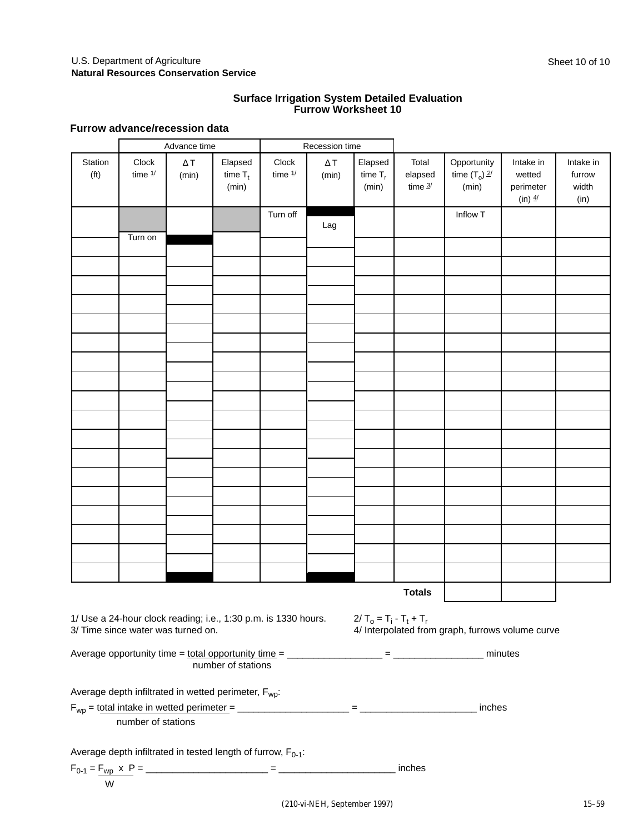### **Surface Irrigation System Detailed Evaluation Furrow Worksheet 10**

### **Furrow advance/recession data**

|                              |                    | Advance time        |                                | Recession time         |                     |                                |                               |                                           |                                                        |                                      |
|------------------------------|--------------------|---------------------|--------------------------------|------------------------|---------------------|--------------------------------|-------------------------------|-------------------------------------------|--------------------------------------------------------|--------------------------------------|
| Station<br>(f <sup>t</sup> ) | Clock<br>time $1/$ | $\Delta$ T<br>(min) | Elapsed<br>time $T_t$<br>(min) | Clock<br>time $1\!/\!$ | $\Delta$ T<br>(min) | Elapsed<br>time $T_r$<br>(min) | Total<br>elapsed<br>time $3/$ | Opportunity<br>time $(T_0)$ $2/$<br>(min) | Intake in<br>wetted<br>perimeter<br>(in) $\frac{4}{ }$ | Intake in<br>furrow<br>width<br>(in) |
|                              |                    |                     |                                | Turn off               | Lag                 |                                |                               | Inflow T                                  |                                                        |                                      |
|                              | Turn on            |                     |                                |                        |                     |                                |                               |                                           |                                                        |                                      |
|                              |                    |                     |                                |                        |                     |                                |                               |                                           |                                                        |                                      |
|                              |                    |                     |                                |                        |                     |                                |                               |                                           |                                                        |                                      |
|                              |                    |                     |                                |                        |                     |                                |                               |                                           |                                                        |                                      |
|                              |                    |                     |                                |                        |                     |                                |                               |                                           |                                                        |                                      |
|                              |                    |                     |                                |                        |                     |                                |                               |                                           |                                                        |                                      |
|                              |                    |                     |                                |                        |                     |                                |                               |                                           |                                                        |                                      |
|                              |                    |                     |                                |                        |                     |                                |                               |                                           |                                                        |                                      |
|                              |                    |                     |                                |                        |                     |                                |                               |                                           |                                                        |                                      |
|                              |                    |                     |                                |                        |                     |                                |                               |                                           |                                                        |                                      |
|                              |                    |                     |                                |                        |                     |                                |                               |                                           |                                                        |                                      |
|                              |                    |                     |                                |                        |                     |                                |                               |                                           |                                                        |                                      |
|                              |                    |                     |                                |                        |                     |                                |                               |                                           |                                                        |                                      |
|                              |                    |                     |                                |                        |                     |                                |                               |                                           |                                                        |                                      |
|                              |                    |                     |                                |                        |                     |                                | <b>Totals</b>                 |                                           |                                                        |                                      |

1/ Use a 24-hour clock reading; i.e., 1:30 p.m. is 1330 hours.<br>3/ Time since water was turned on.

 $-T_t + T_r$ 4/ Interpolated from graph, furrows volume curve

| Average opportunity time $=$ total opportunity time $=$ |  | minutes |
|---------------------------------------------------------|--|---------|
| number of stations                                      |  |         |

Average depth infiltrated in wetted perimeter, F<sub>wp</sub>:

Fwp = total intake in wetted perimeter = \_\_\_\_\_\_\_\_\_\_\_\_\_\_\_\_\_\_\_\_\_ = \_\_\_\_\_\_\_\_\_\_\_\_\_\_\_\_\_\_\_\_\_\_ inches

number of stations

Average depth infiltrated in tested length of furrow,  $F_{0-1}$ :

F0-1 = Fwp x P = \_\_\_\_\_\_\_\_\_\_\_\_\_\_\_\_\_\_\_\_\_\_\_ = \_\_\_\_\_\_\_\_\_\_\_\_\_\_\_\_\_\_\_\_\_\_ inches

W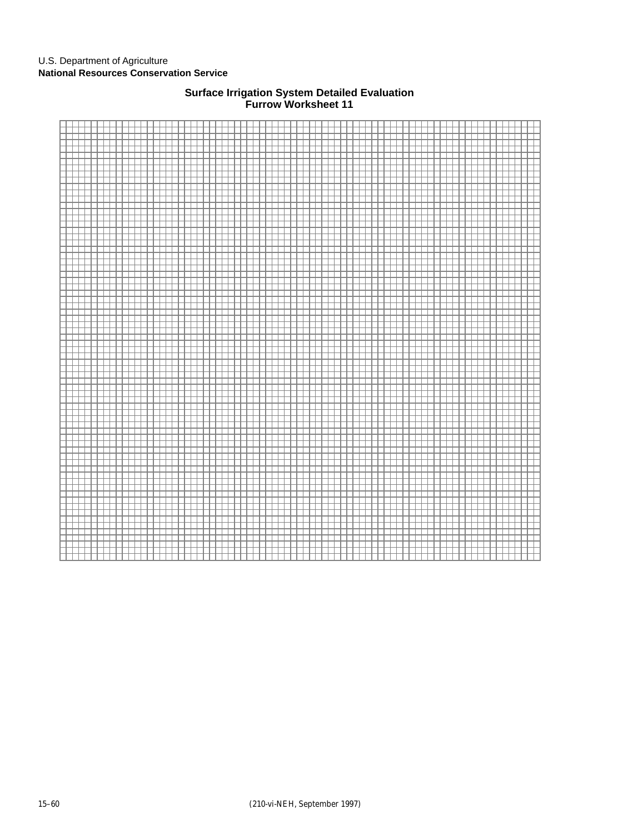### **Surface Irrigation System Detailed Evaluation Furrow Worksheet 11**

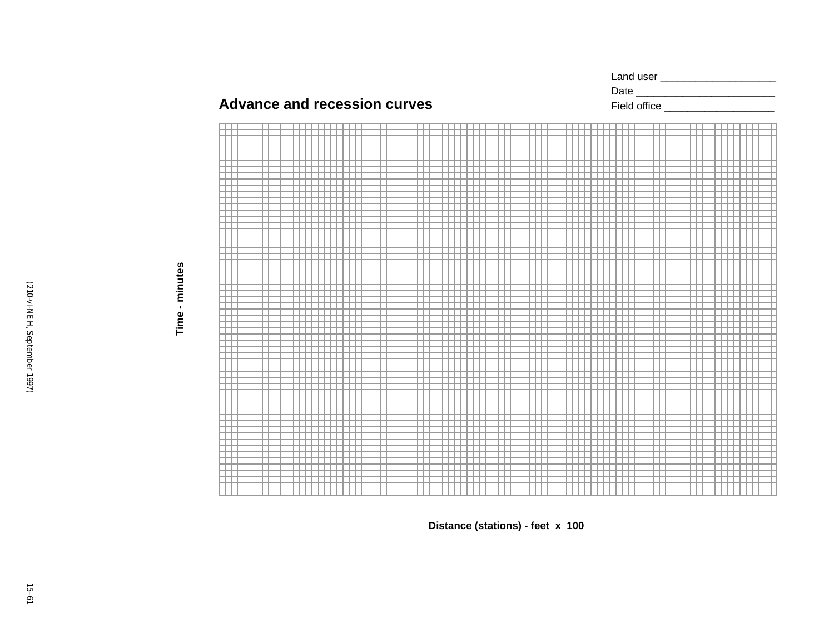Land user \_\_\_\_\_\_\_\_\_\_\_\_\_\_\_\_\_\_\_\_

Date \_\_\_\_\_\_\_\_\_\_\_\_\_\_\_\_\_\_\_\_\_\_\_\_

Field office \_\_\_\_\_\_\_\_\_\_\_\_\_\_\_\_\_\_\_



Time - minutes **Time - minutes**

**Advance and recession curves**

**Distance (stations) - feet x 100**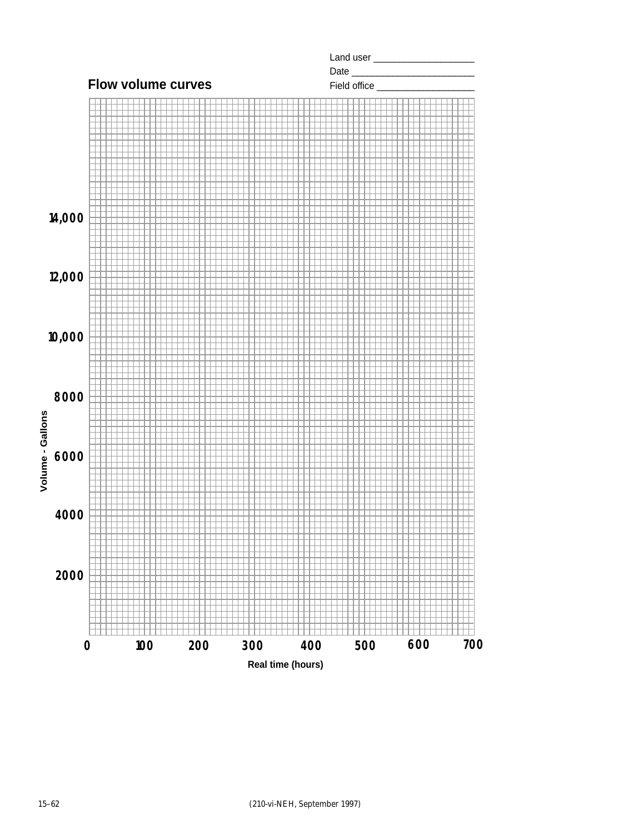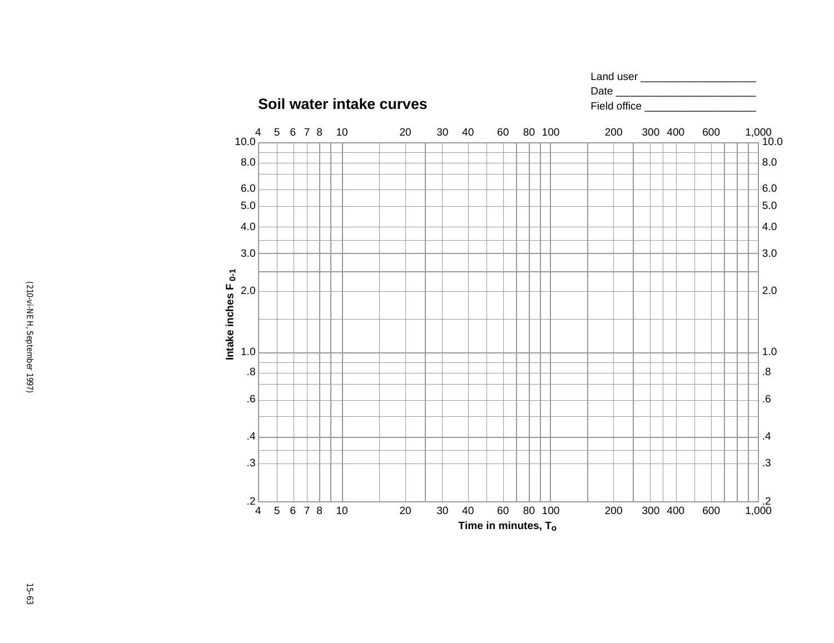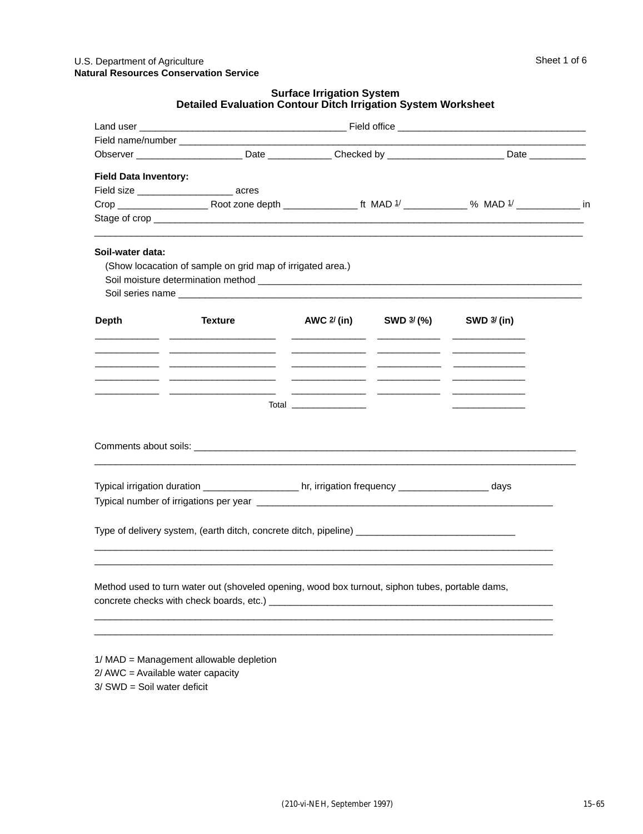### **Surface Irrigation System Detailed Evaluation Contour Ditch Irrigation System Worksheet**

| <b>Field Data Inventory:</b> |                                                                                                      |                         |                                  |                        |  |
|------------------------------|------------------------------------------------------------------------------------------------------|-------------------------|----------------------------------|------------------------|--|
|                              |                                                                                                      |                         |                                  |                        |  |
|                              |                                                                                                      |                         |                                  |                        |  |
|                              |                                                                                                      |                         |                                  |                        |  |
| Soil-water data:             |                                                                                                      |                         |                                  |                        |  |
|                              | (Show locacation of sample on grid map of irrigated area.)                                           |                         |                                  |                        |  |
| <b>Depth</b>                 | <b>Texture</b>                                                                                       |                         | AWC $2^{j}$ (in) SWD $3^{j}$ (%) | SWD $\frac{3}{2}$ (in) |  |
|                              |                                                                                                      |                         |                                  |                        |  |
|                              | the control of the control of the control of the control of the control of                           |                         |                                  |                        |  |
|                              |                                                                                                      |                         |                                  |                        |  |
|                              |                                                                                                      | Total _________________ |                                  |                        |  |
|                              |                                                                                                      |                         |                                  |                        |  |
|                              | Typical irrigation duration _______________________hr, irrigation frequency ____________________days |                         |                                  |                        |  |
|                              |                                                                                                      |                         |                                  |                        |  |
|                              | Type of delivery system, (earth ditch, concrete ditch, pipeline) ___________________________________ |                         |                                  |                        |  |
|                              | Method used to turn water out (shoveled opening, wood box turnout, siphon tubes, portable dams,      |                         |                                  |                        |  |
|                              | 1/ MAD = Management allowable depletion<br>2/ AWC = Available water capacity                         |                         |                                  |                        |  |

3/ SWD = Soil water deficit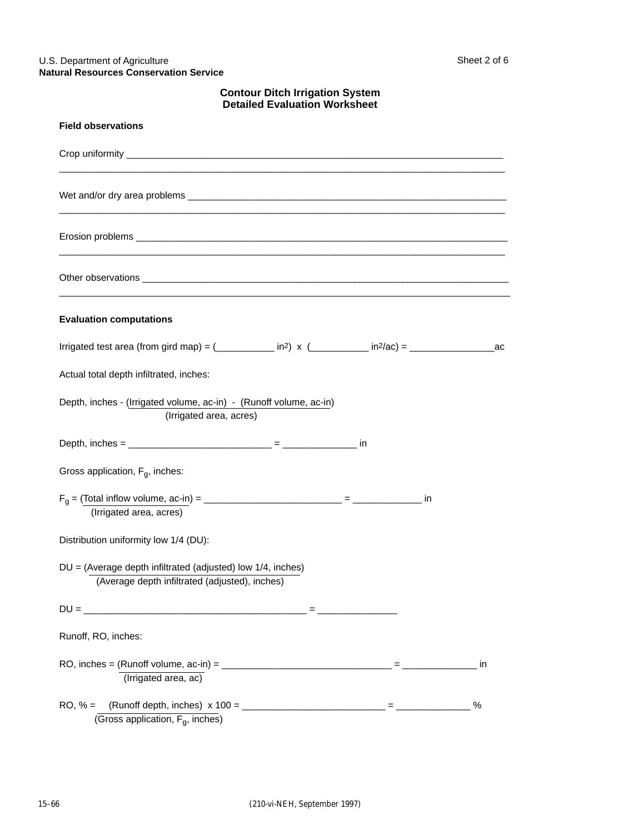|                                                                                                                                                                                                                                                                                                                                                                                                                                                                                                                                                                         | <b>Contour Ditch Irrigation System</b><br><b>Detailed Evaluation Worksheet</b> |  |    |
|-------------------------------------------------------------------------------------------------------------------------------------------------------------------------------------------------------------------------------------------------------------------------------------------------------------------------------------------------------------------------------------------------------------------------------------------------------------------------------------------------------------------------------------------------------------------------|--------------------------------------------------------------------------------|--|----|
| <b>Field observations</b>                                                                                                                                                                                                                                                                                                                                                                                                                                                                                                                                               |                                                                                |  |    |
|                                                                                                                                                                                                                                                                                                                                                                                                                                                                                                                                                                         |                                                                                |  |    |
| Wet and/or dry area problems experience and the state of the state of the state of the state of the state of the state of the state of the state of the state of the state of the state of the state of the state of the state                                                                                                                                                                                                                                                                                                                                          |                                                                                |  |    |
|                                                                                                                                                                                                                                                                                                                                                                                                                                                                                                                                                                         |                                                                                |  |    |
|                                                                                                                                                                                                                                                                                                                                                                                                                                                                                                                                                                         |                                                                                |  |    |
| <b>Evaluation computations</b>                                                                                                                                                                                                                                                                                                                                                                                                                                                                                                                                          |                                                                                |  |    |
| Irrigated test area (from gird map) = $(\underline{\hspace{1cm}} \underline{\hspace{1cm}} \underline{\hspace{1cm}} \underline{\hspace{1cm}} \underline{\hspace{1cm}} \underline{\hspace{1cm}} \underline{\hspace{1cm}} \underline{\hspace{1cm}} \underline{\hspace{1cm}} \underline{\hspace{1cm}} \underline{\hspace{1cm}} \underline{\hspace{1cm}} \underline{\hspace{1cm}} \underline{\hspace{1cm}} \underline{\hspace{1cm}} \underline{\hspace{1cm}} \underline{\hspace{1cm}} \underline{\hspace{1cm}} \underline{\hspace{1cm}} \underline{\hspace{1cm}} \underline$ |                                                                                |  | ac |
| Actual total depth infiltrated, inches:                                                                                                                                                                                                                                                                                                                                                                                                                                                                                                                                 |                                                                                |  |    |
| Depth, inches - (Irrigated volume, ac-in) - (Runoff volume, ac-in)<br>(Irrigated area, acres)                                                                                                                                                                                                                                                                                                                                                                                                                                                                           |                                                                                |  |    |
| Depth, inches = $\frac{1}{2}$ in                                                                                                                                                                                                                                                                                                                                                                                                                                                                                                                                        |                                                                                |  |    |
| Gross application, $F_q$ , inches:                                                                                                                                                                                                                                                                                                                                                                                                                                                                                                                                      |                                                                                |  |    |
| (Irrigated area, acres)                                                                                                                                                                                                                                                                                                                                                                                                                                                                                                                                                 |                                                                                |  |    |
| Distribution uniformity low 1/4 (DU):                                                                                                                                                                                                                                                                                                                                                                                                                                                                                                                                   |                                                                                |  |    |
| $DU = (Average depth initiated (adjusted) low 1/4, inches)$<br>(Average depth infiltrated (adjusted), inches)                                                                                                                                                                                                                                                                                                                                                                                                                                                           |                                                                                |  |    |
|                                                                                                                                                                                                                                                                                                                                                                                                                                                                                                                                                                         |                                                                                |  |    |
| Runoff, RO, inches:                                                                                                                                                                                                                                                                                                                                                                                                                                                                                                                                                     |                                                                                |  |    |
| RO, inches = (Runoff volume, ac-in) = $\frac{1}{2}$ = $\frac{1}{2}$ = $\frac{1}{2}$ = $\frac{1}{2}$ = $\frac{1}{2}$ = $\frac{1}{2}$ = $\frac{1}{2}$ = $\frac{1}{2}$ = $\frac{1}{2}$ = $\frac{1}{2}$ = $\frac{1}{2}$ = $\frac{1}{2}$ = $\frac{1}{2}$ = $\frac{1}{2}$ = $\frac{1}{2}$ = $\frac$<br>(Irrigated area, ac)                                                                                                                                                                                                                                                   |                                                                                |  | in |
| $RO, % =$<br>(Gross application, $F_q$ , inches)                                                                                                                                                                                                                                                                                                                                                                                                                                                                                                                        |                                                                                |  |    |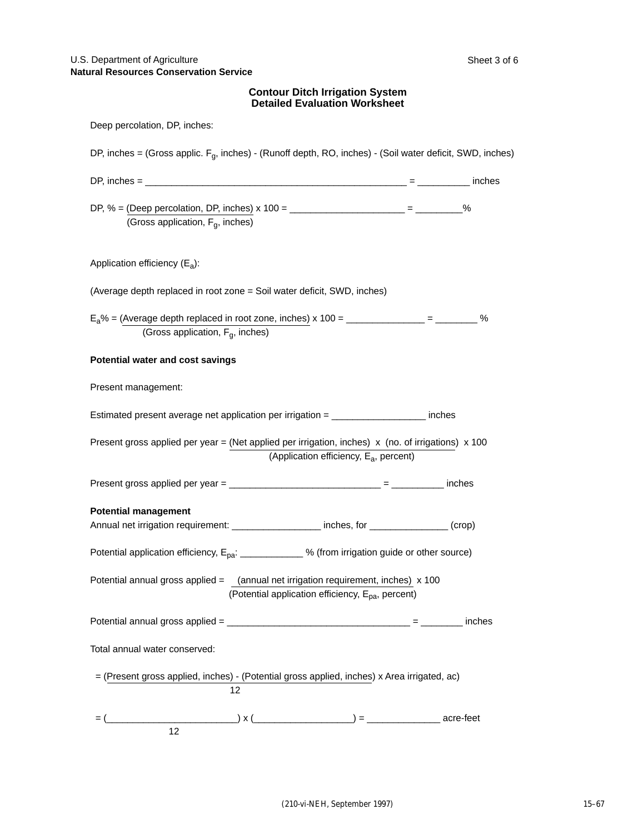### U.S. Department of Agriculture **Natural Resources Conservation Service**

### **Contour Ditch Irrigation System Detailed Evaluation Worksheet**

| Deep percolation, DP, inches:                                                                                                                                |
|--------------------------------------------------------------------------------------------------------------------------------------------------------------|
| DP, inches = (Gross applic. $F_g$ , inches) - (Runoff depth, RO, inches) - (Soil water deficit, SWD, inches)                                                 |
|                                                                                                                                                              |
| DP, % = (Deep percolation, DP, inches) $x 100 =$ _____________________ = ________%<br>(Gross application, $F_q$ , inches)                                    |
| Application efficiency $(E_a)$ :                                                                                                                             |
| (Average depth replaced in root zone = Soil water deficit, SWD, inches)                                                                                      |
| $E_a$ % = (Average depth replaced in root zone, inches) x 100 = _____________ = _________ %<br>(Gross application, $F_q$ , inches)                           |
| Potential water and cost savings                                                                                                                             |
| Present management:                                                                                                                                          |
| Estimated present average net application per irrigation = __________________ inches                                                                         |
| Present gross applied per year = (Net applied per irrigation, inches) $x$ (no. of irrigations) $x$ 100<br>(Application efficiency, E <sub>a</sub> , percent) |
| Present gross applied per year = $\frac{1}{2}$ = $\frac{1}{2}$ = $\frac{1}{2}$ = $\frac{1}{2}$ inches                                                        |
| <b>Potential management</b><br>Annual net irrigation requirement: __________________ inches, for _____________(crop)                                         |
| Potential application efficiency, E <sub>pa</sub> : _____________ % (from irrigation guide or other source)                                                  |
| Potential annual gross applied = (annual net irrigation requirement, inches) x 100<br>(Potential application efficiency, E <sub>pa</sub> , percent)          |
|                                                                                                                                                              |
| Total annual water conserved:                                                                                                                                |
| = (Present gross applied, inches) - (Potential gross applied, inches) x Area irrigated, ac)<br>12                                                            |
| 12 <sup>7</sup>                                                                                                                                              |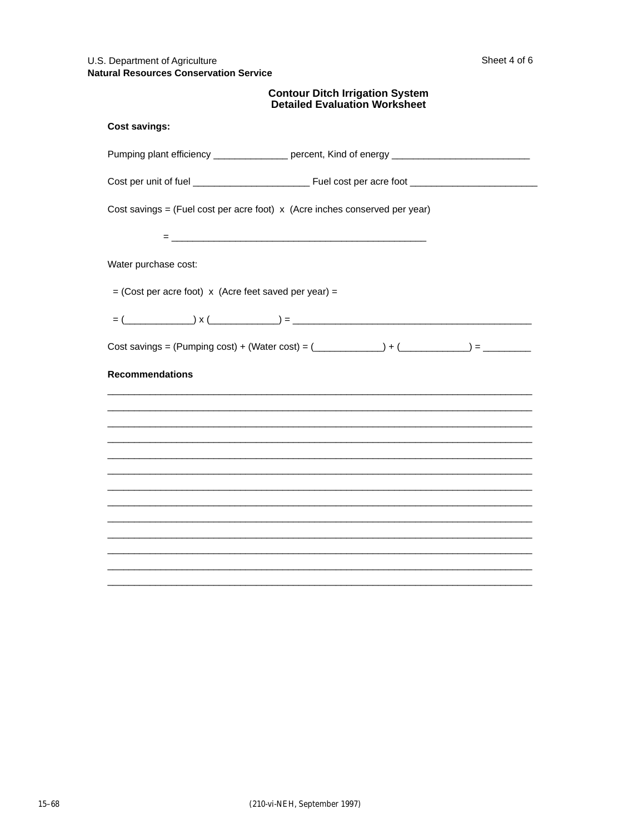## U.S. Department of Agriculture **Natural Resources Conservation Service**

|                                                                                                                     | <b>Contour Ditch Irrigation System</b><br><b>Detailed Evaluation Worksheet</b>                                                                                                                                                        |  |
|---------------------------------------------------------------------------------------------------------------------|---------------------------------------------------------------------------------------------------------------------------------------------------------------------------------------------------------------------------------------|--|
| <b>Cost savings:</b>                                                                                                |                                                                                                                                                                                                                                       |  |
| Pumping plant efficiency _________________ percent, Kind of energy ________________________________                 |                                                                                                                                                                                                                                       |  |
|                                                                                                                     |                                                                                                                                                                                                                                       |  |
| Cost savings = (Fuel cost per acre foot) $x$ (Acre inches conserved per year)                                       |                                                                                                                                                                                                                                       |  |
|                                                                                                                     | $\equiv$ $\frac{1}{2}$ . The contract of the contract of the contract of the contract of the contract of the contract of the contract of the contract of the contract of the contract of the contract of the contract of the contract |  |
| Water purchase cost:                                                                                                |                                                                                                                                                                                                                                       |  |
| $=$ (Cost per acre foot) x (Acre feet saved per year) =                                                             |                                                                                                                                                                                                                                       |  |
|                                                                                                                     |                                                                                                                                                                                                                                       |  |
| Cost savings = (Pumping cost) + (Water cost) = $(\_ \_ \_ \_ )$ + $(\_ \_ \_ )$ = $( \_ \_ \_ )$ = $( \_ \_ \_ )$ = |                                                                                                                                                                                                                                       |  |
| <b>Recommendations</b>                                                                                              |                                                                                                                                                                                                                                       |  |
|                                                                                                                     |                                                                                                                                                                                                                                       |  |
|                                                                                                                     |                                                                                                                                                                                                                                       |  |
|                                                                                                                     |                                                                                                                                                                                                                                       |  |
|                                                                                                                     |                                                                                                                                                                                                                                       |  |
|                                                                                                                     |                                                                                                                                                                                                                                       |  |
|                                                                                                                     |                                                                                                                                                                                                                                       |  |
|                                                                                                                     |                                                                                                                                                                                                                                       |  |
|                                                                                                                     |                                                                                                                                                                                                                                       |  |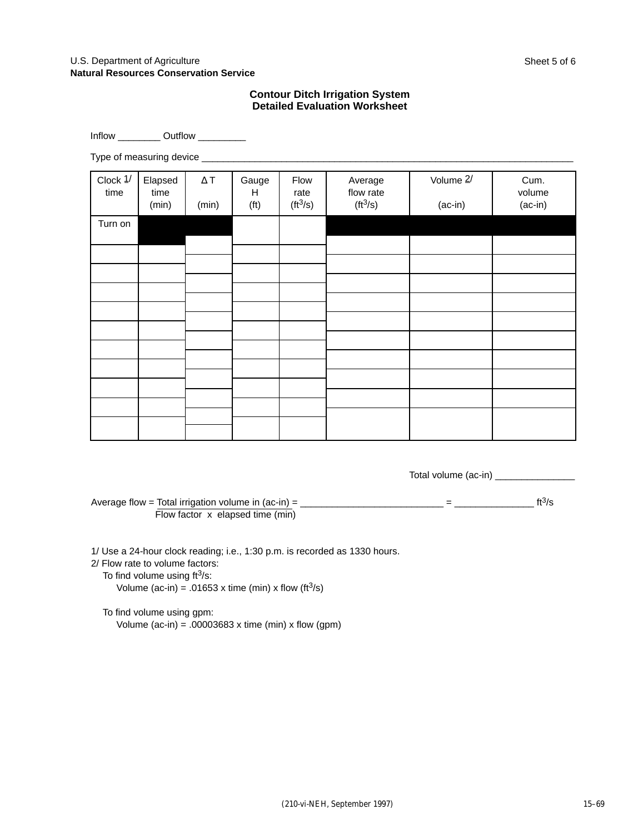### **Contour Ditch Irrigation System Detailed Evaluation Worksheet**

Inflow \_\_\_\_\_\_\_\_ Outflow \_\_\_\_\_\_\_\_\_

Type of measuring device \_\_\_\_\_\_\_\_\_\_\_\_\_\_\_\_\_\_\_\_\_\_\_\_\_\_\_\_\_\_\_\_\_\_\_\_\_\_\_\_\_\_\_\_\_\_\_\_\_\_\_\_\_\_\_\_\_\_\_\_\_\_\_\_\_\_\_\_\_\_

| Clock $1/$<br>time | Elapsed<br>time<br>(min) | $\Delta$ T<br>(min) | Gauge<br>H<br>(f <sup>t</sup> ) | Flow<br>rate<br>$(\text{ft}^3/\text{s})$ | Average<br>flow rate<br>$(tt^3/s)$ | Volume 2/<br>$(ac-in)$ | Cum.<br>volume<br>$(ac-in)$ |
|--------------------|--------------------------|---------------------|---------------------------------|------------------------------------------|------------------------------------|------------------------|-----------------------------|
| Turn on            |                          |                     |                                 |                                          |                                    |                        |                             |
|                    |                          |                     |                                 |                                          |                                    |                        |                             |
|                    |                          |                     |                                 |                                          |                                    |                        |                             |
|                    |                          |                     |                                 |                                          |                                    |                        |                             |
|                    |                          |                     |                                 |                                          |                                    |                        |                             |
|                    |                          |                     |                                 |                                          |                                    |                        |                             |
|                    |                          |                     |                                 |                                          |                                    |                        |                             |
|                    |                          |                     |                                 |                                          |                                    |                        |                             |

Total volume (ac-in) \_\_\_\_\_\_\_\_\_\_\_\_\_\_\_

Average flow = Total irrigation volume in (ac-in) = \_\_\_\_\_\_\_\_\_\_\_\_\_\_\_\_\_\_\_\_\_\_\_\_\_\_\_ = \_\_\_\_\_\_\_\_\_\_\_\_\_\_\_ ft3/s Flow factor x elapsed time (min)

1/ Use a 24-hour clock reading; i.e., 1:30 p.m. is recorded as 1330 hours.

2/ Flow rate to volume factors:

To find volume using  $ft^3/s$ :

Volume (ac-in) = .01653 x time (min) x flow (ft $3$ /s)

To find volume using gpm:

Volume (ac-in) = .00003683 x time (min) x flow (gpm)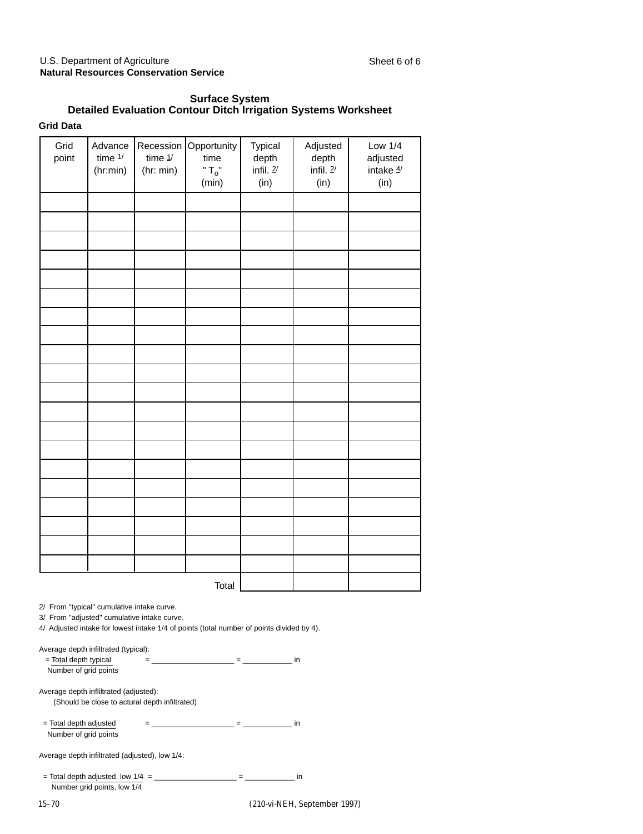## **Surface System Detailed Evaluation Contour Ditch Irrigation Systems Worksheet**

### **Grid Data**

| Grid<br>point | Advance<br>time $1/$<br>(hr:min) | time $1/$<br>(hr: min) | Recession Opportunity<br>time<br>" $T_o$ "<br>(min) | Typical<br>depth<br>infil. $2/$<br>(in) | Adjusted<br>depth<br>infil. $2/$<br>(in) | Low 1/4<br>adjusted<br>intake $4/$<br>(in) |
|---------------|----------------------------------|------------------------|-----------------------------------------------------|-----------------------------------------|------------------------------------------|--------------------------------------------|
|               |                                  |                        |                                                     |                                         |                                          |                                            |
|               |                                  |                        |                                                     |                                         |                                          |                                            |
|               |                                  |                        |                                                     |                                         |                                          |                                            |
|               |                                  |                        |                                                     |                                         |                                          |                                            |
|               |                                  |                        |                                                     |                                         |                                          |                                            |
|               |                                  |                        |                                                     |                                         |                                          |                                            |
|               |                                  |                        |                                                     |                                         |                                          |                                            |
|               |                                  |                        |                                                     |                                         |                                          |                                            |
|               |                                  |                        |                                                     |                                         |                                          |                                            |
|               |                                  |                        |                                                     |                                         |                                          |                                            |
|               |                                  |                        |                                                     |                                         |                                          |                                            |
|               |                                  |                        |                                                     |                                         |                                          |                                            |
|               |                                  |                        |                                                     |                                         |                                          |                                            |
|               |                                  |                        |                                                     |                                         |                                          |                                            |
|               |                                  |                        |                                                     |                                         |                                          |                                            |
|               |                                  |                        |                                                     |                                         |                                          |                                            |
|               |                                  |                        |                                                     |                                         |                                          |                                            |
|               |                                  |                        |                                                     |                                         |                                          |                                            |
|               |                                  |                        |                                                     |                                         |                                          |                                            |
|               |                                  |                        | Total                                               |                                         |                                          |                                            |

2/ From "typical" cumulative intake curve.

3/ From "adjusted" cumulative intake curve.

4/ Adjusted intake for lowest intake 1/4 of points (total number of points divided by 4).

Average depth infiltrated (typical):

 $=$  Total depth typical  $=$  \_\_\_\_\_\_\_\_\_\_\_\_\_\_\_\_\_ = \_\_\_\_\_\_\_\_\_\_\_\_\_\_ in Number of grid points

Average depth infliltrated (adjusted):

(Should be close to actural depth infiltrated)

 $=$  Total depth adjusted  $=$   $=$   $\frac{1}{2}$ Number of grid points

Average depth infiltrated (adjusted), low 1/4:

 $=$  Total depth adjusted, low  $1/4 =$  \_\_\_\_\_\_\_\_\_\_\_\_\_\_\_\_\_\_\_\_ = \_\_\_\_\_\_\_\_\_\_\_\_\_ in Number grid points, low 1/4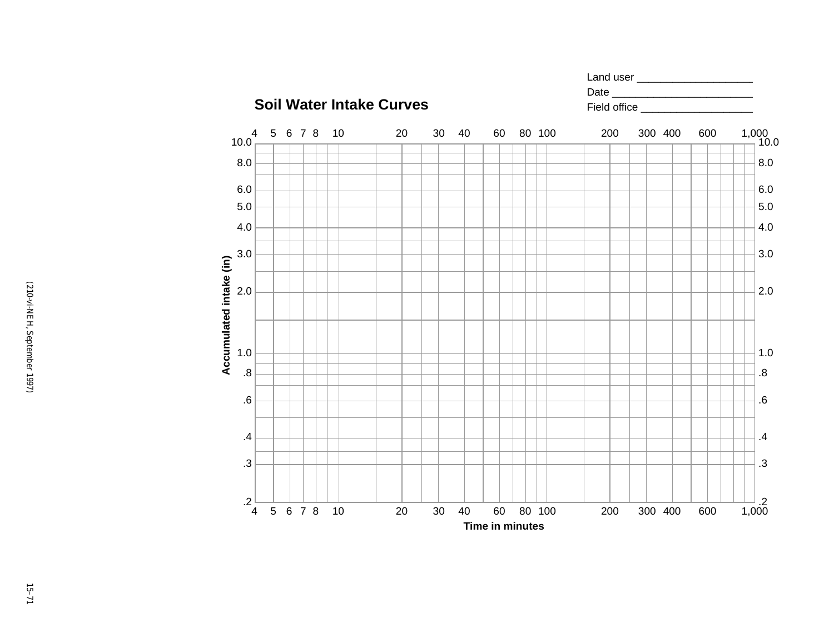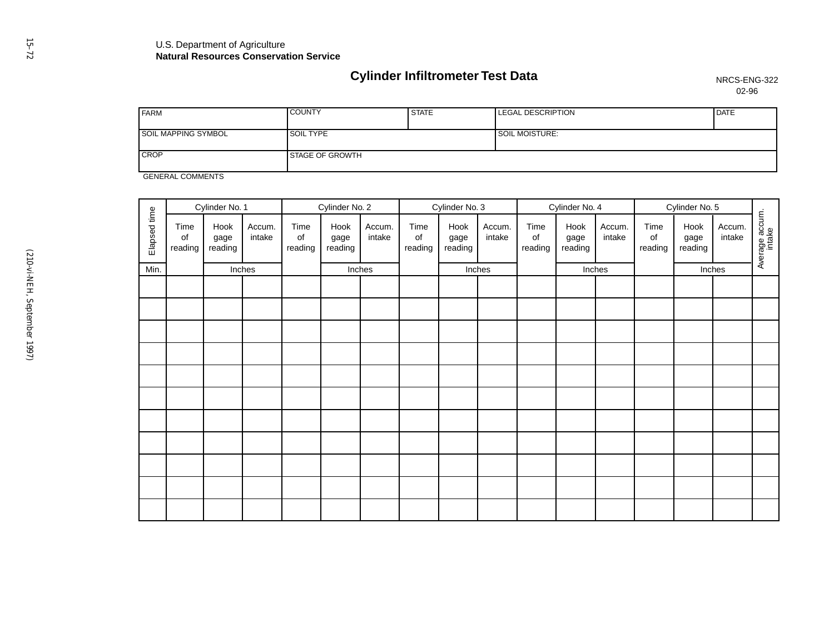# **Chapter 15Cylinder Infiltrometer Test Data** U.S. Department of Agriculture **Natural Resources Conservation Service**

NRCS-ENG-322 02-96

| <b>FARM</b>         | <b>COUNTY</b>          | <b>STATE</b> | <b>LEGAL DESCRIPTION</b> | <b>DATE</b> |  |  |
|---------------------|------------------------|--------------|--------------------------|-------------|--|--|
| SOIL MAPPING SYMBOL | <b>SOIL TYPE</b>       |              | SOIL MOISTURE:           |             |  |  |
| <b>CROP</b>         | <b>STAGE OF GROWTH</b> |              |                          |             |  |  |

GENERAL COMMENTS

|              |                       | Cylinder No. 1          |                  |                       | Cylinder No. 2          |                  |                       | Cylinder No. 3          |                  |                       | Cylinder No. 4          |                  |                       | Cylinder No. 5          |                  |                          |
|--------------|-----------------------|-------------------------|------------------|-----------------------|-------------------------|------------------|-----------------------|-------------------------|------------------|-----------------------|-------------------------|------------------|-----------------------|-------------------------|------------------|--------------------------|
| Elapsed time | Time<br>of<br>reading | Hook<br>gage<br>reading | Accum.<br>intake | Time<br>of<br>reading | Hook<br>gage<br>reading | Accum.<br>intake | Time<br>of<br>reading | Hook<br>gage<br>reading | Accum.<br>intake | Time<br>of<br>reading | Hook<br>gage<br>reading | Accum.<br>intake | Time<br>οf<br>reading | Hook<br>gage<br>reading | Accum.<br>intake | Average accum.<br>intake |
| Min.         |                       |                         | Inches           |                       |                         | Inches           |                       |                         | Inches           |                       |                         | Inches           |                       |                         | Inches           |                          |
|              |                       |                         |                  |                       |                         |                  |                       |                         |                  |                       |                         |                  |                       |                         |                  |                          |
|              |                       |                         |                  |                       |                         |                  |                       |                         |                  |                       |                         |                  |                       |                         |                  |                          |
|              |                       |                         |                  |                       |                         |                  |                       |                         |                  |                       |                         |                  |                       |                         |                  |                          |
|              |                       |                         |                  |                       |                         |                  |                       |                         |                  |                       |                         |                  |                       |                         |                  |                          |
|              |                       |                         |                  |                       |                         |                  |                       |                         |                  |                       |                         |                  |                       |                         |                  |                          |
|              |                       |                         |                  |                       |                         |                  |                       |                         |                  |                       |                         |                  |                       |                         |                  |                          |
|              |                       |                         |                  |                       |                         |                  |                       |                         |                  |                       |                         |                  |                       |                         |                  |                          |
|              |                       |                         |                  |                       |                         |                  |                       |                         |                  |                       |                         |                  |                       |                         |                  |                          |
|              |                       |                         |                  |                       |                         |                  |                       |                         |                  |                       |                         |                  |                       |                         |                  |                          |
|              |                       |                         |                  |                       |                         |                  |                       |                         |                  |                       |                         |                  |                       |                         |                  |                          |
|              |                       |                         |                  |                       |                         |                  |                       |                         |                  |                       |                         |                  |                       |                         |                  |                          |

 $15 - 72$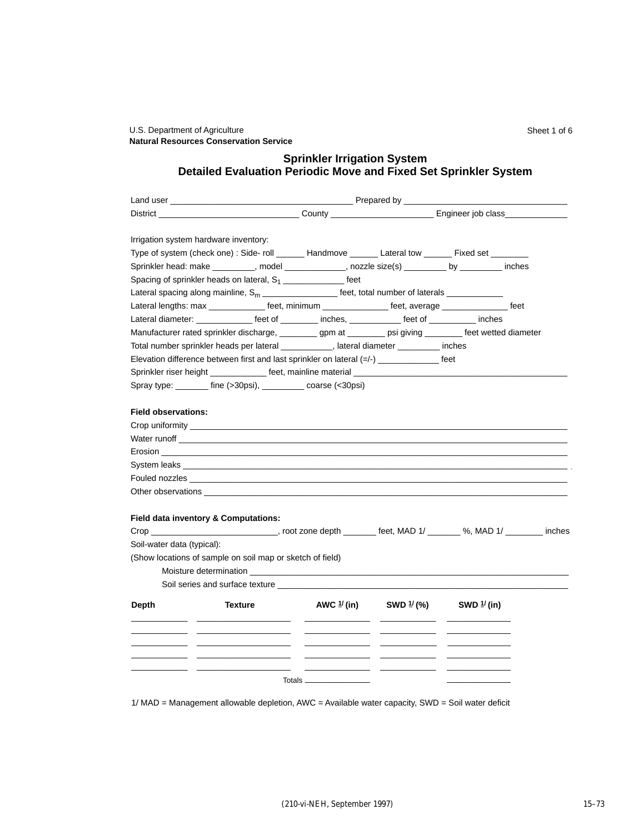U.S. Department of Agriculture **Natural Resources Conservation Service**

#### **Sprinkler Irrigation System Detailed Evaluation Periodic Move and Fixed Set Sprinkler System**

| Irrigation system hardware inventory:<br>Type of system (check one): Side-roll ________ Handmove ________ Lateral tow _______ Fixed set ________                                                                                   |                        |            |               |  |  |  |  |
|------------------------------------------------------------------------------------------------------------------------------------------------------------------------------------------------------------------------------------|------------------------|------------|---------------|--|--|--|--|
| Sprinkler head: make _________, model ____________, nozzle size(s) ________ by _______ inches                                                                                                                                      |                        |            |               |  |  |  |  |
| Spacing of sprinkler heads on lateral, $S_1$ _________________ feet                                                                                                                                                                |                        |            |               |  |  |  |  |
|                                                                                                                                                                                                                                    |                        |            |               |  |  |  |  |
|                                                                                                                                                                                                                                    |                        |            |               |  |  |  |  |
| Lateral diameter: _______________feet of __________inches, _____________feet of ___________inches                                                                                                                                  |                        |            |               |  |  |  |  |
| Manufacturer rated sprinkler discharge, __________ gpm at _________ psi giving ________ feet wetted diameter                                                                                                                       |                        |            |               |  |  |  |  |
| Total number sprinkler heads per lateral __________, lateral diameter ______ inches                                                                                                                                                |                        |            |               |  |  |  |  |
| Elevation difference between first and last sprinkler on lateral $(=/-)$ ________________ feet                                                                                                                                     |                        |            |               |  |  |  |  |
| Sprinkler riser height _____________ feet, mainline material ___________________________                                                                                                                                           |                        |            |               |  |  |  |  |
| Spray type: _______ fine (>30psi), ________ coarse (<30psi)                                                                                                                                                                        |                        |            |               |  |  |  |  |
|                                                                                                                                                                                                                                    |                        |            |               |  |  |  |  |
| <b>Field observations:</b>                                                                                                                                                                                                         |                        |            |               |  |  |  |  |
|                                                                                                                                                                                                                                    |                        |            |               |  |  |  |  |
|                                                                                                                                                                                                                                    |                        |            |               |  |  |  |  |
|                                                                                                                                                                                                                                    |                        |            |               |  |  |  |  |
|                                                                                                                                                                                                                                    |                        |            |               |  |  |  |  |
| Fouled nozzles and the contract of the contract of the contract of the contract of the contract of the contract of the contract of the contract of the contract of the contract of the contract of the contract of the contrac     |                        |            |               |  |  |  |  |
|                                                                                                                                                                                                                                    |                        |            |               |  |  |  |  |
|                                                                                                                                                                                                                                    |                        |            |               |  |  |  |  |
| Field data inventory & Computations:                                                                                                                                                                                               |                        |            |               |  |  |  |  |
|                                                                                                                                                                                                                                    |                        |            |               |  |  |  |  |
| Soil-water data (typical):                                                                                                                                                                                                         |                        |            |               |  |  |  |  |
| (Show locations of sample on soil map or sketch of field)                                                                                                                                                                          |                        |            |               |  |  |  |  |
| Moisture determination <b>Example 2018</b> The control of the control of the control of the control of the control of the control of the control of the control of the control of the control of the control of the control of the |                        |            |               |  |  |  |  |
| Soil series and surface texture ___________________                                                                                                                                                                                |                        |            |               |  |  |  |  |
| Depth<br><b>Texture</b>                                                                                                                                                                                                            | AWC <sup>1/</sup> (in) | SWD 1/ (%) | SWD $1/$ (in) |  |  |  |  |
|                                                                                                                                                                                                                                    |                        |            |               |  |  |  |  |
|                                                                                                                                                                                                                                    |                        |            |               |  |  |  |  |
|                                                                                                                                                                                                                                    |                        |            |               |  |  |  |  |
|                                                                                                                                                                                                                                    |                        |            |               |  |  |  |  |
|                                                                                                                                                                                                                                    |                        |            |               |  |  |  |  |
|                                                                                                                                                                                                                                    | Totals __________      |            |               |  |  |  |  |

1/ MAD = Management allowable depletion, AWC = Available water capacity, SWD = Soil water deficit

Sheet 1 of 6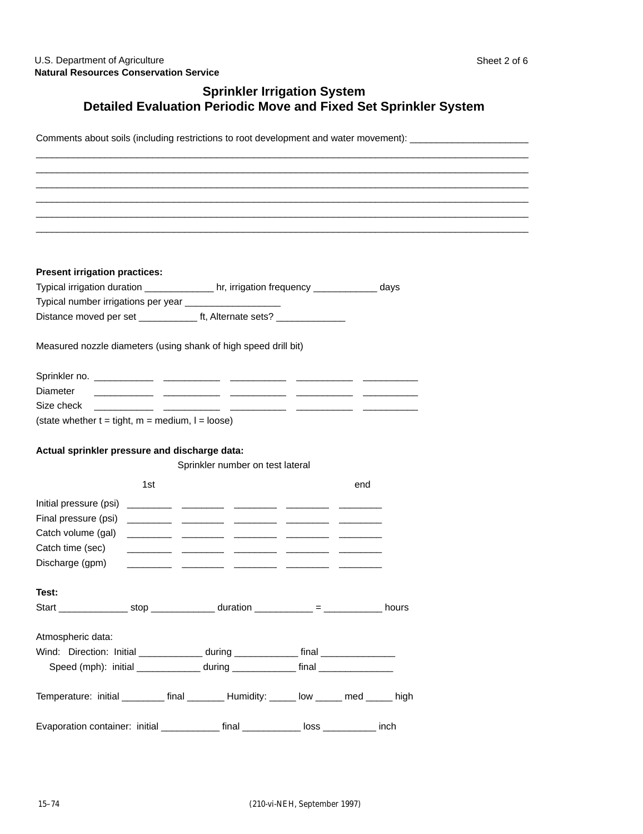\_\_\_\_\_\_\_\_\_\_\_\_\_\_\_\_\_\_\_\_\_\_\_\_\_\_\_\_\_\_\_\_\_\_\_\_\_\_\_\_\_\_\_\_\_\_\_\_\_\_\_\_\_\_\_\_\_\_\_\_\_\_\_\_\_\_\_\_\_\_\_\_\_\_\_\_\_\_\_\_\_\_\_\_\_\_\_\_\_\_\_\_\_

Comments about soils (including restrictions to root development and water movement):

 $\_$  ,  $\_$  ,  $\_$  ,  $\_$  ,  $\_$  ,  $\_$  ,  $\_$  ,  $\_$  ,  $\_$  ,  $\_$  ,  $\_$  ,  $\_$  ,  $\_$  ,  $\_$  ,  $\_$  ,  $\_$  ,  $\_$  ,  $\_$  ,  $\_$  ,  $\_$  ,  $\_$  ,  $\_$  ,  $\_$  ,  $\_$  ,  $\_$  ,  $\_$  ,  $\_$  ,  $\_$  ,  $\_$  ,  $\_$  ,  $\_$  ,  $\_$  ,  $\_$  ,  $\_$  ,  $\_$  ,  $\_$  ,  $\_$  ,  $\_$  ,  $\_$  ,  $\_$  ,  $\_$  ,  $\_$  ,  $\_$  ,  $\_$  ,  $\_$  ,  $\_$  ,  $\_$  ,  $\_$  ,  $\_$  ,  $\_$  ,  $\_$  ,  $\_$  ,  $\_$  ,  $\_$  ,  $\_$  ,  $\_$  ,  $\_$  ,  $\_$  ,  $\_$  ,  $\_$  ,  $\_$  ,  $\_$  ,  $\_$  ,  $\_$  ,  $\_$  ,  $\_$  ,  $\_$  ,  $\_$  ,  $\_$  ,  $\_$  ,  $\_$  ,  $\_$  ,  $\_$  ,  $\_$  , \_\_\_\_\_\_\_\_\_\_\_\_\_\_\_\_\_\_\_\_\_\_\_\_\_\_\_\_\_\_\_\_\_\_\_\_\_\_\_\_\_\_\_\_\_\_\_\_\_\_\_\_\_\_\_\_\_\_\_\_\_\_\_\_\_\_\_\_\_\_\_\_\_\_\_\_\_\_\_\_\_\_\_\_\_\_\_\_\_\_\_\_\_  $\_$  ,  $\_$  ,  $\_$  ,  $\_$  ,  $\_$  ,  $\_$  ,  $\_$  ,  $\_$  ,  $\_$  ,  $\_$  ,  $\_$  ,  $\_$  ,  $\_$  ,  $\_$  ,  $\_$  ,  $\_$  ,  $\_$  ,  $\_$  ,  $\_$  ,  $\_$  ,  $\_$  ,  $\_$  ,  $\_$  ,  $\_$  ,  $\_$  ,  $\_$  ,  $\_$  ,  $\_$  ,  $\_$  ,  $\_$  ,  $\_$  ,  $\_$  ,  $\_$  ,  $\_$  ,  $\_$  ,  $\_$  ,  $\_$  ,  $\_$  ,  $\_$  ,  $\_$  ,  $\_$  ,  $\_$  ,  $\_$  ,  $\_$  ,  $\_$  ,  $\_$  ,  $\_$  ,  $\_$  ,  $\_$  ,  $\_$  ,  $\_$  ,  $\_$  ,  $\_$  ,  $\_$  ,  $\_$  ,  $\_$  ,  $\_$  ,  $\_$  ,  $\_$  ,  $\_$  ,  $\_$  ,  $\_$  ,  $\_$  ,  $\_$  ,  $\_$  ,  $\_$  ,  $\_$  ,  $\_$  ,  $\_$  ,  $\_$  ,  $\_$  ,  $\_$  ,  $\_$  ,  $\_$  , **Present irrigation practices:** Typical irrigation duration \_\_\_\_\_\_\_\_\_\_\_\_\_ hr, irrigation frequency \_\_\_\_\_\_\_\_\_\_\_\_ days Typical number irrigations per year \_\_\_\_\_\_\_\_\_\_\_\_\_\_\_\_\_\_ Distance moved per set \_\_\_\_\_\_\_\_\_\_\_\_\_\_ ft, Alternate sets? \_\_\_\_\_\_\_\_\_\_\_\_\_\_\_\_ Measured nozzle diameters (using shank of high speed drill bit) Sprinkler no. \_\_\_\_\_\_\_\_\_\_\_\_\_\_\_\_\_\_\_\_\_\_\_\_\_\_\_\_\_\_\_\_\_\_\_\_\_\_\_\_\_\_\_\_\_\_\_\_\_\_\_\_\_\_\_\_\_\_\_\_\_ Diameter \_\_\_\_\_\_\_\_\_\_\_\_\_\_\_\_\_\_\_\_\_\_\_\_\_\_\_\_\_\_\_\_\_\_\_\_\_\_\_\_\_\_\_\_\_\_\_\_\_\_\_\_\_\_\_\_\_\_\_\_\_ Size check \_\_\_\_\_\_\_\_\_\_\_\_\_\_\_\_\_\_\_\_\_\_\_\_\_\_\_\_\_\_\_\_\_\_\_\_\_\_\_\_\_\_\_\_\_\_\_\_\_\_\_\_\_\_\_\_\_\_\_\_\_ (state whether  $t = tight$ ,  $m = medium$ ,  $l = loose$ ) **Actual sprinkler pressure and discharge data:** Sprinkler number on test lateral 1st end Initial pressure (psi) \_\_\_\_\_\_\_\_\_\_\_\_\_\_\_\_\_\_\_\_\_\_\_\_\_\_\_\_\_\_\_\_\_\_\_\_\_\_\_\_\_\_\_\_\_\_\_\_ Final pressure (psi) \_\_\_\_\_\_\_\_\_\_\_\_\_\_\_\_\_\_\_\_\_\_\_\_\_\_\_\_\_\_\_\_\_\_\_\_\_\_\_\_\_\_\_\_\_\_\_\_ Catch volume (gal) \_\_\_\_\_\_\_\_\_\_\_\_\_\_\_\_\_\_\_\_\_\_\_\_\_\_\_\_\_\_\_\_\_\_\_\_\_\_\_\_\_\_\_\_\_\_\_\_ Catch time (sec) \_\_\_\_\_\_\_\_\_\_\_\_\_\_\_\_\_\_\_\_\_\_\_\_\_\_\_\_\_\_\_\_\_\_\_\_\_\_\_\_\_\_\_\_\_\_\_\_ Discharge (gpm) \_\_\_\_\_\_\_\_\_\_\_\_\_\_\_\_\_\_\_\_\_\_\_\_\_\_\_\_\_\_\_\_\_\_\_\_\_\_\_\_\_\_\_\_\_\_\_\_ **Test:** Start \_\_\_\_\_\_\_\_\_\_\_\_\_\_\_\_ stop \_\_\_\_\_\_\_\_\_\_\_\_\_ duration \_\_\_\_\_\_\_\_\_\_\_\_ = \_\_\_\_\_\_\_\_\_\_\_\_\_\_\_ hours Atmospheric data: Wind: Direction: Initial \_\_\_\_\_\_\_\_\_\_\_\_ during \_\_\_\_\_\_\_\_\_\_\_\_ final \_\_\_\_\_\_\_\_\_\_\_\_\_\_\_\_ Speed (mph): initial \_\_\_\_\_\_\_\_\_\_\_\_\_ during \_\_\_\_\_\_\_\_\_\_\_\_ final \_\_\_\_\_\_\_\_\_\_\_\_\_\_\_\_\_\_\_ Temperature: initial \_\_\_\_\_\_\_\_ final \_\_\_\_\_\_\_ Humidity: \_\_\_\_\_ low \_\_\_\_\_ med \_\_\_\_\_ high Evaporation container: initial \_\_\_\_\_\_\_\_\_\_\_\_ final \_\_\_\_\_\_\_\_\_\_\_\_\_ loss \_\_\_\_\_\_\_\_\_\_\_ inch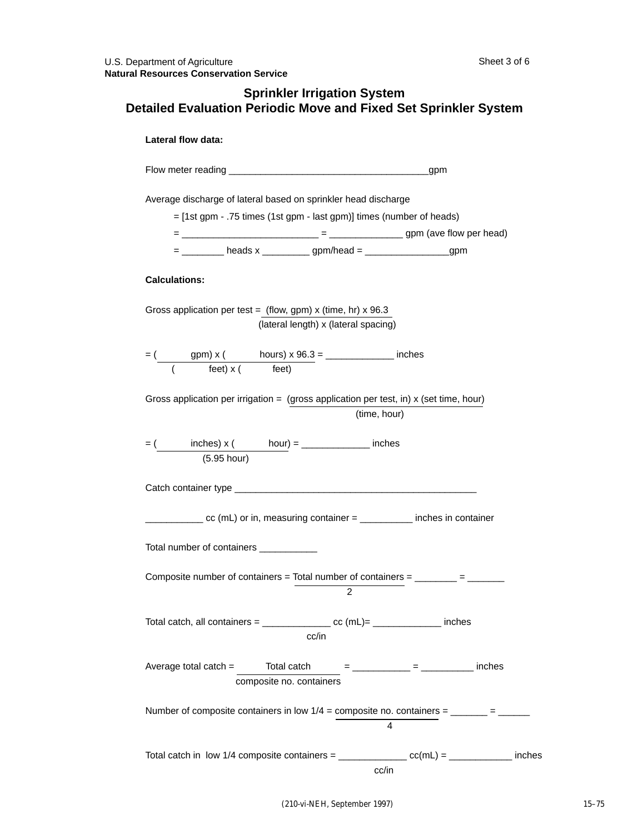| Lateral flow data:                                                                                                                       |              |
|------------------------------------------------------------------------------------------------------------------------------------------|--------------|
|                                                                                                                                          |              |
| Average discharge of lateral based on sprinkler head discharge<br>$=$ [1st gpm - .75 times (1st gpm - last gpm)] times (number of heads) |              |
|                                                                                                                                          |              |
| $=$ ________ heads x _________ gpm/head = _________________ gpm                                                                          |              |
| <b>Calculations:</b>                                                                                                                     |              |
| Gross application per test = $(flow, gpm) x (time, hr) x 96.3$<br>(lateral length) x (lateral spacing)                                   |              |
|                                                                                                                                          |              |
| Gross application per irrigation = (gross application per test, in) $x$ (set time, hour)                                                 | (time, hour) |
| $=$ ( $\qquad \qquad$ inches) x ( $\qquad \qquad$ hour) = ________________ inches<br>$(5.95$ hour)                                       |              |
|                                                                                                                                          |              |
| cc (mL) or in, measuring container = _________ inches in container                                                                       |              |
| Total number of containers __________                                                                                                    |              |
| Composite number of containers = Total number of containers = ________ = _______                                                         | 2            |
| Total catch, all containers = $\frac{1}{2}$ cc (mL)= $\frac{1}{2}$ cc (mL)=<br>cc/in                                                     |              |
| Average total catch = Total catch $=$ __________ = __________ inches<br>composite no. containers                                         |              |
| Number of composite containers in low $1/4$ = composite no. containers = $\frac{1}{2}$ = $\frac{1}{2}$                                   | 4            |
| Total catch in low 1/4 composite containers = $\frac{\text{c}}{\text{c}}$ cc(mL) = $\frac{\text{c}}{\text{c}}$ inches                    | cc/in        |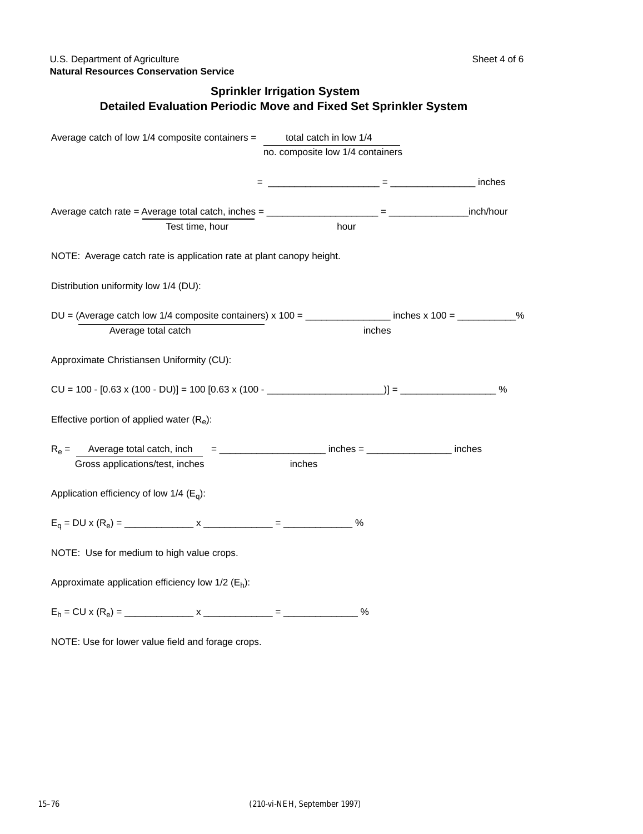| Average catch of low 1/4 composite containers = total catch in low 1/4                                  |        | no. composite low 1/4 containers |   |
|---------------------------------------------------------------------------------------------------------|--------|----------------------------------|---|
|                                                                                                         |        |                                  |   |
|                                                                                                         |        |                                  |   |
| Test time, hour                                                                                         |        | hour                             |   |
| NOTE: Average catch rate is application rate at plant canopy height.                                    |        |                                  |   |
| Distribution uniformity low 1/4 (DU):                                                                   |        |                                  |   |
| DU = (Average catch low 1/4 composite containers) $x$ 100 = ______________ inches $x$ 100 = __________% |        |                                  |   |
| Average total catch                                                                                     |        | inches                           |   |
| Approximate Christiansen Uniformity (CU):                                                               |        |                                  |   |
| $CU = 100 - [0.63 \times (100 - DU)] = 100 [0.63 \times (100 - 200 - 200)] = 200$                       |        |                                  | % |
| Effective portion of applied water $(R_e)$ :                                                            |        |                                  |   |
| $R_e$ = Average total catch, inch = _______________________ inches = ______________ inches              |        |                                  |   |
| Gross applications/test, inches                                                                         | inches |                                  |   |
| Application efficiency of low 1/4 ( $E_q$ ):                                                            |        |                                  |   |
|                                                                                                         |        |                                  |   |
| NOTE: Use for medium to high value crops.                                                               |        |                                  |   |
| Approximate application efficiency low $1/2$ ( $E_h$ ):                                                 |        |                                  |   |
|                                                                                                         |        |                                  |   |

NOTE: Use for lower value field and forage crops.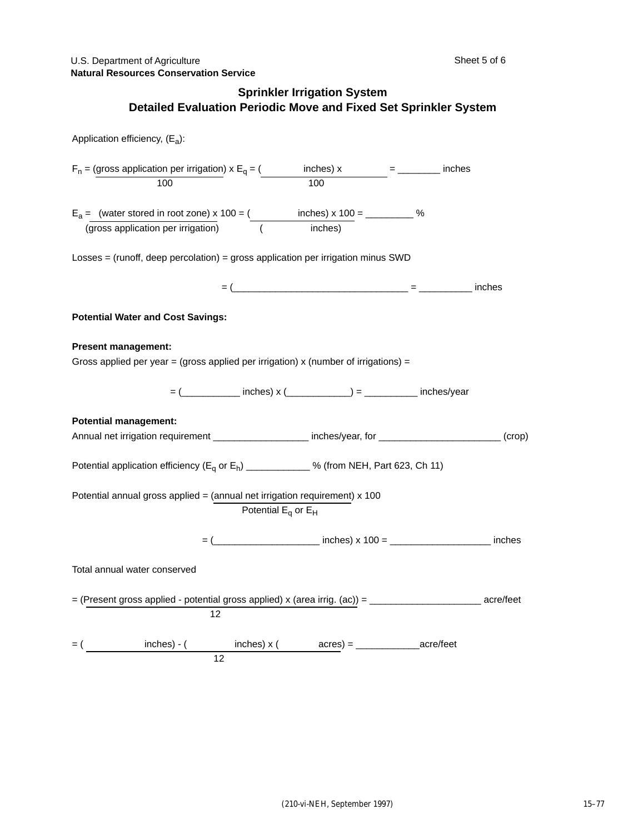| Application efficiency, $(E_a)$ :                                                                                    |                          |                              |  |  |
|----------------------------------------------------------------------------------------------------------------------|--------------------------|------------------------------|--|--|
|                                                                                                                      |                          |                              |  |  |
| 100                                                                                                                  |                          | $\overline{100}$             |  |  |
| $E_a =$ (water stored in root zone) x 100 = (nones) x 100 = 100 = 200 %<br>(gross application per irrigation)        |                          |                              |  |  |
|                                                                                                                      |                          |                              |  |  |
| Losses = (runoff, deep percolation) = gross application per irrigation minus SWD                                     |                          |                              |  |  |
|                                                                                                                      |                          | $=$ ( $\qquad \qquad$ inches |  |  |
| <b>Potential Water and Cost Savings:</b>                                                                             |                          |                              |  |  |
| <b>Present management:</b>                                                                                           |                          |                              |  |  |
| Gross applied per year = (gross applied per irrigation) x (number of irrigations) =                                  |                          |                              |  |  |
|                                                                                                                      |                          |                              |  |  |
| <b>Potential management:</b>                                                                                         |                          |                              |  |  |
| Annual net irrigation requirement ____________________ inches/year, for _______________________(crop)                |                          |                              |  |  |
| Potential application efficiency $(E_q \text{ or } E_h)$ _____________% (from NEH, Part 623, Ch 11)                  |                          |                              |  |  |
| Potential annual gross applied = (annual net irrigation requirement) $x$ 100                                         | Potential $E_q$ or $E_H$ |                              |  |  |
|                                                                                                                      |                          |                              |  |  |
| Total annual water conserved                                                                                         |                          |                              |  |  |
| = (Present gross applied - potential gross applied) x (area irrig. (ac)) = _________________________ acre/feet<br>12 |                          |                              |  |  |
|                                                                                                                      |                          |                              |  |  |
| 12                                                                                                                   |                          |                              |  |  |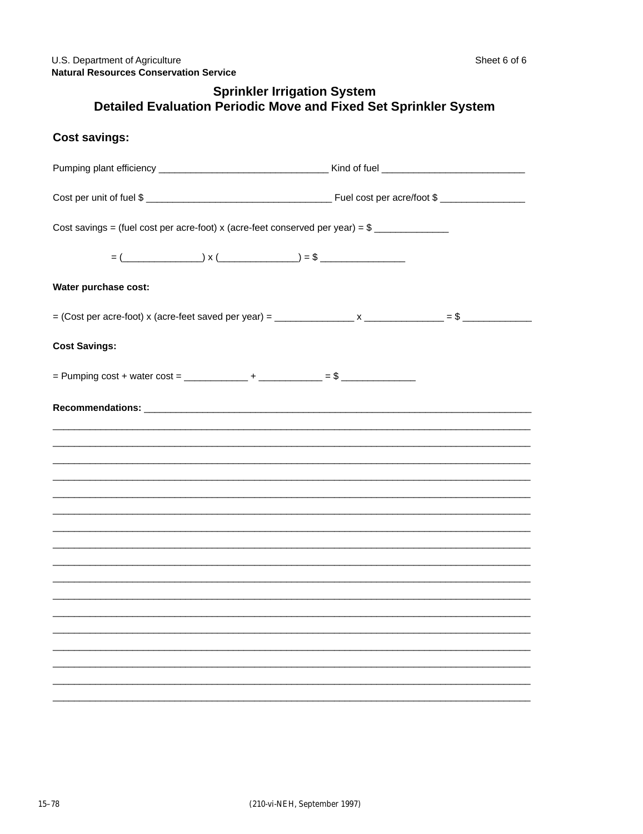#### **Cost savings:**

| Cost per unit of fuel \$                                                                  |  |
|-------------------------------------------------------------------------------------------|--|
| Cost savings = (fuel cost per acre-foot) x (acre-feet conserved per year) = $\frac{1}{2}$ |  |
|                                                                                           |  |
| Water purchase cost:                                                                      |  |
|                                                                                           |  |
| <b>Cost Savings:</b>                                                                      |  |
|                                                                                           |  |
|                                                                                           |  |
|                                                                                           |  |
|                                                                                           |  |
|                                                                                           |  |
|                                                                                           |  |
| ,我们也不会有什么。""我们的人,我们也不会有什么?""我们的人,我们也不会有什么?""我们的人,我们也不会有什么?""我们的人,我们也不会有什么?""我们的人          |  |
|                                                                                           |  |
|                                                                                           |  |
|                                                                                           |  |
|                                                                                           |  |
|                                                                                           |  |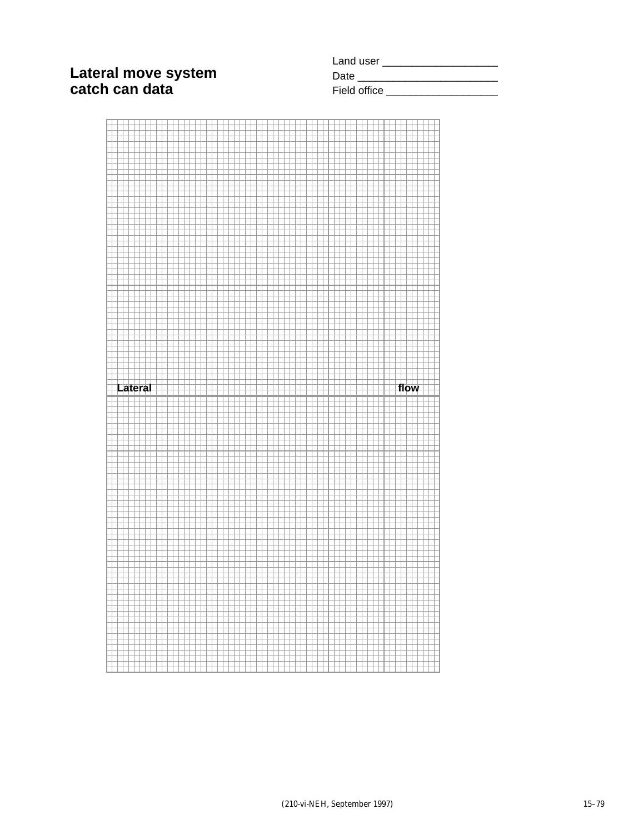# **Lateral move system catch can data**

| Land user |
|-----------|
|           |

Irrigation Guide Date \_\_\_\_\_\_\_\_\_\_\_\_\_\_\_\_\_\_\_\_\_\_\_\_

# Field office \_\_\_\_\_\_\_\_\_\_\_\_\_\_\_\_\_\_\_

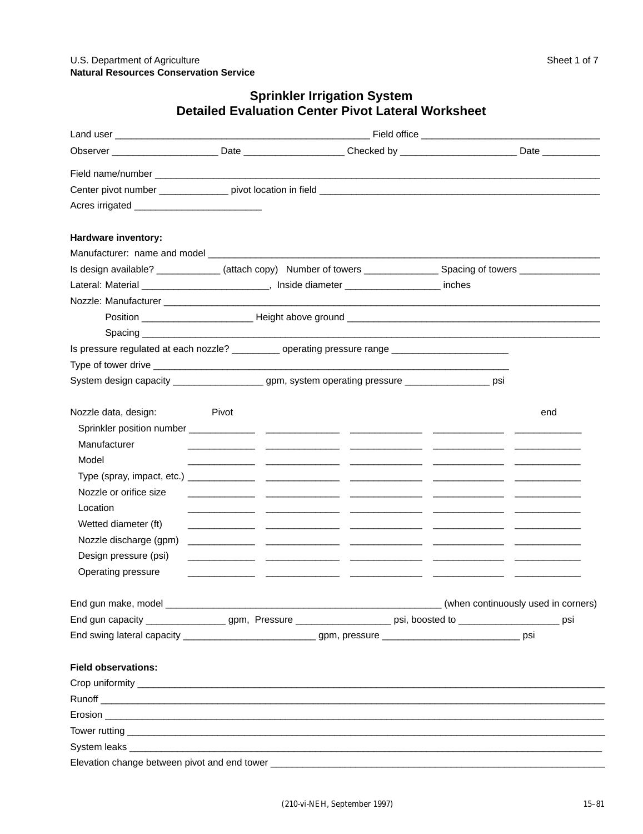|                            | Field office <b>the contract of the contract of the contract of the contract of the contract of the contract of the contract of the contract of the contract of the contract of the contract of the contract of the contract of </b><br>Land user and the contract of the contract of the contract of the contract of the contract of the contract of the contract of the contract of the contract of the contract of the contract of the contract of the contract of |                                                                                                                                                                                                                                           |  |     |  |  |
|----------------------------|-----------------------------------------------------------------------------------------------------------------------------------------------------------------------------------------------------------------------------------------------------------------------------------------------------------------------------------------------------------------------------------------------------------------------------------------------------------------------|-------------------------------------------------------------------------------------------------------------------------------------------------------------------------------------------------------------------------------------------|--|-----|--|--|
|                            |                                                                                                                                                                                                                                                                                                                                                                                                                                                                       | Observer _______________________Date _____________________Checked by _________________________Date _________________                                                                                                                      |  |     |  |  |
|                            |                                                                                                                                                                                                                                                                                                                                                                                                                                                                       |                                                                                                                                                                                                                                           |  |     |  |  |
|                            |                                                                                                                                                                                                                                                                                                                                                                                                                                                                       |                                                                                                                                                                                                                                           |  |     |  |  |
|                            |                                                                                                                                                                                                                                                                                                                                                                                                                                                                       |                                                                                                                                                                                                                                           |  |     |  |  |
| Hardware inventory:        |                                                                                                                                                                                                                                                                                                                                                                                                                                                                       |                                                                                                                                                                                                                                           |  |     |  |  |
|                            |                                                                                                                                                                                                                                                                                                                                                                                                                                                                       |                                                                                                                                                                                                                                           |  |     |  |  |
|                            |                                                                                                                                                                                                                                                                                                                                                                                                                                                                       | Is design available? _____________(attach copy) Number of towers ________________ Spacing of towers _____________                                                                                                                         |  |     |  |  |
|                            |                                                                                                                                                                                                                                                                                                                                                                                                                                                                       | Lateral: Material _______________________________, Inside diameter _____________________ inches                                                                                                                                           |  |     |  |  |
|                            |                                                                                                                                                                                                                                                                                                                                                                                                                                                                       |                                                                                                                                                                                                                                           |  |     |  |  |
|                            |                                                                                                                                                                                                                                                                                                                                                                                                                                                                       |                                                                                                                                                                                                                                           |  |     |  |  |
|                            |                                                                                                                                                                                                                                                                                                                                                                                                                                                                       | Spacing <b>Example 2008</b> Spacing <b>Contract Contract Contract Contract Contract Contract Contract Contract Contract Contract Contract Contract Contract Contract Contract Contract Contract Contract Contract Contract Contract C</b> |  |     |  |  |
|                            |                                                                                                                                                                                                                                                                                                                                                                                                                                                                       | Is pressure regulated at each nozzle? _________ operating pressure range __________________________                                                                                                                                       |  |     |  |  |
|                            |                                                                                                                                                                                                                                                                                                                                                                                                                                                                       |                                                                                                                                                                                                                                           |  |     |  |  |
|                            |                                                                                                                                                                                                                                                                                                                                                                                                                                                                       | System design capacity ________________________gpm, system operating pressure ______________________ psi                                                                                                                                  |  |     |  |  |
|                            |                                                                                                                                                                                                                                                                                                                                                                                                                                                                       |                                                                                                                                                                                                                                           |  |     |  |  |
| Nozzle data, design:       | Pivot                                                                                                                                                                                                                                                                                                                                                                                                                                                                 |                                                                                                                                                                                                                                           |  | end |  |  |
|                            |                                                                                                                                                                                                                                                                                                                                                                                                                                                                       |                                                                                                                                                                                                                                           |  |     |  |  |
| Manufacturer               |                                                                                                                                                                                                                                                                                                                                                                                                                                                                       |                                                                                                                                                                                                                                           |  |     |  |  |
| Model                      |                                                                                                                                                                                                                                                                                                                                                                                                                                                                       |                                                                                                                                                                                                                                           |  |     |  |  |
|                            |                                                                                                                                                                                                                                                                                                                                                                                                                                                                       |                                                                                                                                                                                                                                           |  |     |  |  |
| Nozzle or orifice size     |                                                                                                                                                                                                                                                                                                                                                                                                                                                                       |                                                                                                                                                                                                                                           |  |     |  |  |
| Location                   |                                                                                                                                                                                                                                                                                                                                                                                                                                                                       |                                                                                                                                                                                                                                           |  |     |  |  |
| Wetted diameter (ft)       |                                                                                                                                                                                                                                                                                                                                                                                                                                                                       |                                                                                                                                                                                                                                           |  |     |  |  |
| Nozzle discharge (gpm)     |                                                                                                                                                                                                                                                                                                                                                                                                                                                                       | <u> 1999 - Jan James Alexandro (1999), president (h. 1999)</u>                                                                                                                                                                            |  |     |  |  |
| Design pressure (psi)      |                                                                                                                                                                                                                                                                                                                                                                                                                                                                       |                                                                                                                                                                                                                                           |  |     |  |  |
| Operating pressure         |                                                                                                                                                                                                                                                                                                                                                                                                                                                                       |                                                                                                                                                                                                                                           |  |     |  |  |
|                            |                                                                                                                                                                                                                                                                                                                                                                                                                                                                       |                                                                                                                                                                                                                                           |  |     |  |  |
|                            |                                                                                                                                                                                                                                                                                                                                                                                                                                                                       |                                                                                                                                                                                                                                           |  |     |  |  |
|                            |                                                                                                                                                                                                                                                                                                                                                                                                                                                                       |                                                                                                                                                                                                                                           |  |     |  |  |
|                            |                                                                                                                                                                                                                                                                                                                                                                                                                                                                       | End swing lateral capacity __________________________________gpm, pressure ___________________________________                                                                                                                            |  | psi |  |  |
|                            |                                                                                                                                                                                                                                                                                                                                                                                                                                                                       |                                                                                                                                                                                                                                           |  |     |  |  |
| <b>Field observations:</b> |                                                                                                                                                                                                                                                                                                                                                                                                                                                                       |                                                                                                                                                                                                                                           |  |     |  |  |
|                            |                                                                                                                                                                                                                                                                                                                                                                                                                                                                       |                                                                                                                                                                                                                                           |  |     |  |  |
|                            |                                                                                                                                                                                                                                                                                                                                                                                                                                                                       |                                                                                                                                                                                                                                           |  |     |  |  |
|                            |                                                                                                                                                                                                                                                                                                                                                                                                                                                                       |                                                                                                                                                                                                                                           |  |     |  |  |
|                            |                                                                                                                                                                                                                                                                                                                                                                                                                                                                       |                                                                                                                                                                                                                                           |  |     |  |  |
|                            |                                                                                                                                                                                                                                                                                                                                                                                                                                                                       |                                                                                                                                                                                                                                           |  |     |  |  |
|                            |                                                                                                                                                                                                                                                                                                                                                                                                                                                                       | Elevation change between pivot and end tower ___________________________________                                                                                                                                                          |  |     |  |  |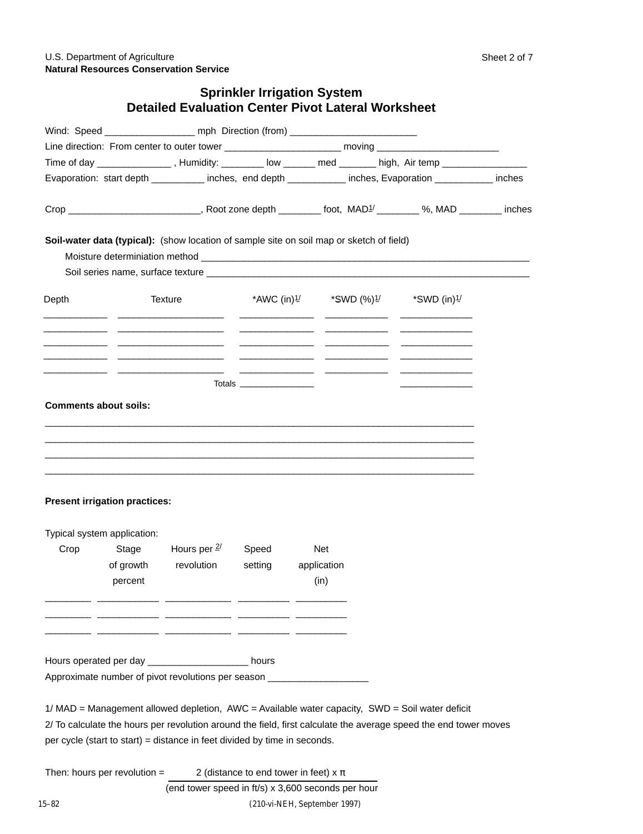|       |                                      |                                                                                                                                     |                               |             | Time of day _________________, Humidity: __________ low _______ med ________ high, Air temp _________________ |  |
|-------|--------------------------------------|-------------------------------------------------------------------------------------------------------------------------------------|-------------------------------|-------------|---------------------------------------------------------------------------------------------------------------|--|
|       |                                      |                                                                                                                                     |                               |             | Evaporation: start depth ____________ inches, end depth ____________ inches, Evaporation __________ inches    |  |
|       |                                      |                                                                                                                                     |                               |             |                                                                                                               |  |
|       |                                      | Soil-water data (typical): (show location of sample site on soil map or sketch of field)                                            |                               |             |                                                                                                               |  |
|       |                                      |                                                                                                                                     |                               |             |                                                                                                               |  |
|       |                                      |                                                                                                                                     |                               |             |                                                                                                               |  |
| Depth |                                      | Texture                                                                                                                             |                               |             | *AWC (in) $1/$ *SWD (%) $1/$ *SWD (in) $1/$                                                                   |  |
|       |                                      |                                                                                                                                     |                               |             |                                                                                                               |  |
|       |                                      |                                                                                                                                     |                               |             |                                                                                                               |  |
|       |                                      |                                                                                                                                     |                               |             |                                                                                                               |  |
|       |                                      |                                                                                                                                     | Totals ______________________ |             |                                                                                                               |  |
|       | <b>Comments about soils:</b>         |                                                                                                                                     |                               |             |                                                                                                               |  |
|       |                                      |                                                                                                                                     |                               |             |                                                                                                               |  |
|       |                                      |                                                                                                                                     |                               |             |                                                                                                               |  |
|       |                                      |                                                                                                                                     |                               |             |                                                                                                               |  |
|       |                                      |                                                                                                                                     |                               |             |                                                                                                               |  |
|       |                                      |                                                                                                                                     |                               |             |                                                                                                               |  |
|       |                                      |                                                                                                                                     |                               |             |                                                                                                               |  |
|       | <b>Present irrigation practices:</b> |                                                                                                                                     |                               |             |                                                                                                               |  |
|       | Typical system application:          |                                                                                                                                     |                               |             |                                                                                                               |  |
| Crop  | Stage                                | Hours per $\frac{2}{ }$ Speed                                                                                                       |                               | <b>Net</b>  |                                                                                                               |  |
|       | of growth                            | revolution                                                                                                                          | setting                       | application |                                                                                                               |  |
|       | percent                              |                                                                                                                                     |                               | (in)        |                                                                                                               |  |
|       |                                      |                                                                                                                                     |                               |             |                                                                                                               |  |
|       |                                      |                                                                                                                                     |                               |             |                                                                                                               |  |
|       |                                      |                                                                                                                                     |                               |             |                                                                                                               |  |
|       |                                      | Hours operated per day ________________________ hours<br>Approximate number of pivot revolutions per season _______________________ |                               |             |                                                                                                               |  |

per cycle (start to start) = distance in feet divided by time in seconds.

15–82 (210-vi-NEH, September 1997) Then: hours per revolution =  $2$  (distance to end tower in feet)  $x \pi$ (end tower speed in ft/s) x 3,600 seconds per hour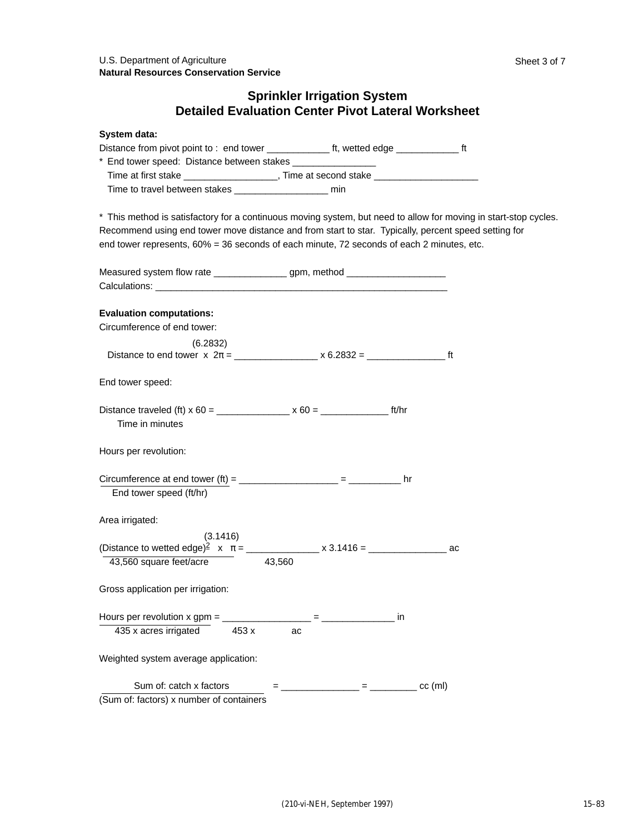| System data:                                                                                                                                                                                                                                                                                                          |
|-----------------------------------------------------------------------------------------------------------------------------------------------------------------------------------------------------------------------------------------------------------------------------------------------------------------------|
| Distance from pivot point to: end tower ______________ft, wetted edge _____________ft                                                                                                                                                                                                                                 |
| * End tower speed: Distance between stakes __________________                                                                                                                                                                                                                                                         |
|                                                                                                                                                                                                                                                                                                                       |
| Time to travel between stakes min                                                                                                                                                                                                                                                                                     |
| * This method is satisfactory for a continuous moving system, but need to allow for moving in start-stop cycles.<br>Recommend using end tower move distance and from start to star. Typically, percent speed setting for<br>end tower represents, 60% = 36 seconds of each minute, 72 seconds of each 2 minutes, etc. |
| Measured system flow rate _________________gpm, method _________________________                                                                                                                                                                                                                                      |
| <b>Evaluation computations:</b>                                                                                                                                                                                                                                                                                       |
| Circumference of end tower:                                                                                                                                                                                                                                                                                           |
| (6.2832)                                                                                                                                                                                                                                                                                                              |
| End tower speed:                                                                                                                                                                                                                                                                                                      |
| Distance traveled (ft) $x 60 =$ _________________ $x 60 =$ ______________________ ft/hr<br>Time in minutes                                                                                                                                                                                                            |
| Hours per revolution:                                                                                                                                                                                                                                                                                                 |
| Circumference at end tower (ft) = $\frac{1}{2}$ = $\frac{1}{2}$ = $\frac{1}{2}$ = $\frac{1}{2}$ = $\frac{1}{2}$ hr<br>End tower speed (ft/hr)                                                                                                                                                                         |
| Area irrigated:                                                                                                                                                                                                                                                                                                       |
| (3.1416)<br>(Distance to wetted edge) <sup>2</sup> x $\pi =$ _______________ x 3.1416 = ________________ ac<br>$-$ 43,560<br>43,560 square feet/acre                                                                                                                                                                  |
| Gross application per irrigation:                                                                                                                                                                                                                                                                                     |
| Hours per revolution x gpm = $\frac{1}{2}$ = $\frac{1}{2}$ = $\frac{1}{2}$ = $\frac{1}{2}$ = $\frac{1}{2}$ in                                                                                                                                                                                                         |
| 435 x acres irrigated<br>453 x<br>ac                                                                                                                                                                                                                                                                                  |
| Weighted system average application:                                                                                                                                                                                                                                                                                  |
| Sum of: catch x factors<br>$=$ ______________ = ________ cc (ml)                                                                                                                                                                                                                                                      |
| (Sum of: factors) x number of containers                                                                                                                                                                                                                                                                              |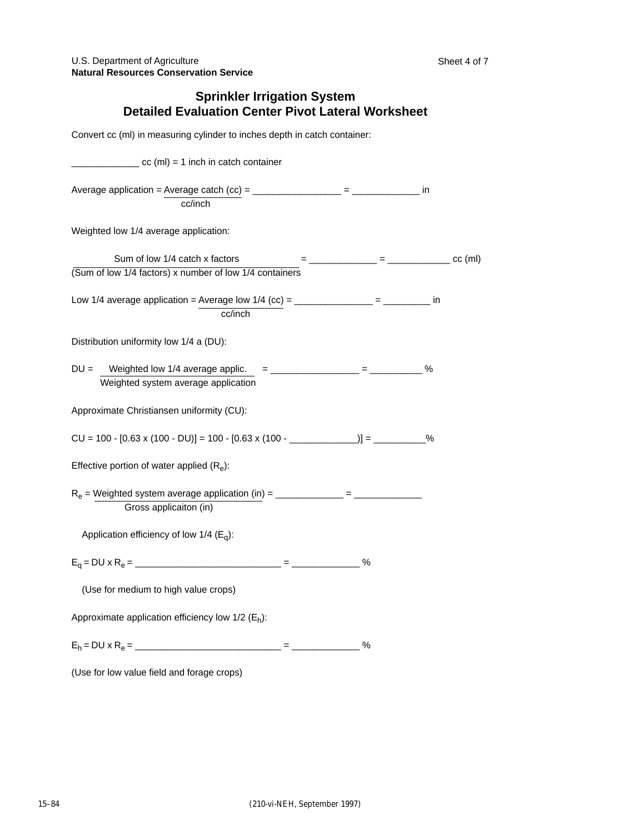Convert cc (ml) in measuring cylinder to inches depth in catch container:

| $\frac{1}{\sqrt{1-\frac{1}{\sqrt{1-\frac{1}{\sqrt{1-\frac{1}{\sqrt{1-\frac{1}{\sqrt{1-\frac{1}{\sqrt{1-\frac{1}{\sqrt{1-\frac{1}{\sqrt{1-\frac{1}{\sqrt{1-\frac{1}{\sqrt{1-\frac{1}{\sqrt{1-\frac{1}{\sqrt{1-\frac{1}{\sqrt{1-\frac{1}{\sqrt{1-\frac{1}{\sqrt{1-\frac{1}{\sqrt{1-\frac{1}{\sqrt{1-\frac{1}{\sqrt{1-\frac{1}{\sqrt{1-\frac{1}{\sqrt{1-\frac{1}{\sqrt{1-\frac{1}{\sqrt{1-\frac{1}{\sqrt{1-\frac{1}{\sqrt{1-\frac{1$ |  |  |
|-----------------------------------------------------------------------------------------------------------------------------------------------------------------------------------------------------------------------------------------------------------------------------------------------------------------------------------------------------------------------------------------------------------------------------------|--|--|
| Average application = Average catch (cc) = $\frac{1}{2}$ = $\frac{1}{2}$ = $\frac{1}{2}$ = $\frac{1}{2}$ = $\frac{1}{2}$ in<br>cc/inch                                                                                                                                                                                                                                                                                            |  |  |
| Weighted low 1/4 average application:                                                                                                                                                                                                                                                                                                                                                                                             |  |  |
| Sum of low 1/4 catch x factors<br>$=$ _____________ = _________ cc (ml)                                                                                                                                                                                                                                                                                                                                                           |  |  |
| (Sum of low 1/4 factors) x number of low 1/4 containers                                                                                                                                                                                                                                                                                                                                                                           |  |  |
| Low 1/4 average application = Average low 1/4 (cc) = $\frac{1}{2}$ = $\frac{1}{2}$ = $\frac{1}{2}$ = $\frac{1}{2}$ in<br>cc/inch                                                                                                                                                                                                                                                                                                  |  |  |
| Distribution uniformity low 1/4 a (DU):                                                                                                                                                                                                                                                                                                                                                                                           |  |  |
| Weighted low 1/4 average applic. $=$ ________________ = ____________ %<br>$DU =$<br>Weighted system average application                                                                                                                                                                                                                                                                                                           |  |  |
| Approximate Christiansen uniformity (CU):                                                                                                                                                                                                                                                                                                                                                                                         |  |  |
|                                                                                                                                                                                                                                                                                                                                                                                                                                   |  |  |
| Effective portion of water applied $(R_e)$ :                                                                                                                                                                                                                                                                                                                                                                                      |  |  |
| $R_e$ = Weighted system average application (in) = _____________ = ______________<br>Gross applicaiton (in)                                                                                                                                                                                                                                                                                                                       |  |  |
| Application efficiency of low $1/4$ (E <sub>q</sub> ):                                                                                                                                                                                                                                                                                                                                                                            |  |  |
|                                                                                                                                                                                                                                                                                                                                                                                                                                   |  |  |
| (Use for medium to high value crops)                                                                                                                                                                                                                                                                                                                                                                                              |  |  |
| Approximate application efficiency low $1/2$ ( $E_h$ ):                                                                                                                                                                                                                                                                                                                                                                           |  |  |
|                                                                                                                                                                                                                                                                                                                                                                                                                                   |  |  |

(Use for low value field and forage crops)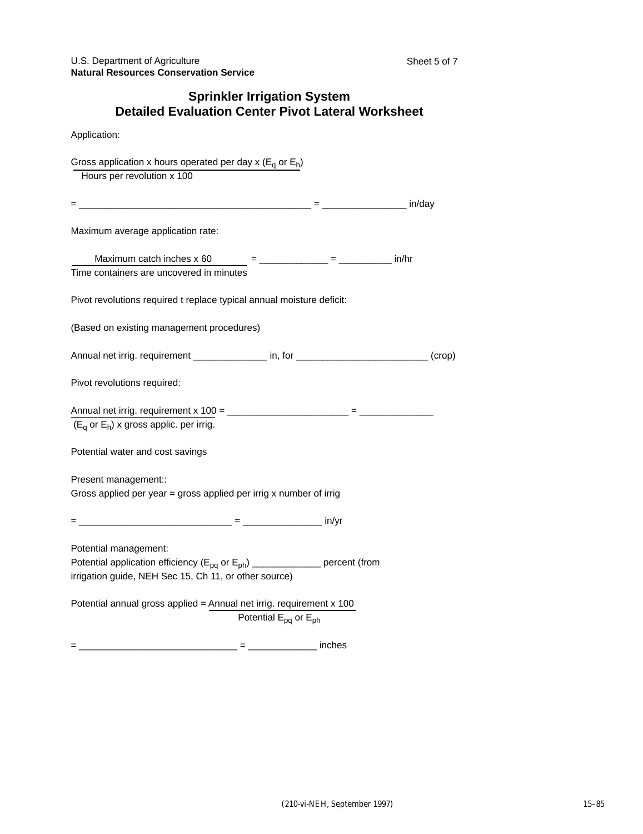Application:

| Gross application x hours operated per day x ( $E_q$ or $E_h$ )<br>Hours per revolution x 100                                                                                         |                                |        |  |
|---------------------------------------------------------------------------------------------------------------------------------------------------------------------------------------|--------------------------------|--------|--|
|                                                                                                                                                                                       |                                |        |  |
| Maximum average application rate:                                                                                                                                                     |                                |        |  |
| Maximum catch inches x 60 $=$ _____________ = ______________ in/hr<br>Time containers are uncovered in minutes                                                                        |                                |        |  |
| Pivot revolutions required t replace typical annual moisture deficit:                                                                                                                 |                                |        |  |
| (Based on existing management procedures)                                                                                                                                             |                                |        |  |
| Annual net irrig. requirement _______________ in, for _________________________(crop)                                                                                                 |                                |        |  |
| Pivot revolutions required:                                                                                                                                                           |                                |        |  |
| $(E_q$ or $E_h$ ) x gross applic. per irrig.                                                                                                                                          |                                |        |  |
| Potential water and cost savings                                                                                                                                                      |                                |        |  |
| Present management::<br>Gross applied per year = gross applied per irrig $x$ number of irrig                                                                                          |                                |        |  |
|                                                                                                                                                                                       |                                |        |  |
| Potential management:<br>Potential application efficiency (E <sub>pq</sub> or E <sub>ph</sub> ) ______________ percent (from<br>irrigation guide, NEH Sec 15, Ch 11, or other source) |                                |        |  |
| Potential annual gross applied = Annual net irrig. requirement x 100                                                                                                                  | Potential $E_{pq}$ or $E_{ph}$ |        |  |
| $=$                                                                                                                                                                                   |                                | inches |  |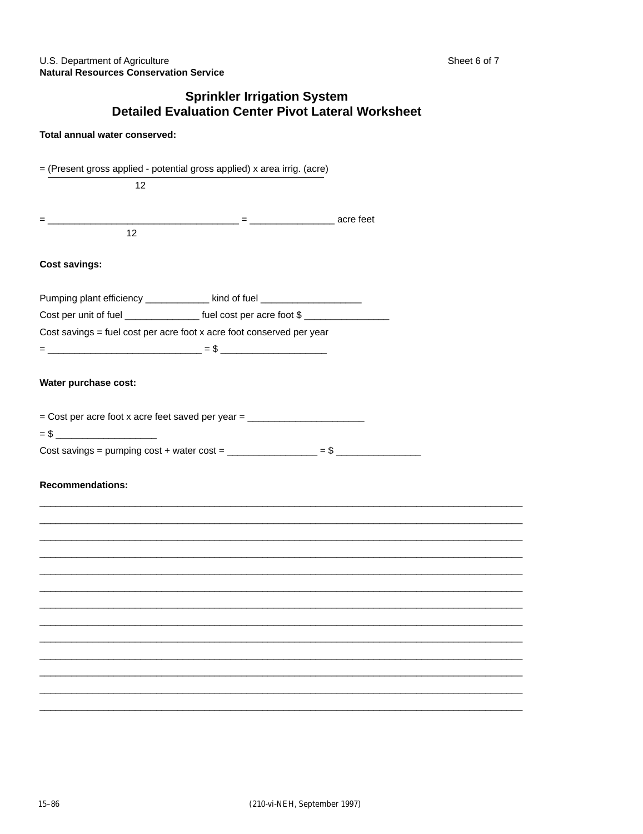#### **Sprinkler Irrigation System** Detailed Evaluation Center Pivot Lateral Worksheet

#### Total annual water conserved:

|                         | = (Present gross applied - potential gross applied) x area irrig. (acre)                                                                                                                                                                                                                     |  |
|-------------------------|----------------------------------------------------------------------------------------------------------------------------------------------------------------------------------------------------------------------------------------------------------------------------------------------|--|
| 12                      |                                                                                                                                                                                                                                                                                              |  |
|                         |                                                                                                                                                                                                                                                                                              |  |
|                         |                                                                                                                                                                                                                                                                                              |  |
| 12                      |                                                                                                                                                                                                                                                                                              |  |
| <b>Cost savings:</b>    |                                                                                                                                                                                                                                                                                              |  |
|                         | Pumping plant efficiency ______________ kind of fuel ___________________________                                                                                                                                                                                                             |  |
|                         | Cost per unit of fuel _________________ fuel cost per acre foot \$ ______________                                                                                                                                                                                                            |  |
|                         | Cost savings $=$ fuel cost per acre foot x acre foot conserved per year                                                                                                                                                                                                                      |  |
|                         |                                                                                                                                                                                                                                                                                              |  |
|                         |                                                                                                                                                                                                                                                                                              |  |
| Water purchase cost:    |                                                                                                                                                                                                                                                                                              |  |
|                         |                                                                                                                                                                                                                                                                                              |  |
|                         | = Cost per acre foot x acre feet saved per year = ______________________________                                                                                                                                                                                                             |  |
|                         |                                                                                                                                                                                                                                                                                              |  |
|                         | Cost savings = pumping cost + water cost = $\frac{1}{2}$ = \$ $\frac{1}{2}$ = \$ $\frac{1}{2}$ = $\frac{1}{2}$ = $\frac{1}{2}$ = $\frac{1}{2}$ = $\frac{1}{2}$ = $\frac{1}{2}$ = $\frac{1}{2}$ = $\frac{1}{2}$ = $\frac{1}{2}$ = $\frac{1}{2}$ = $\frac{1}{2}$ = $\frac{1}{2}$ = $\frac{1}{$ |  |
|                         |                                                                                                                                                                                                                                                                                              |  |
| <b>Recommendations:</b> |                                                                                                                                                                                                                                                                                              |  |
|                         |                                                                                                                                                                                                                                                                                              |  |
|                         |                                                                                                                                                                                                                                                                                              |  |
|                         |                                                                                                                                                                                                                                                                                              |  |
|                         |                                                                                                                                                                                                                                                                                              |  |
|                         |                                                                                                                                                                                                                                                                                              |  |
|                         |                                                                                                                                                                                                                                                                                              |  |
|                         |                                                                                                                                                                                                                                                                                              |  |
|                         |                                                                                                                                                                                                                                                                                              |  |
|                         |                                                                                                                                                                                                                                                                                              |  |
|                         |                                                                                                                                                                                                                                                                                              |  |
|                         |                                                                                                                                                                                                                                                                                              |  |
|                         |                                                                                                                                                                                                                                                                                              |  |
|                         |                                                                                                                                                                                                                                                                                              |  |
|                         |                                                                                                                                                                                                                                                                                              |  |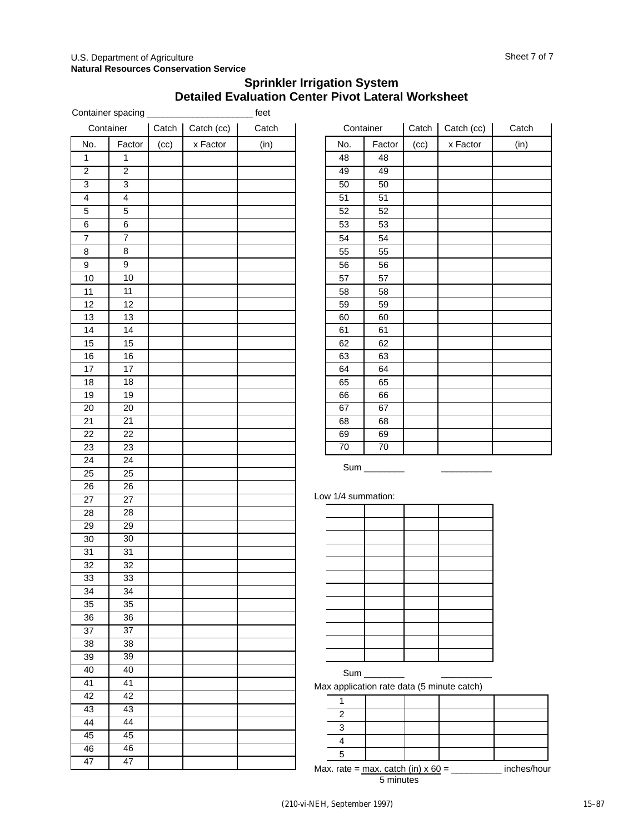| Container spacing |                 |      |                    | feet  |
|-------------------|-----------------|------|--------------------|-------|
| Container         |                 |      | Catch   Catch (cc) | Catch |
| No.               | Factor          | (cc) | x Factor           | (in)  |
| 1                 | 1               |      |                    |       |
| $\overline{2}$    | $\overline{2}$  |      |                    |       |
| $\overline{3}$    | $\overline{3}$  |      |                    |       |
| $\overline{4}$    | $\overline{4}$  |      |                    |       |
| 5                 | 5               |      |                    |       |
| 6                 | 6               |      |                    |       |
| 7                 | 7               |      |                    |       |
| 8                 | 8               |      |                    |       |
| 9                 | 9               |      |                    |       |
| 10                | 10              |      |                    |       |
| 11                | 11              |      |                    |       |
| 12                | 12              |      |                    |       |
| 13                | 13              |      |                    |       |
| 14                | 14              |      |                    |       |
| 15                | 15              |      |                    |       |
| 16                | 16              |      |                    |       |
| 17                | 17              |      |                    |       |
| 18                | 18              |      |                    |       |
| 19                | 19              |      |                    |       |
| $\overline{20}$   | 20              |      |                    |       |
| $\overline{21}$   | $\overline{21}$ |      |                    |       |
| 22                | 22              |      |                    |       |
| 23                | 23              |      |                    |       |
| 24                | 24              |      |                    |       |
| 25                | 25              |      |                    |       |
| 26                | 26              |      |                    |       |
| 27                | 27              |      |                    |       |
| 28                | 28              |      |                    |       |
| 29                | 29              |      |                    |       |
| 30                | 30              |      |                    |       |
| $\overline{31}$   | $\overline{31}$ |      |                    |       |
| 32                | 32              |      |                    |       |
| $\overline{33}$   | $\overline{33}$ |      |                    |       |
| 34                | 34              |      |                    |       |
| 35                | 35              |      |                    |       |
| 36                | $\overline{36}$ |      |                    |       |
| 37                | 37              |      |                    |       |
| 38                | 38              |      |                    |       |
| 39                | 39              |      |                    |       |
| 40                | 40              |      |                    |       |
| 41                | 41              |      |                    |       |
| 42                | $\overline{42}$ |      |                    |       |
| 43                | 43              |      |                    |       |
| $\overline{44}$   | 44              |      |                    |       |
| 45                | 45              |      |                    |       |
| $\overline{46}$   | $\overline{46}$ |      |                    |       |
| $\overline{47}$   | $\overline{47}$ |      |                    |       |

|                 | Container<br>Catch |      | Catch (cc) | Catch |
|-----------------|--------------------|------|------------|-------|
| No.             | Factor             | (cc) | x Factor   | (in)  |
| 48              | 48                 |      |            |       |
| 49              | 49                 |      |            |       |
| $\overline{50}$ | $\overline{50}$    |      |            |       |
| $\overline{51}$ | $\overline{51}$    |      |            |       |
| $\overline{52}$ | $\overline{52}$    |      |            |       |
| 53              | 53                 |      |            |       |
| 54              | 54                 |      |            |       |
| 55              | 55                 |      |            |       |
| 56              | 56                 |      |            |       |
| 57              | 57                 |      |            |       |
| 58              | 58                 |      |            |       |
| 59              | 59                 |      |            |       |
| 60              | 60                 |      |            |       |
| 61              | 61                 |      |            |       |
| 62              | 62                 |      |            |       |
| 63              | 63                 |      |            |       |
| 64              | 64                 |      |            |       |
| 65              | 65                 |      |            |       |
| 66              | 66                 |      |            |       |
| 67              | 67                 |      |            |       |
| 68              | 68                 |      |            |       |
| 69              | 69                 |      |            |       |
| 70              | 70                 |      |            |       |

Sum \_\_\_\_\_\_\_\_  $\frac{1}{2}$ 

Low 1/4 summation:

Sum \_\_\_\_\_\_\_\_ \_\_\_\_\_\_\_\_\_\_

Max application rate data (5 minute catch)

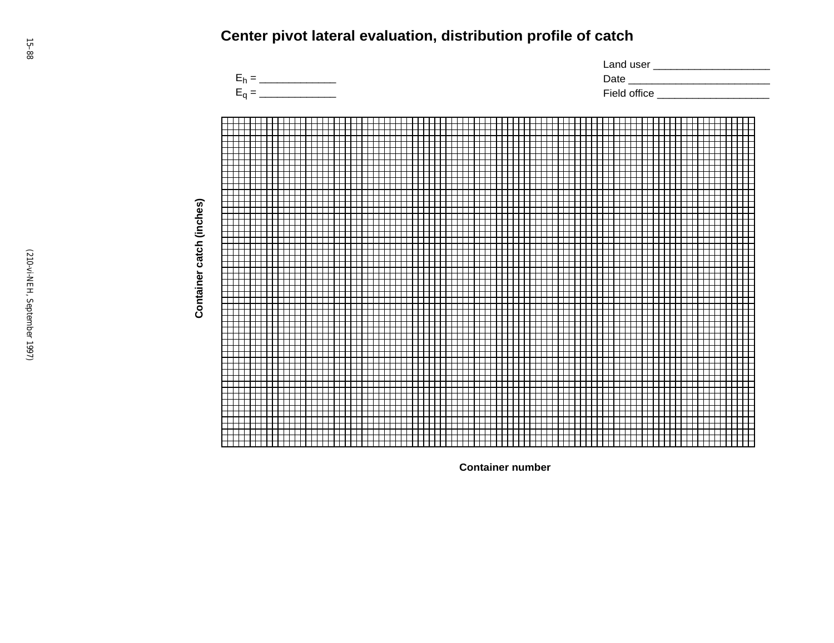

**Container number**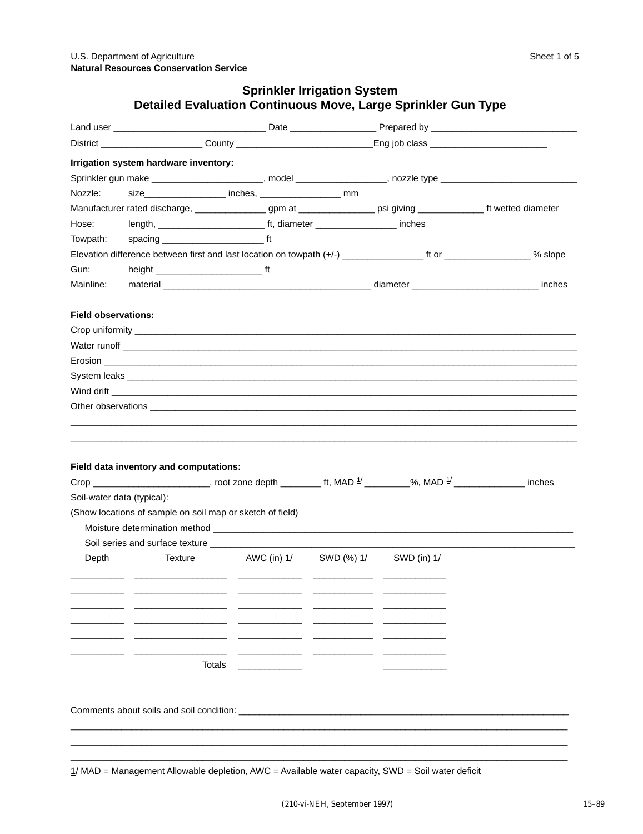|                            | Irrigation system hardware inventory:                                                                                                                                                                                                |                                                                                  |            |             |        |
|----------------------------|--------------------------------------------------------------------------------------------------------------------------------------------------------------------------------------------------------------------------------------|----------------------------------------------------------------------------------|------------|-------------|--------|
|                            | Sprinkler gun make __________________________, model ___________________, nozzle type ________________________                                                                                                                       |                                                                                  |            |             |        |
| Nozzle:                    |                                                                                                                                                                                                                                      |                                                                                  |            |             |        |
|                            | Manufacturer rated discharge, __________________gpm at _________________psi giving ________________ft wetted diameter                                                                                                                |                                                                                  |            |             |        |
| Hose:                      |                                                                                                                                                                                                                                      |                                                                                  |            |             |        |
| Towpath:                   |                                                                                                                                                                                                                                      |                                                                                  |            |             |        |
|                            |                                                                                                                                                                                                                                      |                                                                                  |            |             |        |
| Gun:                       |                                                                                                                                                                                                                                      |                                                                                  |            |             |        |
| Mainline:                  |                                                                                                                                                                                                                                      |                                                                                  |            |             | inches |
| <b>Field observations:</b> |                                                                                                                                                                                                                                      |                                                                                  |            |             |        |
|                            | Crop uniformity experience of the contract of the contract of the contract of the contract of the contract of the contract of the contract of the contract of the contract of the contract of the contract of the contract of        |                                                                                  |            |             |        |
|                            | Water runoff <b>with a strategie of the contract of the contract of the contract of the contract of the contract of the contract of the contract of the contract of the contract of the contract of the contract of the contract</b> |                                                                                  |            |             |        |
|                            |                                                                                                                                                                                                                                      |                                                                                  |            |             |        |
|                            | System leaks <b>the contract of the contract of the contract of the contract of the contract of the contract of the contract of the contract of the contract of the contract of the contract of the contract of the contract of </b> |                                                                                  |            |             |        |
|                            |                                                                                                                                                                                                                                      |                                                                                  |            |             |        |
|                            | Other observations experience of the contract of the contract of the contract of the contract of the contract of the contract of the contract of the contract of the contract of the contract of the contract of the contract        |                                                                                  |            |             |        |
|                            | Field data inventory and computations:<br>Crop ___________________________, root zone depth ___________ ft, MAD $\frac{1}{2}$ _________%, MAD $\frac{1}{2}$ __________________ inches<br>Soil-water data (typical):                  |                                                                                  |            |             |        |
|                            | (Show locations of sample on soil map or sketch of field)                                                                                                                                                                            |                                                                                  |            |             |        |
|                            |                                                                                                                                                                                                                                      |                                                                                  |            |             |        |
|                            | Soil series and surface texture ________                                                                                                                                                                                             |                                                                                  |            |             |        |
| Depth                      | Texture                                                                                                                                                                                                                              | AWC (in) 1/<br><u> 1999 - Jan James James, martin amerikan (h. 1989).</u><br>- - | SWD (%) 1/ | SWD (in) 1/ |        |
|                            |                                                                                                                                                                                                                                      |                                                                                  |            |             |        |
|                            | Totals                                                                                                                                                                                                                               |                                                                                  |            |             |        |
|                            |                                                                                                                                                                                                                                      |                                                                                  |            |             |        |
|                            |                                                                                                                                                                                                                                      |                                                                                  |            |             |        |

1/ MAD = Management Allowable depletion, AWC = Available water capacity, SWD = Soil water deficit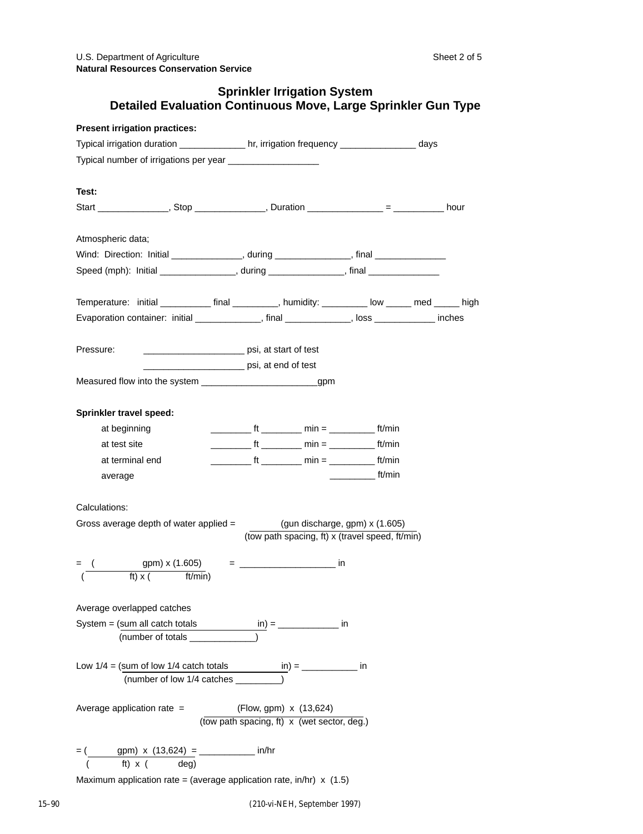| <b>Present irrigation practices:</b>                                                                   |                                                                                   |               |  |
|--------------------------------------------------------------------------------------------------------|-----------------------------------------------------------------------------------|---------------|--|
| Typical irrigation duration __________________hr, irrigation frequency _____________________days       |                                                                                   |               |  |
|                                                                                                        |                                                                                   |               |  |
|                                                                                                        |                                                                                   |               |  |
| Test:                                                                                                  |                                                                                   |               |  |
| Start _________________, Stop ________________, Duration ________________ = ____________ hour          |                                                                                   |               |  |
| Atmospheric data;                                                                                      |                                                                                   |               |  |
| Wind: Direction: Initial _______________, during _______________, final _______________                |                                                                                   |               |  |
| Speed (mph): Initial ________________, during ______________, final _____________                      |                                                                                   |               |  |
|                                                                                                        |                                                                                   |               |  |
| Temperature: initial _____________ final ___________, humidity: ___________ low ______ med ______ high |                                                                                   |               |  |
| Evaporation container: initial ______________, final ______________, loss _____________ inches         |                                                                                   |               |  |
|                                                                                                        |                                                                                   |               |  |
| Pressure:<br>psi, at start of test                                                                     |                                                                                   |               |  |
| psi, at end of test                                                                                    |                                                                                   |               |  |
| Measured flow into the system _______________________________gpm                                       |                                                                                   |               |  |
|                                                                                                        |                                                                                   |               |  |
| Sprinkler travel speed:                                                                                |                                                                                   |               |  |
| at beginning                                                                                           |                                                                                   |               |  |
| at test site                                                                                           |                                                                                   |               |  |
| at terminal end                                                                                        |                                                                                   |               |  |
| average                                                                                                |                                                                                   | <u>ft/min</u> |  |
|                                                                                                        |                                                                                   |               |  |
| Calculations:                                                                                          |                                                                                   |               |  |
| Gross average depth of water applied $=$                                                               | (gun discharge, gpm) x (1.605)<br>(tow path spacing, ft) x (travel speed, ft/min) |               |  |
|                                                                                                        |                                                                                   |               |  |
|                                                                                                        |                                                                                   |               |  |
|                                                                                                        |                                                                                   |               |  |
|                                                                                                        |                                                                                   |               |  |
| Average overlapped catches                                                                             |                                                                                   |               |  |
| System = $(\text{sum all catch totals} \text{in}) = \underline{\hspace{1cm}} \text{in}$                |                                                                                   |               |  |
|                                                                                                        |                                                                                   |               |  |
|                                                                                                        |                                                                                   |               |  |
|                                                                                                        |                                                                                   |               |  |
|                                                                                                        |                                                                                   |               |  |
| Average application rate $=$                                                                           | (Flow, gpm) x (13,624)                                                            |               |  |
|                                                                                                        | (tow path spacing, ft) $x$ (wet sector, deg.)                                     |               |  |
|                                                                                                        |                                                                                   |               |  |
| $=$ $\frac{2 \text{ (gpm)} \times (13,624)}{10 \text{ (hpm)} \times (13,624)} =$ in/hr                 |                                                                                   |               |  |
| Maximum application rate = (average application rate, in/hr) $x(1.5)$                                  |                                                                                   |               |  |
|                                                                                                        |                                                                                   |               |  |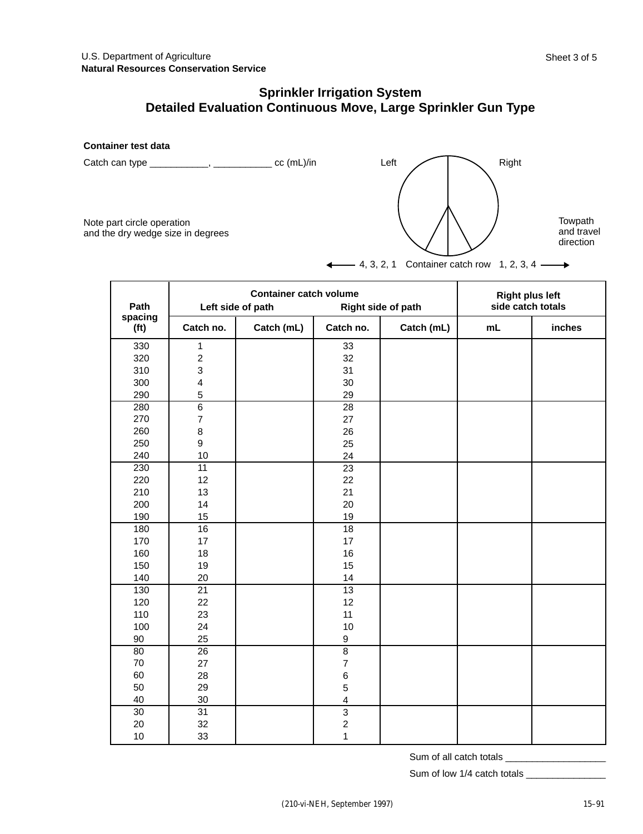#### **Container test data**



| Path                         |                          | <b>Container catch volume</b><br>Left side of path | <b>Right plus left</b><br>side catch totals |            |    |        |
|------------------------------|--------------------------|----------------------------------------------------|---------------------------------------------|------------|----|--------|
| spacing<br>(f <sup>t</sup> ) | Catch no.                | Catch (mL)                                         | Catch no.                                   | Catch (mL) | mL | inches |
| 330                          | $\mathbf{1}$             |                                                    | 33                                          |            |    |        |
| 320                          | $\overline{c}$           |                                                    | 32                                          |            |    |        |
| 310                          | 3                        |                                                    | 31                                          |            |    |        |
| 300                          | 4                        |                                                    | 30                                          |            |    |        |
| 290                          | 5                        |                                                    | 29                                          |            |    |        |
| 280                          | $\overline{6}$           |                                                    | $\overline{28}$                             |            |    |        |
| 270                          | $\overline{\mathcal{I}}$ |                                                    | 27                                          |            |    |        |
| 260                          | 8                        |                                                    | 26                                          |            |    |        |
| 250                          | 9                        |                                                    | 25                                          |            |    |        |
| 240                          | 10                       |                                                    | 24                                          |            |    |        |
| 230                          | $\overline{11}$          |                                                    | $\overline{23}$                             |            |    |        |
| 220                          | 12                       |                                                    | 22                                          |            |    |        |
| 210                          | 13                       |                                                    | 21                                          |            |    |        |
| 200                          | 14                       |                                                    | 20                                          |            |    |        |
| 190                          | 15                       |                                                    | 19                                          |            |    |        |
| 180                          | 16                       |                                                    | 18                                          |            |    |        |
| 170                          | 17                       |                                                    | 17                                          |            |    |        |
| 160                          | 18                       |                                                    | 16                                          |            |    |        |
| 150                          | 19                       |                                                    | 15                                          |            |    |        |
| 140                          | 20                       |                                                    | 14                                          |            |    |        |
| 130                          | $\overline{21}$          |                                                    | 13                                          |            |    |        |
| 120                          | 22                       |                                                    | 12                                          |            |    |        |
| 110                          | 23                       |                                                    | 11                                          |            |    |        |
| 100                          | 24                       |                                                    | 10                                          |            |    |        |
| 90                           | 25                       |                                                    | 9                                           |            |    |        |
| 80                           | $\overline{26}$          |                                                    | $\overline{8}$                              |            |    |        |
| 70                           | 27                       |                                                    | $\overline{7}$                              |            |    |        |
| 60                           | 28                       |                                                    | 6                                           |            |    |        |
| 50                           | 29                       |                                                    | 5                                           |            |    |        |
| 40                           | 30                       |                                                    | $\overline{\mathbf{4}}$                     |            |    |        |
| 30                           | 31                       |                                                    | $\overline{3}$                              |            |    |        |
| 20                           | 32                       |                                                    | $\overline{c}$                              |            |    |        |
| 10                           | 33                       |                                                    | $\mathbf 1$                                 |            |    |        |

Sum of all catch totals \_\_\_\_\_\_\_\_\_\_\_\_\_\_\_\_\_\_\_

Sum of low 1/4 catch totals \_\_\_\_\_\_\_\_\_\_\_\_\_\_\_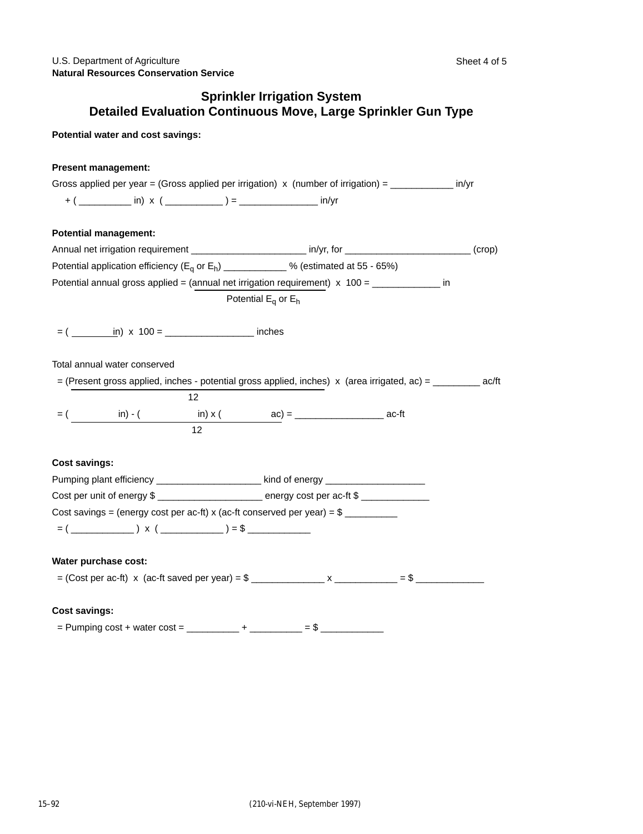#### **Potential water and cost savings:**

#### **Present management:**

| Gross applied per year = (Gross applied per irrigation) x (number of irrigation) = $\frac{ }{ }$ = $\frac{ }{ }$ in/yr    |    |                          |  |  |
|---------------------------------------------------------------------------------------------------------------------------|----|--------------------------|--|--|
|                                                                                                                           |    |                          |  |  |
| <b>Potential management:</b>                                                                                              |    |                          |  |  |
| Annual net irrigation requirement ________________________ in/yr, for _______________________(crop)                       |    |                          |  |  |
| Potential application efficiency $(E_q \text{ or } E_h)$ _____________% (estimated at 55 - 65%)                           |    |                          |  |  |
| Potential annual gross applied = (annual net irrigation requirement) $x 100 =$ ______________ in                          |    |                          |  |  |
|                                                                                                                           |    | Potential $E_q$ or $E_h$ |  |  |
| $=$ ( $\frac{in}{}$ ) x 100 = _______                                                                                     |    |                          |  |  |
| Total annual water conserved                                                                                              |    |                          |  |  |
| = (Present gross applied, inches - potential gross applied, inches) x (area irrigated, ac) = $\frac{1}{2}$ ac/ft          |    |                          |  |  |
|                                                                                                                           | 12 |                          |  |  |
|                                                                                                                           |    |                          |  |  |
|                                                                                                                           | 12 |                          |  |  |
| <b>Cost savings:</b>                                                                                                      |    |                          |  |  |
| Pumping plant efficiency _______________________ kind of energy ________________                                          |    |                          |  |  |
| Cost per unit of energy \$ _______________________ energy cost per ac-ft \$ ____________                                  |    |                          |  |  |
| Cost savings = (energy cost per ac-ft) x (ac-ft conserved per year) = $\frac{1}{2}$ __________                            |    |                          |  |  |
|                                                                                                                           |    |                          |  |  |
| Water purchase cost:                                                                                                      |    |                          |  |  |
| = (Cost per ac-ft) x (ac-ft saved per year) = $\frac{1}{2}$ x ___________________________ = $\frac{1}{2}$ = $\frac{1}{2}$ |    |                          |  |  |
| <b>Cost savings:</b>                                                                                                      |    |                          |  |  |

= Pumping cost + water cost = \_\_\_\_\_\_\_\_\_\_ + \_\_\_\_\_\_\_\_\_\_ = \$ \_\_\_\_\_\_\_\_\_\_\_\_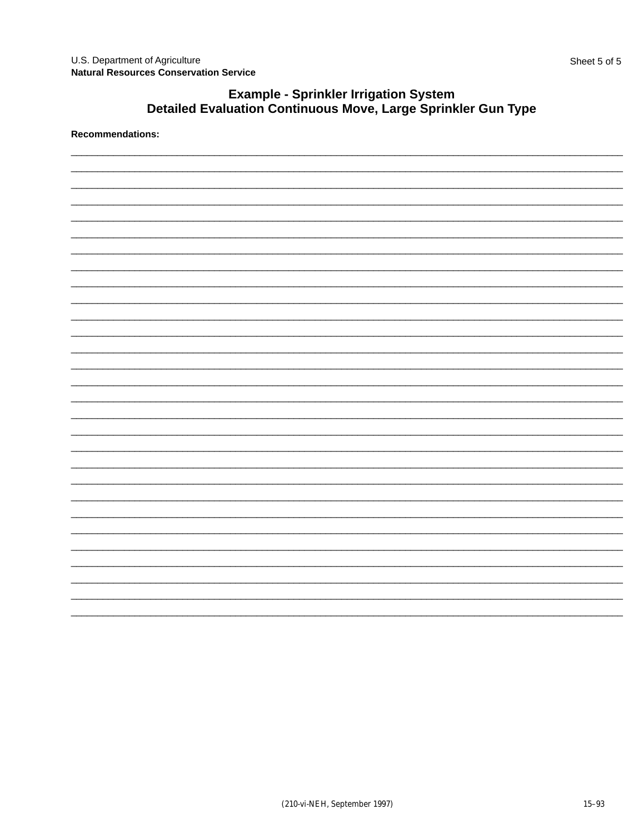#### **Recommendations:**

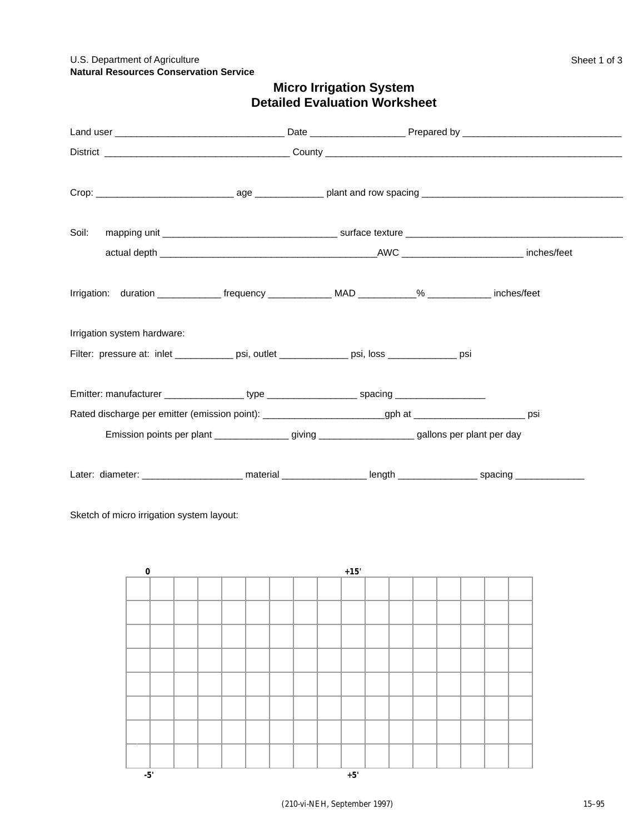#### **Micro Irrigation System Detailed Evaluation Worksheet**

| Soil:                                                                                                             |        |  |
|-------------------------------------------------------------------------------------------------------------------|--------|--|
|                                                                                                                   |        |  |
| Irrigation: duration _______________frequency _______________MAD __________% ______________ inches/feet           |        |  |
| Irrigation system hardware:                                                                                       |        |  |
| Filter: pressure at: inlet ____________ psi, outlet _____________ psi, loss _____________ psi                     |        |  |
| Emitter: manufacturer _________________type __________________________spacing ______________________              |        |  |
| Rated discharge per emitter (emission point): __________________________________pph at _______________________psi |        |  |
| Emission points per plant _________________ giving ____________________ gallons per plant per day                 |        |  |
|                                                                                                                   |        |  |
| Sketch of micro irrigation system layout:                                                                         |        |  |
|                                                                                                                   |        |  |
| 0                                                                                                                 | $+15'$ |  |

|       |  |  |  |  | . –   |  |  |  |  |
|-------|--|--|--|--|-------|--|--|--|--|
|       |  |  |  |  |       |  |  |  |  |
|       |  |  |  |  |       |  |  |  |  |
|       |  |  |  |  |       |  |  |  |  |
|       |  |  |  |  |       |  |  |  |  |
|       |  |  |  |  |       |  |  |  |  |
|       |  |  |  |  |       |  |  |  |  |
|       |  |  |  |  |       |  |  |  |  |
|       |  |  |  |  |       |  |  |  |  |
| $-5'$ |  |  |  |  | $+5'$ |  |  |  |  |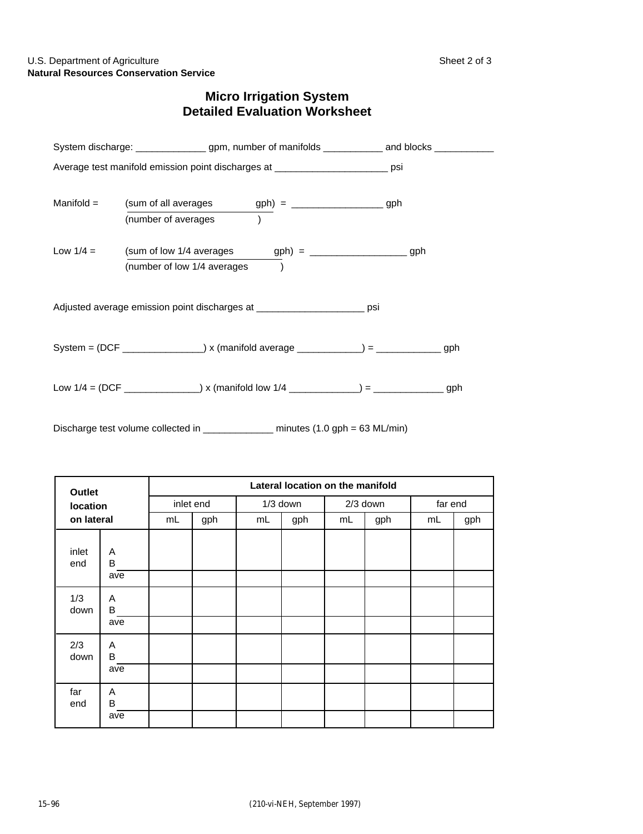#### **Micro Irrigation System Detailed Evaluation Worksheet**

|                               |                                                                                                                                      | System discharge: _________________gpm, number of manifolds _____________ and blocks _____________ |  |
|-------------------------------|--------------------------------------------------------------------------------------------------------------------------------------|----------------------------------------------------------------------------------------------------|--|
|                               | Average test manifold emission point discharges at ________________________ psi                                                      |                                                                                                    |  |
|                               | Manifold = $\frac{(\text{sum of all averages} \quad \text{gph})}{(\text{number of averages} \quad)} = \frac{\text{gph}}{\text{gph}}$ |                                                                                                    |  |
|                               |                                                                                                                                      |                                                                                                    |  |
|                               |                                                                                                                                      |                                                                                                    |  |
| (number of low 1/4 averages ) |                                                                                                                                      |                                                                                                    |  |
|                               | Adjusted average emission point discharges at _______________________ psi                                                            |                                                                                                    |  |
|                               |                                                                                                                                      | System = $(DCF \_$ x (manifold average $) =$ $) =$ $) =$ $)$                                       |  |
|                               |                                                                                                                                      |                                                                                                    |  |
|                               | Discharge test volume collected in _______________ minutes (1.0 gph = 63 ML/min)                                                     |                                                                                                    |  |

| Outlet<br>location<br>on lateral |               | Lateral location on the manifold |           |            |     |          |     |         |     |  |
|----------------------------------|---------------|----------------------------------|-----------|------------|-----|----------|-----|---------|-----|--|
|                                  |               |                                  | inlet end | $1/3$ down |     | 2/3 down |     | far end |     |  |
|                                  |               | mL                               | gph       | mL         | gph | mL       | gph | mL      | gph |  |
| inlet<br>end                     | A<br>B<br>ave |                                  |           |            |     |          |     |         |     |  |
| 1/3<br>down                      | Α<br>B<br>ave |                                  |           |            |     |          |     |         |     |  |
| 2/3<br>down                      | A<br>B<br>ave |                                  |           |            |     |          |     |         |     |  |
| far<br>end                       | A<br>B<br>ave |                                  |           |            |     |          |     |         |     |  |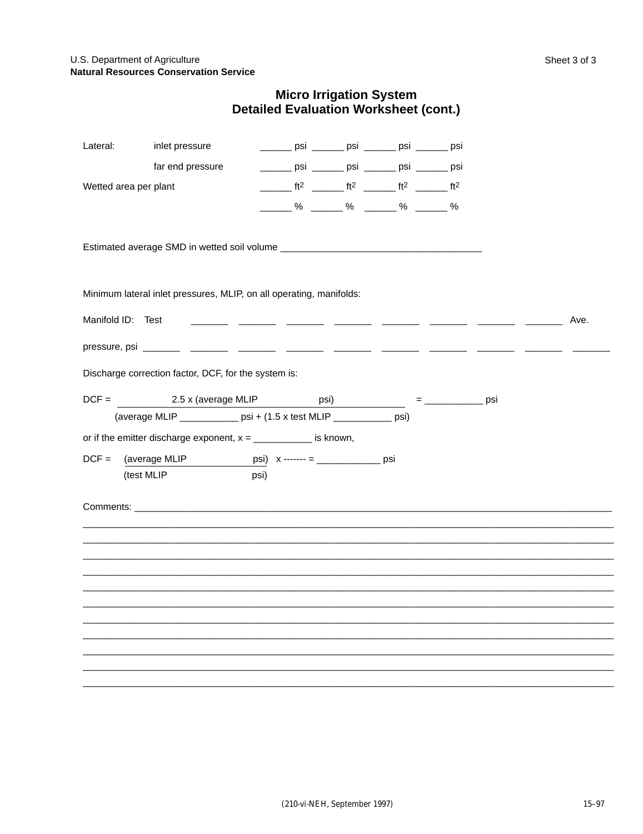#### U.S. Department of Agriculture **Natural Resources Conservation Service**

# **Micro Irrigation System** Detailed Evaluation Worksheet (cont.)

| Lateral: | inlet pressure<br>far end pressure                                        | ________ psi _______ psi _______ psi _______ psi<br>________ psi _______ psi _______ psi _______ psi                                                                                                   |  |  |
|----------|---------------------------------------------------------------------------|--------------------------------------------------------------------------------------------------------------------------------------------------------------------------------------------------------|--|--|
|          | Wetted area per plant                                                     | $\frac{1}{2}$ ft <sup>2</sup> $\frac{1}{2}$ ft <sup>2</sup> $\frac{1}{2}$ ft <sup>2</sup> $\frac{1}{2}$ ft <sup>2</sup><br>$\frac{1}{1000}$ % $\frac{1}{1000}$ % $\frac{1}{1000}$ % $\frac{1}{1000}$ % |  |  |
|          |                                                                           |                                                                                                                                                                                                        |  |  |
|          | Minimum lateral inlet pressures, MLIP, on all operating, manifolds:       |                                                                                                                                                                                                        |  |  |
|          | Manifold ID: Test                                                         |                                                                                                                                                                                                        |  |  |
|          |                                                                           |                                                                                                                                                                                                        |  |  |
|          | Discharge correction factor, DCF, for the system is:                      |                                                                                                                                                                                                        |  |  |
| $DCF =$  | (average MLIP ______________ psi + (1.5 x test MLIP ______________ psi)   |                                                                                                                                                                                                        |  |  |
|          | or if the emitter discharge exponent, $x =$ _______________ is known,     |                                                                                                                                                                                                        |  |  |
|          | DCF = (average MLIP $psi)$ x ------- = ________________ psi<br>(test MLIP | psi)                                                                                                                                                                                                   |  |  |
|          |                                                                           |                                                                                                                                                                                                        |  |  |
|          |                                                                           |                                                                                                                                                                                                        |  |  |
|          |                                                                           |                                                                                                                                                                                                        |  |  |
|          |                                                                           |                                                                                                                                                                                                        |  |  |
|          |                                                                           |                                                                                                                                                                                                        |  |  |
|          |                                                                           |                                                                                                                                                                                                        |  |  |
|          |                                                                           |                                                                                                                                                                                                        |  |  |
|          |                                                                           |                                                                                                                                                                                                        |  |  |
|          |                                                                           |                                                                                                                                                                                                        |  |  |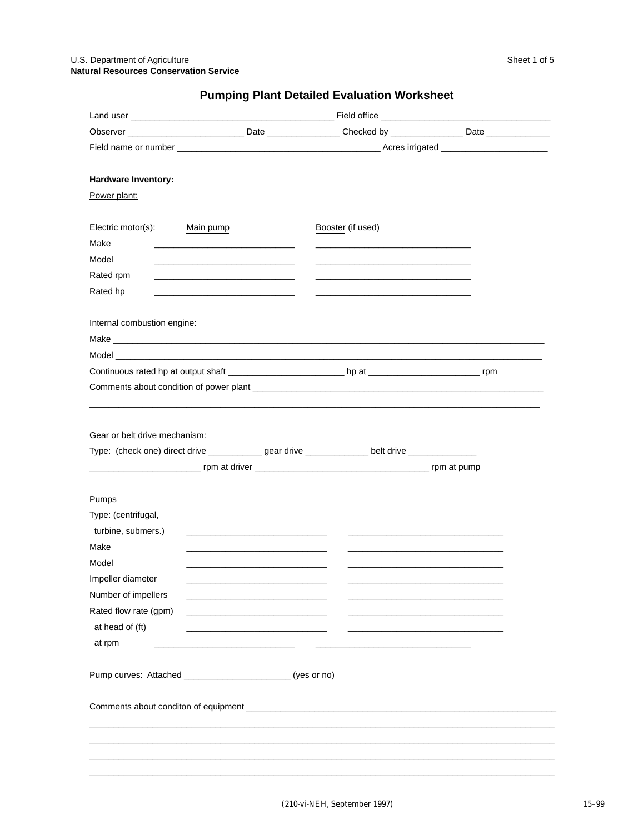| <b>Pumping Plant Detailed Evaluation Worksheet</b> |  |  |  |
|----------------------------------------------------|--|--|--|
|----------------------------------------------------|--|--|--|

|                                                                                                                                      |                                                                                           |                                                                                                                                                                                                                               | Observer ________________________________Date _________________Checked by _________________Date ______________ |
|--------------------------------------------------------------------------------------------------------------------------------------|-------------------------------------------------------------------------------------------|-------------------------------------------------------------------------------------------------------------------------------------------------------------------------------------------------------------------------------|----------------------------------------------------------------------------------------------------------------|
|                                                                                                                                      |                                                                                           |                                                                                                                                                                                                                               |                                                                                                                |
| Hardware Inventory:                                                                                                                  |                                                                                           |                                                                                                                                                                                                                               |                                                                                                                |
| Power plant:                                                                                                                         |                                                                                           |                                                                                                                                                                                                                               |                                                                                                                |
| Electric motor(s):                                                                                                                   | Main pump                                                                                 | Booster (if used)                                                                                                                                                                                                             |                                                                                                                |
| Make                                                                                                                                 |                                                                                           |                                                                                                                                                                                                                               |                                                                                                                |
| Model                                                                                                                                | the control of the control of the control of the control of the control of                |                                                                                                                                                                                                                               |                                                                                                                |
| Rated rpm                                                                                                                            | the control of the control of the control of the control of the control of                |                                                                                                                                                                                                                               |                                                                                                                |
| Rated hp                                                                                                                             | the control of the control of the control of the control of the control of the control of | the control of the control of the control of the control of the control of the control of the control of the control of the control of the control of the control of the control of the control of the control of the control |                                                                                                                |
| Internal combustion engine:                                                                                                          |                                                                                           |                                                                                                                                                                                                                               |                                                                                                                |
|                                                                                                                                      |                                                                                           |                                                                                                                                                                                                                               |                                                                                                                |
|                                                                                                                                      |                                                                                           |                                                                                                                                                                                                                               |                                                                                                                |
|                                                                                                                                      |                                                                                           |                                                                                                                                                                                                                               |                                                                                                                |
|                                                                                                                                      |                                                                                           |                                                                                                                                                                                                                               |                                                                                                                |
| Gear or belt drive mechanism:<br>Type: (check one) direct drive _____________ gear drive ______________ belt drive _________________ |                                                                                           |                                                                                                                                                                                                                               |                                                                                                                |
|                                                                                                                                      |                                                                                           |                                                                                                                                                                                                                               |                                                                                                                |
| Pumps                                                                                                                                |                                                                                           |                                                                                                                                                                                                                               |                                                                                                                |
| Type: (centrifugal,                                                                                                                  |                                                                                           |                                                                                                                                                                                                                               |                                                                                                                |
| turbine, submers.)                                                                                                                   |                                                                                           |                                                                                                                                                                                                                               |                                                                                                                |
| Make<br>Model                                                                                                                        |                                                                                           |                                                                                                                                                                                                                               |                                                                                                                |
|                                                                                                                                      |                                                                                           |                                                                                                                                                                                                                               |                                                                                                                |
| Impeller diameter<br>Number of impellers                                                                                             |                                                                                           |                                                                                                                                                                                                                               |                                                                                                                |
| Rated flow rate (gpm)                                                                                                                |                                                                                           |                                                                                                                                                                                                                               |                                                                                                                |
| at head of (ft)                                                                                                                      |                                                                                           |                                                                                                                                                                                                                               |                                                                                                                |
| at rpm                                                                                                                               |                                                                                           |                                                                                                                                                                                                                               |                                                                                                                |
| Pump curves: Attached ________________________(yes or no)                                                                            |                                                                                           |                                                                                                                                                                                                                               |                                                                                                                |
|                                                                                                                                      |                                                                                           |                                                                                                                                                                                                                               |                                                                                                                |
|                                                                                                                                      |                                                                                           |                                                                                                                                                                                                                               |                                                                                                                |
|                                                                                                                                      |                                                                                           |                                                                                                                                                                                                                               |                                                                                                                |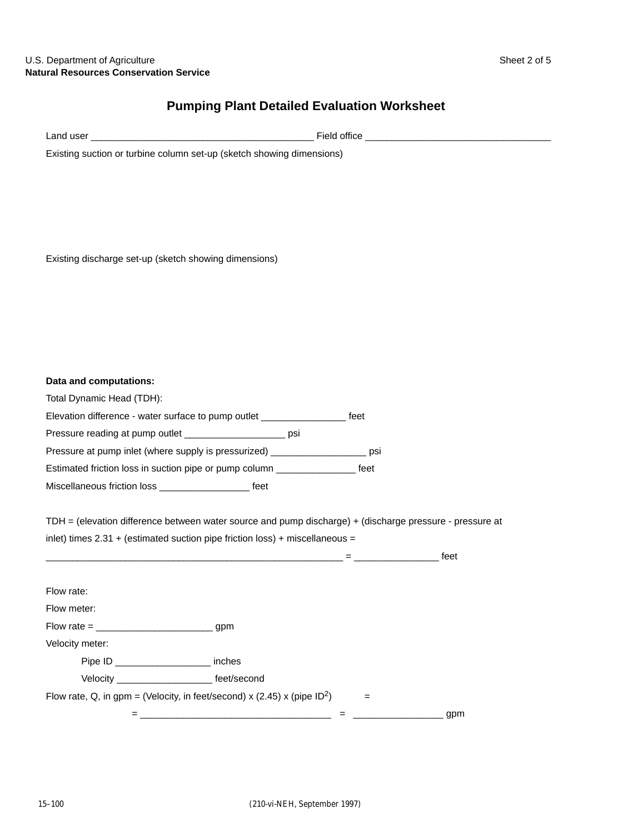Land user \_\_\_\_\_\_\_\_\_\_\_\_\_\_\_\_\_\_\_\_\_\_\_\_\_\_\_\_\_\_\_\_\_\_\_\_\_\_\_\_\_\_ Field office \_\_\_\_\_\_\_\_\_\_\_\_\_\_\_\_\_\_\_\_\_\_\_\_\_\_\_\_\_\_\_\_\_\_\_

| Existing suction or turbine column set-up (sketch showing dimensions) |  |  |
|-----------------------------------------------------------------------|--|--|
|                                                                       |  |  |

Existing discharge set-up (sketch showing dimensions)

|  | Data and computations: |
|--|------------------------|
|--|------------------------|

Total Dynamic Head (TDH):

Elevation difference - water surface to pump outlet \_\_\_\_\_\_\_\_\_\_\_\_\_\_\_\_ feet

Pressure reading at pump outlet \_\_\_\_\_\_\_\_\_\_\_\_\_\_\_\_\_\_\_\_\_\_\_\_\_ psi

Pressure at pump inlet (where supply is pressurized) \_\_\_\_\_\_\_\_\_\_\_\_\_\_\_\_\_\_\_\_\_\_ psi

Estimated friction loss in suction pipe or pump column \_\_\_\_\_\_\_\_\_\_\_\_\_\_\_ feet

Miscellaneous friction loss \_\_\_\_\_\_\_\_\_\_\_\_\_\_\_\_\_ feet

TDH = (elevation difference between water source and pump discharge) + (discharge pressure - pressure at inlet) times 2.31 + (estimated suction pipe friction loss) + miscellaneous =

|                                                                             |        | $=$ | feet |
|-----------------------------------------------------------------------------|--------|-----|------|
|                                                                             |        |     |      |
| Flow rate:                                                                  |        |     |      |
| Flow meter:                                                                 |        |     |      |
| Flow rate $=$                                                               | gpm    |     |      |
| Velocity meter:                                                             |        |     |      |
| Pipe ID                                                                     | inches |     |      |
|                                                                             |        |     |      |
| Flow rate, Q, in gpm = (Velocity, in feet/second) x (2.45) x (pipe $ID^2$ ) |        | $=$ |      |
|                                                                             |        | $=$ | gpm  |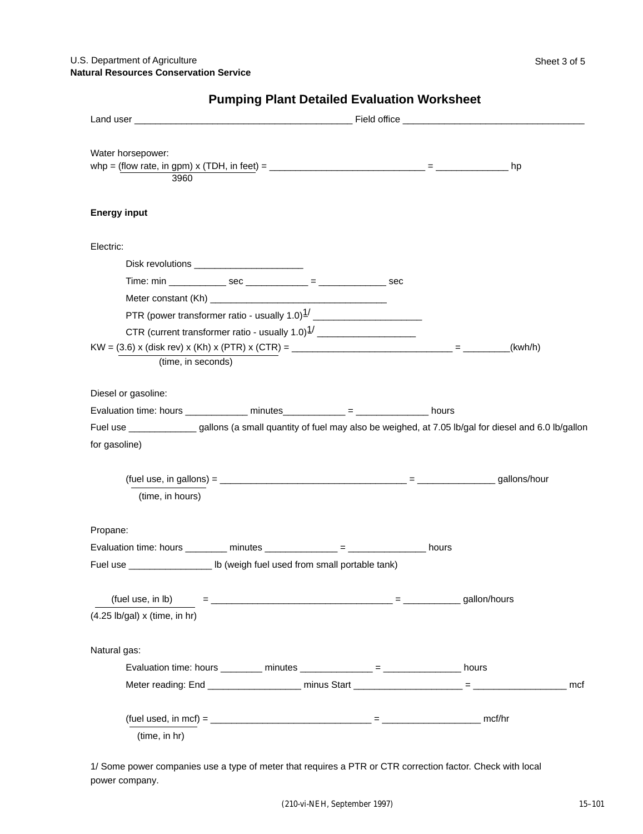| Water horsepower:<br>3960                                                                                                                                                                                                                                      |         |
|----------------------------------------------------------------------------------------------------------------------------------------------------------------------------------------------------------------------------------------------------------------|---------|
| <b>Energy input</b>                                                                                                                                                                                                                                            |         |
| Electric:<br>Disk revolutions ____________________________<br>Time: min _______________ sec _____________ = _________________ sec                                                                                                                              |         |
| $KW = (3.6) \times (disk rev) \times (Kh) \times (PTR) \times (CTR) =$<br>(time, in seconds)                                                                                                                                                                   | (kwh/h) |
| Diesel or gasoline:<br>Evaluation time: hours _______________ minutes____________ = ___________________ hours<br>Fuel use ________________ gallons (a small quantity of fuel may also be weighed, at 7.05 lb/gal for diesel and 6.0 lb/gallon<br>for gasoline) |         |
| (time, in hours)                                                                                                                                                                                                                                               |         |
| Propane:<br>Evaluation time: hours $\frac{1}{2}$ minutes $\frac{1}{2}$ = $\frac{1}{2}$ = $\frac{1}{2}$ hours<br>Fuel use ______________________ Ib (weigh fuel used from small portable tank)                                                                  |         |
| $(4.25 \text{ lb/gal}) \times (\text{time}, \text{ in hr})$                                                                                                                                                                                                    |         |
| Natural gas:<br>Evaluation time: hours $\frac{\ }{\ }$ minutes $\frac{\ }{\ }$ minutes $\frac{\ }{\ }$ = $\frac{\ }{\ }$ = $\frac{\ }{\ }$ hours                                                                                                               | mcf     |
| (time, in hr)                                                                                                                                                                                                                                                  |         |

**Pumping Plant Detailed Evaluation Worksheet**

1/ Some power companies use a type of meter that requires a PTR or CTR correction factor. Check with local power company.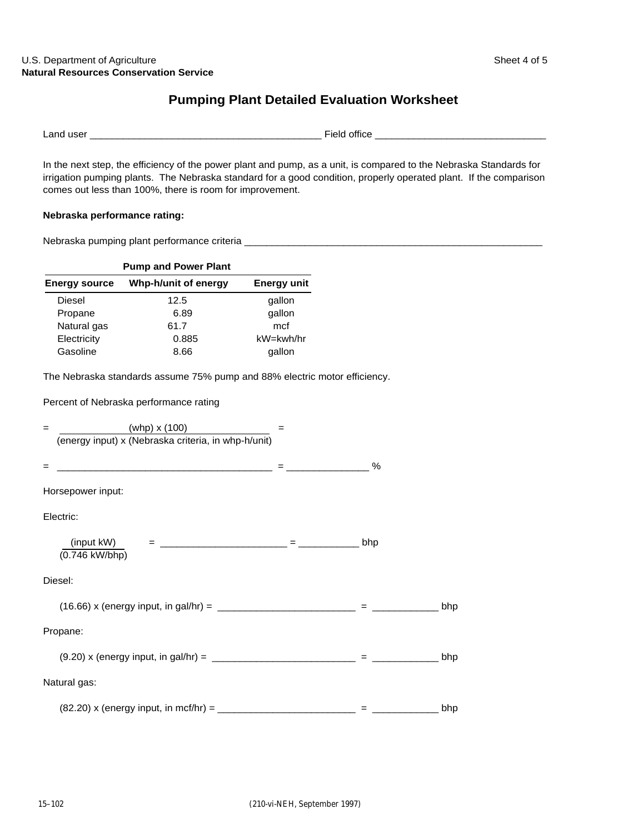#### **Pumping Plant Detailed Evaluation Worksheet**

Land user \_\_\_\_\_\_\_\_\_\_\_\_\_\_\_\_\_\_\_\_\_\_\_\_\_\_\_\_\_\_\_\_\_\_\_\_\_\_\_\_\_\_ Field office \_\_\_\_\_\_\_\_\_\_\_\_\_\_\_\_\_\_\_\_\_\_\_\_\_\_\_\_\_\_\_

In the next step, the efficiency of the power plant and pump, as a unit, is compared to the Nebraska Standards for irrigation pumping plants. The Nebraska standard for a good condition, properly operated plant. If the comparison comes out less than 100%, there is room for improvement.

#### **Nebraska performance rating:**

Nebraska pumping plant performance criteria \_\_\_\_\_\_\_\_\_\_\_\_\_\_\_\_\_\_\_\_\_\_\_\_\_\_\_\_\_\_\_\_\_\_\_\_\_\_\_\_\_\_\_\_\_\_\_\_\_\_\_\_\_\_

| <b>Pump and Power Plant</b> |                      |                    |  |  |  |  |  |  |
|-----------------------------|----------------------|--------------------|--|--|--|--|--|--|
| <b>Energy source</b>        | Whp-h/unit of energy | <b>Energy unit</b> |  |  |  |  |  |  |
| Diesel                      | 12.5                 | gallon             |  |  |  |  |  |  |
| Propane                     | 6.89                 | gallon             |  |  |  |  |  |  |
| Natural gas                 | 61.7                 | mcf                |  |  |  |  |  |  |
| Electricity                 | 0.885                | kW=kwh/hr          |  |  |  |  |  |  |
| Gasoline                    | 8.66                 | gallon             |  |  |  |  |  |  |

The Nebraska standards assume 75% pump and 88% electric motor efficiency.

Percent of Nebraska performance rating

= (whp) x (100) = (energy input) x (Nebraska criteria, in whp-h/unit) = \_\_\_\_\_\_\_\_\_\_\_\_\_\_\_\_\_\_\_\_\_\_\_\_\_\_\_\_\_\_\_\_\_\_\_\_\_\_\_ = \_\_\_\_\_\_\_\_\_\_\_\_\_\_\_ % Horsepower input: Electric: (input kW) = \_\_\_\_\_\_\_\_\_\_\_\_\_\_\_\_\_\_\_\_\_\_\_ = \_\_\_\_\_\_\_\_\_\_\_ bhp (0.746 kW/bhp) Diesel: (16.66) x (energy input, in gal/hr) = \_\_\_\_\_\_\_\_\_\_\_\_\_\_\_\_\_\_\_\_\_\_\_\_\_ = \_\_\_\_\_\_\_\_\_\_\_\_ bhp Propane: (9.20) x (energy input, in gal/hr) = \_\_\_\_\_\_\_\_\_\_\_\_\_\_\_\_\_\_\_\_\_\_\_\_\_\_ = \_\_\_\_\_\_\_\_\_\_\_\_ bhp Natural gas: (82.20) x (energy input, in mcf/hr) = \_\_\_\_\_\_\_\_\_\_\_\_\_\_\_\_\_\_\_\_\_\_\_\_\_ = \_\_\_\_\_\_\_\_\_\_\_\_ bhp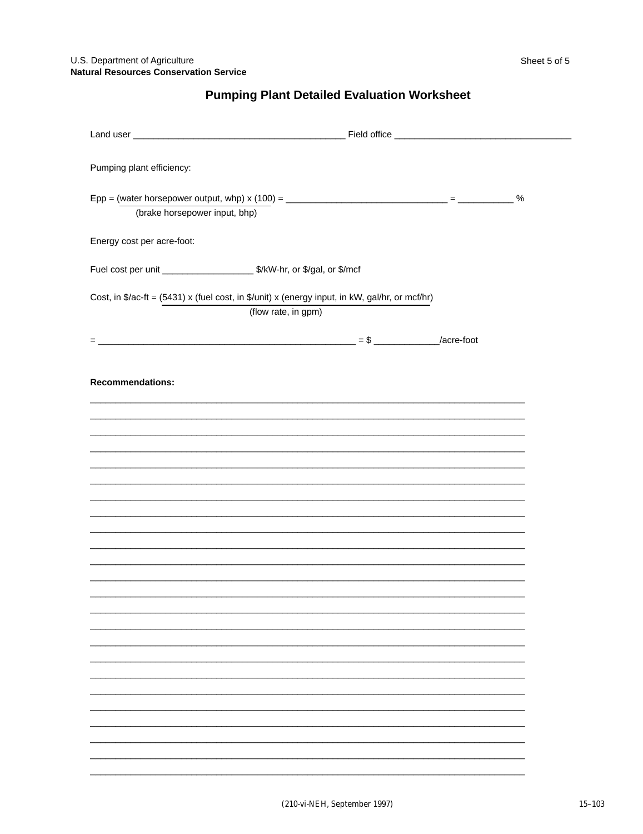# **Pumping Plant Detailed Evaluation Worksheet**

| Pumping plant efficiency:                                                                                              |  |  |
|------------------------------------------------------------------------------------------------------------------------|--|--|
| (brake horsepower input, bhp)                                                                                          |  |  |
| Energy cost per acre-foot:                                                                                             |  |  |
|                                                                                                                        |  |  |
|                                                                                                                        |  |  |
| Cost, in \$/ac-ft = (5431) x (fuel cost, in \$/unit) x (energy input, in kW, gal/hr, or mcf/hr)<br>(flow rate, in gpm) |  |  |
|                                                                                                                        |  |  |
|                                                                                                                        |  |  |
| <b>Recommendations:</b>                                                                                                |  |  |
|                                                                                                                        |  |  |
|                                                                                                                        |  |  |
|                                                                                                                        |  |  |
| <u> 1980 - Johann Stoff, fransk politik (f. 1980)</u>                                                                  |  |  |
|                                                                                                                        |  |  |
|                                                                                                                        |  |  |
|                                                                                                                        |  |  |
|                                                                                                                        |  |  |
|                                                                                                                        |  |  |
|                                                                                                                        |  |  |
|                                                                                                                        |  |  |
|                                                                                                                        |  |  |
|                                                                                                                        |  |  |
|                                                                                                                        |  |  |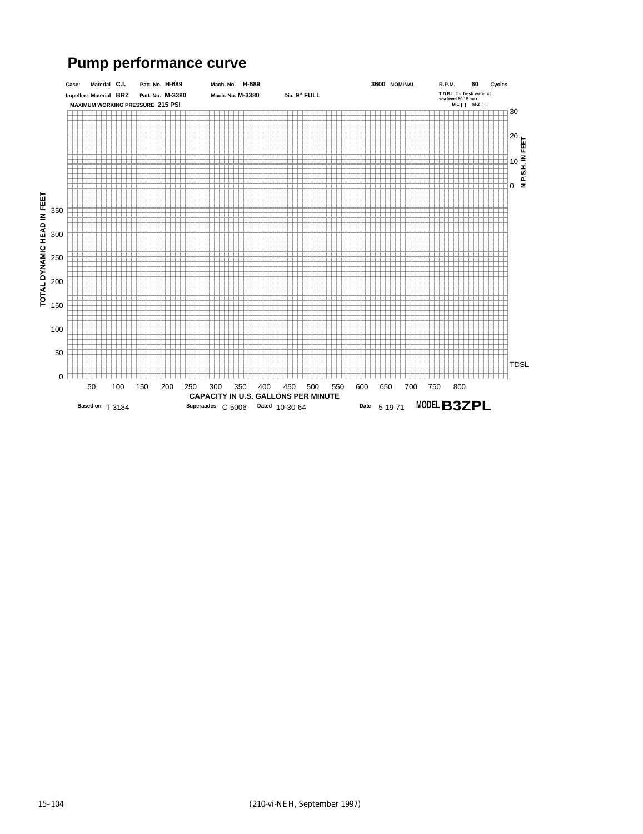#### **Resource Planning and Evaluation Pump performance curve**

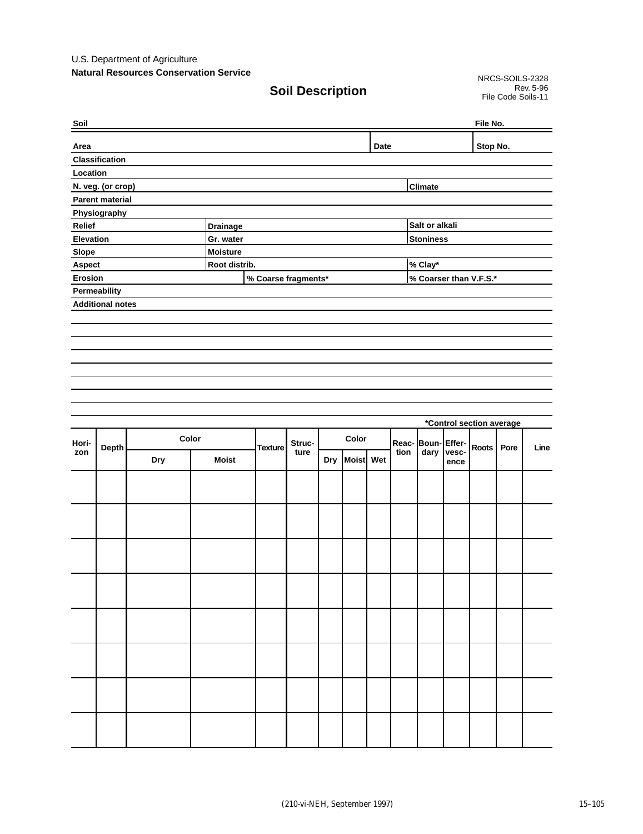U.S. Department of Agriculture

**Natural Resources Conservation Service** 

# **Soil Description**

NRCS-SOILS-2328 Rev. 5-96 File Code Soils-11

| Soil                    |                 |                     |                  | File No.               |
|-------------------------|-----------------|---------------------|------------------|------------------------|
| Area                    |                 |                     | Date             | Stop No.               |
| <b>Classification</b>   |                 |                     |                  |                        |
| Location                |                 |                     |                  |                        |
| N. veg. (or crop)       |                 |                     |                  | <b>Climate</b>         |
| <b>Parent material</b>  |                 |                     |                  |                        |
| Physiography            |                 |                     |                  |                        |
| Relief                  | <b>Drainage</b> |                     |                  | Salt or alkali         |
| Elevation               | Gr. water       |                     | <b>Stoniness</b> |                        |
| Slope                   | <b>Moisture</b> |                     |                  |                        |
| Aspect                  | Root distrib.   |                     |                  | % Clay*                |
| Erosion                 |                 | % Coarse fragments* |                  | % Coarser than V.F.S.* |
| Permeability            |                 |                     |                  |                        |
| <b>Additional notes</b> |                 |                     |                  |                        |

|       | *Control section average |            |              |                |        |       |           |  |  |                                                        |      |      |  |
|-------|--------------------------|------------|--------------|----------------|--------|-------|-----------|--|--|--------------------------------------------------------|------|------|--|
| Hori- | Depth                    | Color      |              | <b>Texture</b> | Struc- | Color |           |  |  | Reac- Boun- Effer- Roots<br>  tion   dary  vesc- Roots | Pore | Line |  |
| zon   |                          | <b>Dry</b> | <b>Moist</b> |                | ture   | Dry   | Moist Wet |  |  | ence                                                   |      |      |  |
|       |                          |            |              |                |        |       |           |  |  |                                                        |      |      |  |
|       |                          |            |              |                |        |       |           |  |  |                                                        |      |      |  |
|       |                          |            |              |                |        |       |           |  |  |                                                        |      |      |  |
|       |                          |            |              |                |        |       |           |  |  |                                                        |      |      |  |
|       |                          |            |              |                |        |       |           |  |  |                                                        |      |      |  |
|       |                          |            |              |                |        |       |           |  |  |                                                        |      |      |  |
|       |                          |            |              |                |        |       |           |  |  |                                                        |      |      |  |
|       |                          |            |              |                |        |       |           |  |  |                                                        |      |      |  |
|       |                          |            |              |                |        |       |           |  |  |                                                        |      |      |  |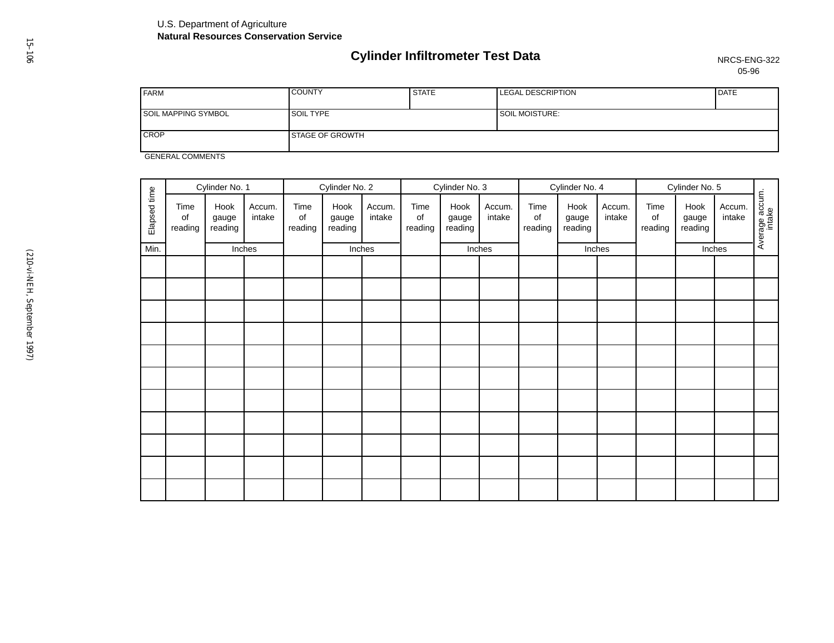#### U.S. Department of Agriculture **Natural Resources Conservation Service**

# **Chapter 15 Cylinder Infiltrometer Test Data**

NRCS-ENG-322 05-96

| <b>FARM</b>                  | <b>COUNTY</b>          | <b>STATE</b> | <b>LEGAL DESCRIPTION</b> | DATE |
|------------------------------|------------------------|--------------|--------------------------|------|
| <b>I SOIL MAPPING SYMBOL</b> | <b>SOIL TYPE</b>       |              | <b>SOIL MOISTURE:</b>    |      |
| <b>CROP</b>                  | <b>STAGE OF GROWTH</b> |              |                          |      |

GENERAL COMMENTS

|              | Cylinder No. 1        |                          | Cylinder No. 2   |                       | Cylinder No. 3           |                  | Cylinder No. 4        |                          |                  | Cylinder No. 5        |                          |                  |                       |                          |                  |                          |
|--------------|-----------------------|--------------------------|------------------|-----------------------|--------------------------|------------------|-----------------------|--------------------------|------------------|-----------------------|--------------------------|------------------|-----------------------|--------------------------|------------------|--------------------------|
| Elapsed time | Time<br>of<br>reading | Hook<br>gauge<br>reading | Accum.<br>intake | Time<br>of<br>reading | Hook<br>gauge<br>reading | Accum.<br>intake | Time<br>of<br>reading | Hook<br>gauge<br>reading | Accum.<br>intake | Time<br>of<br>reading | Hook<br>gauge<br>reading | Accum.<br>intake | Time<br>of<br>reading | Hook<br>gauge<br>reading | Accum.<br>intake | Average accum.<br>intake |
| Min.         |                       | Inches                   |                  |                       |                          | Inches           | Inches                |                          |                  | Inches                |                          |                  | Inches                |                          |                  |                          |
|              |                       |                          |                  |                       |                          |                  |                       |                          |                  |                       |                          |                  |                       |                          |                  |                          |
|              |                       |                          |                  |                       |                          |                  |                       |                          |                  |                       |                          |                  |                       |                          |                  |                          |
|              |                       |                          |                  |                       |                          |                  |                       |                          |                  |                       |                          |                  |                       |                          |                  |                          |
|              |                       |                          |                  |                       |                          |                  |                       |                          |                  |                       |                          |                  |                       |                          |                  |                          |
|              |                       |                          |                  |                       |                          |                  |                       |                          |                  |                       |                          |                  |                       |                          |                  |                          |
|              |                       |                          |                  |                       |                          |                  |                       |                          |                  |                       |                          |                  |                       |                          |                  |                          |
|              |                       |                          |                  |                       |                          |                  |                       |                          |                  |                       |                          |                  |                       |                          |                  |                          |
|              |                       |                          |                  |                       |                          |                  |                       |                          |                  |                       |                          |                  |                       |                          |                  |                          |
|              |                       |                          |                  |                       |                          |                  |                       |                          |                  |                       |                          |                  |                       |                          |                  |                          |
|              |                       |                          |                  |                       |                          |                  |                       |                          |                  |                       |                          |                  |                       |                          |                  |                          |
|              |                       |                          |                  |                       |                          |                  |                       |                          |                  |                       |                          |                  |                       |                          |                  |                          |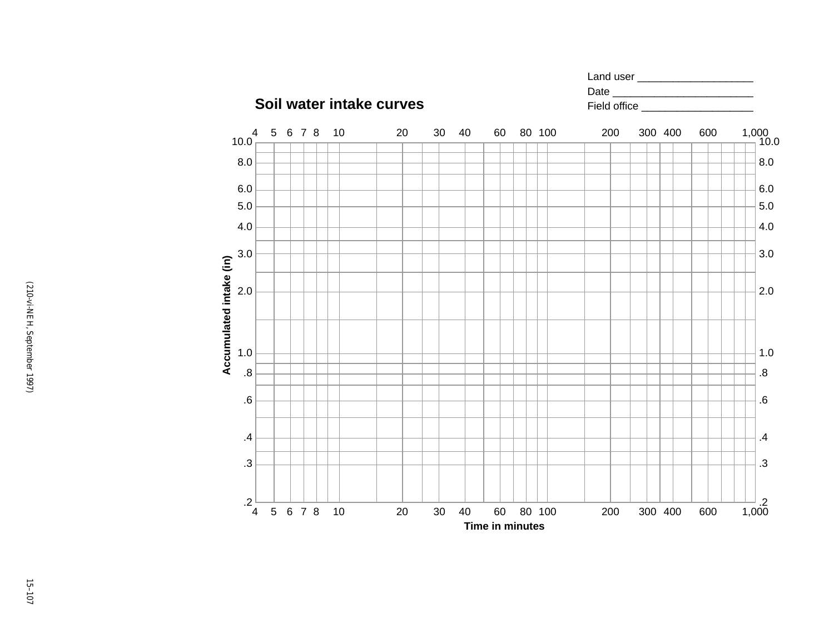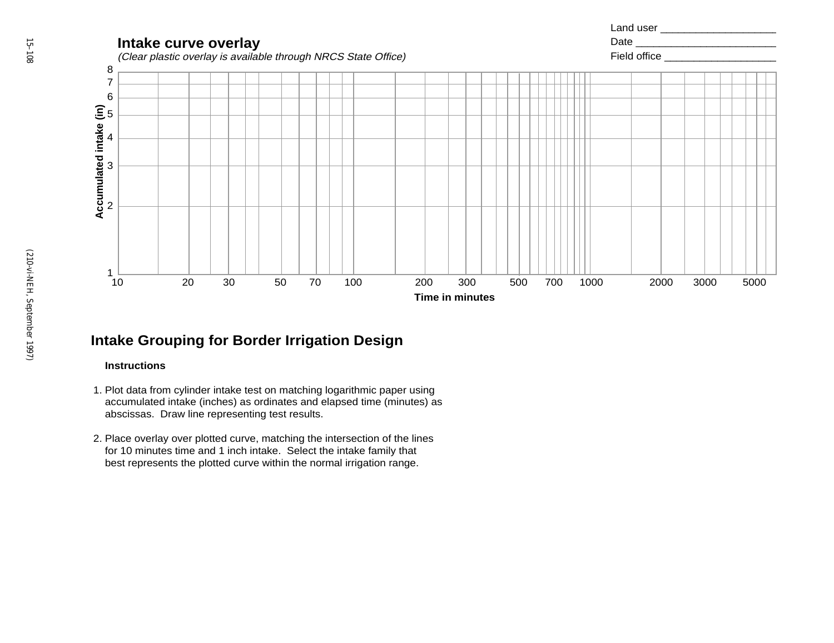

### **Intake Grouping for Border Irrigation Design**

#### **Instructions**

- 1. Plot data from cylinder intake test on matching logarithmic paper using accumulated intake (inches) as ordinates and elapsed time (minutes) as abscissas. Draw line representing test results.
- 2. Place overlay over plotted curve, matching the intersection of the lines for 10 minutes time and 1 inch intake. Select the intake family that best represents the plotted curve within the normal irrigation range.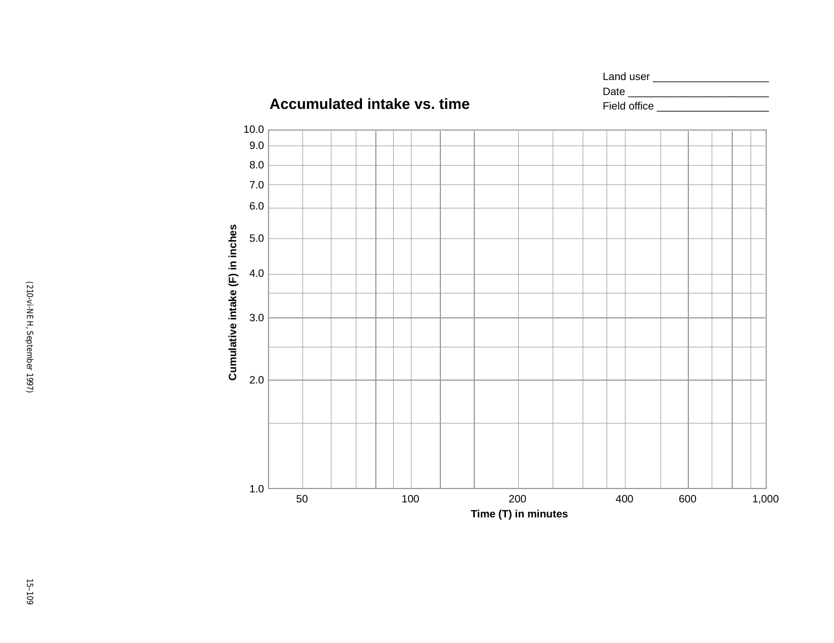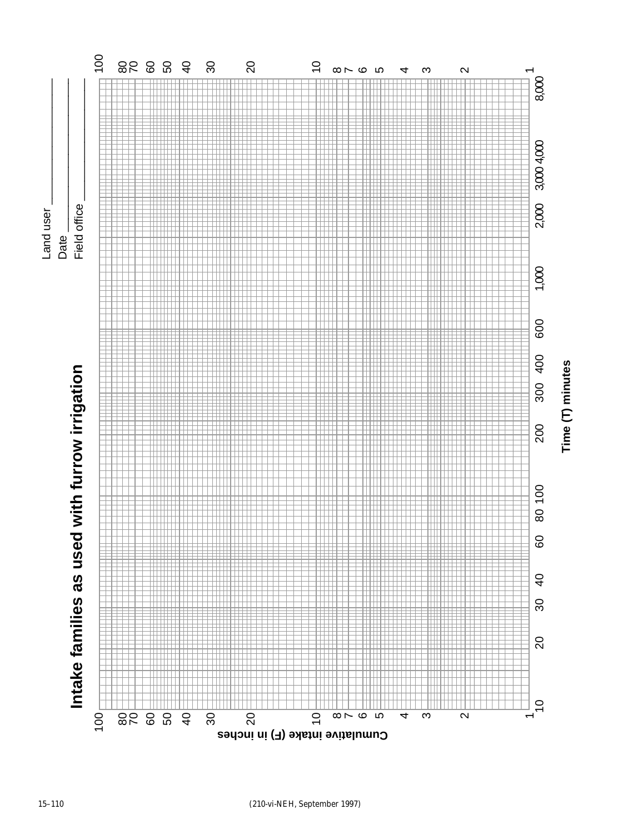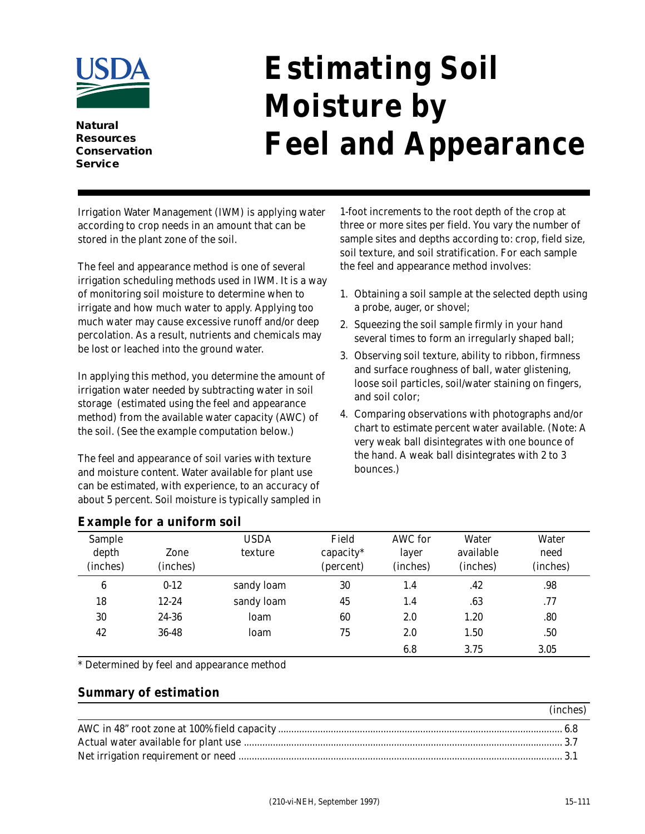

**Natural Resources Conservation Service**

# **Estimating Soil Moisture by Feel and Appearance**

Irrigation Water Management (IWM) is applying water according to crop needs in an amount that can be stored in the plant zone of the soil.

The feel and appearance method is one of several irrigation scheduling methods used in IWM. It is a way of monitoring soil moisture to determine when to irrigate and how much water to apply. Applying too much water may cause excessive runoff and/or deep percolation. As a result, nutrients and chemicals may be lost or leached into the ground water.

In applying this method, you determine the amount of irrigation water needed by subtracting water in soil storage (estimated using the feel and appearance method) from the available water capacity (AWC) of the soil. (See the example computation below.)

The feel and appearance of soil varies with texture and moisture content. Water available for plant use can be estimated, with experience, to an accuracy of about 5 percent. Soil moisture is typically sampled in 1-foot increments to the root depth of the crop at three or more sites per field. You vary the number of sample sites and depths according to: crop, field size, soil texture, and soil stratification. For each sample the feel and appearance method involves:

- 1. Obtaining a soil sample at the selected depth using a probe, auger, or shovel;
- 2. Squeezing the soil sample firmly in your hand several times to form an irregularly shaped ball;
- 3. Observing soil texture, ability to ribbon, firmness and surface roughness of ball, water glistening, loose soil particles, soil/water staining on fingers, and soil color;
- 4. Comparing observations with photographs and/or chart to estimate percent water available. (Note: A very weak ball disintegrates with one bounce of the hand. A weak ball disintegrates with 2 to 3 bounces.)

| Sample<br>depth<br>(inches) | Zone<br>(inches) | <b>USDA</b><br>texture | Field<br>capacity*<br>(percent) | AWC for<br>layer<br>(inches) | Water<br>available<br>(inches) | Water<br>need<br>(inches) |
|-----------------------------|------------------|------------------------|---------------------------------|------------------------------|--------------------------------|---------------------------|
| 6                           | $0 - 12$         | sandy loam             | 30                              | 1.4                          | .42                            | .98                       |
| 18                          | 12-24            | sandy loam             | 45                              | 1.4                          | .63                            | .77                       |
| 30                          | 24-36            | loam                   | 60                              | 2.0                          | 1.20                           | .80                       |
| 42                          | 36-48            | loam                   | 75                              | 2.0                          | 1.50                           | .50                       |
|                             |                  |                        |                                 | 6.8                          | 3.75                           | 3.05                      |

### **Example for a uniform soil**

\* Determined by feel and appearance method

#### **Summary of estimation**

| (inches) |
|----------|
|          |
|          |
|          |

 $\overline{a}$  in  $\overline{b}$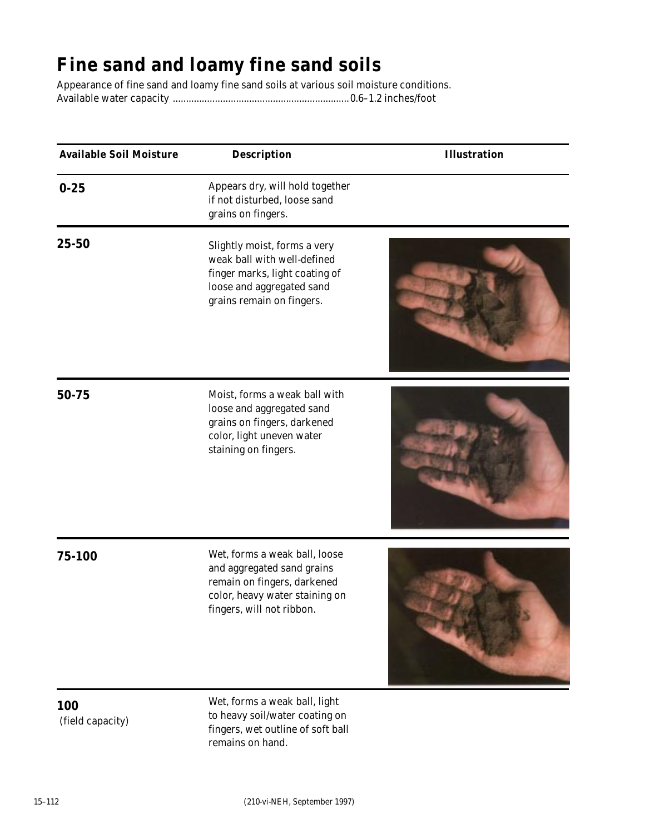### **Fine sand and loamy fine sand soils**

Appearance of fine sand and loamy fine sand soils at various soil moisture conditions. Available water capacity ...................................................................0.6–1.2 inches/foot

| <b>Available Soil Moisture</b> | <b>Description</b>                                                                                                                                        | <b>Illustration</b> |
|--------------------------------|-----------------------------------------------------------------------------------------------------------------------------------------------------------|---------------------|
| $0 - 25$                       | Appears dry, will hold together<br>if not disturbed, loose sand<br>grains on fingers.                                                                     |                     |
| $25 - 50$                      | Slightly moist, forms a very<br>weak ball with well-defined<br>finger marks, light coating of<br>loose and aggregated sand<br>grains remain on fingers.   |                     |
| $50 - 75$                      | Moist, forms a weak ball with<br>loose and aggregated sand<br>grains on fingers, darkened<br>color, light uneven water<br>staining on fingers.            |                     |
| 75-100                         | Wet, forms a weak ball, loose<br>and aggregated sand grains<br>remain on fingers, darkened<br>color, heavy water staining on<br>fingers, will not ribbon. |                     |
| 100<br>(field capacity)        | Wet, forms a weak ball, light<br>to heavy soil/water coating on<br>fingers, wet outline of soft ball<br>remains on hand.                                  |                     |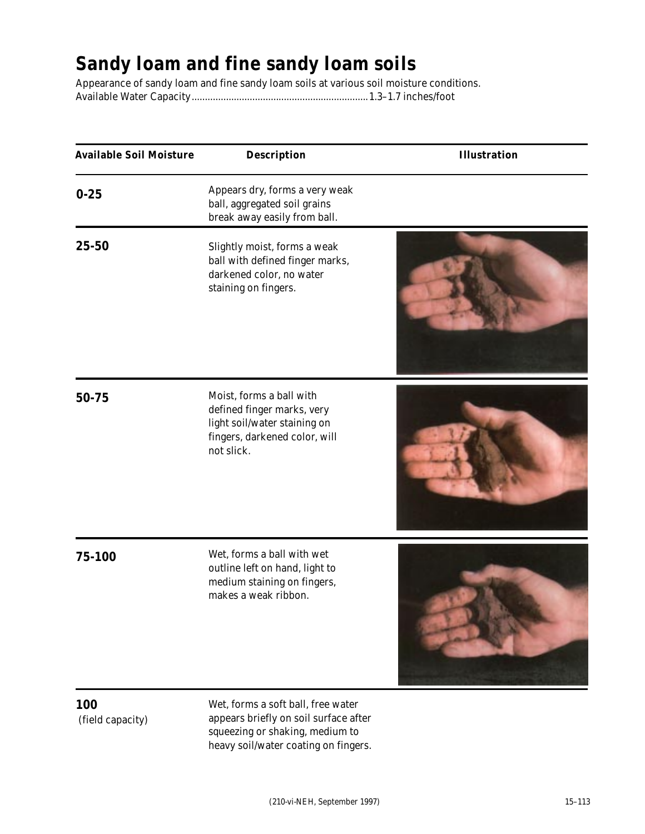## **Sandy loam and fine sandy loam soils**

Appearance of sandy loam and fine sandy loam soils at various soil moisture conditions. Available Water Capacity...................................................................1.3–1.7 inches/foot

| <b>Available Soil Moisture</b> | <b>Description</b>                                                                                                                    | <b>Illustration</b> |
|--------------------------------|---------------------------------------------------------------------------------------------------------------------------------------|---------------------|
| $0 - 25$                       | Appears dry, forms a very weak<br>ball, aggregated soil grains<br>break away easily from ball.                                        |                     |
| $25 - 50$                      | Slightly moist, forms a weak<br>ball with defined finger marks,<br>darkened color, no water<br>staining on fingers.                   |                     |
| $50 - 75$                      | Moist, forms a ball with<br>defined finger marks, very<br>light soil/water staining on<br>fingers, darkened color, will<br>not slick. |                     |
| 75-100                         | Wet, forms a ball with wet<br>outline left on hand, light to<br>medium staining on fingers,<br>makes a weak ribbon.                   |                     |
| 100<br>(field capacity)        | Wet, forms a soft ball, free water<br>appears briefly on soil surface after<br>squeezing or shaking, medium to                        |                     |

heavy soil/water coating on fingers.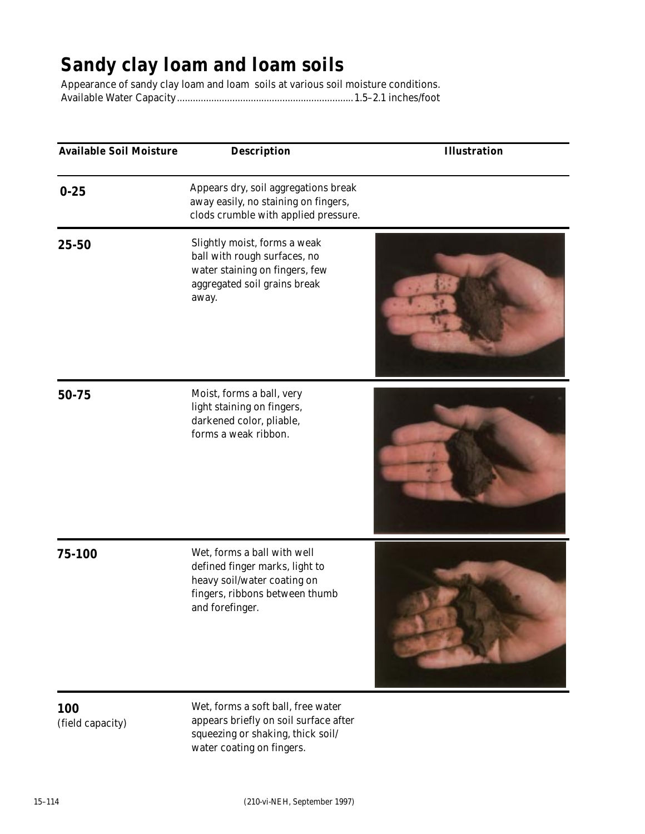### **Sandy clay loam and loam soils**

Appearance of sandy clay loam and loam soils at various soil moisture conditions. Available Water Capacity...................................................................1.5–2.1 inches/foot

| <b>Available Soil Moisture</b> | <b>Description</b>                                                                                                                                | <b>Illustration</b> |
|--------------------------------|---------------------------------------------------------------------------------------------------------------------------------------------------|---------------------|
| $0 - 25$                       | Appears dry, soil aggregations break<br>away easily, no staining on fingers,<br>clods crumble with applied pressure.                              |                     |
| $25 - 50$                      | Slightly moist, forms a weak<br>ball with rough surfaces, no<br>water staining on fingers, few<br>aggregated soil grains break<br>away.           |                     |
| 50-75                          | Moist, forms a ball, very<br>light staining on fingers,<br>darkened color, pliable,<br>forms a weak ribbon.                                       |                     |
| 75-100                         | Wet, forms a ball with well<br>defined finger marks, light to<br>heavy soil/water coating on<br>fingers, ribbons between thumb<br>and forefinger. |                     |
| 100                            | Wet, forms a soft ball, free water                                                                                                                |                     |

(field capacity)

appears briefly on soil surface after squeezing or shaking, thick soil/ water coating on fingers.